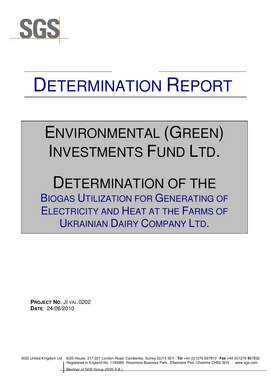

# DETERMINATION REPORT

## ENVIRONMENTAL (GREEN) INVESTMENTS FUND LTD.

## DETERMINATION OF THE BIOGAS UTILIZATION FOR GENERATING OF ELECTRICITY AND HEAT AT THE FARMS OF UKRAINIAN DAIRY COMPANY LTD.

**PROJECT NO**. JI VAL.0202 **DATE**: 24/06/2010

SGS United Kingdom Ltd SGS House, 217-221 London Road, Camberley, Surrey GU15 3EY **Tel** +44 (0)1276 697810 **Fax** +44 (0)1276 697832 Registered in England No. 1193985 Rossmore Business Park, Ellesmere Port, Cheshire CH65 3EN www.sgs.com 6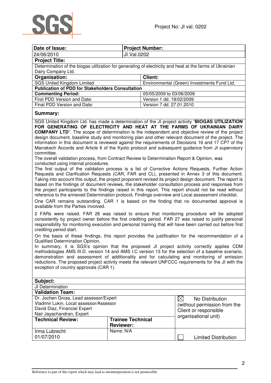

| Date of Issue:                                                                                          | <b>Project Number:</b> |                                                                                                          |  |  |
|---------------------------------------------------------------------------------------------------------|------------------------|----------------------------------------------------------------------------------------------------------|--|--|
| 24/06/2010                                                                                              |                        | JI.Val.0202                                                                                              |  |  |
| <b>Project Title:</b>                                                                                   |                        |                                                                                                          |  |  |
|                                                                                                         |                        | Determination of the biogas utilization for generating of electricity and heat at the farms of Ukrainian |  |  |
| Dairy Company Ltd.                                                                                      |                        |                                                                                                          |  |  |
| Organisation:                                                                                           |                        | <b>Client:</b>                                                                                           |  |  |
| <b>SGS United Kingdom Limited</b>                                                                       |                        | Environmental (Green) Investments Fund Ltd.                                                              |  |  |
| <b>Publication of PDD for Stakeholders Consultation</b>                                                 |                        |                                                                                                          |  |  |
| <b>Commenting Period:</b><br>05/05/2009 to 03/06/2009                                                   |                        |                                                                                                          |  |  |
| First PDD Version and Date:                                                                             |                        | Version 1 dd. 18/02/2009                                                                                 |  |  |
| Final PDD Version and Date:                                                                             |                        | Version 7 dd. 27.01.2010                                                                                 |  |  |
| Summary:                                                                                                |                        |                                                                                                          |  |  |
|                                                                                                         |                        | SGS United Kingdom Ltd. has made a determination of the JI project activity "BIOGAS UTILIZATION          |  |  |
| FOR GENERATING OF ELECTRICITY AND HEAT AT THE FARMS OF UKRAINIAN DAIRY                                  |                        |                                                                                                          |  |  |
| <b>COMPANY LTD</b> ". The scope of determination is the independent and objective review of the project |                        |                                                                                                          |  |  |
| design document, baseline study and monitoring plan and other relevant document of the project. The     |                        |                                                                                                          |  |  |

information in this document is reviewed against the requirements of Decisions 16 and 17 CP7 of the Marrakech Accords and Article 6 of the Kyoto protocol and subsequent guidance from JI supervisory committee.

The overall validation process, from Contract Review to Determination Report & Opinion, was conducted using internal procedures.

The first output of the validation process is a list of Corrective Actions Requests, Further Action Requests and Clarification Requests (CAR, FAR and CL), presented in Annex 3 of this document. Taking into account this output, the project proponent revised its project design document. The report is based on the findings of document reviews, the stakeholder consultation process and responses from the project participants to the findings raised in this report. This report should not be read without reference to the annexed Determination protocol, Findings overview and Local assessment checklist.

One CAR remains outstanding. CAR 1 is based on the finding that no documented approval is available from the Parties involved.

2 FARs were raised. FAR 26 was raised to ensure that monitoring procedure will be adopted consistently by project owner before the first crediting period. FAR 27 was raised to justify personal responsibility for monitoring execution and personal training that will have been carried out before first crediting period start.

On the basis of these findings, this report provides the justification for the recommendation of a Qualified Determination Opinion.

In summary, it is SGS's opinion that the proposed JI project activity correctly applies CDM methodologies AMS III.D. version 14 and AMS I.C version 13 for the selection of a baseline scenario, demonstration and assessment of additionality and for calculating and monitoring of emission reductions. The proposed project activity meets the relevant UNFCCC requirements for the JI with the exception of country approvals (CAR 1).

| Subject:                                                                                                                                                                                                                                                 |                          |                             |  |
|----------------------------------------------------------------------------------------------------------------------------------------------------------------------------------------------------------------------------------------------------------|--------------------------|-----------------------------|--|
| JI Determination                                                                                                                                                                                                                                         |                          |                             |  |
| <b>Validation Team:</b>                                                                                                                                                                                                                                  |                          |                             |  |
| Dr. Jochen Gross, Lead assessor/Expert<br>No Distribution<br>IХ<br>Vladimir Lukin, Local assessor/Assessor<br>(without permission from the<br>David Diaz, Financial Expert<br>Client or responsible<br>Nair Jayachandran, Expert<br>organisational unit) |                          |                             |  |
| <b>Technical Review:</b>                                                                                                                                                                                                                                 | <b>Trainee Technical</b> |                             |  |
|                                                                                                                                                                                                                                                          | <b>Reviewer:</b>         |                             |  |
| Irma Lubrecht                                                                                                                                                                                                                                            | Name: N/A                |                             |  |
| 01/07/2010                                                                                                                                                                                                                                               |                          | <b>Limited Distribution</b> |  |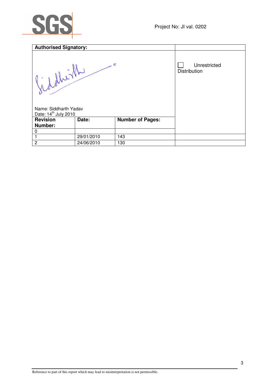

| <b>Authorised Signatory:</b>                                        |            |                         |                                     |
|---------------------------------------------------------------------|------------|-------------------------|-------------------------------------|
| doller<br>Name: Siddharth Yadav<br>Date: 14 <sup>th</sup> July 2010 |            | $\ddot{\mathbf{c}}$     | Unrestricted<br><b>Distribution</b> |
| <b>Revision</b>                                                     | Date:      | <b>Number of Pages:</b> |                                     |
| Number:<br>0                                                        |            |                         |                                     |
|                                                                     | 29/01/2010 | 143                     |                                     |
| $\overline{2}$                                                      | 24/06/2010 | 130                     |                                     |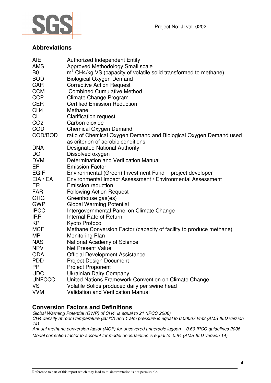

## **Abbreviations**

| <b>AIE</b>      | <b>Authorized Independent Entity</b>                                         |
|-----------------|------------------------------------------------------------------------------|
| <b>AMS</b>      | Approved Methodology Small scale                                             |
| B <sub>0</sub>  | m <sup>3</sup> CH4/kg VS (capacity of volatile solid transformed to methane) |
| <b>BOD</b>      | <b>Biological Oxygen Demand</b>                                              |
| <b>CAR</b>      | <b>Corrective Action Request</b>                                             |
| <b>CCM</b>      | <b>Combined Cumulative Method</b>                                            |
| <b>CCP</b>      | Climate Change Program                                                       |
| <b>CER</b>      | <b>Certified Emission Reduction</b>                                          |
| CH <sub>4</sub> | Methane                                                                      |
| <b>CL</b>       | <b>Clarification request</b>                                                 |
| CO <sub>2</sub> | Carbon dioxide                                                               |
| <b>COD</b>      | <b>Chemical Oxygen Demand</b>                                                |
| COD/BOD         | ratio of Chemical Oxygen Demand and Biological Oxygen Demand used            |
|                 | as criterion of aerobic conditions                                           |
| <b>DNA</b>      | <b>Designated National Authority</b>                                         |
| DO              | Dissolved oxygen                                                             |
| <b>DVM</b>      | Determination and Verification Manual                                        |
| EF              | <b>Emission Factor</b>                                                       |
| <b>EGIF</b>     | Environmental (Green) Investment Fund - project developer                    |
| EIA / EA        | Environmental Impact Assessment / Environmental Assessment                   |
| ER              | <b>Emission reduction</b>                                                    |
| <b>FAR</b>      | <b>Following Action Request</b>                                              |
| <b>GHG</b>      | Greenhouse gas(es)                                                           |
| <b>GWP</b>      | <b>Global Warming Potential</b>                                              |
| <b>IPCC</b>     | Intergovernmental Panel on Climate Change                                    |
| <b>IRR</b>      | Internal Rate of Return                                                      |
| KP              | Kyoto Protocol                                                               |
| <b>MCF</b>      | Methane Conversion Factor (capacity of facility to produce methane)          |
| <b>MP</b>       | <b>Monitoring Plan</b>                                                       |
| <b>NAS</b>      | National Academy of Science                                                  |
| <b>NPV</b>      | <b>Net Present Value</b>                                                     |
| <b>ODA</b>      | <b>Official Development Assistance</b>                                       |
| <b>PDD</b>      | <b>Project Design Document</b>                                               |
| <b>PP</b>       | <b>Project Proponent</b>                                                     |
| <b>UDC</b>      | Ukrainian Dairy Company                                                      |
| <b>UNFCCC</b>   | United Nations Framework Convention on Climate Change                        |
| <b>VS</b>       | Volatile Solids produced daily per swine head                                |
| <b>VVM</b>      | <b>Validation and Verification Manual</b>                                    |
|                 |                                                                              |

## **Conversion Factors and Definitions**

Global Warming Potential (GWP) of CH4 is equal to 21 (IPCC 2006)

CH4 density at room temperature (20  $^{\circ}$ C) and 1 atm pressure is equal to 0.00067 t/m3 (AMS III.D version 14)

Annual methane conversion factor (MCF) for uncovered anaerobic lagoon - 0.66 IPCC guidelines 2006 Model correction factor to account for model uncertainties is equal to 0.94 (AMS III.D version 14)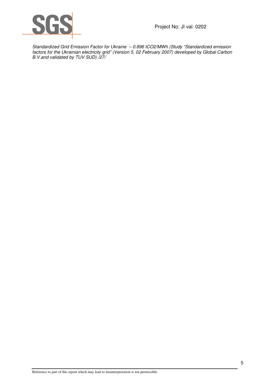

Standardized Grid Emission Factor for Ukraine – 0.896 tCO2/MWh (Study "Standardized emission factors for the Ukrainian electricity grid" (Version 5, 02 February 2007) developed by Global Carbon B.V.and validated by TUV SUD) /27/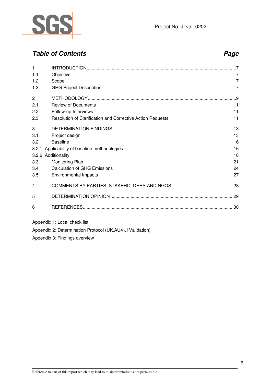

## **Table of Contents Page 2014**

| 1              |                                                            |     |
|----------------|------------------------------------------------------------|-----|
| 1.1            | Objective                                                  | 7   |
|                |                                                            |     |
| 1.2            | Scope                                                      | 7   |
| 1.3            | <b>GHG Project Description</b>                             | 7   |
| $\overline{c}$ |                                                            |     |
| 2.1            | <b>Review of Documents</b>                                 | 11  |
| 2.2            | Follow-up Interviews                                       | 11  |
| 2.3            | Resolution of Clarification and Corrective Action Requests | 11  |
| 3              |                                                            | .13 |
| 3.1            | Project design                                             | 13  |
| 3.2            | <b>Baseline</b>                                            | 16  |
|                | 3.2.1. Applicability of baseline methodologies             | 16  |
|                | 3.2.2. Additionality                                       | 18  |
| 3.3            | Monitoring Plan                                            | 21  |
| 3.4            | <b>Calculation of GHG Emissions</b>                        | 24  |
| 3.5            | Environmental Impacts                                      | 27  |
| 4              |                                                            | .28 |
| 5              |                                                            |     |
| 6              |                                                            |     |
|                | .                                                          |     |

Appendix 1: Local check list

Appendix 2: Determination Protocol (UK.AU4 JI Validation)

Appendix 3: Findings overview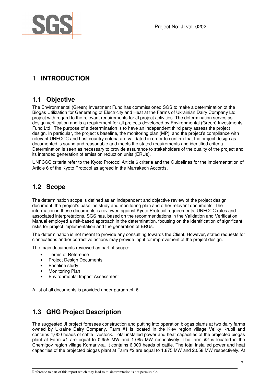

## **1 INTRODUCTION**

## **1.1 Objective**

The Environmental (Green) Investment Fund has commissioned SGS to make a determination of the Biogas Utilization for Generating of Electricity and Heat at the Farms of Ukrainian Dairy Company Ltd project with regard to the relevant requirements for JI project activities. The determination serves as design verification and is a requirement for all projects developed by Environmental (Green) Investments Fund Ltd . The purpose of a determination is to have an independent third party assess the project design. In particular, the project's baseline, the monitoring plan (MP), and the project's compliance with relevant UNFCCC and host country criteria are validated in order to confirm that the project design as documented is sound and reasonable and meets the stated requirements and identified criteria. Determination is seen as necessary to provide assurance to stakeholders of the quality of the project and its intended generation of emission reduction units (ERUs).

UNFCCC criteria refer to the Kyoto Protocol Article 6 criteria and the Guidelines for the implementation of Article 6 of the Kyoto Protocol as agreed in the Marrakech Accords.

## **1.2 Scope**

The determination scope is defined as an independent and objective review of the project design document, the project's baseline study and monitoring plan and other relevant documents. The information in these documents is reviewed against Kyoto Protocol requirements, UNFCCC rules and associated interpretations. SGS has, based on the recommendations in the Validation and Verification Manual employed a risk-based approach in the determination, focusing on the identification of significant risks for project implementation and the generation of ERUs.

The determination is not meant to provide any consulting towards the Client. However, stated requests for clarifications and/or corrective actions may provide input for improvement of the project design.

The main documents reviewed as part of scope:

- Terms of Reference
- Project Design Documents
- Baseline study
- Monitoring Plan
- Environmental Impact Assessment

A list of all documents is provided under paragraph 6

## **1.3 GHG Project Description**

The suggested JI project foresees construction and putting into operation biogas plants at two dairy farms owned by Ukraine Dairy Company. Farm #1 is located in the Kiev region village Veliky Krupil and contains 4,000 heads of cattle livestock. Total installed power and heat capacities of the projected biogas plant at Farm #1 are equal to 0.955 MW and 1.085 MW respectively. The farm #2 is located in the Chernigov region village Komarivka. It contains 6,000 heads of cattle. The total installed power and heat capacities of the projected biogas plant at Farm #2 are equal to 1.875 MW and 2.058 MW respectively. At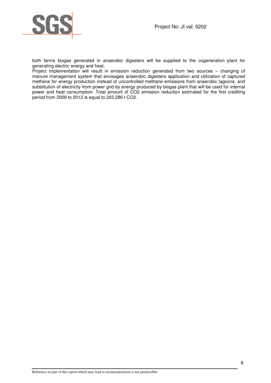

both farms biogas generated in anaerobic digesters will be supplied to the cogeneration plant for generating electric energy and heat.

Project implementation will result in emission reduction generated from two sources – changing of manure management system that envisages anaerobic digesters application and utilization of captured methane for energy production instead of uncontrolled methane emissions from anaerobic lagoons, and substitution of electricity from power grid by energy produced by biogas plant that will be used for internal power and heat consumption. Total amount of CO2 emission reduction estimated for the first crediting period from 2009 to 2012 is equal to 203,286 t CO2.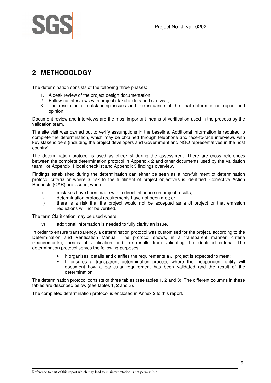



## **2 METHODOLOGY**

The determination consists of the following three phases:

- 1. A desk review of the project design documentation;
- 2. Follow-up interviews with project stakeholders and site visit;
- 3. The resolution of outstanding issues and the issuance of the final determination report and opinion.

Document review and interviews are the most important means of verification used in the process by the validation team.

The site visit was carried out to verify assumptions in the baseline. Additional information is required to complete the determination, which may be obtained through telephone and face-to-face interviews with key stakeholders (including the project developers and Government and NGO representatives in the host country).

The determination protocol is used as checklist during the assessment. There are cross references between the complete determination protocol in Appendix 2 and other documents used by the validation team like Appendix 1 local checklist and Appendix 3 findings overview.

Findings established during the determination can either be seen as a non-fulfilment of determination protocol criteria or where a risk to the fulfilment of project objectives is identified. Corrective Action Requests (CAR) are issued, where:

- i) mistakes have been made with a direct influence on project results;
- ii) determination protocol requirements have not been met; or
- iii) there is a risk that the project would not be accepted as a JI project or that emission reductions will not be verified.

The term Clarification may be used where:

iv) additional information is needed to fully clarify an issue.

In order to ensure transparency, a determination protocol was customised for the project, according to the Determination and Verification Manual. The protocol shows, in a transparent manner, criteria (requirements), means of verification and the results from validating the identified criteria. The determination protocol serves the following purposes:

- It organises, details and clarifies the requirements a JI project is expected to meet;
- It ensures a transparent determination process where the independent entity will document how a particular requirement has been validated and the result of the determination.

The determination protocol consists of three tables (see tables 1, 2 and 3). The different columns in these tables are described below (see tables 1, 2 and 3).

The completed determination protocol is enclosed in Annex 2 to this report.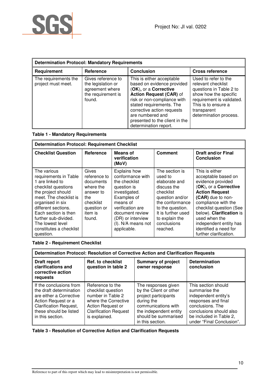

| <b>Determination Protocol: Mandatory Requirements</b> |                                                                                             |                                                                                                                                                                                                                                                                                     |                                                                                                                                                                                             |  |
|-------------------------------------------------------|---------------------------------------------------------------------------------------------|-------------------------------------------------------------------------------------------------------------------------------------------------------------------------------------------------------------------------------------------------------------------------------------|---------------------------------------------------------------------------------------------------------------------------------------------------------------------------------------------|--|
| Requirement                                           | Reference                                                                                   | <b>Conclusion</b>                                                                                                                                                                                                                                                                   | <b>Cross reference</b>                                                                                                                                                                      |  |
| The requirements the<br>project must meet.            | Gives reference to<br>the legislation or<br>agreement where<br>the requirement is<br>found. | This is either acceptable<br>based on evidence provided<br>(OK), or a Corrective<br>Action Request (CAR) of<br>risk or non-compliance with<br>stated requirements. The<br>corrective action requests<br>are numbered and<br>presented to the client in the<br>determination report. | Used to refer to the<br>relevant checklist<br>questions in Table 2 to<br>show how the specific<br>requirement is validated.<br>This is to ensure a<br>transparent<br>determination process. |  |

#### **Table 1 - Mandatory Requirements**

| <b>Determination Protocol: Requirement Checklist</b>                                                                                                                                                                                                                                  |                                                                                                                       |                                                                                                                                                                                                               |                                                                                                                                                                                                     |                                                                                                                                                                                                                                                                                                               |  |
|---------------------------------------------------------------------------------------------------------------------------------------------------------------------------------------------------------------------------------------------------------------------------------------|-----------------------------------------------------------------------------------------------------------------------|---------------------------------------------------------------------------------------------------------------------------------------------------------------------------------------------------------------|-----------------------------------------------------------------------------------------------------------------------------------------------------------------------------------------------------|---------------------------------------------------------------------------------------------------------------------------------------------------------------------------------------------------------------------------------------------------------------------------------------------------------------|--|
| <b>Checklist Question</b>                                                                                                                                                                                                                                                             | Reference                                                                                                             | Means of<br>verification<br>(MoV)                                                                                                                                                                             | <b>Comment</b>                                                                                                                                                                                      | <b>Draft and/or Final</b><br><b>Conclusion</b>                                                                                                                                                                                                                                                                |  |
| The various<br>requirements in Table<br>1 are linked to<br>checklist questions<br>the project should<br>meet. The checklist is<br>organised in six<br>different sections.<br>Each section is then<br>further sub-divided.<br>The lowest level<br>constitutes a checklist<br>question. | Gives<br>reference to<br>documents<br>where the<br>answer to<br>the.<br>checklist<br>question or<br>item is<br>found. | Explains how<br>conformance with<br>the checklist<br>question is<br>investigated.<br>Examples of<br>means of<br>verification are<br>document review<br>(DR) or interview<br>(I). N/A means not<br>applicable. | The section is<br>used to<br>elaborate and<br>discuss the<br>checklist<br>question and/or<br>the conformance<br>to the question.<br>It is further used<br>to explain the<br>conclusions<br>reached. | This is either<br>acceptable based on<br>evidence provided<br>(OK), or a Corrective<br><b>Action Request</b><br>(CAR) due to non-<br>compliance with the<br>checklist question (See<br>below). Clarification is<br>used when the<br>independent entity has<br>identified a need for<br>further clarification. |  |

#### **Table 2 - Requirement Checklist**

| Determination Protocol: Resolution of Corrective Action and Clarification Requests                                                                                                  |                                                                                                                                                           |                                                                                                                                                                                  |                                                                                                                                                                                            |  |
|-------------------------------------------------------------------------------------------------------------------------------------------------------------------------------------|-----------------------------------------------------------------------------------------------------------------------------------------------------------|----------------------------------------------------------------------------------------------------------------------------------------------------------------------------------|--------------------------------------------------------------------------------------------------------------------------------------------------------------------------------------------|--|
| Draft report<br>clarifications and<br>corrective action<br>requests                                                                                                                 | <b>Ref. to checklist</b><br>question in table 2                                                                                                           | <b>Summary of project</b><br>owner response                                                                                                                                      | <b>Determination</b><br>conclusion                                                                                                                                                         |  |
| If the conclusions from<br>the draft determination<br>are either a Corrective<br>Action Request or a<br><b>Clarification Request,</b><br>these should be listed<br>in this section. | Reference to the<br>checklist question<br>number in Table 2<br>where the Corrective<br>Action Request or<br><b>Clarification Request</b><br>is explained. | The responses given<br>by the Client or other<br>project participants<br>during the<br>communications with<br>the independent entity<br>should be summarised<br>in this section. | This section should<br>summarise the<br>independent entity's<br>responses and final<br>conclusions. The<br>conclusions should also<br>be included in Table 2,<br>under "Final Conclusion". |  |

#### **Table 3 - Resolution of Corrective Action and Clarification Requests**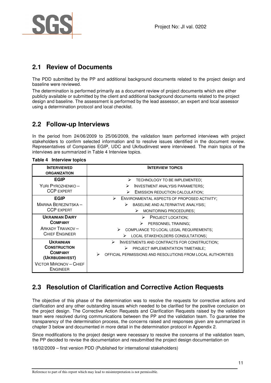

## **2.1 Review of Documents**

The PDD submitted by the PP and additional background documents related to the project design and baseline were reviewed.

The determination is performed primarily as a document review of project documents which are either publicly available or submitted by the client and additional background documents related to the project design and baseline. The assessment is performed by the lead assessor, an expert and local assessor using a determination protocol and local checklist.

## **2.2 Follow-up Interviews**

In the period from 24/06/2009 to 25/06/2009, the validation team performed interviews with project stakeholders to confirm selected information and to resolve issues identified in the document review. Representatives of Companies EGIP, UDC and Ukrbudinvest were interviewed. The main topics of the interviews are summarized in Table 4 Interview topics.

| <b>INTERVIEWED</b><br><b>ORGANIZATION</b>        | <b>INTERVIEW TOPICS</b>                                          |
|--------------------------------------------------|------------------------------------------------------------------|
| <b>EGIP</b>                                      | ⋗<br>TECHNOLOGY TO BE IMPLEMENTED;                               |
| YURI PYROZHENKO-                                 | <b>INVESTMENT ANALYSIS PARAMETERS;</b><br>➤                      |
| <b>CCP EXPERT</b>                                | <b>EMISSION REDUCTION CALCULATION;</b><br>➤                      |
| <b>EGIP</b>                                      | ➤<br>ENVIRONMENTAL ASPECTS OF PROPOSED ACTIVITY;                 |
| MARINA BEREZNITSKA-                              | BASELINE AND ALTERNATIVE ANALYSIS;<br>⋗                          |
| <b>CCP EXPERT</b>                                | MONITORING PROCEDURES;<br>➤                                      |
| <b>UKRAINIAN DAIRY</b>                           | PROJECT LOCATION;<br>⋗                                           |
| <b>COMPANY</b>                                   | PERSONNEL TRAINING;<br>➤                                         |
| <b>ARKADY TRAVKOV-</b>                           | COMPLIANCE TO LOCAL LEGAL REQUIREMENTS;                          |
| <b>CHIEF ENGINEER</b>                            | LOCAL STAKEHOLDERS CONSULTATIONS;<br>➤                           |
| <b>UKRAINIAN</b>                                 | ➤<br>INVESTMENTS AND CONTRACTS FOR CONSTRUCTION;                 |
| <b>CONSTRUCTION</b>                              | ➤<br>PROJECT IMPLEMENTATION TIMETABLE;                           |
| <b>COMPANY</b><br>(UKRBUDINVEST)                 | ⋗<br>OFFICIAL PERMISSIONS AND RESOLUTIONS FROM LOCAL AUTHORITIES |
| <b>VICTOR MIRONOV - CHIEF</b><br><b>ENGINEER</b> |                                                                  |

#### **Table 4 Interview topics**

## **2.3 Resolution of Clarification and Corrective Action Requests**

The objective of this phase of the determination was to resolve the requests for corrective actions and clarification and any other outstanding issues which needed to be clarified for the positive conclusion on the project design. The Corrective Action Requests and Clarification Requests raised by the validation team were resolved during communications between the PP and the validation team. To guarantee the transparency of the determination process, the concerns raised and responses given are summarized in chapter 3 below and documented in more detail in the determination protocol in Appendix 2.

Since modifications to the project design were necessary to resolve the concerns of the validation team, the PP decided to revise the documentation and resubmitted the project design documentation on

18/02/2009 – first version PDD (Published for international stakeholders)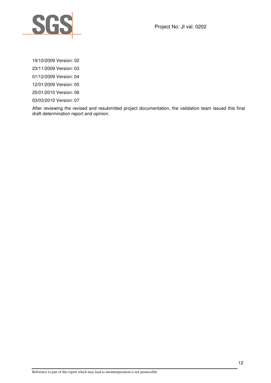

Project No: JI val. 0202

19/10/2009 Version: 02

23/11/2009 Version: 03

01/12/2009 Version: 04

12/01/2009 Version: 05

25/01/2010 Version: 06

03/03/2010 Version: 07

After reviewing the revised and resubmitted project documentation, the validation team issued this final draft determination report and opinion.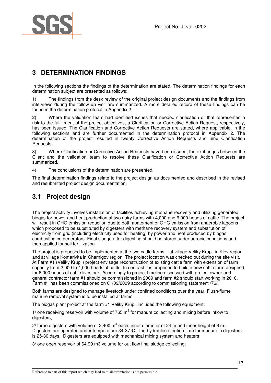

## **3 DETERMINATION FINDINGS**

In the following sections the findings of the determination are stated. The determination findings for each determination subject are presented as follows:

1) The findings from the desk review of the original project design documents and the findings from interviews during the follow up visit are summarized. A more detailed record of these findings can be found in the determination protocol in Appendix 2

2) Where the validation team had identified issues that needed clarification or that represented a risk to the fulfillment of the project objectives, a Clarification or Corrective Action Request, respectively, has been issued. The Clarification and Corrective Action Requests are stated, where applicable, in the following sections and are further documented in the determination protocol in Appendix 2. The determination of the project resulted in twenty Corrective Action Requests and nine Clarification Requests.

3) Where Clarification or Corrective Action Requests have been issued, the exchanges between the Client and the validation team to resolve these Clarification or Corrective Action Requests are summarized.

4) The conclusions of the determination are presented.

The final determination findings relate to the project design as documented and described in the revised and resubmitted project design documentation.

## **3.1 Project design**

The project activity involves installation of facilities achieving methane recovery and utilizing generated biogas for power and heat production at two dairy farms with 4,000 and 6,000 heads of cattle. The project will result in GHG emission reduction due to both abatement of GHG emission from anaerobic lagoons which proposed to be substituted by digesters with methane recovery system and substitution of electricity from grid (including electricity used for heating) by power and heat produced by biogas combusting co generators. Final sludge after digesting should be stored under aerobic conditions and then applied for soil fertilization.

The project is proposed to be implemented at the two cattle farms – at village Veliky Krupil in Kiev region and at village Komarivka in Chernigov region. The project location was checked out during the site visit. At Farm #1 (Veliky Krupil) project envisage reconstruction of existing cattle farm with extension of farm capacity from 2,000 to 4,000 heads of cattle. In contrast it is proposed to build a new cattle farm designed for 6,000 heads of cattle livestock. Accordingly to project timeline discussed with project owner and general contractor farm #1 should be commissioned in 2009 and farm #2 should start working in 2010. Farm #1 has been commissioned on 01/09/2009 according to commissioning statement /76/.

Both farms are designed to manage livestock under confined conditions over the year. Flush-flume manure removal system is to be installed at farms.

The biogas plant project at the farm #1 Veliky Krupil includes the following equipment:

1/ one receiving reservoir with volume of 765  $m<sup>3</sup>$  for manure collecting and mixing before inflow to digesters,

2/ three digesters with volume of 2,400 m<sup>3</sup> each, inner diameter of 24 m and inner height of 6 m. Digesters are operated under temperature 34-37°С. The hydraulic retention time for manure in digesters is 25-30 days. Digesters are equipped with mechanical mixing system and heaters;

3/ one open reservoir of 64.99 m3 volume for out flow final sludge collecting;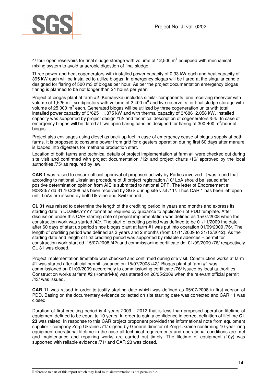

4/ four open reservoirs for final sludge storage with volume of 12,500  $m^3$  equipped with mechanical mixing system to avoid anaerobic digestion of final sludge.

Three power and heat cogenerators with installed power capacity of 0.33 kW each and heat capacity of 395 kW each will be installed to utilize biogas. In emergency biogas will be flared at the singular candle designed for flaring of 500 m3 of biogas per hour. As per the project documentation emergency biogas flaring is planned to be not longer than 24 hours per year.

Project of biogas plant at farm #2 (Komarivka) includes similar components: one receiving reservoir with volume of 1,525 m<sup>3</sup>, six digesters with volume of 2,400 m<sup>3</sup> and five reservoirs for final sludge storage with volume of 25,000 m<sup>3</sup> each. Generated biogas will be utilized by three cogeneration units with total installed power capacity of 3\*625= 1,875 kW and with thermal capacity of 3\*686=2,058 kW. Installed capacity was supported by project design /12/ and technical description of cogenerators /54/. In case of emergency biogas will be flared at two open flaring candles designed for flaring of 300-400 m<sup>3</sup>/hour of biogas.

Project also envisages using diesel as back-up fuel in case of emergency cease of biogas supply at both farms. It is proposed to consume power from grid for digesters operation during first 60 days after manure is loaded into digesters for methane production start.

Location of both farms and technical details of project implementation at farm #1 were checked out during site visit and confirmed with project documentation /12/ and project charts /16/ approved by the local authorities /75/ as required by law.

**CAR 1** was raised to ensure official approval of proposed activity by Parties involved. It was found that according to national Ukrainian procedure of JI project registration /10/ LoA should be issued after positive determination opinion from AIE is submitted to national DFP. The letter of Endorsement # 903/23/7 dd 31.10.2008 has been received by SGS during site visit /11/. Thus CAR 1 has been left open until LoAs are issued by both Ukraine and Switzerland.

**CL 31** was raised to determine the length of the crediting period in years and months and express its starting date in DD.MM.YYYY format as required by quidance to application of PDD template. After discussion under this CAR starting date of project implementation was defined as 15/07/2008 when the construction work was started /42/. The start of crediting period was defined to be 01/11/2009 the date after 60 days of start up period since biogas plant at farm #1 was put into operation 01/09/2009 /76/. The length of crediting period was defined as 3 years and 2 months (from 01/11/2009 to 31/12/2012). As the starting date and length of first crediting period was supported by reliable evidences – permit for construction work start dd. 15/07/2008 /42/ and commissioning certificate dd. 01/09/2009 /76/ respectively CL 31 was closed.

Project implementation timetable was checked and confirmed during site visit. Construction works at farm #1 was started after official permit issuance on 15/07/2008 /42/. Biogas plant at farm #1 was commissioned on 01/09/2009 accordingly to commissioning certificate /76/ issued by local authorities. Construction works at farm #2 (Komarivka) was started on 26/05/2009 when the relevant official permit /43/ was issued.

**CAR 11** was raised in order to justify starting date which was defined as 05/07/2008 in first version of PDD. Basing on the documentary evidence collected on site starting date was corrected and CAR 11 was closed.

Duration of first crediting period is 4 years 2009 – 2012 that is less than proposed operation lifetime of equipment defined to be equal to 10 years. In order to gain a confidence in correct definition of lifetime **CL 23** was raised. In response to this CAR project proponent provided the informational note from equipment supplier - company Zorg Ukraine /71/ signed by General director of Zorg-Ukraine confirming 10 year long equipment operational lifetime in the case all technical requirements and operational conditions are met and maintenance and repairing works are carried out timely. The lifetime of equipment (10y) was supported with reliable evidence /71/ and CAR 23 was closed.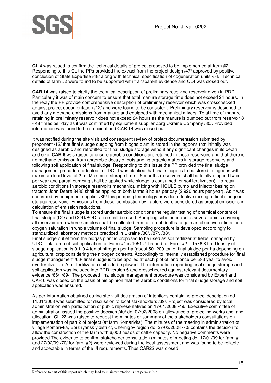

**CL 4** was raised to confirm the technical details of project proposed to be implemented at farm #2. Responding to this CL the PPs provided the extract from the project design /47/ approved by positive conclusion of State Expertise /48/ along with technical specification of cogeneration units /54/. Technical details of farm #2 were found to be supported with transparent evidence and CL4 was closed out.

**CAR 14** was raised to clarify the technical description of preliminary receiving reservoir given in PDD. Particularly it was of main concern to ensure that total manure storage time does not exceed 24 hours. In the reply the PP provide comprehensive description of preliminary reservoir which was crosschecked against project documentation /12/ and were found to be consistent. Preliminary reservoir is designed to avoid any methane emissions from manure and equipped with mechanical mixers. Total time of manure retaining in preliminary reservoir does not exceed 24 hours as the manure is pumped out from reservoir 8 - 48 times per day as it was confirmed by equipment supplier Zorg Ukraine Company /80/. Provided information was found to be sufficient and CAR 14 was closed out.

It was notified during the site visit and consequent review of project documentation submitted by proponent /12/ that final sludge outgoing from biogas plant is stored in the lagoons that initially was designed as aerobic and retrofitted for final sludge storage without any significant changes in its depth and size. **CAR 6** was raised to ensure aerobic conditions are retained in these reservoirs and that there is no methane emission from anaerobic decay of outstanding organic matters in storage reservoirs and following soil application of final sludge. Responding to this issue the PP provided the final sludge management procedure adopted in UDC. it was clarified that final sludge is to be stored in lagoons with maximum load level of 2 m. Maximum storage time – 6 months (reservoirs shall be totally emptied twice per year and partial pumping shall be applied while sludge is consumed for soil fertilization). To retain aerobic conditions in storage reservoirs mechanical mixing with HOULE pump and injector basing on tractors John Deere 8430 shall be applied at both farms 8 hours per day (2,920 hours per year). As it was confirmed by equipment supplier /89/ this pumping technology provides effective mixing of final sludge in storage reservoirs. Emissions from diesel combustion by tractors were considered as project emissions in calculation of emission reductions.

To ensure the final sludge is stored under aerobic conditions the regular testing of chemical content of final sludge (DO and COD/BOD ratio) shall be used. Sampling scheme includes several points covering all reservoir area where samples shall be collected from different depths to gain an objective estimation of oxygen saturation in whole volume of final sludge. Sampling procedure is developed accordingly to standardized laboratory methods practiced in Ukraine /86/, /87/, /88/.

Final sludge outlet from the biogas plant is proposed to be used as soil fertilizer at fields managed by UDC. Total area of soil application for Farm #1 is 1051.2 ha and for Farm #2 – 1576.8 ha. Density of sludge application is 0.1-0.4 ton of nitrogen per ha (about 50 -200 ton of final sludge per ha depending on agricultural crop considering the nitrogen content). Accordingly to internally established procedure for final sludge management /66/ final sludge is to be applied at each plot of land once per 2-3 year to avoid overfertilization. After fertilization soil is to be plowed. The information regarding final sludge storage and soil application was included into PDD version 5 and crosschecked against relevant documentary evidence /66/, /89/. The proposed final sludge management procedure was considered by Expert and CAR 6 was closed on the basis of his opinion that the aerobic conditions for final sludge storage and soil application was ensured.

As per information obtained during site visit declaration of intentions containing project description dd. 11/01/2008 was submitted for discussion to local stakeholders /39/. Project was considered by local administration with participation of public representatives on 17/01/2008 /49/. Executive committee of administration issued the positive decision /40/ dd. 07/02/2008 on allowance of projecting works and land allocation. **CL 22** was raised to request the minutes or summary of the stakeholders consultations on implementation of part 2 of project (at farm Komarivka). The minutes of the meeting in administration of village Komarivka, Borznyanskiy district, Chernigov region dd. 27/02/2008 /70/ contains the decision to allow the construction of the farm with 6,000 heads of cattle capacity. No negative comments were provided.The evidence to confirm stakeholder consultation (minutes of meeting dd. 17/01/09 for farm #1 and 27/02/09 /70/ for farm #2) were reviewed during the local assessment and was found to be reliable and acceptable in terms of the JI requirements. Thus CAR22 was closed.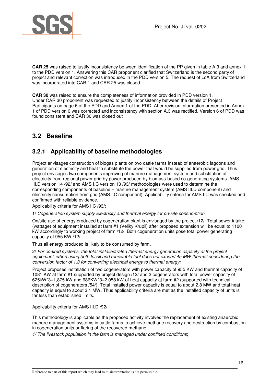

**CAR 25** was raised to justify inconsistency between identification of the PP given in table A.3 and annex 1 to the PDD version 1. Answering this CAR proponent clarified that Switzerland is the second party of project and relevant correction was introduced in the PDD version 5. The request of LoA from Switzerland was incorporated into CAR 1 and CAR 25 was closed.

**CAR 30** was raised to ensure the completeness of information provided in PDD version 1. Under CAR 30 proponent was requested to justify inconsistency between the details of Project Participants on page 6 of the PDD and Annex 1 of the PDD. After revision information presented in Annex 1 of PDD version 6 was corrected and inconsistency with section A.3 was rectified. Version 6 of PDD was found consistent and CAR 30 was closed out

## **3.2 Baseline**

### **3.2.1 Applicability of baseline methodologies**

Project envisages construction of biogas plants on two cattle farms instead of anaerobic lagoons and generation of electricity and heat to substitute the power that would be supplied from power grid. Thus project envisages two components improving of manure management system and substitution of electricity from regional power grid by power produced by biomass-based co-generating systems. AMS III.D version 14 /92/ and AMS I.C version 13 /93/ methodologies were used to determine the corresponding components of baseline – manure management system (AMS III.D component) and electricity consumption from grid (AMS I.C component). Applicability criteria for AMS I.C was checked and confirmed with reliable evidence.

Applicability criteria for AMS I.C /93/:

1/ Cogeneration system supply Electricity and thermal energy for on-site consumption.

On/site use of energy produced by cogeneration plant is envisaged by the project /12/. Total power intake (wattage) of equipment installed at farm #1 (Veliky Krupil) after proposed extension will be equal to 1100 kW accordingly to working project of farm /12/. Both cogeneration units pose total power generating capacity of 955 KW /12/.

Thus all energy produced is likely to be consumed by farm.

2/ For co-fired systems, the total installed/rated thermal energy generation capacity of the project equipment, when using both fossil and renewable fuel does not exceed 45 MW thermal considering the conversion factor of 1:3 for converting electrical energy to thermal energy;

Project proposes installation of two cogenerators with power capacity of 955 KW and thermal capacity of 1081 KW at farm #1 supported by project design /12/ and 3 cogenerators with total power capacity of 625kW\*3=1,875 kW and 686KW\*3=2,058 kW of heat capacity at farm #2 (supported with technical description of cogenerators /54/). Total installed power capacity is equal to about 2.8 MW and total heat capacity is equal to about 3.1 MW. Thus applicability criteria are met as the installed capacity of units is far less than established limits.

Applicability criteria for AMS III.D /92/:

This methodology is applicable as the proposed activity involves the replacement of existing anaerobic manure management systems in cattle farms to achieve methane recovery and destruction by combustion in cogeneration units or flaring of the recovered methane.

1/ The livestock population in the farm is managed under confined conditions;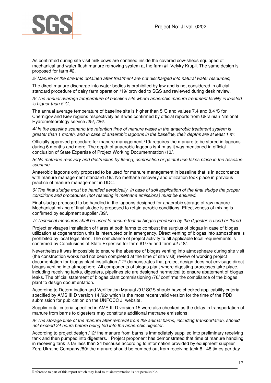

As confirmed during site visit milk cows are confined inside the covered cow-sheds equipped of mechanical and water flush manure removing system at the farm #1 Velyky Krupil. The same design is proposed for farm #2.

2/ Manure or the streams obtained after treatment are not discharged into natural water resources;

The direct manure discharge into water bodies is prohibited by law and is not considered in official standard procedure of dairy farm operation /19/ provided to SGS and reviewed during desk review.

3/ The annual average temperature of baseline site where anaerobic manure treatment facility is located is higher than  $5^{\circ}$ C,

The annual average temperature of baseline site is higher than 5  $\mathbb C$  and values 7.4 and 8.4  $\mathbb C$  for Chernigov and Kiev regions respectively as it was confirmed by official reports from Ukrainian National Hydrometeorology service /25/, /26/.

4/ In the baseline scenario the retention time of manure waste in the anaerobic treatment system is greater than 1 month, and in case of anaerobic lagoons in the baseline, their depths are at least 1 m;

Officially approved procedure for manure management /19/ requires the manure to be stored in lagoons during 6 months and more. The depth of anaerobic lagoons is 4 m as it was mentioned in official conclusion of State Expertise of Project Working Documenntation /13/.

5/ No methane recovery and destruction by flaring, combustion or gainful use takes place in the baseline scenario.

Anaerobic lagoons only proposed to be used for manure management in baseline that is in accordance with manure management standard /19/. No methane recovery and utilization took place in previous practice of manure management in UDC.

6/ The final sludge must be handled aerobically. In case of soil application of the final sludge the proper conditions and procedures (not resulting in methane emissions) must be ensured.

Final sludge proposed to be handled in the lagoons designed for anaerobic storage of raw manure. Mechanical mixing of final sludge is proposed to retain aerobic conditions. Effectiveness of mixing is confirmed by equipment supplier /89/.

#### 7/ Technical measures shall be used to ensure that all biogas produced by the digester is used or flared.

Project envisages installation of flares at both farms to combust the surplus of biogas in case of biogas utilization at cogeneration units is interrupted or in emergency. Direct venting of biogas into atmosphere is prohibited by local legislation. The compliance of project activity to all applicable local requirements is confirmed by Conclusions of State Expertise for farm #1/75/ and farm #2 /48/.

Nevertheless it was impossible to ensure the absence of biogas venting into atmospheare during site visit (the construction works had not been completed at the time of site visit) review of working project documentation for biogas plant installation /12/ demonstrates that project design does not envisage direct biogas venting into atmosphere. All components of biogas plant where digesting processes take place, including receiving tanks, digesters, pipelines etc are designed hermetical to ensure abatement of biogas leaks. The official statement of biogas plant commissioning /76/ confirms the compliance of the biogas plant to design documentation.

According to Determination and Verification Manual /91/ SGS should have checked applicability criteria specified by AMS III.D version 14 /92/ which is the most recent valid version for the time of the PDD submission for publication on the UNFCCC JI website.

Supplimental criteria specified in AMS III.D version 15 were also checked as the delay in transportation of manure from barns to digesters may constitute additional methane emissions:

8/ The storage time of the manure after removal from the animal barns, including transportation, should not exceed 24 hours before being fed into the anaerobic digester.

According to project design /12/ the manure from barns is immediately supplied into preliminary receiving tank and then pumped into digesters. Project proponent has demonstrated that time of manure handling in receiving tank is far less than 24 because according to information provided by equipment supplier Zorg Ukraine Company /80/ the manure should be pumped out from receiving tank 8 - 48 times per day.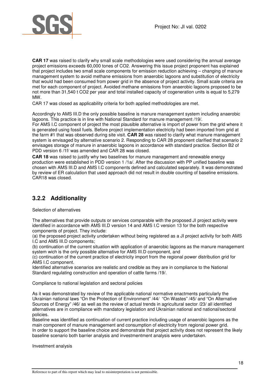

**CAR 17** was raised to clarify why small scale methodologies were used considering the annual average project emissions exceeds 60,000 tones of CO2. Answering this issue project proponent has explained that project includes two small scale components for emission reduction achieving – changing of manure management system to avoid methane emissions from anaerobic lagoons and substitution of electricity that would had been consumed from power grid in the absence of project activity. Small scale criteria are met for each component of project. Avoided methane emissions from anaerobic lagoons proposed to be not more than 31,540 t CO2 per year and total installed capacity of cogeneration units is equal to 5,279 MW.

CAR 17 was closed as applicability criteria for both applied methodologies are met.

Accordingly to AMS III.D the only possible baseline is manure management system including anaerobic lagoons. This practice is in line with National Standard for manure management /19/.

For AMS I.C component of project the most plausible alternative is import of power from the grid where it is generated using fossil fuels. Before project implementation electricity had been imported from grid at the farm #1 that was observed during site visit. **CAR 28** was raised to clarify what manure management system is envisaged by alternative scenario 2. Responding to CAR 28 proponent clarified that scenario 2 envisages storage of manure in anaerobic lagoons in accordance with standard practice. Section B2 of PDD version 6 /1f/ was amended and CAR 28 was closed.

**CAR 18** was raised to justify why two baselines for manure management and renewable energy production were established in PDD version 1 /1a/. After the discussion with PP unified baseline was chosen with AMS III.D and AMS I.C components defined and calculated separately. It was demonstrated by review of ER calculation that used approach did not result in double counting of baseline emissions. CAR18 was closed.

## **3.2.2 Additionality**

Selection of alternatives

The alternatives that provide outputs or services comparable with the proposed JI project activity were identified in accordance with AMS III.D version 14 and AMS I.C version 13 for the both respective components of project. They include:

(a) the proposed project activity undertaken without being registered as a JI project activity for both AMS I.C and AMS III.D components;

(b) continuation of the current situation with application of anaerobic lagoons as the manure management system wich is the only possible alternative for AMS III.D component, and

(c) continuation of the current practice of electricity import from the regional power distribution grid for AMS I.C component.

Identified alternative scenarios are realistic and credible as they are in compliance to the National Standard regulating construction and operation of cattle farms /19/.

Compliance to national legislation and sectoral policies

As it was demonstrated by review of the applicable national normative enactments particularly the Ukrainian national laws "On the Protection of Environment" /44/ "On Wastes" /45/ and "On Alternative Sources of Energy" /46/ as well as the review of actual trends in agricultural sector /23/ all identified alternatives are in compliance with mandatory legislation and Ukrainian national and national/sectoral policies.

Baseline was identified as continuation of current practice including usage of anaerobic lagoons as the main component of manure management and consumption of electricity from regional power grid. In order to support the baseline choice and demonstrate that project activity does not represent the likely baseline scenario both barrier analysis and investmentment analysis were undertaken.

Investment analysis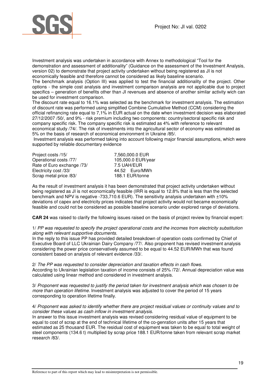

Investment analysis was undertaken in accordance with Annex to methodological "Tool for the demonstration and assessment of additionality" (Guidance on the assessment of the Investment Analysis, version 02) to demonstrate that project activity undertaken without being registered as JI is not economically feasible and therefore cannot be considered as likely baseline scenario.

The benchmark analysis (Option III) was applied to test the financial additionality of the project. Other options - the simple cost analysis and investment comparison analysis are not applicable due to project specifics – generation of benefits other than JI revenues and absence of another similar activity wich can be used for investment comparison.

The discount rate equal to 16.1% was selected as the benchmark for investment analysis. The estimation of discount rate was performed using simplified Combine Cumulative Method (CCM) considering the official refinancing rate equal to 7,1% in EUR actual on the date when investment decision was elaborated 27/12/2007 /50/, and 9% - risk premium including two components: country/sectoral specific risk and company specific risk. The company specific risk is estimated as 4% with reference to relevant economical study /74/. The risk of investments into the agricultural sector of economy was estimated as 5% on the basis of research of economical environment in Ukraine /85/.

 Investment analysis was performed taking into account following major financial assumptions, which were supported by reliable documentary evidence

| 7,560,000.0 EUR    |
|--------------------|
| 105,000.0 EUR/year |
| 7.5 UAH/EUR        |
| 44.52 Euro/MWh     |
| 188.1 EUR/tonne    |
|                    |

As the result of investment analysis it has been demonstrated that project activity undertaken without being registered as JI is not economically feasible (IRR is equal to 12.8% that is less than the selected benchmark and NPV is negative -733,710.6 EUR). The sensitivity analysis undertaken with ±10% deviations of capex and electricity prices indicates that project activity would not became economically feasible and could not be considered as possible baseline scenario under explored range of deviations.

**CAR 24** was raised to clarify the following issues raised on the basis of project review by financial expert:

#### 1/ PP was requested to specify the project operational costs and the incomes from electricity substitution along with relevant supportive documents.

In the reply to this issue PP has provided detailed breakdown of operation costs confirmed by Chief of Executive Board of LLC Ukrainian Dairy Company /77/. Also proponent has revised investment analysis considering the power price conservatively assumed to be equal to 44.52 EUR/MWh that was found consistent based on analysis of relevant evidence /33/.

2/ The PP was requested to consider depreciation and taxation effects in cash flows. According to Ukrainian legislation taxation of income consists of 25% /72/. Annual depreciation value was calculated using linear method and considered in investment analysis.

3/ Proponent was requested to justify the period taken for investment analysis which was chosen to be more than operation lifetime. Investment analysis was adjusted to cover the period of 15 years corresponding to operation lifetime finally.

4/ Proponent was asked to identify whether there are project residual values or continuity values and to consider these values as cash inflow in investment analysis.

In answer to this issue investment analysis was revised considering residual value of equipment to be equal to cost of scrap at the end of technical lifetime of the co-genration units after 15 years that estimated as 25 thousand EUR. The residual cost of equipment was taken to be equal to total weight of steel components (134.6 t) multiplied by scrap price 188.1 EUR/tonne taken from relevant scrap market research /83/.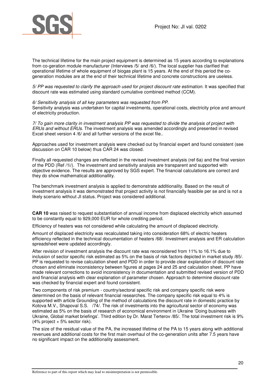

The technical lifetime for the main project equipment is determined as 15 years according to explanations from co-geration module manufacturer (Interviews /5/ and /6/). The local supplier has clarified that operational lifetime of whole equipment of biogas plant is 15 years. At the end of this period the cogeneration modules are at the end of their technical lifetime and concrete constructions are useless.

5/ PP was requested to clarify the approach used for project discount rate estimation. It was specified that discount rate was estimated using standard cumulative combined method (CCM).

6/ Sensitivity analysis of all key parameters was requested from PP. Sensitivity analysis was undertaken for capital investments, operational costs, electricity price and amount of electricity production.

7/ To gain more clarity in investment analysis PP was requested to divide the analysis of project with ERUs and without ERUs. The investment analysis was amended accordingly and presented in revised Excel sheet version 4/6/ and all further versions of the excel file...

Approaches used for investment analysis were checked out by financial expert and found consistent (see discussion on CAR 10 below) thus CAR 24 was closed.

Finally all requested changes are reflected in the revised investment analysis (ref 6a) and the final version of the PDD (Ref /1i/). The investment and sensitivity analysis are transparent and supported with objective evidence. The results are approved by SGS expert. The financial calculations are correct and they do show mathematical additionallity.

The benchmark investment analysis is applied to demonstrate additionality. Based on the result of investment analysis it was demonstrated that project activity is not financially feasible per se and is not a likely scenario without JI status. Project was considered additional.

**CAR 10** was raised to request substantiation of annual income from displaced electricity which assumed to be constantly equal to 929,000 EUR for whole crediting period.

Efficiency of heaters was not considered while calculating the amount of displaced electricity.

Amount of displaced electricity was recalculated taking into consideration 68% of electric heaters efficiency reflected in the technical documentation of heaters /68/. Investment analysis and ER calculation spreadsheet were updated accordingly.

After revision of investment analysis the discount rate was reconsidered from 11% to 16.1% due to inclusion of sector specific risk estimated as 5% on the basis of risk factors depicted in market study /85/. PP is requested to revise calculation sheet and PDD in order to provide clear explanation of discount rate chosen and eliminate inconsistency between figures at pages 24 and 25 and calculation sheet. PP have made relevant corrections to avoid inconsistency in documentation and submitted revised version of PDD and financial analysis with clear explanation of parameter chosen. Approach to determine discount rate was checked by financial expert and found consistent.

Two components of risk premium - country/sectoral specific risk and company specific risk were determined on the basis of relevant financial researches. The company specific risk equal to 4% is supported with article Grounding of the method of calculations the discount rate in domestic practice by Kotova M.V., Shapoval S.S. /74/. The risk of investments into the agricultural sector of economy was estimated as 5% on the basis of research of economical environment in Ukraine 'Doing business with Ukraine, Global market briefings'. Third edition by Dr. Marat Terterov /85/. The total investment risk is 9% (4% project + 5% sector risk).

The size of the residual value of the PA, the increased lifetime of the PA to 15 years along with additional revenues and additional costs for the first main overhaul of the co-generation units after 7.5 years have no significant impact on the additionality assessment.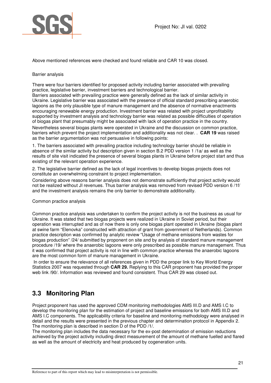

Above mentioned references were checked and found reliable and CAR 10 was closed.

#### Barrier analysis

There were four barriers identified for proposed activity including barrier associated with prevailing practice, legislative barrier, investment barriers and technological barrier.

Barriers associated with prevailing practice were generally defined as the lack of similar activity in Ukraine. Legislative barrier was associated with the presence of official standard prescribing anaerobic lagoons as the only plausible type of manure management and the absence of normative enactments encouraging renewable energy production. Investment barrier was related with project unprofitability supported by investment analysis and technology barrier was related as possible difficulties of operation of biogas plant that presumably might be associated with lack of operation practice in the country. Nevertheless several biogas plants were operated in Ukraine and the discussion on common practice, barriers which prevent the project implementation and additionality was not clear. . **CAR 19** was raised as the barrier argumentation was not persuasive in following points:

1. The barriers associated with prevailing practice including technology barrier should be reliable in absence of the similar activity but description given in section B.2 PDD version 1 /1a/ as well as the results of site visit indicated the presence of several biogas plants in Ukraine before project start and thus existing of the relevant operation experience.

2. The legislative barrier defined as the lack of legal incentives to develop biogas projects does not constitute an overwhelming constraint to project implementation.

Considering above reasons barrier analysis does not demonstrate sufficiently that project activity would not be realized without JI revenues. Thus barrier analysis was removed from revised PDD version 6 /1f/ and the investment analysis remains the only barrier to demonstrate additionality.

Common practice analysis

Common practice analysis was undertaken to confirm the project activity is not the business as usual for Ukraine. It was stated that two biogas projects were realized in Ukraine in Soviet period, but their operation was interrupted and as of now there is only one biogas plant operated in Ukraine (biogas plant at swine farm "Elenovka" constructed with attraction of grant from government of Netherlands). Common practice description was confirmed by analytic review "Usage of methane emissions from wastes for biogas production" /24/ submitted by proponent on site and by analysis of standard manure management procedure /19/ where the anaerobic lagoons were only prescribed as possible manure management. Thus it was confirmed that project activity is not in line with common practice whereas the anaerobic lagoons are the most common form of manure management in Ukraine.

 In order to ensure the relevance of all references given in PDD the proper link to Key World Energy Statistics 2007 was requested through **CAR 29.** Replying to this CAR proponent has provided the proper web link /90/. Information was reviewed and found consistent. Thus CAR 29 was closed out.

## **3.3 Monitoring Plan**

Project proponent has used the approved CDM monitoring methodologies AMS III.D and AMS I.C to develop the monitoring plan for the estimation of project and baseline emissions for both AMS III.D and AMS I.C components. The applicability criteria for baseline and monitoring methodology were analysed in detail and the results were presented in the previous chapter and determination protocol in Appendix 2. The monitoring plan is described in section D of the PDD /1/.

The monitoring plan includes the data necessary for the ex-post determination of emission reductions achieved by the project activity including direct measurement of the amount of methane fuelled and flared as well as the amount of electricity and heat produced by cogeneration units.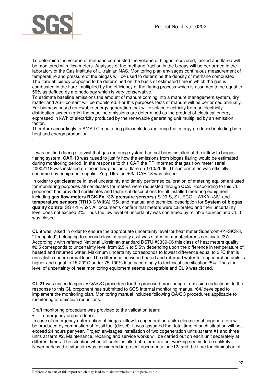

.

To determine the volume of methane combusted the volume of biogas recovered, fuelled and flared will be monitored with flow meters. Analyses of the methane fraction in the biogas will be performed in the laboratory of the Gas Institute of Ukrainian NAS. Monitoring plan envisages continuous measurement of temperature and pressure of the biogas will be used to determine the density of methane combusted. The flare efficiency proposed to be determined on the basis of estimated time in which the gas is combusted in the flare, multiplied by the efficiency of the flaring process which is assumed to be equal to 50% as defined by methodology which is very conservative.

To estimate baseline emissions the amount of manure coming into a manure management system, dry matter and ASH content will be monitored. For this purposes tests of manure will be performed annually. For biomass based renewable energy generation that will displace electricity from an electricity distribution system (grid) the baseline emissions are determined as the product of electrical energy expressed in kWh of electricity produced by the renewable generating unit multiplied by an emission factor.

Therefore accordingly to AMS I.C monitoring plan includes metering the energy produced including both heat and energy production.

It was notified during site visit that gas metering system had not been installed at the inflow to biogas flaring system. **CAR 13** was raised to justify how the emissions from biogas flaring would be estimated during monitoring period. In the response to this CAR the PP informed that gas flow meter serial #0002118 was installed on the inflow pipeline of flare on 1/10/2009. This information was officially confirmed by equipment supplier Zorg Ukraine /63/. CAR 13 was closed.

In order to get clearance in level uncertainty and timely performed calibration of metering equipment used for monitoring purposes all certificates for meters were requested through **CL3.** Responding to this CL proponent has provided certificates and technical descriptions for all installed metering equipment including **gas flow meters RGK-**Ех, /32/ **pressure sensors** (IS-20-S, S1, ECO-1 WIKA) /36/ and **temperature sensors** (TR10-С WIKA) /35/, and manual and technical description for **System of biogas quality control** SGK-1 –/59/. All documents confirm that meters were calibrated and their uncertainty level does not exceed 2%. Thus the low level of uncertainty was confirmed by reliable sources and CL 3 was closed.

**CL 9** was raised in order to ensure the appropriate uncertainty level for heat meter Supercom-01-SKS-3, "Techprilad", belonging to second class of quality as it was stated in manufacturer's certificate /37/. Accordingly with referred National Ukrainian standard DSTU #3339-96 this class of heat meters quality #2.5 corresponds to uncertainty level from 2.5% to 5.5% depending upon the difference in temperature of heated and returned water. Maximum uncertainty corresponds to lowest difference equal to 3 °C that is unrealistic under normal load. The difference between heated and returned water for cogeneration units is higher and equal to 15-20º C under 75-100% load accordingly to technical specification /54/. Thus the level of uncertainty of heat monitoring equipment seems acceptable and CL 9 was closed.

**CL 21** was raised to specify QA/QC procedure for the proposed monitoring of emission reductions. In the response to this CL proponent has submitted to SGS internal monitoring manual /64/ developed to implement the monitoring plan. Monitoring manual includes following QA/QC procedures applicable to monitoring of emission reductions.

Draft monitoring procedure was provided to the validation team:

emergency preparedness

In case of emergency (interruption of biogas inflow to cogeneration units) electricity at cogenerators will be produced by combustion of fossil fuel (diesel). It was assumed that total time of such situation will not exceed 24 hours per year. Project envisages installation of two cogeneration units at farm #1 and three units at farm #2. Maintenance, reparing and service works will be carried out on each unit separately at different times. The situation when all units installed at a farm are not working seems to be unlikely. Nevertherless this situation was considered in project documentation /12/ and the time for elimination of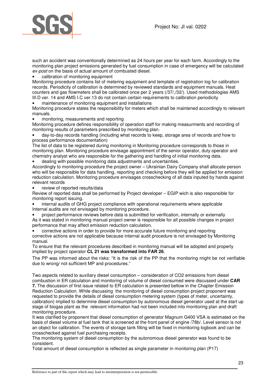

such an accident was conventionally determined as 24 hours per year for each farm. Accordingly to the monitoring plan project emissions generated by fuel consumption in case of emergency will be calculated ex-post on the basis of actual amount of combusted diesel.

• calibration of monitoring equipment

Monitoring procedure contains list of metering equipment and template of registration log for calibration records. Periodicity of calibration is determined by reviewed standards and equipment manuals. Heat counters and gas flowmeters shall be calibrated once per 2 years (/37/,/32/). Used methodologies AMS III.D ver. 14 and AMS I.C ver.13 do not contain certain requirements to calibration periodicity

• maintenance of monitoring equipment and installations

Monitoring procedure states the responsibility for meters which shall be maintened accordingly to relevant manuals.

• monitoring, measurements and reporting

Monitoring procedure defines responsibility of operation staff for making measurments and recording of monitoring results of parameters prescribed by monitoring plan.

• day-to-day records handling (including what records to keep, storage area of records and how to process performance documentation)

The list of data to be registered during monitoring in Monitoring procedure corresponds to those in monitoring plan. Monitoring procedure envisage appointment of the senior operator, duty operator and chemistry analyst who are responsible for the gathering and handling of initial monitoring data.

• dealing with possible monitoring data adjustments and uncertainties.

Accordingly to monitoring procedure the project owner – Ukrainian Dairy Company shall allocate person who will be responsible for data handling, reporting and checking before they will be applied for emission reduction calculation. Monitoring procedure envisages crosschecking of all data inputed by hands against relevant records

• review of reported results/data

Review of reported data shall be performed by Project developer – EGIP wich is also responsible for monitoring report issuing.

• internal audits of GHG project compliance with operational requirements where applicable Internal audits are not envisaged by monitoring procedure.

• project performance reviews before data is submitted for verification, internally or externally As it was stated in monitoring manual project owner is responsible for all possible changes in project performance that may affect emission reduction calculation.

• corrective actions in order to provide for more accurate future monitoring and reporting corrective actions are not applicable because internal audit procedure is not envisaged by Monitoring manual.

To ensure that the relevant procedures described in monitoring manual will be adopted and properly implied by project operator **CL 21 was transformed into FAR 26**.

The PP was informed about the risks: "It is the risk of the PP that the monitoring might be not verifiable due to wrong/ not sufficient MP and procedures."

Two aspects related to auxiliary diesel consumption – consideration of CO2 emissions from diesel combustion in ER calculation and monitoring of volume of diesel consumed were discussed under **CAR 7.** The discussion of first issue related to ER calculation is presented bellow in the Chapter Emission Reduction Calculation. While discussing the monitoring of diesel consumption project proponent was requested to provide the details of diesel consumption metering system (types of meter, uncertainty, calibration) implied to determine diesel consumption by autonomous diesel generator used at the start up stage of biogas plant as the relevant information had not been included into monitoring plan and draft monitoring procedure.

It was clarified by proponent that diesel consumption of generator Magnum G400 VSA is estimated on the basis of diesel volume at fuel tank that is screened at the front panel of engine /78b/. Level sensor is not an object for calibration. The events of storage tank filling will be fixed in monitoring logbook and can be crosschecked against fuel purchasing receipts.

The monitoring system of diesel consumption by the autonomous diesel generator was found to be consistent.

Total amount of diesel consumption is reflected as single parameter in monitoring plan (P17)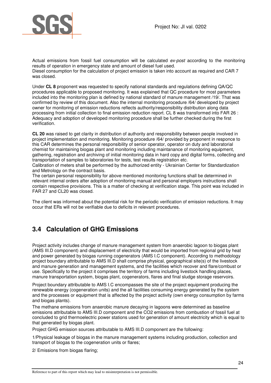

Actual emissions from fossil fuel consumption will be calculated ex-post according to the monitoring results of operation in emergency state and amount of diesel fuel used. Diesel consumption for the calculation of project emission is taken into account as required and CAR 7 was closed.

Under **CL 8** proponent was requested to specify national standards and regulations defining QA/QC procedures applicable to proposed monitoring. It was explained that QC procedure for most parameters included into the monitoring plan is defined by national standard of manure management /19/. That was confirmed by review of this document. Also the internal monitoring procedure /64/ developed by project owner for monitoring of emission reductions reflects authority/responsibility distribution along data processing from initial collection to final emission reduction report. CL 8 was transformed into FAR 26 : Adequacy and adoption of developed monitoring procedure shall be further checked during the first verification.

**CL 20** was raised to get clarity in distribution of authority and responsibility between people involved in project implementation and monitoring. Monitoring procedure /64/ provided by proponent in responce to this CAR determines the personal responsibility of senior operator, operator on duty and laboratorial chemist for maintaining biogas plant and monitoring including maintanance of monitoring equipment, gathering, registration and archiving of initial monitoring data in hard copy and digital forms, collecting and transportation of samples to laboratories for tests, test results registration etc.

Calibration of meters shall be performed by the authorized entity - Ukrainian Center for Standardization and Metrology on the contract basis.

The certain personal responsibility for above mentioned monitoring functions shall be determined in relevant internal orders after adoption of monitoring manual and personal employers instructions shall contain respective provisions. This is a matter of checking at verification stage. This point was included in FAR 27 and CL20 was closed.

The client was informed about the potential risk for the periodic verification of emission reductions. It may occur that ERs will not be verifiable due to deficits in relevant procedures.

## **3.4 Calculation of GHG Emissions**

Project activity includes change of manure management system from anaerobic lagoon to biogas plant (AMS III.D component) and displacement of electricity that would be imported from regional grid by heat and power generated by biogas running cogenerators (AMS I.C component). According to methodology project boundary attributable to AMS III.D shall comprise physical, geographical site(s) of the livestock and manure generation and management systems, and the facilities which recover and flare/combust or use. Specifically to the project it comprises the territory of farms including livestock handling places, manure transportation system, biogas plant, cogenerators, flares and final sludge storage reservoirs.

Project boundary attributable to AMS I.C encompasses the site of the project equipment producing the renewable energy (cogeneration units) and the all facilities consuming energy generated by the system and the processes or equipment that is affected by the project activity (own energy consumption by farms and biogas plants).

The methane emissions from anaerobic manure decaying in lagoons were determined as baseline emissions attributable to AMS III.D component and the CO2 emissions from combustion of fossil fuel at concluded to grid thermoelectric power stations used for generation of amount electricity which is equal to that generated by biogas plant.

Project GHG emission sources attributable to AMS III.D component are the following:

1/Physical leakage of biogas in the manure management systems including production, collection and transport of biogas to the cogeneration units or flares;

2/ Emissions from biogas flaring;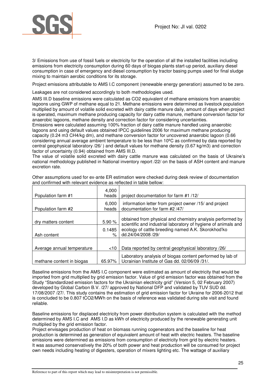

3/ Emissions from use of fossil fuels or electricity for the operation of all the installed facilities including emissions from electricity consumption during 60 days of biogas plants start-up period, auxiliary diesel consumption in case of emergency and diesel consumption by tractor basing pumps used for final sludge mixing to maintain aerobic conditions for its storage.

Project emissions attributable to AMS I.C component (renewable energy generation) assumed to be zero.

Leakages are not considered accordingly to both methodologies used.

AMS III.D baseline emissions were calculated as CO2 equivalent of methane emissions from anaerobic lagoons using GWP of methane equal to 21. Methane emissions were determined as livestock population multiplied by amount of volatile solid excreted with dairy cattle manure daily, amount of days when project is operated, maximum methane producing capacity for dairy cattle manure, methane conversion factor for anaerobic lagoons, methane density and correction factor for considering uncertainties.

Emissions were calculated assuming 100% fraction of dairy cattle manure handled using anaerobic lagoons and using default values obtained IPCC guidelines 2006 for maximum methane producing capacity (0.24 m3 CH4/kg dm), and methane conversion factor for uncovered anaerobic lagoon (0.66 considering annual average ambient temperature to be less than 10ºC as confirmed by data reported by central geophysical laboratory /26/ ) and default values for methane density (0.67 kg/m3) and correction factor of uncertainty (0.94) obtained from AMS III.D.

The value of volatile solid excreted with dairy cattle manure was calculated on the basis of Ukraine's national methodology published in National inventory report /22/ on the basis of ASH content and manure excretion rate.

| Population farm #1                 | 4,000<br>heads        | project documentation for farm #1/12/                                                                                                                                                                    |
|------------------------------------|-----------------------|----------------------------------------------------------------------------------------------------------------------------------------------------------------------------------------------------------|
| Population farm #2                 | 6,000<br>heads        | information letter from project owner /15/ and project<br>documentation for farm #2 /47/                                                                                                                 |
| dry matters content<br>Ash content | 5.90 %<br>0.1485<br>℅ | obtained from physical and chemistry analysis performed by<br>scientific and industrial laboratory of hygiene of animals and<br>ecology of cattle breeding named A.K. Skorokhod'ko<br>dd.24/04/2008 /29/ |
| Average annual temperature         | $<$ 10                | Data reported by central geophysical laboratory /26/                                                                                                                                                     |
| methane content in biogas          | 65.97%                | Laboratory analysis of biogas content performed by lab of<br>Ucrainian Institute of Gas dd. 02/06/09 /31/.                                                                                               |

Other assumptions used for ex-ante ER estimation were checked during desk review of documentation and confirmed with relevant evidence as reflected in table bellow:

Baseline emissions from the AMS I.C component were estimated as amount of electricity that would be imported from grid multiplied by grid emission factor. Value of grid emission factor was obtained from the Study "Standardized emission factors for the Ukrainian electricity grid" (Version 5, 02 February 2007) developed by Global Carbon B.V. /27/ approved by National DFP and validated by TUV SUD dd. 17/08/2007 /27/. This study contains the estimation of grid emission factor for Ukraine for 2006-2012 that is concluded to be 0.807 tCO2/MWh on the basis of reference was validated during site visit and found reliable.

Baseline emissions for displaced electricity from power distribution system is calculated with the method determined by AMS I.C and AMS I.D as kWh of electricity produced by the renewable generating unit multiplied by the grid emission factor.

Project envisages production of heat on biomass running cogenerators and the baseline for heat production is determined as generation of equivalent amount of heat with electric heaters. The baseline emissions were determined as emissions from consumption of electricity from grid by electric heaters. It was assumed conservatively the 20% of both power and heat production will be consumed for project own needs including heating of digesters, operation of mixers lighting etc. The wattage of auxiliary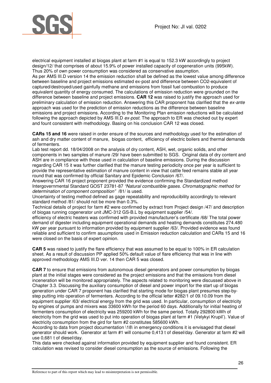

electrical equipment installed at biogas plant at farm #1 is equal to 152.3 kW accordingly to project design/12/ that comprises of about 15.9% of power installed capacity of cogeneration units (995kW). Thus 20% of own power consumption was considered as conservative assumption.

As per AMS III.D version 14 the emission reduction shall be defined as the lowest value among difference between baseline and project emissions estimated ex-post and difference between CO2-equivalent of captured/destroyed/used gainfully methane and emissions from fossil fuel combustion to produce equivalent quantity of energy consumed. The calculations of emission reduction were grounded on the difference between baseline and project emissions. **CAR 12** was raised to justify the approach used for preliminary calculation of emission reduction. Answering this CAR proponent has clarified that the ex-ante approach was used for the prediction of emission reductions as the difference between baseline emissions and project emissions. According to the Monitoring Plan emission reductions will be calculated following the approach depicted by AMS III.D ex-post. The approach to ER was checked out by expert and fount consistent with methodology. Basing on his conclusion CAR 12 was closed.

**CARs 15 and 16** were raised in order ensure of the sources and methodology used for the estimation of ash and dry matter content of manure, biogas content, efficiency of electric boilers and thermal demands of fermenters.

Lab test report dd. 18/04/2008 on the analysis of dry content, ASH, wet, organic solids, and other components in two samples of manure /29/ have been submitted to SGS. Original data of dry content and ASH are in compliance with those used in calculation of baseline emissions. During the discussion regarding CAR 15 it was further clarified that the manure testing periodicity once per year is sufficient to provide the representative estimation of manure content in view that cattle feed remains stable all year round that was confirmed by official Sanitary and Epidemic Conclusion /67/.

Answering CAR 16 project proponent provided the evidence confirming the Standardized method Intergovernmental Standard GOST 23781-87 "Natural combustible gases. Chromatographic method for determination of component composition" /81/ is used.

Uncertainty of testing method defined as gage repeatability and reproducibility accordingly to relevant standard method /81/ should not be more than 0.3%.

Technical details of project for farm #2 were confirmed by extract from Project design /47/ and description of biogas running cogenerator unit JMC-312 GS-B.L by equipment supplier /54/.

efficiency of electric heaters was confirmed with provided manufacturer's certificate /68/ The total power demand of digester including equipment operational demands and heating demands constitutes 274.480 kW per year pursuant to information provided by equipment supplier /63/. Provided evidence was found reliable and sufficient to confirm asuumptions used in Emission reduction calculation and CARs 15 and 16 were closed on the basis of expert opinion.

**CAR 5** was raised to justify the flare efficiency that was assumed to be equal to 100% in ER calculation sheet. As a result of discussion PP applied 50% default value of flare efficiency that was in line with approved methodology AMS III.D ver. 14 then CAR 5 was closed.

**CAR 7** to ensure that emissions from autonomous diesel generators and power consumption by biogas plant at the initial stages were considered as the project emissions and that the emissions from diesel inceneration will be monitored appropriately. The aspects related to monitoring were discussed above in Chapter 3.3. Discussing the auxiliary consumption of diesel and power import for the start up of biogas generation under CAR 7 proponent has clarified that starting mode for biogas plant presumes step-bystep putting into operation of fermenters. According to the official letter #282/1 of 09.10.09 from the equipment supplier /63/ electrical energy from the grid was used. In particular, consumption of electricity by engines of pumps and mixers was 33600 kWh for the period 60 days. Additionally for initial heating of fermenters consumption of electricity was 259200 kWh for the same period. Totally 292800 kWh of electricity from the grid was used to put into operation of biogas plant at farm #1 (Velykyi Krupil'). Value of electricity consumption from the gird for farm #2 constitutes 585600 kWh.

According to data from project documentation \18\ in emergency conditions it is envisaged that diesel generator should work. Generator at farm #1 will consume 0,413 t of diesel/day. Generator at farm #2 will use 0,681 t of diesel/day.

This data were checked against information provided by equipment supplier and found consistent. ER calculation was revised to consider diesel consumption as the source of emissions. Following the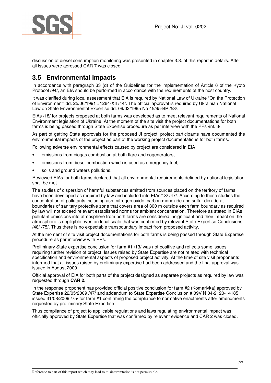

discussion of diesel consumption monitoring was presented in chapter 3.3. of this report in details. After all issues were adressed CAR 7 was closed.

## **3.5 Environmental Impacts**

In accordance with paragraph 33 (d) of the Guidelines for the implementation of Article 6 of the Kyoto Protocol /94/, an EIA should be performed in accordance with the requirements of the host country.

It was clarified during local assessment that EIA is required by National Law of Ukraine "On the Protection of Environment" dd. 25/06/1991 #1264-XII /44/. The official approval is required by Ukrainian National Law on State Environmental Expertise dd. 09/02/1995 No 45/95-ВР /53/.

EIAs /18/ for projects proposed at both farms was developed as to meet relevant requirements of National Environment legislation of Ukraine. At the moment of the site visit the project documentations for both farms is being passed through State Expertise procedure as per interview with the PPs /int. 3/.

As part of getting State approvals for the proposed JI project, project participants have documented the environmental impacts of the project as part of the working project documentations for both farms.

Following adverse environmental effects caused by project are considered in EIA

- emissions from biogas combustion at both flare and cogenerators,
- emissions from diesel combustion which is used as emergency fuel.
- soils and ground waters pollutions.

Reviewed EIAs for both farms declared that all environmental requirements defined by national legislation shall be met.

The studies of dispersion of harmful substances emitted from sources placed on the territory of farms have been developed as required by law and included into EIAs/18/ /47/. According to these studies the concentration of pollutants including ash, nitrogen oxide, carbon monoxide and sulfur dioxide at boundaries of sanitary protective zone that covers area of 300 m outside each farm boundary as required by law will not exceed relevant established norms for ambient concentration. Therefore as stated in EIAs pollutant emissions into atmosphere from both farms are considered insignificant and their impact on the atmosphere is negligible even on local scale that was confirmed by relevant State Expertise Conclusions /48/ /75/. Thus there is no expectable transboundary impact from proposed activity.

At the moment of site visit project documentations for both farms is being passed through State Expertise procedure as per interview with PPs.

Preliminary State expertise conclusion for farm #1 /13/ was not positive and reflects some issues requiring further revision of project. Issues raised by State Expertise are not related with technical specification and environmental aspects of proposed project activity. At the time of site visit proponents informed that all issues raised by preliminary expertise had been addressed and the final approval was issued in August 2009.

Official approval of EIA for both parts of the project designed as separate projects as required by law was requested through **CAR 2**.

In the response proponent has provided official positive conclusion for farm #2 (Komarivka) approved by State Expertise 22/05/2009 /47/ and addendum to State Expertise Conclusion # 09V N 04-2120-14185 issued 31/08/2009 /75/ for farm #1 confirming the compliance to normative enactments after amendments requested by preliminary State Expertise.

Thus compliance of project to applicable regulations and laws regulating environmental impact was officially approved by State Expertise that was confirmed by relevant evidence and CAR 2 was closed.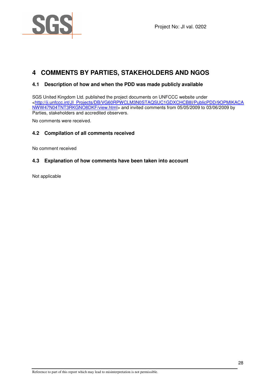

Project No: JI val. 0202

## **4 COMMENTS BY PARTIES, STAKEHOLDERS AND NGOS**

#### **4.1 Description of how and when the PDD was made publicly available**

SGS United Kingdom Ltd. published the project documents on UNFCCC website under <http://ji.unfccc.int/JI\_Projects/DB/VG60RPWCLM3N0STAQSUC1GDXCHCB8I/PublicPDD/9OPMIKACA NWW47N04TNT3RKGNO8DKF/view.html> and invited comments from 05/05/2009 to 03/06/2009 by Parties, stakeholders and accredited observers.

No comments were received.

#### **4.2 Compilation of all comments received**

No comment received

#### **4.3 Explanation of how comments have been taken into account**

Not applicable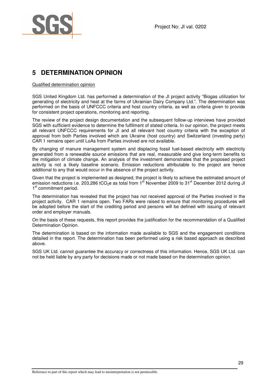

## **5 DETERMINATION OPINION**

#### Qualified determination opinion

SGS United Kingdom Ltd. has performed a determination of the JI project activity "Biogas utilization for generating of electricity and heat at the farms of Ukrainian Dairy Company Ltd.". The determination was performed on the basis of UNFCCC criteria and host country criteria, as well as criteria given to provide for consistent project operations, monitoring and reporting.

The review of the project design documentation and the subsequent follow-up interviews have provided SGS with sufficient evidence to determine the fulfilment of stated criteria. In our opinion, the project meets all relevant UNFCCC requirements for JI and all relevant host country criteria with the exception of approval from both Parties involved which are Ukraine (host country) and Switzerland (investing party) CAR 1 remains open until LoAs from Parties involved are not available.

By changing of manure management system and displacing fossil fuel-based electricity with electricity generated from a renewable source emissions that are real, measurable and give long-term benefits to the mitigation of climate change. An analysis of the investment demonstrates that the proposed project activity is not a likely baseline scenario. Emission reductions attributable to the project are hence additional to any that would occur in the absence of the project activity.

Given that the project is implemented as designed, the project is likely to achieve the estimated amount of emission reductions i.e. 203,286 tCO<sub>2</sub>e as total from 1<sup>st</sup> November 2009 to 31<sup>st</sup> December 2012 during JI 1<sup>st</sup> commitment period.

The determination has revealed that the project has not received approval of the Parties involved in the project activity. CAR 1 remains open. Two FARs were raised to ensure that monitoring procedures will be adopted before the start of the crediting period and persons will be defined with issuing of relevant order and employer manuals.

On the basis of these requests, this report provides the justification for the recommendation of a Qualified Determination Opinion.

The determination is based on the information made available to SGS and the engagement conditions detailed in the report. The determination has been performed using a risk based approach as described above.

SGS UK Ltd. cannot guarantee the accuracy or correctness of this information. Hence, SGS UK Ltd. can not be held liable by any party for decisions made or not made based on the determination opinion.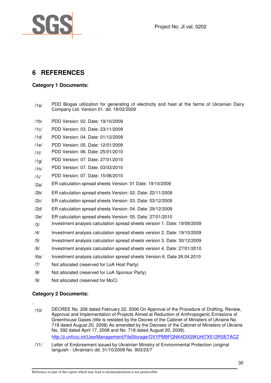Project No: JI val. 0202



## **6 REFERENCES**

#### **Category 1 Documents:**

- $/1a$ / PDD Biogas utilization for generating of electricity and heat at the farms of Ukrainian Dairy Company Ltd. Version 01. dd. 18/02/2009
- /1b/ PDD Version: 02. Date: 19/10/2009
- /1c/ PDD Version: 03. Date: 23/11/2009
- /1d/ PDD Version: 04. Date: 01/12/2009
- /1e/ PDD Version: 05. Date: 12/01/2009
- /1f/ PDD Version: 06. Date: 25/01/2010
- /1g/ PDD Version: 07. Date: 27/01/2010
- /1h/ PDD Version: 07. Date: 03/03/2010
- /1i/ PDD Version: 07. Date: 15/06/2010
- /2a/ ER calculation spread sheets Version: 01 Date: 19/10/2009
- /2b/ ER calculation spread sheets Version: 02. Date: 22/11/2009
- /2c/ ER calculation spread sheets Version: 03. Date: 03/12/2009
- /2d/ ER calculation spread sheets Version: 04. Date: 29/12/2009
- /2e/ ER calculation spread sheets Version: 05. Date: 27/01/2010
- $/3$  Investment analysis calculation spread sheets version 1. Date: 19/06/2009
- /4/ Investment analysis calculation spread sheets version 2. Date: 19/10/2009
- /5/ Investment analysis calculation spread sheets version 3. Date: 30/12/2009
- /6/ Investment analysis calculation spread sheets version 4. Date: 27/01/2010
- /6a/ Investment analysis calculation spread sheets Version 6. Date 26.04.2010
- /7/ Not allocated (reserved for LoA Host Party)
- /8/ Not allocated (reserved for LoA Sponsor Party)
- /9/ Not allocated (reserved for MoC)

#### **Category 2 Documents:**

.

- $/10$ / DECREE No. 206 dated February 22, 2006 On Approval of the Procedure of Drafting, Review, Approval and Implementation of Projects Aimed at Reduction of Anthropogenic Emissions of Greenhouse Gases (title is restated by the Decree of the Cabinet of Ministers of Ukraine No. 718 dated August 20, 2008) As amended by the Decrees of the Cabinet of Ministers of Ukraine No. 392 dated April 17, 2008 and No. 718 dated August 20, 2008). http://ji.unfccc.int/UserManagement/FileStorage/OVYPM9FQNK4D0GWUHI7X512RSETACZ
- /11/ Letter of Endorsement issued by Ukrainian Ministry of Environmental Protection (original languish - Ukrainian) dd. 31/10/2008 No. 903/23/7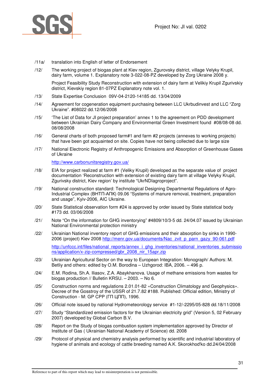

- /11a/ translation into English of letter of Endorsement
- /12/ The working project of biogas plant at Kiev region, Zgurovsky district, village Velyky Krupil, dairy farm, volume 1. Explanatory note 3-022-08-PZ developed by Zorg Ukraine 2008 y.

Project Feasibility Study Reconstruction with extension of dairy farm at Velikiy Krupil Zgurivskiy district, Kievskiy region 81-07PZ Explanatory note vol. 1.

- /13/ State Expertise Conclusion 09V-04-2120-14185 dd. 13/04/2009
- /14/ Agreement for cogeneration equipment purchasing between LLC Ukrbudinvest and LLC "Zorg Ukraine". #08022 dd.12/06/2008
- /15/ 'The List of Data for JI project preparation' annex 1 to the agreement on PDD development between Ukrainian Dairy Company and Environmental Green Investment found #08/08-08 dd. 08/08/2008
- /16/ General charts of both proposed farm#1 and farm #2 projects (annexes to working projects) that have been got acquainted on site. Copies have not being collected due to large size
- /17/ National Electronic Registry of Anthropogenic Emissions and Absorption of Greenhouse Gases of Ukraine

http://www.carbonunitsregistry.gov.ua/

- /18/ EIA for project realized at farm #1 (Veliky Krupil) developed as the separate value of project documentation 'Reconstruction with extension of existing dairy farm at village Velyky Krupil, Zgurivsky district, Kiev region' by institute "UkrNDIagroproject".
- /19/ National construction standard: Technological Designing Departmental Regulations of Agro-Industrial Complex (BHTN-ANK) 09.06 "Systems of manure removal, treatment, preparation and usage", Kyiv-2006, AIC Ukraine.
- /20/ State Statistical observation form #24 is approved by order issued by State statistical body #173 dd. 03/06/2008
- /21/ Note "On the information for GHG inventorying" #4809/10/3-5 dd. 24/04.07 issued by Ukrainian National Environmental protection ministry
- /22/ Ukrainian National inventory report of GHG emissions and their absorption by sinks in 1990- 2006 (project) Kiev 2008 http://menr.gov.ua/documents/Nac\_zvit\_p\_parn\_gazy\_90-061.pdf http://unfccc.int/files/national\_reports/annex\_i\_ghg\_inventories/national\_inventories\_submissio ns/application/x-zip-compressed/gbr\_2008\_nir\_15apr.zip
- /23/ Ukrainian Agricultural Sector on the way to European Integration: Monograph/ Authors: M. Betliy and others: edited by O.M. Borodina – Uzhgorod: IBA, 2006. – 496 p.
- /24/ E.M. Rodina, Sh.A. Iliasov, Z.A. Abaykhanova. Usage of methane emissions from wastes for biogas production // Bulletin KRSU. – 2003. – No 6.
- /25/ Construction norms and regulations 2.01.01-82 «Construction Climatology and Geophysics». Decree of the Gosstroy of the USSR of 21.7.82 #188. Published: Official edition, Ministry of Construction - М: GP CPP (ГП ЦПП), 1996.
- /26/ Official note issued by national Hydrometeorology service #1-12/-2295/05-828 dd.18/11/2008
- /27/ Study "Standardized emission factors for the Ukrainian electricity grid" (Version 5, 02 February 2007) developed by Global Carbon B.V.
- /28/ Report on the Study of biogas combustion system implementation approved by Director of Institute of Gas ( Ukrainian National Academy of Science) dd. 2008
- /29/ Protocol of physical and chemistry analysis performed by scientific and industrial laboratory of hygiene of animals and ecology of cattle breeding named A.K. Skorokhod'ko dd.24/04/2008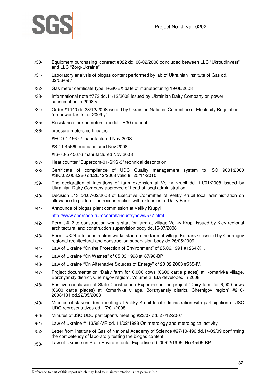

- /30/ Equipment purchasing contract #022 dd. 06/02/2008 concluded between LLC "Ukrbudinvest" and LLC "Zorg-Ukraine"
- /31/ Laboratory analysis of biogas content performed by lab of Ukrainian Institute of Gas dd. 02/06/09 /
- /32/ Gas meter certificate type: RGK-EX date of manufacturing 19/06/2008
- /33/ Informational note #773 dd.11/12/2008 issued by Ukrainian Dairy Company on power consumption in 2008 y.
- /34/ Order #1440 dd.23/12/2008 issued by Ukrainian National Committee of Electricity Regulation "on power tariffs for 2009 y"
- /35/ Resistance thermometers, model TR30 manual
- /36/ pressure meters certificates

#ECO-1 45672 manufactured Nov.2008

#S-11 45669 manufactured Nov.2008

#IS-70-5 45676 manufactured Nov.2008

- /37/ Heat counter "Supercom-01-SKS-3" technical description.
- /38/ Certificate of compliance of UDC Quality management system to ISO 9001:2000 #SIC.02.008.220 dd.26/12/2008 valid till 25/11/2010
- /39/ The declaration of intentions of farm extension at Veliky Krupil dd. 11/01/2008 issued by Ukrainian Dairy Company approved of head of local administration.
- /40/ Decision #13 dd.07/02/2008 of Executive Committee of Veliky Krupil local administration on allowance to perform the reconstruction with extension of Dairy Farm.
- /41/ Announce of biogas plant commission at Veliky Krupyl http://www.abercade.ru/research/industrynews/577.html
- /42/ Permit #12 to construction works start for farm at village Veliky Krupil issued by Kiev regional architectural and construction supervision body dd.15/07/2008
- /43/ Permit #324-p to construction works start on the farm at village Komarivka issued by Chernigov regional architectural and construction supervision body dd.26/05/2009
- /44/ Law of Ukraine "On the Protection of Environment" of 25.06.1991 #1264-XII,
- /45/ Law of Ukraine "On Wastes" of 05.03.1998 #187/98-BP
- /46/ Law of Ukraine "On Alternative Sources of Energy" of 20.02.2003 #555-IV.
- /47/ Project documentation "Dairy farm for 6,000 cows (6600 cattle places) at Komarivka village, Borznyansly district, Chernigov region". Volume 2 EIA developed in 2008
- /48/ Positive conclusion of State Construction Expertise on the project "Dairy farm for 6,000 cows (6600 cattle places) at Komarivka village, Borznyansly district, Chernigov region" #216- 2008/181 dd.22/05/2008
- /49/ Minutes of stakeholders meeting at Veliky Krupil local administration with participation of JSC UDC representatives dd. 17/01/2008
- /50/ Minutes of JSC UDC participants meeting #23/07 dd. 27/12/2007
- /51/ Law of Ukraine #113/98-VR dd. 11/02/1998 On metrology and metrological activity
- /52/ Letter from Institute of Gas of National Academy of Science #97/10-496 dd.14/09/09 confirming the competency of laboratory testing the biogas content
- /53/ Law of Ukraine on State Environmental Expertise dd. 09/02/1995 No 45/95-ВР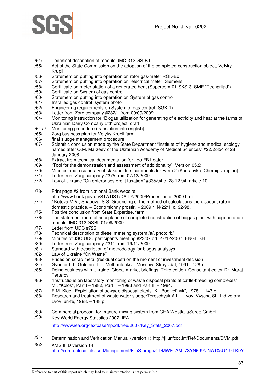

- /54/ Technical description of module JMC-312 GS-B.L
- /55/ Act of the State Commission on the adoption of the completed construction object, Velykyi Krupil
- /56/ Statement on putting into operation on rotor gas-meter RGK-Ех
- /57/ Statement on putting into operation on electrical meter Siemens
- /58/ Certificate on meter station of a generated heat (Supercom-01-SKS-3, SME "Techprilad")
- /59/ Certificate on System of gas control
- Statement on putting into operation on System of gas control
- /61/ Installed gas control system photo
- /62/ Engineering requirements on System of gas control (SGK-1)
- /63/ Letter from Zorg company #282/1 from 09/09/2009
- Monitoring instruction for "Biogas utilization for generating of electricity and heat at the farms of Ukrainian Dairy Company Ltd" project, draft
- /64 a/ Monitoring procedure (translation into english)
- /65/ Zorg business plan for Velyky Krupil farm
- /66/ final sludge management procedure
- /67/ Scientific conclusion made by the State Department "Institute of hygiene and medical ecology named after O.M. Marzeev of the Ukrainian Academy of Medical Sciences" #22.2/354 of 28 January 2008
- /68/ Extract from technical documentation for Leo FB heater
- /69/ "Tool for the demonstration and assessment of additionality", Version 05.2
- /70/ Minutes and a summary of stakeholders comments for Farm 2 (Komarivka, Chernigiv region)
- /71/ Letter from Zorg company #375 from 07/12/2009
- /72/ Law of Ukraine "On enterprises profit taxation" #335/94 of 28.12.94, article 10
- /73/ Print page #2 from National Bank website,
- http://www.bank.gov.ua/STATIST/DAILY/2009/Procentlastb\_2009.htm
- /74/ / Kotova M.V., Shapoval S.S. Grounding of the method of calculations the discount rate in domestic practice. – Economichny prostir. - 2009 г. №22/1, с. 92-98.
- /75/ Positive conclusion from State Expertise, farm 1
- /76/ The statement (act) of acceptance of completed construction of biogas plant with cogeneration module JMC-312 GSBL 01/09/2009
- /77/ Letter from UDC #726
- /78/ Technical description of diesel metering system /a/, photo /b/
- /79/ Minutes of JSC UDC participants meeting #23/07 dd. 27/12/2007, ENGLISH
- /80/ Letter from Zorg company #311 from 19/11/2009
- /81/ Standard with description of methodology for biogas analysys
- /82/ Law of Ukraine "On Waste"
- /83/ Prices on scrap metal (residual cost) on the moment of investment decision
- /84/ Gyunter L.I., Goldfarb L.L. Methantanks Moscow, Stroyizdat, 1991 128p.
- /85/ Doing business with Ukraine, Global market briefings. Third edition. Consultant editor Dr. Marat Terterov
- /86/ "Instructions on laboratory monitoring of waste disposal plants at cattle-breeding complexes", M., "Kolos", Part I – 1982, Part II – 1983 and Part III – 1984.
- /87/ E.M. Kigel. Exploitation of sewage disposal plants. K: "Budivel'nyk", 1978. 143 p.
- /88/ Research and treatment of waste water sludge/Tereschyuk A.I. Lvov: Vyscha Sh. Izd-vo pry Lvov. un-te, 1988. – 148 p.
- /89/ Commercial proposal for manure mixing system from GEA WestfaliaSurge GmbH
- /90/ Key World Energy Statistics 2007, IEA http://www.iea.org/textbase/nppdf/free/2007/Key\_Stats\_2007.pdf
- /91/ Determination and Verification Manual (version 1) http://ji.unfccc.int/Ref/Documents/DVM.pdf
- /92/ AMS III.D version 14 http://cdm.unfccc.int/UserManagement/FileStorage/CDMWF\_AM\_73YN6I9YJNAT05U4J7TK9Y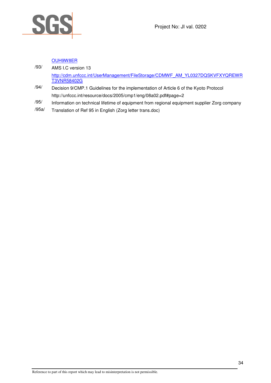

#### OUH9W8ER

| /93/ | AMS I.C version 13                                                            |  |
|------|-------------------------------------------------------------------------------|--|
|      | http://cdm.unfccc.int/UserManagement/FileStorage/CDMWF AM YL0327DQSKVFXYQREWR |  |
|      | <b>T3VNR58402G</b>                                                            |  |

- /94/ Decision 9/CMP.1 Guidelines for the implementation of Article 6 of the Kyoto Protocol http://unfccc.int/resource/docs/2005/cmp1/eng/08a02.pdf#page=2
- /95/ Information on technical lifetime of equipment from regional equipment supplier Zorg company
- /95a/ Translation of Ref 95 in English (Zorg letter trans.doc)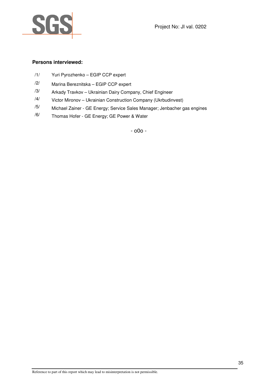



#### **Persons interviewed:**

- /1/ Yuri Pyrozhenko EGIP CCP expert
- /2/ Marina Bereznitska EGIP CCP expert
- $/3$ / Arkady Travkov Ukrainian Dairy Company, Chief Engineer
- /4/ Victor Mironov Ukrainian Construction Company (Ukrbudinvest)
- $/5/$  Michael Zainer GE Energy; Service Sales Manager; Jenbacher gas engines
- /6/ Thomas Hofer GE Energy; GE Power & Water

- o0o -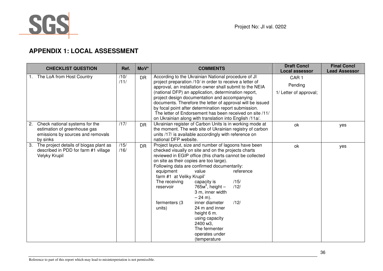

## **APPENDIX 1: LOCAL ASSESSMENT**

| <b>CHECKLIST QUESTION</b> |                                                                                                                                                                                                                                                                                                                                                                                                                                                                                                                                                                                              | Ref.         | MoV*      | <b>COMMENTS</b>                                                                                 |                                                                                                                                                                                                                                                                                                                                                                                                                                                                                      | <b>Draft Concl</b><br><b>Local assessor</b>           | <b>Final Concl</b><br><b>Lead Assessor</b> |     |
|---------------------------|----------------------------------------------------------------------------------------------------------------------------------------------------------------------------------------------------------------------------------------------------------------------------------------------------------------------------------------------------------------------------------------------------------------------------------------------------------------------------------------------------------------------------------------------------------------------------------------------|--------------|-----------|-------------------------------------------------------------------------------------------------|--------------------------------------------------------------------------------------------------------------------------------------------------------------------------------------------------------------------------------------------------------------------------------------------------------------------------------------------------------------------------------------------------------------------------------------------------------------------------------------|-------------------------------------------------------|--------------------------------------------|-----|
| 1.                        | The LoA from Host Country<br>/10/<br>According to the Ukrainian National procedure of JI<br><b>DR</b><br>/11/<br>project preparation /10/ in order to receive a letter of<br>approval, an installation owner shall submit to the NEIA<br>(national DFP) an application, determination report,<br>project design documentation and accompanying<br>documents. Therefore the letter of approval will be issued<br>by focal point after determination report submission.<br>The letter of Endorsement has been received on site /11/<br>on Ukrainian along with translation into English /11a/. |              |           |                                                                                                 |                                                                                                                                                                                                                                                                                                                                                                                                                                                                                      | CAR <sub>1</sub><br>Pending<br>1/ Letter of approval; |                                            |     |
| 2.<br>by sinks            | /17/<br>Ukrainian register of Carbon Units is in working mode at<br>Check national systems for the<br><b>DR</b><br>the moment. The web site of Ukrainian registry of carbon<br>estimation of greenhouse gas<br>emissions by sources and removals<br>units /17/ is available accordingly with reference on<br>national DFP website.                                                                                                                                                                                                                                                           |              |           |                                                                                                 | ok                                                                                                                                                                                                                                                                                                                                                                                                                                                                                   | yes                                                   |                                            |     |
| 3.<br>Velyky Krupil       | The project details of biogas plant as<br>described in PDD for farm #1 village                                                                                                                                                                                                                                                                                                                                                                                                                                                                                                               | /15/<br>/16/ | <b>DR</b> | equipment<br>farm #1 at Veliky Krupil'<br>The receiving<br>reservoir<br>fermenters (3<br>units) | Project layout, size and number of lagoons have been<br>checked visually on site and on the projects charts<br>reviewed in EGIP office (this charts cannot be collected<br>on site as their copies are too large).<br>Following data are confirmed documentarily:<br>value<br>capacity is<br>$765M3$ , height -<br>3 m, inner width<br>$-24$ m).<br>inner diameter<br>24 m and inner<br>height 6 m.<br>using capacity<br>2400 м3.<br>The fermenter<br>operates under<br>(temperature | reference<br>/15/<br>/12/<br>/12/                     | ok                                         | yes |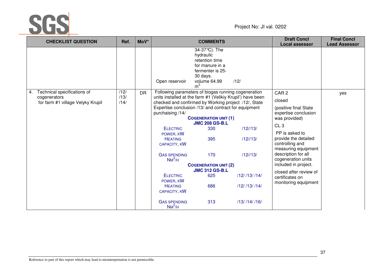

|                                                                                        | Ref.                 | MoV*      |                                                                                                                                                                                                                                                                                                                                                                                                                                                                 | <b>COMMENTS</b>                                                                                                                                          |                                                                                                 | <b>Draft Concl</b><br><b>Local assessor</b>                                                                                                                                                                                                                                                                                                    | <b>Final Concl</b><br><b>Lead Assessor</b> |
|----------------------------------------------------------------------------------------|----------------------|-----------|-----------------------------------------------------------------------------------------------------------------------------------------------------------------------------------------------------------------------------------------------------------------------------------------------------------------------------------------------------------------------------------------------------------------------------------------------------------------|----------------------------------------------------------------------------------------------------------------------------------------------------------|-------------------------------------------------------------------------------------------------|------------------------------------------------------------------------------------------------------------------------------------------------------------------------------------------------------------------------------------------------------------------------------------------------------------------------------------------------|--------------------------------------------|
|                                                                                        |                      |           | Open reservoir                                                                                                                                                                                                                                                                                                                                                                                                                                                  | 34-37 °C). The<br>hydraulic<br>retention time<br>for manure in a<br>fermenter is 25-<br>30 days.<br>volume 64.99<br>m <sup>3</sup>                       | /12/                                                                                            |                                                                                                                                                                                                                                                                                                                                                |                                            |
| Technical specifications of<br>4.<br>cogenerators<br>for farm #1 village Velyky Krupil | /12/<br>/13/<br>/14/ | <b>DR</b> | Following parameters of biogas running cogeneration<br>units installed at the farm #1 (Velikiy Krupil') have been<br>checked and confirmed by Working project /12/, State<br>Expertise conclusion /13/ and contract for equipment<br>purchaising /14/<br><b>ELECTRIC</b><br>POWER, KW<br><b>HEATING</b><br>CAPACITY, KW<br><b>GAS SPENDING</b><br>$NM^3/H$<br><b>ELECTRIC</b><br>POWER, KW<br><b>HEATING</b><br>CAPACITY, KW<br><b>GAS SPENDING</b><br>$NM^3/H$ | <b>COGENERATION UNIT (1)</b><br><b>JMC 208 GS-B.L</b><br>330<br>395<br>170<br><b>COGENERATION UNIT (2)</b><br><b>JMC 312 GS-B.L</b><br>625<br>686<br>313 | $/12$ //13/<br>$/12$ //13/<br>$/12$ //13/<br>/12//13//14/<br>$/12$ /13//14/<br>$/13/$ /14/ /16/ | CAR <sub>2</sub><br>closed<br>(positive final State)<br>expertise conclusion<br>was provided)<br>CL <sub>3</sub><br>PP is asked to<br>provide the detailed<br>controlling and<br>measuring equipment<br>description for all<br>cogeneration units<br>included in project.<br>closed after review of<br>certificates on<br>monitoring equipment | yes                                        |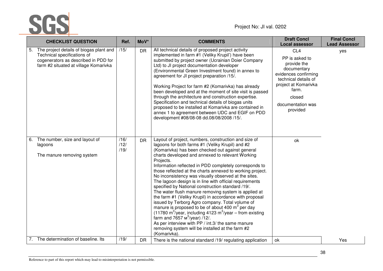

|    | <b>CHECKLIST QUESTION</b>                                                                                                                               | Ref.                 | MoV*      | <b>COMMENTS</b>                                                                                                                                                                                                                                                                                                                                                                                                                                                                                                                                                                                                                                                                                                                                                                                                                                                                                                                                                                                                     | <b>Draft Concl</b><br><b>Local assessor</b>                                                                                                                                                 | <b>Final Concl</b><br><b>Lead Assessor</b> |
|----|---------------------------------------------------------------------------------------------------------------------------------------------------------|----------------------|-----------|---------------------------------------------------------------------------------------------------------------------------------------------------------------------------------------------------------------------------------------------------------------------------------------------------------------------------------------------------------------------------------------------------------------------------------------------------------------------------------------------------------------------------------------------------------------------------------------------------------------------------------------------------------------------------------------------------------------------------------------------------------------------------------------------------------------------------------------------------------------------------------------------------------------------------------------------------------------------------------------------------------------------|---------------------------------------------------------------------------------------------------------------------------------------------------------------------------------------------|--------------------------------------------|
| 5. | The project details of biogas plant and<br>Technical specifications of<br>cogenerators as described in PDD for<br>farm #2 situated at village Komarivka | /15/                 | <b>DR</b> | All technical details of proposed project activity<br>implemented in farm #1 (Veliky Krupil') have been<br>submitted by project owner (Ucrainian Doier Company<br>Ltd) to JI project documentation developer<br>(Environmental Green Investment found) in annex to<br>agreement for JI project preparation /15/.<br>Working Project for farm #2 (Komarivka) has already<br>been developed and at the moment of site visit is passed<br>through the architecture and construction expertise.<br>Specification and technical details of biogas units<br>proposed to be installed at Komarivka are contained in<br>annex 1 to agreement between UDC and EGIF on PDD<br>development #08/08-08 dd.08/08/2008 /15/.                                                                                                                                                                                                                                                                                                       | CL <sub>4</sub><br>PP is asked to<br>provide the<br>documentary<br>evidences confirming<br>technical details of<br>project at Komarivka<br>farm.<br>closed<br>documentation was<br>provided | yes                                        |
| 6. | The number, size and layout of<br>lagoons<br>The manure removing system                                                                                 | /16/<br>/12/<br>/19/ | <b>DR</b> | Layout of project, numbers, construction and size of<br>lagoons for both farms #1 (Veliky Krupil) and #2<br>(Komarivka) has been checked out against general<br>charts developed and annexed to relevant Working<br>Projects.<br>Information reflected in PDD completely corresponds to<br>those reflected at the charts annexed to working project.<br>No inconsistency was visually observed at the sites.<br>The lagoon design is in line with official requirements<br>specified by National construction standard /19/.<br>The water flush manure removing system is applied at<br>the farm #1 (Veliky Krupil) in accordance with proposal<br>issued by Terborg Agro company. Total volume of<br>manure is proposed to be of about 400 m <sup>3</sup> per day<br>(11780 m <sup>3</sup> /year, including 4123 m <sup>3</sup> /year – from existing<br>farm and 7657 $m^3$ /year) /12/.<br>As per interview with PP / int.3/ the same manure<br>removing system will be installed at the farm #2<br>(Komarivka). | ok                                                                                                                                                                                          |                                            |
|    | 7. The determination of baseline. Its                                                                                                                   | /19/                 | <b>DR</b> | There is the national standard /19/ regulating application                                                                                                                                                                                                                                                                                                                                                                                                                                                                                                                                                                                                                                                                                                                                                                                                                                                                                                                                                          | ok                                                                                                                                                                                          | Yes                                        |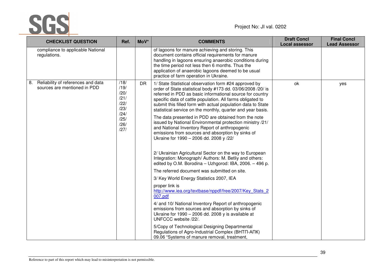

| <b>CHECKLIST QUESTION</b>                                                | Ref.                                                                         | MoV* | <b>COMMENTS</b>                                                                                                                                                                                                                                                                                                                                                                                                                                                                                                                                                                                                                                                                                                                                                                                                                                                                                                                                     | <b>Draft Concl</b><br><b>Local assessor</b> | <b>Final Concl</b><br><b>Lead Assessor</b> |
|--------------------------------------------------------------------------|------------------------------------------------------------------------------|------|-----------------------------------------------------------------------------------------------------------------------------------------------------------------------------------------------------------------------------------------------------------------------------------------------------------------------------------------------------------------------------------------------------------------------------------------------------------------------------------------------------------------------------------------------------------------------------------------------------------------------------------------------------------------------------------------------------------------------------------------------------------------------------------------------------------------------------------------------------------------------------------------------------------------------------------------------------|---------------------------------------------|--------------------------------------------|
| compliance to applicable National<br>regulations.                        |                                                                              |      | of lagoons for manure achieving and storing. This<br>document contains official requirements for manure<br>handling in lagoons ensuring anaerobic conditions during<br>the time period not less then 6 months. Thus the<br>application of anaerobic lagoons deemed to be usual<br>practice of farm operation in Ukraine.                                                                                                                                                                                                                                                                                                                                                                                                                                                                                                                                                                                                                            |                                             |                                            |
| Reliability of references and data<br>8.<br>sources are mentioned in PDD | /18/<br>/19/<br>/20/<br>/21/<br>/22/<br>/23/<br>/24/<br>/25/<br>/26/<br>/27/ | DR.  | 1/ State Statistical observation form #24 approved by<br>order of State statistical body #173 dd. 03/06/2008 /20/ is<br>referred in PDD as basic informational source for country<br>specific data of cattle population. All farms obligated to<br>submit this filled form with actual population data to State<br>statistical service on the monthly, quarter and year basis.<br>The data presented in PDD are obtained from the note<br>issued by National Environmental protection ministry /21/<br>and National Inventory Report of anthropogenic<br>emissions from sources and absorption by sinks of<br>Ukraine for 1990 - 2006 dd. 2008 y /22/<br>2/ Ukrainian Agricultural Sector on the way to European<br>Integration: Monograph/ Authors: M. Betliy and others:<br>edited by O.M. Borodina - Uzhgorod: IBA, 2006. - 496 p.<br>The referred document was submitted on site.<br>3/ Key World Energy Statistics 2007, IEA<br>proper link is | ok                                          | yes                                        |
|                                                                          |                                                                              |      | http://www.iea.org/textbase/nppdf/free/2007/Key Stats 2<br>007.pdf<br>4/ and 10/ National Inventory Report of anthropogenic<br>emissions from sources and absorption by sinks of<br>Ukraine for 1990 - 2006 dd. 2008 y is available at<br>UNFCCC website /22/.                                                                                                                                                                                                                                                                                                                                                                                                                                                                                                                                                                                                                                                                                      |                                             |                                            |
|                                                                          |                                                                              |      | 5/Copy of Technological Designing Departmental<br>Regulations of Agro-Industrial Complex (BHTN-ANK)<br>09.06 "Systems of manure removal, treatment,                                                                                                                                                                                                                                                                                                                                                                                                                                                                                                                                                                                                                                                                                                                                                                                                 |                                             |                                            |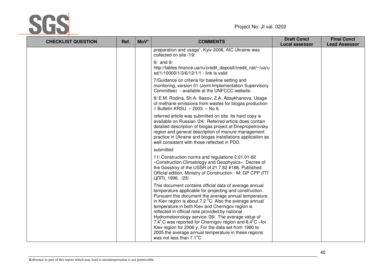

| <b>CHECKLIST QUESTION</b> | Ref. | MoV* | <b>COMMENTS</b>                                                                                                                                                                                                                                                                                                                                                                                                                                                                                                                                                                                                                                                           | <b>Draft Concl</b><br><b>Local assessor</b> | <b>Final Concl</b><br><b>Lead Assessor</b> |
|---------------------------|------|------|---------------------------------------------------------------------------------------------------------------------------------------------------------------------------------------------------------------------------------------------------------------------------------------------------------------------------------------------------------------------------------------------------------------------------------------------------------------------------------------------------------------------------------------------------------------------------------------------------------------------------------------------------------------------------|---------------------------------------------|--------------------------------------------|
|                           |      |      | preparation and usage", Kyiv-2006, AIC Ukraine was<br>collected on site /19/.                                                                                                                                                                                                                                                                                                                                                                                                                                                                                                                                                                                             |                                             |                                            |
|                           |      |      | $6/$ and $9/$<br>http://tables.finance.ua/ru/credit_deposit/credit_nat/~/ua/u<br>sd/1/10000/1/3/6/12/1/1 - link is valid                                                                                                                                                                                                                                                                                                                                                                                                                                                                                                                                                  |                                             |                                            |
|                           |      |      | 7/Guidance on criteria for baseline setting and<br>monitoring, version 01 (Joint Implementation Supervisory<br>Committee) - available at the UNFCCC website.                                                                                                                                                                                                                                                                                                                                                                                                                                                                                                              |                                             |                                            |
|                           |      |      | 8/ E.M. Rodina, Sh.A. Iliasov, Z.A. Abaykhanova. Usage<br>of methane emissions from wastes for biogas production<br>// Bulletin KRSU. - 2003. - No 6.                                                                                                                                                                                                                                                                                                                                                                                                                                                                                                                     |                                             |                                            |
|                           |      |      | referred article was submitted on site. Its hard copy is<br>available on Russian /24/. Referred article does contain<br>detailed description of biogas project at Dnepropetrovsky<br>region and general description of manure management<br>practice in Ukraine and biogas installations application as<br>well consistent with those reflected in PDD.                                                                                                                                                                                                                                                                                                                   |                                             |                                            |
|                           |      |      | submitted                                                                                                                                                                                                                                                                                                                                                                                                                                                                                                                                                                                                                                                                 |                                             |                                            |
|                           |      |      | 11/ Construction norms and regulations 2.01.01-82<br>«Construction Climatology and Geophysics». Decree of<br>the Gosstroy of the USSR of 21.7.82 #188. Published:<br>Official edition, Ministry of Construction - M: GP CPP (FT<br>ЦПП), 1996. /25/                                                                                                                                                                                                                                                                                                                                                                                                                       |                                             |                                            |
|                           |      |      | This document contains official data of average annual<br>temperature applicable for projecting and construction.<br>Pursuant this document the average annual temperature<br>in Kiev region is about 7.2 $\mathrm{^0C}$ . Also the average annual<br>temperature in both Kiev and Chernigov region is<br>reflected in official note provided by national<br>Hydrometeorology service /26/. The average value of<br>7.4 $\mathrm{^{\circ}C}$ was reported for Chernigov region and 8.4 $\mathrm{^{\circ}C}$ –for<br>Kiev region for 2006 y. For the data set from 1990 to<br>2005 the average annual temperature in these regions<br>was not less than 7.1 <sup>°</sup> C |                                             |                                            |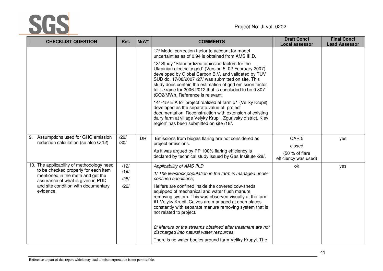

| <b>CHECKLIST QUESTION</b>                                                                                      | Ref.         | MoV*      | <b>COMMENTS</b>                                                                                                                                                                                                                                                                                                                                                                          | <b>Draft Concl</b><br><b>Local assessor</b>      | <b>Final Concl</b><br><b>Lead Assessor</b> |
|----------------------------------------------------------------------------------------------------------------|--------------|-----------|------------------------------------------------------------------------------------------------------------------------------------------------------------------------------------------------------------------------------------------------------------------------------------------------------------------------------------------------------------------------------------------|--------------------------------------------------|--------------------------------------------|
|                                                                                                                |              |           | 12/ Model correction factor to account for model<br>uncertainties as of 0.94 is obtained from AMS III.D.                                                                                                                                                                                                                                                                                 |                                                  |                                            |
|                                                                                                                |              |           | 13/ Study "Standardized emission factors for the<br>Ukrainian electricity grid" (Version 5, 02 February 2007)<br>developed by Global Carbon B.V. and validated by TUV<br>SUD dd. 17/08/2007 /27/ was submitted on site. This<br>study does contain the estimation of grid emission factor<br>for Ukraine for 2006-2012 that is concluded to be 0.807<br>tCO2/MWh. Reference is relevant. |                                                  |                                            |
|                                                                                                                |              |           | 14/-15/ EIA for project realized at farm #1 (Veliky Krupil)<br>developed as the separate value of project<br>documentation 'Reconstruction with extension of existing<br>dairy farm at village Velyky Krupil, Zgurivsky district, Kiev<br>region' has been submitted on site /18/.                                                                                                       |                                                  |                                            |
| Assumptions used for GHG emission<br>9.<br>reduction calculation (se also Q 12)                                | /29/<br>/30/ | <b>DR</b> | Emissions from biogas flaring are not considered as<br>project emissions.                                                                                                                                                                                                                                                                                                                | CAR <sub>5</sub>                                 | yes                                        |
|                                                                                                                |              |           | As it was argued by PP 100% flaring efficiency is<br>declared by technical study issued by Gas Institute /28/.                                                                                                                                                                                                                                                                           | closed<br>(50 % of flare<br>efficiency was used) |                                            |
| 10. The applicability of methodology need                                                                      | /12/         |           | Applicability of AMS III.D                                                                                                                                                                                                                                                                                                                                                               | ok                                               | yes                                        |
| to be checked properly for each item<br>mentioned in the meth and get the<br>assurance of what is given in PDD | /19/<br>/25/ |           | 1/ The livestock population in the farm is managed under<br>confined conditions:                                                                                                                                                                                                                                                                                                         |                                                  |                                            |
| and site condition with documentary<br>evidence.                                                               | /26/         |           | Heifers are confined inside the covered cow-sheds<br>equipped of mechanical and water flush manure<br>removing system. This was observed visually at the farm<br>#1 Velyky Krupil. Calves are managed at open places<br>constantly with separate manure removing system that is<br>not related to project.                                                                               |                                                  |                                            |
|                                                                                                                |              |           | 2/ Manure or the streams obtained after treatment are not<br>discharged into natural water resources;                                                                                                                                                                                                                                                                                    |                                                  |                                            |
|                                                                                                                |              |           | There is no water bodies around farm Veliky Krupyl. The                                                                                                                                                                                                                                                                                                                                  |                                                  |                                            |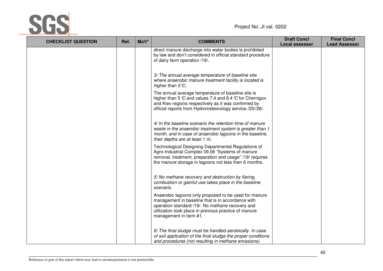

| <b>CHECKLIST QUESTION</b> | Ref. | MoV* | <b>COMMENTS</b>                                                                                                                                                                                                                                        | <b>Draft Concl</b><br><b>Local assessor</b> | <b>Final Concl</b><br><b>Lead Assessor</b> |
|---------------------------|------|------|--------------------------------------------------------------------------------------------------------------------------------------------------------------------------------------------------------------------------------------------------------|---------------------------------------------|--------------------------------------------|
|                           |      |      | direct manure discharge into water bodies is prohibited<br>by law and don't considered in official standard procedure<br>of dairy farm operation /19/.                                                                                                 |                                             |                                            |
|                           |      |      | 3/ The annual average temperature of baseline site<br>where anaerobic manure treatment facility is located is<br>higher than $5^{\circ}$ C,                                                                                                            |                                             |                                            |
|                           |      |      | The annual average temperature of baseline site is<br>higher than 5 $\mathcal C$ and values 7.4 and 8.4 $\mathcal C$ for Chernigov<br>and Kiev regions respectively as it was confirmed by<br>official reports from Hydrometeorology service /25//26/. |                                             |                                            |
|                           |      |      | 4/ In the baseline scenario the retention time of manure<br>waste in the anaerobic treatment system is greater than 1<br>month, and in case of anaerobic lagoons in the baseline,<br>their depths are at least 1 m;                                    |                                             |                                            |
|                           |      |      | Technological Designing Departmental Regulations of<br>Agro-Industrial Complex 09.06 "Systems of manure<br>removal, treatment, preparation and usage" /19/ requires<br>the manure storage in lagoons not less then 6 months.                           |                                             |                                            |
|                           |      |      | 5/ No methane recovery and destruction by flaring,<br>combustion or gainful use takes place in the baseline<br>scenario.                                                                                                                               |                                             |                                            |
|                           |      |      | Anaerobic lagoons only proposed to be used for manure<br>management in baseline that is in accordance with<br>operation standard /19/. No methane recovery and<br>utilization took place in previous practice of manure<br>management in farm #1.      |                                             |                                            |
|                           |      |      | 6/ The final sludge must be handled aerobically. In case<br>of soil application of the final sludge the proper conditions<br>and procedures (not resulting in methane emissions)                                                                       |                                             |                                            |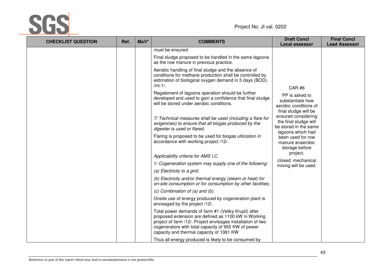

| <b>CHECKLIST QUESTION</b> | Ref. | MoV* | <b>COMMENTS</b>                                                                                                                                                                                                                                                                | <b>Draft Concl</b><br><b>Local assessor</b>                                                                                                                                       | <b>Final Concl</b><br><b>Lead Assessor</b> |
|---------------------------|------|------|--------------------------------------------------------------------------------------------------------------------------------------------------------------------------------------------------------------------------------------------------------------------------------|-----------------------------------------------------------------------------------------------------------------------------------------------------------------------------------|--------------------------------------------|
|                           |      |      | must be ensured.                                                                                                                                                                                                                                                               |                                                                                                                                                                                   |                                            |
|                           |      |      | Final sludge proposed to be handled in the same lagoons<br>as the row manure in previous practice.                                                                                                                                                                             |                                                                                                                                                                                   |                                            |
|                           |      |      | Aerobic handling of final sludge and the absence of<br>conditions for methane production shall be controlled by<br>estimation of biological oxygen demand in 5 days (BOD).<br>/int.1/.                                                                                         | <b>CAR#6</b>                                                                                                                                                                      |                                            |
|                           |      |      | Regalement of lagoons operation should be further<br>developed and used to gain a confidence that final sludge<br>will be stored under aerobic conditions.                                                                                                                     | PP is asked to<br>substantiate how<br>aerobic conditions of<br>final sludge will be<br>ensured considering<br>the final sludge will<br>be stored in the same<br>lagoons which had |                                            |
|                           |      |      | 7/ Technical measures shall be used (including a flare for<br>exigencies) to ensure that all biogas produced by the<br>digester is used or flared.                                                                                                                             |                                                                                                                                                                                   |                                            |
|                           |      |      | Flaring is proposed to be used for biogas utilization in<br>accordance with working project /12/.                                                                                                                                                                              | been used for row<br>manure anaerobic<br>storage before                                                                                                                           |                                            |
|                           |      |      | Applicability criteria for AMS I.C.                                                                                                                                                                                                                                            | project.                                                                                                                                                                          |                                            |
|                           |      |      | 1/ Cogeneration system may supply one of the following:                                                                                                                                                                                                                        | closed: mechanical<br>mixing will be used.                                                                                                                                        |                                            |
|                           |      |      | (a) Electricity to a grid;                                                                                                                                                                                                                                                     |                                                                                                                                                                                   |                                            |
|                           |      |      | (b) Electricity and/or thermal energy (steam or heat) for<br>on-site consumption or for consumption by other facilities;                                                                                                                                                       |                                                                                                                                                                                   |                                            |
|                           |      |      | $(c)$ Combination of $(a)$ and $(b)$ .                                                                                                                                                                                                                                         |                                                                                                                                                                                   |                                            |
|                           |      |      | Onsite use of energy produced by cogeneration plant is<br>envisaged by the project /12/.                                                                                                                                                                                       |                                                                                                                                                                                   |                                            |
|                           |      |      | Total power demands of farm #1 (Veliky Krupil) after<br>proposed extension are defined as 1100 kW in Working<br>project of farm /12/. Project envisages installation of two<br>cogenerators with total capacity of 955 KW of power<br>capacity and thermal capacity of 1081 KW |                                                                                                                                                                                   |                                            |
|                           |      |      | Thus all energy produced is likely to be consumed by                                                                                                                                                                                                                           |                                                                                                                                                                                   |                                            |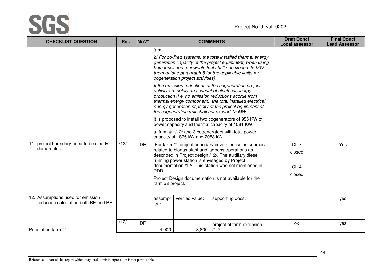

| <b>CHECKLIST QUESTION</b>                                                  | Ref. | MoV*           |                          |                                                                      | <b>COMMENTS</b>                                                                                                                                                                                                                                                                                                                                                                                                                                                                                                                                                                                                                                                                                                                                                | <b>Draft Concl</b><br><b>Local assessor</b>            | <b>Final Concl</b><br><b>Lead Assessor</b> |
|----------------------------------------------------------------------------|------|----------------|--------------------------|----------------------------------------------------------------------|----------------------------------------------------------------------------------------------------------------------------------------------------------------------------------------------------------------------------------------------------------------------------------------------------------------------------------------------------------------------------------------------------------------------------------------------------------------------------------------------------------------------------------------------------------------------------------------------------------------------------------------------------------------------------------------------------------------------------------------------------------------|--------------------------------------------------------|--------------------------------------------|
|                                                                            |      |                | farm.                    | cogeneration project activities).<br>capacity of 1875 kW and 2058 kW | 2/ For co-fired systems, the total installed thermal energy<br>generation capacity of the project equipment, when using<br>both fossil and renewable fuel shall not exceed 45 MW<br>thermal (see paragraph 5 for the applicable limits for<br>If the emission reductions of the cogeneration project<br>activity are solely on account of electrical energy<br>production (i.e. no emission reductions accrue from<br>thermal energy component), the total installed electrical<br>energy generation capacity of the project equipment of<br>the cogeneration unit shall not exceed 15 MW.<br>It is proposed to install two cogenerators of 955 KW of<br>power capacity and thermal capacity of 1081 KW<br>at farm #1 /12/ and 3 cogenerators with total power |                                                        |                                            |
| 11. project boundary need to be clearly<br>demarcated                      | /12/ | D <sub>R</sub> | PDD.<br>farm #2 project. | running power station is envisaged by Project                        | For farm #1 project boundary covers emission sources<br>related to biogas plant and lagoons operations as<br>described in Project design /12/. The auxiliary diesel<br>documentation /12/. This station was not mentioned in<br>Project Design documentation is not available for the                                                                                                                                                                                                                                                                                                                                                                                                                                                                          | CL <sub>7</sub><br>closed<br>CL <sub>4</sub><br>closed | Yes                                        |
| 12. Assumptions used for emission<br>reduction calculation both BE and PE: |      |                | assumpt<br>ion:          | verified value:                                                      | supporting docs:                                                                                                                                                                                                                                                                                                                                                                                                                                                                                                                                                                                                                                                                                                                                               |                                                        | yes                                        |
| Population farm #1                                                         | /12/ | <b>DR</b>      | 4,000                    | 3,800                                                                | project of farm extension<br>/12/                                                                                                                                                                                                                                                                                                                                                                                                                                                                                                                                                                                                                                                                                                                              | ok                                                     | yes                                        |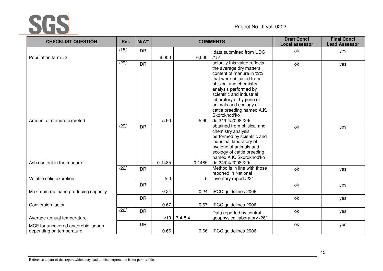

| <b>CHECKLIST QUESTION</b>                                      | Ref.          | MoV*      |        |                | <b>COMMENTS</b>                                                                                                                                                                                | <b>Draft Concl</b><br><b>Local assessor</b> | <b>Final Concl</b><br><b>Lead Assessor</b> |
|----------------------------------------------------------------|---------------|-----------|--------|----------------|------------------------------------------------------------------------------------------------------------------------------------------------------------------------------------------------|---------------------------------------------|--------------------------------------------|
| Population farm #2                                             | /15/          | <b>DR</b> | 6,000  | $6,000$ /15/   | data submitted from UDC                                                                                                                                                                        | ok                                          | yes                                        |
|                                                                | /29/          | <b>DR</b> |        |                | actually this value reflects<br>the average dry matters<br>content of manure in %%<br>that were obtained from                                                                                  | ok                                          | yes                                        |
|                                                                |               |           |        |                | phisical and chemistry<br>analysis performed by<br>scientific and industrial<br>laboratory of hygiene of<br>animals and ecology of                                                             |                                             |                                            |
| Amount of manure excreted                                      |               |           | 5.90   | 5.90           | cattle breeding named A.K.<br>Skorokhod'ko<br>dd.24/04/2008 /29/                                                                                                                               |                                             |                                            |
|                                                                | $\sqrt{29/1}$ | <b>DR</b> |        |                | obtained from phisical and<br>chemistry analysis<br>performed by scientific and<br>industrial laboratory of<br>hygiene of animals and<br>ecology of cattle breeding<br>named A.K. Skorokhod'ko | ok                                          | yes                                        |
| Ash content in the manure                                      |               |           | 0.1485 | 0.1485         | dd.24/04/2008 /29/<br>Method is in line with those                                                                                                                                             |                                             |                                            |
| Volatile solid excretion                                       | /22/          | <b>DR</b> | 5.0    | 5              | reported in National<br>inventory report /22/                                                                                                                                                  | ok                                          | yes                                        |
| Maximum methane producing capacity                             |               | <b>DR</b> | 0.24   | 0.24           | IPCC guidelines 2006                                                                                                                                                                           | ok                                          | yes                                        |
|                                                                |               | <b>DR</b> |        |                |                                                                                                                                                                                                | ok                                          | yes                                        |
| Conversion factor                                              | /26/          | DR        | 0.67   | 0.67           | IPCC guidelines 2006                                                                                                                                                                           | ok                                          | yes                                        |
| Average annual temperature                                     |               |           |        | $< 10$ 7.4-8.4 | Data reported by central<br>geophysical laboratory /26/                                                                                                                                        |                                             |                                            |
| MCF for uncovered anaerobic lagoon<br>depending on temperature |               | <b>DR</b> | 0.66   |                | 0.66   IPCC guidelines 2006                                                                                                                                                                    | ok                                          | yes                                        |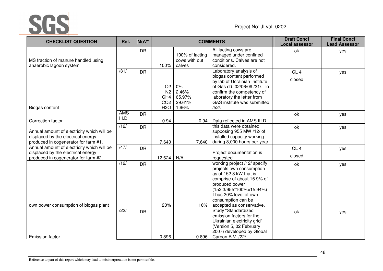

| <b>CHECKLIST QUESTION</b>                                                                                                | Ref.                | MoV*      |                                                                          |                                             | <b>COMMENTS</b>                                                                                                                                                                                                           | <b>Draft Concl</b><br><b>Local assessor</b> | <b>Final Concl</b><br><b>Lead Assessor</b> |
|--------------------------------------------------------------------------------------------------------------------------|---------------------|-----------|--------------------------------------------------------------------------|---------------------------------------------|---------------------------------------------------------------------------------------------------------------------------------------------------------------------------------------------------------------------------|---------------------------------------------|--------------------------------------------|
| MS fraction of manure handled using<br>anaerobic lagoon system                                                           |                     | <b>DR</b> | 100%                                                                     | 100% of lacting<br>cows with out<br>calves  | All lacting cows are<br>managed under confined<br>conditions. Calves are not<br>considered.                                                                                                                               | ok                                          | yes                                        |
| Biogas content                                                                                                           | $\overline{31/}$    | <b>DR</b> | O <sub>2</sub><br>N <sub>2</sub><br>CH4<br>CO <sub>2</sub><br><b>H2O</b> | $0\%$<br>2.46%<br>65.97%<br>29.61%<br>1.96% | Laboratory analysis of<br>biogas content performed<br>by lab of Ucrainian Institute<br>of Gas dd. 02/06/09 /31/. To<br>confirm the competency of<br>laboratory the letter from<br>GAS institute was submitted<br>$/52/$ . | CL <sub>4</sub><br>closed                   | yes                                        |
| Correction factor                                                                                                        | <b>AMS</b><br>III.D | <b>DR</b> | 0.94                                                                     | 0.94                                        | Data reflected in AMS III.D                                                                                                                                                                                               | ok                                          | yes                                        |
| Annual amount of electricity which will be<br>displaced by the electrical energy<br>produced in cogenerator for farm #1. | /12/                | <b>DR</b> | 7,640                                                                    | 7,640                                       | this data were obtained<br>supposing 955 MW /12/ of<br>installed capacity working<br>during 8,000 hours per year                                                                                                          | ok                                          | yes                                        |
| Annual amount of electricity which will be<br>displaced by the electrical energy<br>produced in cogenerator for farm #2. | /47/                | <b>DR</b> | 12,624                                                                   | N/A                                         | Project documentation is<br>requested                                                                                                                                                                                     | CL4<br>closed                               | yes                                        |
|                                                                                                                          | /12/                | <b>DR</b> |                                                                          |                                             | working project /12/ specify<br>projects own consumption<br>as of 152.3 kW that is<br>comprise of about 15.9% of<br>produced power<br>$(152.3/955*100\% = 15.94\%)$<br>Thus 20% level of own<br>consumption can be        | ok                                          | yes                                        |
| own power consumption of biogas plant                                                                                    | /22/                | <b>DR</b> | 20%                                                                      | 16%                                         | accepted as conservative.<br>Study "Standardized<br>emission factors for the<br>Ukrainian electricity grid"<br>(Version 5, 02 February<br>2007) developed by Global                                                       | ok                                          | yes                                        |
| <b>Emission factor</b>                                                                                                   |                     |           | 0.896                                                                    | 0.896                                       | Carbon B.V. /22/                                                                                                                                                                                                          |                                             |                                            |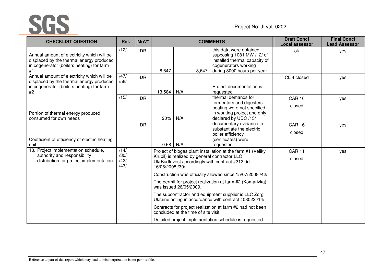

| <b>CHECKLIST QUESTION</b>                                                                                                                 | Ref.                         | MoV*      |                 |                                               | <b>COMMENTS</b>                                                                                                                             | <b>Draft Concl</b><br><b>Local assessor</b> | <b>Final Concl</b><br><b>Lead Assessor</b> |
|-------------------------------------------------------------------------------------------------------------------------------------------|------------------------------|-----------|-----------------|-----------------------------------------------|---------------------------------------------------------------------------------------------------------------------------------------------|---------------------------------------------|--------------------------------------------|
| Annual amount of electricity which will be<br>displaced by the thermal energy produced<br>in cogenerator (boilers heating) for farm<br>#1 | /12/                         | <b>DR</b> | 8,647           | 8,647                                         | this data were obtained<br>supposing 1081 MW /12/ of<br>installed thermal capacity of<br>cogenerators working<br>during 8000 hours per year | ok                                          | yes                                        |
| Annual amount of electricity which will be<br>displaced by the thermal energy produced<br>in cogenerator (boilers heating) for farm<br>#2 | /47/<br>/56/                 | <b>DR</b> | 13,584          | N/A                                           | Project documentation is<br>requested                                                                                                       | CL 4 closed                                 | yes                                        |
| Portion of thermal energy produced<br>consumed for own needs                                                                              | /15/                         | <b>DR</b> | 20%             | N/A                                           | thermal demands for<br>fermentors and digesters<br>heating were not specified<br>in working project and only<br>declared by UDC /15/        | <b>CAR 16</b><br>closed                     | yes                                        |
| Coefficient of efficiency of electric heating<br>unit                                                                                     |                              | <b>DR</b> | 0.68            | N/A                                           | documentary evidance to<br>substantiate the electric<br>boiler efficiency<br>(certificates) were<br>requested                               | <b>CAR 16</b><br>closed                     | yes                                        |
| 13. Project implementation schedule,<br>authority and responsibility<br>distribution for project implementation                           | /14/<br>/30/<br>/42/<br>/43/ |           | 16/06/2008 /30/ | Krupil) is realized by general contractor LLC | Project of biogas plant installation at the farm #1 (Veliky<br>UkrBudInvest accordingly with contract #212 dd.                              | <b>CAR11</b><br>closed                      | yes                                        |
|                                                                                                                                           |                              |           |                 | was issued 26/05/2009.                        | Construction was officially allowed since 15/07/2008 /42/.<br>The permit for project realization at farm #2 (Komarivka)                     |                                             |                                            |
|                                                                                                                                           |                              |           |                 |                                               | The subcontractor and equipment supplier is LLC Zorg<br>Ukraine acting in accordance with contract #08022 /14/                              |                                             |                                            |
|                                                                                                                                           |                              |           |                 | concluded at the time of site visit.          | Contracts for project realization at farm #2 had not been                                                                                   |                                             |                                            |
|                                                                                                                                           |                              |           |                 |                                               | Detailed project implementation schedule is requested.                                                                                      |                                             |                                            |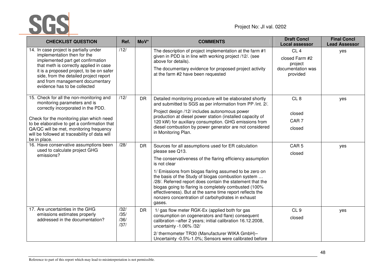

| <b>CHECKLIST QUESTION</b>                                                                                                                                                                                                                                                                                              | Ref.                         | MoV*      | <b>COMMENTS</b>                                                                                                                                                                                                                                                                                                                                                                                                                                                                                                      | <b>Draft Concl</b><br><b>Local assessor</b>                                   | <b>Final Concl</b><br><b>Lead Assessor</b> |
|------------------------------------------------------------------------------------------------------------------------------------------------------------------------------------------------------------------------------------------------------------------------------------------------------------------------|------------------------------|-----------|----------------------------------------------------------------------------------------------------------------------------------------------------------------------------------------------------------------------------------------------------------------------------------------------------------------------------------------------------------------------------------------------------------------------------------------------------------------------------------------------------------------------|-------------------------------------------------------------------------------|--------------------------------------------|
| 14. In case project is partially under<br>implementation then for the<br>implemented part get confirmation<br>that meth is correctly applied in case<br>it is a proposed project, to be on safer<br>side, from the detailed project report<br>and from management documentary<br>evidence has to be collected          | /12/                         |           | The description of project implementation at the farm #1<br>given in PDD is in line with working project /12/. (see<br>above for details).<br>The documentary evidence for proposed project activity<br>at the farm #2 have been requested                                                                                                                                                                                                                                                                           | CL <sub>4</sub><br>closed Farm #2<br>project<br>documentation was<br>provided | yes                                        |
| 15. Check for all the non-monitoring and<br>monitoring parameters and is<br>correctly incorporated in the PDD.<br>Check for the monitoring plan which need<br>to be elaborative to get a confirmation that<br>QA/QC will be met, monitoring frequency<br>will be followed at traceability of data will<br>be in place. | /12/                         | <b>DR</b> | Detailed monitoring procedure will be elaborated shortly<br>and submitted to SGS as per information from PP /int. 2/.<br>Project design /12/ includes autonomous power<br>production at diesel power station (installed capacity of<br>120 kW) for auxiliary consumption. GHG emissions from<br>diesel combustion by power generator are not considered<br>in Monitoring Plan.                                                                                                                                       | CL <sub>8</sub><br>closed<br>CAR <sub>7</sub><br>closed                       | yes                                        |
| 16. Have conservative assumptions been<br>used to calculate project GHG<br>emissions?                                                                                                                                                                                                                                  | /28/                         | <b>DR</b> | Sources for all assumptions used for ER calculation<br>please see Q13.<br>The conservativeness of the flaring efficiency assumption<br>is not clear<br>1/ Emissions from biogas flaring assumed to be zero on<br>the basis of the Study of biogas combustion system<br>/28/. Referred report does contain the statement that the<br>biogas going to flaring is completely combusted (100%<br>effectiveness). But at the same time report reflects the<br>nonzero concentration of carbohydrates in exhaust<br>gases. | CAR <sub>5</sub><br>closed                                                    | yes                                        |
| 17. Are uncertainties in the GHG<br>emissions estimates properly<br>addressed in the documentation?                                                                                                                                                                                                                    | /32/<br>/35/<br>/36/<br>/37/ | <b>DR</b> | 1/ gas flow meter RGK-Ex (applied both for gas<br>consumption on cogenerators and flare) consequent<br>calibration -after 2 years; initial calibration 16.12.2008,<br>uncertainty -1.06% /32/<br>2/ thermometer TR30 (Manufacturer WIKA GmbH)-<br>Uncertainty -0.5%-1.0%; Sensors were calibrated before                                                                                                                                                                                                             | CL <sub>9</sub><br>closed                                                     | yes                                        |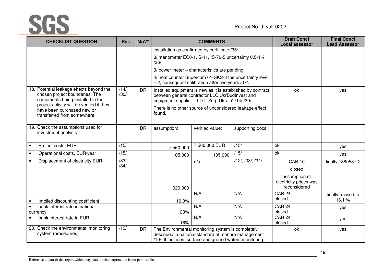

| <b>CHECKLIST QUESTION</b>                                                                                       | Ref.                     | MoV*      |             | <b>COMMENTS</b>                                                                                                                                                      |                  | <b>Draft Concl</b><br><b>Local assessor</b>             | <b>Final Concl</b><br><b>Lead Assessor</b> |
|-----------------------------------------------------------------------------------------------------------------|--------------------------|-----------|-------------|----------------------------------------------------------------------------------------------------------------------------------------------------------------------|------------------|---------------------------------------------------------|--------------------------------------------|
|                                                                                                                 |                          |           |             | installation as confirmed by certificate /35/.                                                                                                                       |                  |                                                         |                                            |
|                                                                                                                 |                          |           | /36/        | 3/ manometer EC0-1, S-11, IS-70-5 uncertainty 0.5-1%                                                                                                                 |                  |                                                         |                                            |
|                                                                                                                 |                          |           |             | 3/ power meter - characteristics are pending.                                                                                                                        |                  |                                                         |                                            |
|                                                                                                                 |                          |           |             | 4/ heat counter Supercom 01-SKS-3 the uncertainty level<br>$-2$ , consequent calibration after two years /37/.                                                       |                  |                                                         |                                            |
| 18. Potential leakage effects beyond the<br>chosen project boundaries. The<br>equipments being installed in the | /14/<br>/30/             | <b>DR</b> |             | Installed equipment is new as it is established by contract<br>between general contractor LLC UkrBudInvest and<br>equipment supplier - LLC "Zorg Ukrain" /14/ /30/.  | ok               | yes                                                     |                                            |
| project activity will be verified if they<br>have been purchased new or<br>transferred from somewhere.          |                          |           | found.      | There is no other source of unconsidered leakage effect                                                                                                              |                  |                                                         |                                            |
| 19. Check the assumptions used for<br>investment analysis                                                       |                          | <b>DR</b> | assumption: | verified value:                                                                                                                                                      | supporting docs: |                                                         |                                            |
| Project costs, EUR                                                                                              | /15/                     |           | 7,560,000   | 7,560,000 EUR                                                                                                                                                        | /15/             | ok                                                      | yes                                        |
| Operational costs, EUR/year<br>$\bullet$                                                                        | /15/                     |           | 105,000     | 105,000                                                                                                                                                              | /15/             | ok                                                      | yes                                        |
| Displacement of electricity EUR<br>$\bullet$                                                                    | $\overline{33/}$<br>/34/ |           |             | n/a                                                                                                                                                                  | /12/, /33/, /34/ | <b>CAR 10</b><br>closed                                 | finally 1880587 €                          |
|                                                                                                                 |                          |           | 929,000     |                                                                                                                                                                      |                  | assumption of<br>electricity prices was<br>reconsidered |                                            |
| Implied discounting coefficient                                                                                 |                          |           | 10.0%       | N/A                                                                                                                                                                  | N/A              | <b>CAR 24</b><br>closed                                 | finally revised to<br>16.1%                |
| bank interest rate in national<br>$\bullet$<br>currency                                                         |                          |           | 23%         | N/A                                                                                                                                                                  | N/A              | <b>CAR 24</b><br>closed                                 | yes                                        |
| bank interest rate in EUR                                                                                       |                          |           | 16%         | N/A                                                                                                                                                                  | N/A              | $\overline{CAR}$ 24<br>closed                           | yes                                        |
| 20. Check the environmental monitoring<br>system (procedures)                                                   | /19/                     | <b>DR</b> |             | The Environmental monitoring system is completely<br>described in national standard of manure management<br>/19/. It includes: surface and ground waters monitoring, |                  | ok                                                      | yes                                        |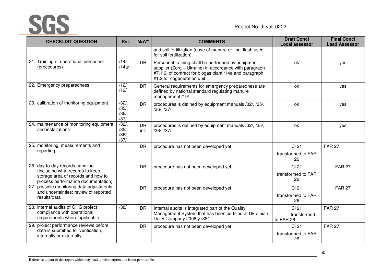

| <b>CHECKLIST QUESTION</b>                                                | Ref.                                 | MoV*              | <b>COMMENTS</b>                                                                                                                                                                                        | <b>Draft Concl</b><br><b>Local assessor</b> | <b>Final Concl</b><br><b>Lead Assessor</b> |
|--------------------------------------------------------------------------|--------------------------------------|-------------------|--------------------------------------------------------------------------------------------------------------------------------------------------------------------------------------------------------|---------------------------------------------|--------------------------------------------|
|                                                                          |                                      |                   | and soil fertilization (dose of manure or final flush used<br>for soil fertilization).                                                                                                                 |                                             |                                            |
| 21. Training of operational personnel<br>(procedures)                    | /14/<br>/14a/                        | <b>DR</b>         | Personnel training shall be performed by equipment<br>supplier (Zorg - Ukraine) in accordance with paragraph<br>#7.1.6. of contract for biogas plant /14a and paragraph<br>#1.2 for cogeneration unit. | ok                                          | yes                                        |
| 22. Emergency preparedness                                               | /12/<br>/19/                         | <b>DR</b>         | General requirements for emergency preparedness are<br>defined by national standard regulating manure<br>management /19/.                                                                              | ok                                          | yes                                        |
| 23. calibration of monitoring equipment                                  | $/32/$ ,<br>$/35/$ ,<br>/36/<br>/37/ | <b>DR</b>         | procedures is defined by equipment manuals /32/, /35/,<br>/36/, /37/                                                                                                                                   | ok                                          | yes                                        |
| 24. maintenance of monitoring equipment<br>and installations             | /32/<br>/35/<br>/36/<br>/37/         | <b>DR</b><br>int. | procedures is defined by equipment manuals /32/, /35/,<br>/36/, /37/                                                                                                                                   | ok                                          | yes                                        |
| 25. monitoring, measurements and                                         |                                      | <b>DR</b>         | procedure has not been developed yet                                                                                                                                                                   | CI 21                                       | <b>FAR 27</b>                              |
| reporting                                                                |                                      |                   |                                                                                                                                                                                                        | transformed to FAR<br>26                    |                                            |
| 26. day-to-day records handling<br>(including what records to keep,      |                                      | <b>DR</b>         | procedure has not been developed yet                                                                                                                                                                   | CI 21                                       | <b>FAR 27</b>                              |
| storage area of records and how to<br>process performance documentation) |                                      |                   |                                                                                                                                                                                                        | transformed to FAR<br>26                    |                                            |
| 27. possible monitoring data adjustments                                 |                                      | <b>DR</b>         | procedure has not been developed yet                                                                                                                                                                   | CI 21                                       | <b>FAR 27</b>                              |
| and uncertainties; review of reported<br>results/data                    |                                      |                   |                                                                                                                                                                                                        | transformed to FAR<br>26                    |                                            |
| 28. internal audits of GHG project<br>compliance with operational        | /38/                                 | <b>DR</b>         | Internal audits is integrated part of the Quality<br>Management System that has been certified at Ukrainian                                                                                            | CI 21                                       | <b>FAR 27</b>                              |
| requirements where applicable                                            |                                      |                   | Dairy Company 2008 y /38/                                                                                                                                                                              | transformed<br>to FAR 26                    |                                            |
| 29. project performance reviews before                                   |                                      | <b>DR</b>         | procedure has not been developed yet                                                                                                                                                                   | CI 21                                       | <b>FAR 27</b>                              |
| data is submitted for verification,<br>internally or externally          |                                      |                   |                                                                                                                                                                                                        | transformed to FAR<br>26                    |                                            |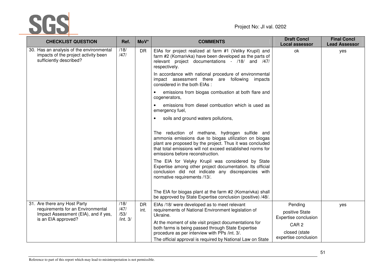

| <b>CHECKLIST QUESTION</b>                                                                                   | Ref.               | MoV*              | <b>COMMENTS</b>                                                                                                                                                                                                                                                       | <b>Draft Concl</b><br><b>Local assessor</b> | <b>Final Concl</b><br><b>Lead Assessor</b> |
|-------------------------------------------------------------------------------------------------------------|--------------------|-------------------|-----------------------------------------------------------------------------------------------------------------------------------------------------------------------------------------------------------------------------------------------------------------------|---------------------------------------------|--------------------------------------------|
| 30. Has an analysis of the environmental<br>impacts of the project activity been<br>sufficiently described? | /18/<br>/47/       | <b>DR</b>         | EIAs for project realized at farm #1 (Veliky Krupil) and<br>farm #2 (Komarivka) have been developed as the parts of<br>relevant project documentations - /18/ and /47/<br>respectively.                                                                               | ok                                          | yes                                        |
|                                                                                                             |                    |                   | In accordance with national procedure of environmental<br>impact assessment there are following<br>impacts<br>considered in the both EIAs :                                                                                                                           |                                             |                                            |
|                                                                                                             |                    |                   | emissions from biogas combustion at both flare and<br>$\bullet$<br>cogenerators,                                                                                                                                                                                      |                                             |                                            |
|                                                                                                             |                    |                   | emissions from diesel combustion which is used as<br>emergency fuel,                                                                                                                                                                                                  |                                             |                                            |
|                                                                                                             |                    |                   | soils and ground waters pollutions,                                                                                                                                                                                                                                   |                                             |                                            |
|                                                                                                             |                    |                   | The reduction of methane, hydrogen sulfide and<br>ammonia emissions due to biogas utilization on biogas<br>plant are proposed by the project. Thus it was concluded<br>that total emissions will not exceed established norms for<br>emissions before reconstruction. |                                             |                                            |
|                                                                                                             |                    |                   | The EIA for Velyky Krupil was considered by State<br>Expertise among other project documentation. Its official<br>conclusion did not indicate any discrepancies with<br>normative requirements /13/.                                                                  |                                             |                                            |
|                                                                                                             |                    |                   | The EIA for biogas plant at the farm #2 (Komarivka) shall<br>be approved by State Expertise conclusion (positive) /48/.                                                                                                                                               |                                             |                                            |
| 31. Are there any Host Party<br>/18/<br>requirements for an Environmental<br>/47/                           |                    | <b>DR</b><br>int. | EIAs /18/ were developed as to meet relevant<br>requirements of National Environment legislation of                                                                                                                                                                   | Pending                                     | yes                                        |
| Impact Assessment (EIA), and if yes,<br>is an EIA approved?                                                 | /53/<br>/int. $3/$ |                   | Ukraine.                                                                                                                                                                                                                                                              | positive State<br>Expertise conclusion      |                                            |
|                                                                                                             |                    |                   | At the moment of site visit project documentations for<br>both farms is being passed through State Expertise                                                                                                                                                          | CAR <sub>2</sub>                            |                                            |
|                                                                                                             |                    |                   | procedure as per interview with PPs /int. 3/.                                                                                                                                                                                                                         | closed (state<br>expertise conclusion       |                                            |
|                                                                                                             |                    |                   | The official approval is required by National Law on State                                                                                                                                                                                                            |                                             |                                            |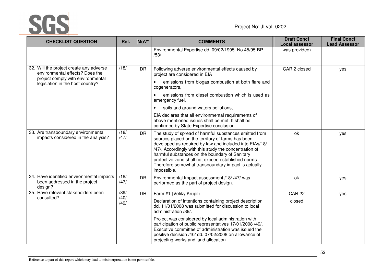

| <b>CHECKLIST QUESTION</b>                                                             | Ref.         | MoV*      | <b>COMMENTS</b>                                                                                                                                                                                                                                                                                                                                                                                                 | <b>Draft Concl</b><br><b>Local assessor</b> | <b>Final Concl</b><br><b>Lead Assessor</b> |
|---------------------------------------------------------------------------------------|--------------|-----------|-----------------------------------------------------------------------------------------------------------------------------------------------------------------------------------------------------------------------------------------------------------------------------------------------------------------------------------------------------------------------------------------------------------------|---------------------------------------------|--------------------------------------------|
|                                                                                       |              |           | Environmental Expertise dd. 09/02/1995 No 45/95-BP<br>/53/                                                                                                                                                                                                                                                                                                                                                      | was provided)                               |                                            |
| 32. Will the project create any adverse<br>environmental effects? Does the            | /18/         | <b>DR</b> | Following adverse environmental effects caused by<br>project are considered in EIA                                                                                                                                                                                                                                                                                                                              | CAR 2 closed                                | yes                                        |
| project comply with environmental<br>legislation in the host country?                 |              |           | emissions from biogas combustion at both flare and<br>cogenerators,                                                                                                                                                                                                                                                                                                                                             |                                             |                                            |
|                                                                                       |              |           | emissions from diesel combustion which is used as<br>$\bullet$<br>emergency fuel,                                                                                                                                                                                                                                                                                                                               |                                             |                                            |
|                                                                                       |              |           | soils and ground waters pollutions,<br>$\bullet$                                                                                                                                                                                                                                                                                                                                                                |                                             |                                            |
|                                                                                       |              |           | EIA declares that all environmental requirements of<br>above mentioned issues shall be met. It shall be<br>confirmed by State Expertise conclusion.                                                                                                                                                                                                                                                             |                                             |                                            |
| 33. Are transboundary environmental<br>impacts considered in the analysis?            | /18/<br>/47/ | <b>DR</b> | The study of spread of harmful substances emitted from<br>sources placed on the territory of farms has been<br>developed as required by law and included into EIAs/18/<br>/47/. Accordingly with this study the concentration of<br>harmful substances on the boundary of Sanitary<br>protective zone shall not exceed established norms.<br>Therefore somewhat transboundary impact is actually<br>impossible. | ok                                          | yes                                        |
| 34. Have identified environmental impacts<br>been addressed in the project<br>design? | /18/<br>/47/ | <b>DR</b> | Environmental Impact assessment /18/ /47/ was<br>performed as the part of project design.                                                                                                                                                                                                                                                                                                                       | ok                                          | yes                                        |
| 35. Have relevant stakeholders been                                                   | /39/         | <b>DR</b> | Farm #1 (Veliky Krupil)                                                                                                                                                                                                                                                                                                                                                                                         | <b>CAR 22</b>                               | yes                                        |
| consulted?                                                                            | /40/<br>/49/ |           | Declaration of intentions containing project description<br>dd. 11/01/2008 was submitted for discussion to local<br>administration /39/.                                                                                                                                                                                                                                                                        | closed                                      |                                            |
|                                                                                       |              |           | Project was considered by local administration with<br>participation of public representatives 17/01/2008 /49/.<br>Executive committee of administration was issued the<br>positive decision /40/ dd. 07/02/2008 on allowance of<br>projecting works and land allocation.                                                                                                                                       |                                             |                                            |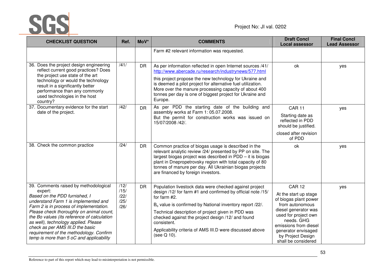

| <b>CHECKLIST QUESTION</b>                                                                                                                                                                                                                                                                                                                                                                                                          | Ref.                                 | MoV*      | <b>COMMENTS</b>                                                                                                                                                                                                                                                                                                                                                                                                   | <b>Draft Concl</b><br><b>Local assessor</b>                                                                                                                                                                                                  | <b>Final Concl</b><br><b>Lead Assessor</b> |
|------------------------------------------------------------------------------------------------------------------------------------------------------------------------------------------------------------------------------------------------------------------------------------------------------------------------------------------------------------------------------------------------------------------------------------|--------------------------------------|-----------|-------------------------------------------------------------------------------------------------------------------------------------------------------------------------------------------------------------------------------------------------------------------------------------------------------------------------------------------------------------------------------------------------------------------|----------------------------------------------------------------------------------------------------------------------------------------------------------------------------------------------------------------------------------------------|--------------------------------------------|
|                                                                                                                                                                                                                                                                                                                                                                                                                                    |                                      |           | Farm #2 relevant information was requested.                                                                                                                                                                                                                                                                                                                                                                       |                                                                                                                                                                                                                                              |                                            |
| 36. Does the project design engineering<br>reflect current good practices? Does<br>the project use state of the art<br>technology or would the technology<br>result in a significantly better<br>performance than any commonly<br>used technologies in the host<br>country?                                                                                                                                                        | $\overline{141/2}$                   | <b>DR</b> | As per information reflected in open Internet sources /41/<br>http://www.abercade.ru/research/industrynews/577.html<br>this project propose the new technology for Ukraine and<br>is deemed a pilot project for alternative fuel utilization.<br>More over the manure processing capacity of about 400<br>tonnes per day is one of biggest project for Ukraine and<br>Europe.                                     | ok                                                                                                                                                                                                                                           | yes                                        |
| 37. Documentary evidence for the start<br>date of the project.                                                                                                                                                                                                                                                                                                                                                                     | /42/                                 | <b>DR</b> | As per PDD the starting date of the building and<br>assembly works at Farm 1: 05.07.2008.<br>But the permit for construction works was issued on<br>15/07/2008 /42/.                                                                                                                                                                                                                                              | <b>CAR 11</b><br>Starting date as<br>reflected in PDD<br>should be justified.<br>closed after revision<br>of PDD                                                                                                                             | yes                                        |
| 38. Check the common practice                                                                                                                                                                                                                                                                                                                                                                                                      | /24/                                 | <b>DR</b> | Common practice of biogas usage is described in the<br>relevant analytic review /24/ presented by PP on site. The<br>largest biogas project was described in PDD - it is biogas<br>plant in Dnepropetrovsky region with total capacity of 80<br>tonnes of manure per day. All Ukrainian biogas projects<br>are financed by foreign investors.                                                                     | ok                                                                                                                                                                                                                                           | yes                                        |
| 39. Comments raised by methodological<br>expert:<br>Based on the PDD furnished, I<br>understand Farm 1 is implemented and<br>Farm 2 is in process of implementation.<br>Please check thoroughly on animal count,<br>the Bo values (its reference of calculation<br>as well), technology applied. Please<br>check as per AMS III.D the basic<br>requirement of the methodology. Confirm<br>temp is more than 5 oC and applicability | /12/<br>/15/<br>/22/<br>/25/<br>/26/ | <b>DR</b> | Population livestock data were checked against project<br>design /12/ for farm #1 and confirmed by official note /15/<br>for farm #2.<br>B <sub>o</sub> value is confirmed by National inventory report /22/.<br>Technical description of project given in PDD was<br>checked against the project design /12/ and found<br>consistent.<br>Applicability criteria of AMS III.D were discussed above<br>(see Q 10). | <b>CAR 12</b><br>At the start up stage<br>of biogas plant power<br>from autonomous<br>diesel generator was<br>used for project own<br>needs. GHG<br>emissions from diesel<br>generator envisaged<br>by Project Design<br>shall be considered | yes                                        |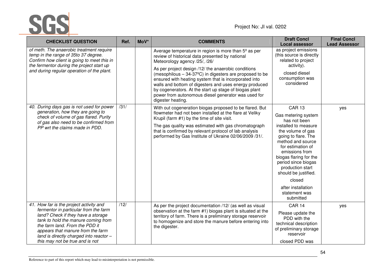SGS

| <b>CHECKLIST QUESTION</b>                                                                                                                                                                                                                                                                                          | Ref. | MoV* | <b>COMMENTS</b>                                                                                                                                                                                                                                                                                                                                                                                                                                                                                                                          | <b>Draft Concl</b><br><b>Local assessor</b>                                                                                                                                                                                                                                                                                                     | <b>Final Concl</b><br><b>Lead Assessor</b> |
|--------------------------------------------------------------------------------------------------------------------------------------------------------------------------------------------------------------------------------------------------------------------------------------------------------------------|------|------|------------------------------------------------------------------------------------------------------------------------------------------------------------------------------------------------------------------------------------------------------------------------------------------------------------------------------------------------------------------------------------------------------------------------------------------------------------------------------------------------------------------------------------------|-------------------------------------------------------------------------------------------------------------------------------------------------------------------------------------------------------------------------------------------------------------------------------------------------------------------------------------------------|--------------------------------------------|
| of meth. The anaerobic treatment require<br>temp in the range of 35to 37 degree.<br>Confirm how client is going to meet this in<br>the fermentor during the project start up<br>and during regular operation of the plant.                                                                                         |      |      | Average temperature in region is more than 5 <sup>°</sup> as per<br>review of historical data presented by national<br>Meteorology agency /25/, /26/<br>As per project design /12/ the anaerobic conditions<br>(mesophilous $-34-37^{\circ}C$ ) in digesters are proposed to be<br>ensured with heating system that is incorporated into<br>walls and bottom of digesters and uses energy produced<br>by cogenerators. At the start up stage of biogas plant<br>power from autonomous diesel generator was used for<br>digester heating. | as project emissions<br>(this source is directly<br>related to project<br>activity).<br>closed diesel<br>consumption was<br>considered                                                                                                                                                                                                          |                                            |
| 40. During days gas is not used for power<br>generation, how they are going to<br>check of volume of gas flared. Purity<br>of gas also need to be confirmed from<br>PP wrt the claims made in PDD.                                                                                                                 | /31/ |      | With out cogeneration biogas proposed to be flared. But<br>flowmeter had not been installed at the flare at Veliky<br>Krupil (farm #1) by the time of site visit.<br>The gas quality was estimated with gas chromatograph<br>that is confirmed by relevant protocol of lab analysis<br>performed by Gas Institute of Ukraine 02/06/2009 /31/.                                                                                                                                                                                            | <b>CAR 13</b><br>Gas metering system<br>has not been<br>installed to measure<br>the volume of gas<br>going to flare. The<br>method and source<br>for estimation of<br>emissions from<br>biogas flaring for the<br>period since biogas<br>production start<br>should be justified.<br>closed<br>after installation<br>statement was<br>submitted | yes                                        |
| 41. How far is the project activity and<br>fermentor in particular from the farm<br>land? Check if they have a storage<br>tank to hold the manure coming from<br>the farm land. From the PDD it<br>appears that manure from the farm<br>land is directly charged into reactor -<br>this may not be true and is not | /12/ |      | As per the project documentation /12/ (as well as visual<br>observation at the farm #1) biogas plant is situated at the<br>territory of farm. There is a preliminary storage reservoir<br>to homogenize and store the manure before entering into<br>the digester.                                                                                                                                                                                                                                                                       | <b>CAR 14</b><br>Please update the<br>PDD with the<br>technical description<br>of preliminary storage<br>reservoir<br>closed PDD was                                                                                                                                                                                                            | yes                                        |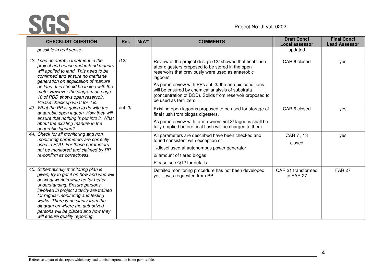

| <b>CHECKLIST QUESTION</b>                                                                                                                                                                                                                                                                                                                                                                     | Ref.     | MoV* | <b>COMMENTS</b>                                                                                                                                                                                                                                                                                                                                                                           | <b>Draft Concl</b><br><b>Local assessor</b> | <b>Final Concl</b><br><b>Lead Assessor</b> |
|-----------------------------------------------------------------------------------------------------------------------------------------------------------------------------------------------------------------------------------------------------------------------------------------------------------------------------------------------------------------------------------------------|----------|------|-------------------------------------------------------------------------------------------------------------------------------------------------------------------------------------------------------------------------------------------------------------------------------------------------------------------------------------------------------------------------------------------|---------------------------------------------|--------------------------------------------|
| possible in real sense.                                                                                                                                                                                                                                                                                                                                                                       |          |      |                                                                                                                                                                                                                                                                                                                                                                                           | updated                                     |                                            |
| 42. I see no aerobic treatment in the<br>project and hence understand manure<br>will applied to land. This need to be<br>confirmed and ensure no methane<br>generation on application of manure<br>on land. It is should be in line with the<br>meth. However the diagram on page<br>10 of PDD shows open reservoir.<br>Please check up what for it is.                                       | /12/     |      | Review of the project design /12/ showed that final flush<br>after digesters proposed to be stored in the open<br>reservoirs that previously were used as anaerobic<br>lagoons.<br>As per interview with PPs /int. 3/ the aerobic conditions<br>will be ensured by chemical analysis of substrata<br>(concentration of BOD). Solids from reservoir proposed to<br>be used as fertilizers. | CAR 6 closed                                | yes                                        |
| 43. What the PP is going to do with the<br>anaerobic open lagoon. How they will<br>ensure that nothing is put into it. What<br>about the existing manure in the<br>anaerobic lagoon?                                                                                                                                                                                                          | /int. 3/ |      | Existing open lagoons proposed to be used for storage of<br>final flush from biogas digesters.<br>As per interview with farm owners /int.3/ lagoons shall be<br>fully emptied before final flush will be charged to them.                                                                                                                                                                 | CAR 6 closed                                | yes                                        |
| 44. Check for all monitoring and non<br>monitoring parameters are correctly<br>used in PDD. For those parameters<br>not be monitored and claimed by PP<br>re-confirm its correctness.                                                                                                                                                                                                         |          |      | All parameters are described have been checked and<br>found consistent with exception of<br>1/diesel used at autonomous power generator<br>2/ amount of flared biogas<br>Please see Q12 for details.                                                                                                                                                                                      | CAR 7, 13<br>closed                         | yes                                        |
| 45. Schematically monitoring plan is<br>given, try to get it on how and who will<br>do what work in write up for better<br>understanding. Ensure persons<br>involved in project activity are trained<br>for regular monitoring and testing<br>works. There is no clarity from the<br>diagram on where the authorized<br>persons will be placed and how they<br>will ensure quality reporting. |          |      | Detailed monitoring procedure has not been developed<br>yet. It was requested from PP.                                                                                                                                                                                                                                                                                                    | CAR 21 transformed<br>to FAR 27             | <b>FAR 27</b>                              |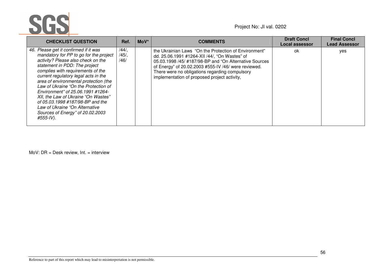

| <b>CHECKLIST QUESTION</b>                                                                                                                                                                                                                                                                                                                                                                                                                                                                                               | Ref.                         | $M o V^*$ | <b>COMMENTS</b>                                                                                                                                                                                                                                                                                                            | <b>Draft Concl</b><br>Local assessor | <b>Final Concl</b><br><b>Lead Assessor</b> |
|-------------------------------------------------------------------------------------------------------------------------------------------------------------------------------------------------------------------------------------------------------------------------------------------------------------------------------------------------------------------------------------------------------------------------------------------------------------------------------------------------------------------------|------------------------------|-----------|----------------------------------------------------------------------------------------------------------------------------------------------------------------------------------------------------------------------------------------------------------------------------------------------------------------------------|--------------------------------------|--------------------------------------------|
| 46. Please get it confirmed if it was<br>mandatory for PP to go for the project<br>activity? Please also check on the<br>statement in PDD: The project<br>complies with requirements of the<br>current regulatory legal acts in the<br>area of environmental protection (the<br>Law of Ukraine "On the Protection of<br>Environment" of 25.06.1991 #1264-<br>XII, the Law of Ukraine "On Wastes"<br>of 05.03.1998 #187/98-BP and the<br>Law of Ukraine "On Alternative<br>Sources of Energy" of 20.02.2003<br>#555-IV). | $/44/$ ,<br>$/45/$ ,<br>/46/ |           | the Ukrainian Laws "On the Protection of Environment"<br>dd. 25.06.1991 #1264-XII /44/, "On Wastes" of<br>05.03.1998 /45/ #187/98-BP and "On Alternative Sources<br>of Energy" of 20.02.2003 #555-IV /46/ were reviewed.<br>There were no obligations regarding compulsory<br>implementation of proposed project activity, | 0k                                   | yes                                        |

MoV: DR = Desk review, Int. = interview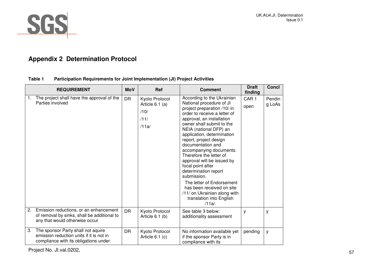

# **Appendix 2 Determination Protocol**

|    | <b>REQUIREMENT</b>                                                                                                      | <b>MoV</b> | <b>Ref</b>                                                   | <b>Comment</b>                                                                                                                                                                                                                                                                                                                                                                                                                                                                                                                                                            | <b>Draft</b><br>finding  | <b>Concl</b>     |
|----|-------------------------------------------------------------------------------------------------------------------------|------------|--------------------------------------------------------------|---------------------------------------------------------------------------------------------------------------------------------------------------------------------------------------------------------------------------------------------------------------------------------------------------------------------------------------------------------------------------------------------------------------------------------------------------------------------------------------------------------------------------------------------------------------------------|--------------------------|------------------|
|    | The project shall have the approval of the<br>Parties involved                                                          | <b>DR</b>  | Kyoto Protocol<br>Article $6.1$ (a)<br>/10/<br>/11/<br>/11a/ | According to the Ukrainian<br>National procedure of JI<br>project preparation /10/ in<br>order to receive a letter of<br>approval, an installation<br>owner shall submit to the<br>NEIA (national DFP) an<br>application, determination<br>report, project design<br>documentation and<br>accompanying documents.<br>Therefore the letter of<br>approval will be issued by<br>focal point after<br>determination report<br>submission.<br>The letter of Endorsement<br>has been received on site<br>/11/ on Ukrainian along with<br>translation into English<br>$/11a/$ . | CAR <sub>1</sub><br>open | Pendin<br>g LoAs |
| 2. | Emission reductions, or an enhancement<br>of removal by sinks, shall be additional to<br>any that would otherwise occur | DR.        | Kyoto Protocol<br>Article 6.1 (b)                            | See table 3 below:<br>additionality assessment                                                                                                                                                                                                                                                                                                                                                                                                                                                                                                                            | y                        | y                |
| 3. | The sponsor Party shall not aquire<br>emission reduction units if it is not in<br>compliance with its obligations under | <b>DR</b>  | Kyoto Protocol<br>Article 6.1 (c)                            | No information available yet<br>if the sponsor Party is in<br>compliance with its                                                                                                                                                                                                                                                                                                                                                                                                                                                                                         | pending                  | У                |

### **Table 1 Participation Requirements for Joint Implementation (JI) Project Activities**

Project No. Jl.val.0202, 57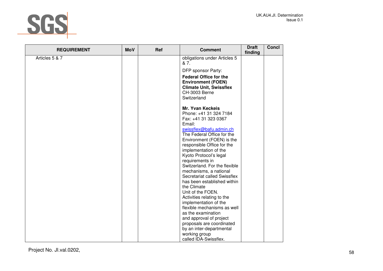

| <b>REQUIREMENT</b> | <b>MoV</b> | Ref | <b>Comment</b>                            | <b>Draft</b><br>finding | <b>Concl</b> |
|--------------------|------------|-----|-------------------------------------------|-------------------------|--------------|
| Articles 5 & 7     |            |     | obligations under Articles 5<br>& 7.      |                         |              |
|                    |            |     | DFP sponsor Party:                        |                         |              |
|                    |            |     | <b>Federal Office for the</b>             |                         |              |
|                    |            |     | <b>Environment (FOEN)</b>                 |                         |              |
|                    |            |     | <b>Climate Unit, Swissflex</b>            |                         |              |
|                    |            |     | CH-3003 Berne                             |                         |              |
|                    |            |     | Switzerland                               |                         |              |
|                    |            |     | <b>Mr. Yvan Keckeis</b>                   |                         |              |
|                    |            |     | Phone: +41 31 324 7184                    |                         |              |
|                    |            |     | Fax: +41 31 323 0367                      |                         |              |
|                    |            |     | Email:                                    |                         |              |
|                    |            |     | swissflex@bafu.admin.ch                   |                         |              |
|                    |            |     | The Federal Office for the                |                         |              |
|                    |            |     | Environment (FOEN) is the                 |                         |              |
|                    |            |     | responsible Office for the                |                         |              |
|                    |            |     | implementation of the                     |                         |              |
|                    |            |     | Kyoto Protocol's legal<br>requirements in |                         |              |
|                    |            |     | Switzerland. For the flexible             |                         |              |
|                    |            |     | mechanisms, a national                    |                         |              |
|                    |            |     | Secretariat called Swissflex              |                         |              |
|                    |            |     | has been established within               |                         |              |
|                    |            |     | the Climate                               |                         |              |
|                    |            |     | Unit of the FOEN.                         |                         |              |
|                    |            |     | Activities relating to the                |                         |              |
|                    |            |     | implementation of the                     |                         |              |
|                    |            |     | flexible mechanisms as well               |                         |              |
|                    |            |     | as the examination                        |                         |              |
|                    |            |     | and approval of project                   |                         |              |
|                    |            |     | proposals are coordinated                 |                         |              |
|                    |            |     | by an inter-departmental                  |                         |              |
|                    |            |     | working group                             |                         |              |
|                    |            |     | called IDA-Swissflex.                     |                         |              |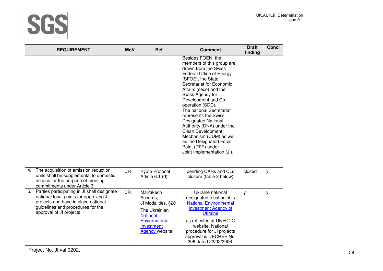

| <b>REQUIREMENT</b>                                                                                                                                                                                 | <b>MoV</b> | Ref                                                                                                                                     | <b>Comment</b>                                                                                                                                                                                                                                                                                                                                                                                                                                                                                   | <b>Draft</b><br>finding | <b>Concl</b> |
|----------------------------------------------------------------------------------------------------------------------------------------------------------------------------------------------------|------------|-----------------------------------------------------------------------------------------------------------------------------------------|--------------------------------------------------------------------------------------------------------------------------------------------------------------------------------------------------------------------------------------------------------------------------------------------------------------------------------------------------------------------------------------------------------------------------------------------------------------------------------------------------|-------------------------|--------------|
|                                                                                                                                                                                                    |            |                                                                                                                                         | Besides FOEN, the<br>members of this group are<br>drawn from the Swiss<br>Federal Office of Energy<br>(SFOE), the State<br>Secretariat for Economic<br>Affairs (seco) and the<br>Swiss Agency for<br>Development and Co-<br>operation (SDC).<br>The national Secretariat<br>represents the Swiss<br><b>Designated National</b><br>Authority (DNA) under the<br><b>Clean Development</b><br>Mechanism (CDM) as well<br>as the Designated Focal<br>Point (DFP) under<br>Joint Implementation (JI). |                         |              |
| The acquisition of emission reduction<br>4.<br>units shall be supplemental to domestic<br>actions for the purpose of meeting<br>commitments under Article 3                                        | <b>DR</b>  | Kyoto Protocol<br>Article 6.1 (d)                                                                                                       | pending CARs and CLs<br>closure (table 3 below)                                                                                                                                                                                                                                                                                                                                                                                                                                                  | closed                  | у            |
| Parties participating in JI shall designate<br>5.<br>national focal points for approving JI<br>projects and have in place national<br>guidelines and procedures for the<br>approval of JI projects | <b>DR</b>  | Marrakech<br>Accords,<br>JI Modalities, §20<br>The Ukrainian<br><b>National</b><br>Environmental<br>Investment<br><b>Agency</b> website | Ukraine national<br>designated focal point is<br><b>National Environmental</b><br><b>Investment Agency of</b><br><b>Ukraine</b><br>as reflected at UNFCCC<br>website. National<br>procedure for JI projects<br>approval is DECREE No.<br>206 dated 22/02/2006.                                                                                                                                                                                                                                   | y                       | y            |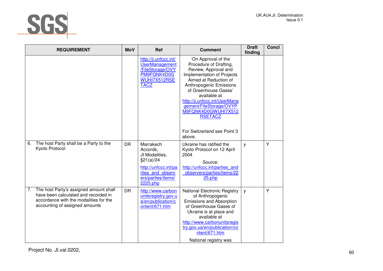

| <b>REQUIREMENT</b>                                                                                                                                            | <b>MoV</b> | <b>Ref</b>                                                                                                                          | <b>Comment</b>                                                                                                                                                                                                                                                                                                                      | <b>Draft</b><br>finding | <b>Concl</b> |
|---------------------------------------------------------------------------------------------------------------------------------------------------------------|------------|-------------------------------------------------------------------------------------------------------------------------------------|-------------------------------------------------------------------------------------------------------------------------------------------------------------------------------------------------------------------------------------------------------------------------------------------------------------------------------------|-------------------------|--------------|
|                                                                                                                                                               |            | http://ji.unfccc.int/<br><b>UserManagement</b><br>/FileStorage/OVY<br>PM9FQNK4D0G<br>WUHI7X512RSE<br><b>TACZ</b>                    | 'On Approval of the<br>Procedure of Drafting,<br>Review, Approval and<br>Implementation of Projects<br>Aimed at Reduction of<br>Anthropogenic Emissions<br>of Greenhouse Gases'<br>available at<br>http://ji.unfccc.int/UserMana<br>gement/FileStorage/OVYP<br>M9FQNK4D0GWUHI7X512<br><b>RSETACZ</b><br>For Switzerland see Point 3 |                         |              |
|                                                                                                                                                               |            |                                                                                                                                     | above.                                                                                                                                                                                                                                                                                                                              |                         |              |
| The host Party shall be a Party to the<br>6.<br>Kyoto Protocol                                                                                                | <b>DR</b>  | Marrakech<br>Accords,<br>JI Modalities,<br>\$21(a)/24<br>http://unfccc.int/pa<br>rties and observ<br>ers/parties/items/<br>2225.php | Ukraine has ratified the<br>Kyoto Protocol on 12 April<br>2004<br>Source:<br>http://unfccc.int/parties and<br>observers/parties/items/22<br>25.php                                                                                                                                                                                  | y                       | Υ            |
| 7. The host Party's assigned amount shall<br>have been calculated and recorded in<br>accordance with the modalities for the<br>accounting of assigned amounts | <b>DR</b>  | http://www.carbon<br>unitsregistry.gov.u<br>a/en/publication/c<br>ontent/671.htm                                                    | National Electronic Registry<br>of Anthropogenic<br>Emissions and Absorption<br>of Greenhouse Gases of<br>Ukraine is at place and<br>available at<br>http://www.carbonunitsregis<br>try.gov.ua/en/publication/co<br>ntent/671.htm<br>National registry was                                                                          | y                       | Y            |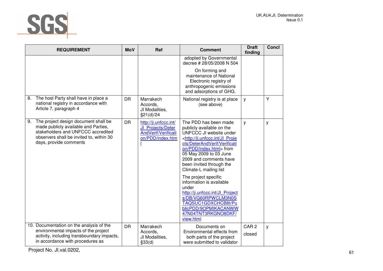

| <b>REQUIREMENT</b>                                                                                                                                                                             | <b>MoV</b> | Ref                                                                                   | <b>Comment</b>                                                                                                                                                                                                                                                                                                                                                                                                                                                                                                                  | <b>Draft</b><br>finding    | <b>Concl</b> |
|------------------------------------------------------------------------------------------------------------------------------------------------------------------------------------------------|------------|---------------------------------------------------------------------------------------|---------------------------------------------------------------------------------------------------------------------------------------------------------------------------------------------------------------------------------------------------------------------------------------------------------------------------------------------------------------------------------------------------------------------------------------------------------------------------------------------------------------------------------|----------------------------|--------------|
|                                                                                                                                                                                                |            |                                                                                       | adopted by Governmental<br>decree # 28/05/2008 N 504                                                                                                                                                                                                                                                                                                                                                                                                                                                                            |                            |              |
|                                                                                                                                                                                                |            |                                                                                       | On forming and<br>maintenance of National<br>Electronic registry of<br>anthropogenic emissions<br>and adsorptions of GHG.                                                                                                                                                                                                                                                                                                                                                                                                       |                            |              |
| The host Party shall have in place a<br>8.<br>national registry in accordance with<br>Article 7, paragraph 4                                                                                   | <b>DR</b>  | Marrakech<br>Accords,<br>JI Modalities,<br>§21(d)/24                                  | National registry is at place<br>(see above)                                                                                                                                                                                                                                                                                                                                                                                                                                                                                    | y                          | Y            |
| The project design document shall be<br>9.<br>made publicly available and Parties,<br>stakeholders and UNFCCC accredited<br>observers shall be invited to, within 30<br>days, provide comments | <b>DR</b>  | http://ji.unfccc.int/<br>JI Projects/Deter<br>AndVerif/Verificati<br>on/PDD/index.htm | The PDD has been made<br>publicly available on the<br>UNFCCC JI website under<br><http: ji.unfccc.int="" jl="" proje<br="">cts/DeterAndVerif/Verificati<br/>on/PDD/index.html&gt; from<br/>05 May 2009 to 03 June<br/>2009 and comments have<br/>been invited through the<br/>Climate-L mailing list<br/>The project specific<br/>information is available<br/>under<br/>http://ji.unfccc.int/Jl Project<br/>s/DB/VG60RPWCLM3N0S<br/>TAQSUC1GDXCHCB8I/Pu<br/>blicPDD/9OPMIKACANWW<br/>47N04TNT3RKGNO8DKF/<br/>view.html</http:> | y                          | У            |
| 10. Documentation on the analysis of the<br>environmental impacts of the project<br>activity, including transboundary impacts,<br>in accordance with procedures as                             | <b>DR</b>  | Marrakech<br>Accords,<br>JI Modalities,<br>\$33(d)                                    | Documents on<br>Environmental effects from<br>both parts of the project<br>were submitted to validator                                                                                                                                                                                                                                                                                                                                                                                                                          | CAR <sub>2</sub><br>closed | y            |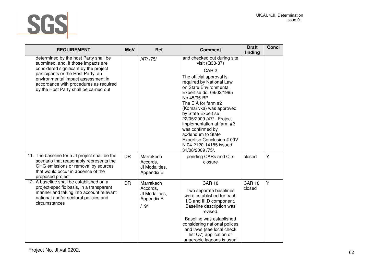

| <b>REQUIREMENT</b>                                                                                                                                                                                                                                                                     | <b>MoV</b> | Ref                                                           | <b>Comment</b>                                                                                                                                                                                                                                                                                                                                                                                                                                         | <b>Draft</b><br>finding | Concl |
|----------------------------------------------------------------------------------------------------------------------------------------------------------------------------------------------------------------------------------------------------------------------------------------|------------|---------------------------------------------------------------|--------------------------------------------------------------------------------------------------------------------------------------------------------------------------------------------------------------------------------------------------------------------------------------------------------------------------------------------------------------------------------------------------------------------------------------------------------|-------------------------|-------|
| determined by the host Party shall be<br>submitted, and, if those impacts are<br>considered significant by the project<br>participants or the Host Party, an<br>environmental impact assessment in<br>accordance with procedures as required<br>by the Host Party shall be carried out |            | /47/ /75/                                                     | and checked out during site<br>visit (Q33-37)<br>CAR <sub>2</sub><br>The official approval is<br>required by National Law<br>on State Environmental<br>Expertise dd. 09/02/1995<br>No 45/95-BP<br>The EIA for farm #2<br>(Komarivka) was approved<br>by State Expertise<br>22/05/2009 /47/ . Project<br>implementation at farm #2<br>was confirmed by<br>addendum to State<br>Expertise Conclusion # 09V<br>N 04-2120-14185 issued<br>31/08/2009 /75/. |                         |       |
| 11. The baseline for a JI project shall be the<br>scenario that reasonably represents the<br>GHG emissions or removal by sources<br>that would occur in absence of the<br>proposed project                                                                                             | <b>DR</b>  | Marrakech<br>Accords.<br>JI Modalities,<br>Appendix B         | pending CARs and CLs<br>closure                                                                                                                                                                                                                                                                                                                                                                                                                        | closed                  | Y     |
| 12. A baseline shall be established on a<br>project-specific basis, in a transparent<br>manner and taking into account relevant<br>national and/or sectoral policies and<br>circumstances                                                                                              | <b>DR</b>  | Marrakech<br>Accords,<br>JI Modalities,<br>Appendix B<br>/19/ | <b>CAR 18</b><br>Two separate baselines<br>were established for each<br>I.C and III.D component.<br>Baseline description was<br>revised.<br>Baseline was established<br>considering national polices<br>and laws (see local check<br>list Q7) application of<br>anaerobic lagoons is usual                                                                                                                                                             | <b>CAR 18</b><br>closed | Y     |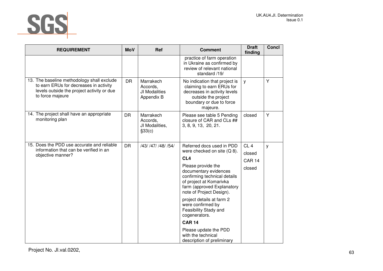

| <b>REQUIREMENT</b>                                                                                                                                     | <b>MoV</b> | Ref                                                  | <b>Comment</b>                                                                                                                                                                                                                                                                                                                                                                        | <b>Draft</b><br>finding                              | <b>Concl</b> |
|--------------------------------------------------------------------------------------------------------------------------------------------------------|------------|------------------------------------------------------|---------------------------------------------------------------------------------------------------------------------------------------------------------------------------------------------------------------------------------------------------------------------------------------------------------------------------------------------------------------------------------------|------------------------------------------------------|--------------|
|                                                                                                                                                        |            |                                                      | practice of farm operation<br>in Ukraine as confirmed by<br>review of relevant national<br>standard /19/                                                                                                                                                                                                                                                                              |                                                      |              |
| 13. The baseline methodology shall exclude<br>to earn ERUs for decreases in activity<br>levels outside the project activity or due<br>to force majeure | <b>DR</b>  | Marrakech<br>Accords,<br>JI Modalities<br>Appendix B | No indication that project is<br>claiming to earn ERUs for<br>decreases in activity levels<br>outside the project<br>boundary or due to force<br>majeure.                                                                                                                                                                                                                             | y                                                    | Y            |
| 14. The project shall have an appropriate<br>monitoring plan                                                                                           | <b>DR</b>  | Marrakech<br>Accords,<br>JI Modalities,<br>§33(c)    | Please see table 5 Pending<br>closure of CAR and CLs ##<br>3, 8, 9, 13, 20, 21.                                                                                                                                                                                                                                                                                                       | closed                                               | Y            |
| 15. Does the PDD use accurate and reliable<br>information that can be verified in an<br>objective manner?                                              | <b>DR</b>  | /43/ /47/ /48/ /54/                                  | Referred docs used in PDD<br>were checked on site (Q 8).<br>CL <sub>4</sub><br>Please provide the<br>documentary evidences<br>confirming technical details<br>of project at Komarivka<br>farm (approved Explanatory<br>note of Project Design).<br>project details at farm 2<br>were confirmed by<br>Feasibility Stady and<br>cogenerators.<br><b>CAR 14</b><br>Please update the PDD | CL <sub>4</sub><br>closed<br><b>CAR 14</b><br>closed | y            |
|                                                                                                                                                        |            |                                                      | with the technical<br>description of preliminary                                                                                                                                                                                                                                                                                                                                      |                                                      |              |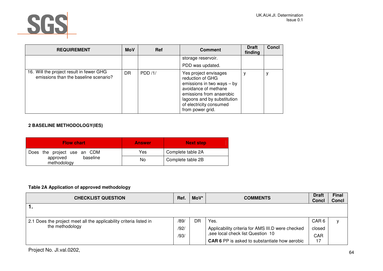

| <b>REQUIREMENT</b>                                                                | <b>MoV</b> | Ref    | <b>Comment</b>                                                                                                                                                                                              | <b>Draft</b><br>finding | <b>Concl</b> |
|-----------------------------------------------------------------------------------|------------|--------|-------------------------------------------------------------------------------------------------------------------------------------------------------------------------------------------------------------|-------------------------|--------------|
|                                                                                   |            |        | storage reservoir.                                                                                                                                                                                          |                         |              |
|                                                                                   |            |        | PDD was updated.                                                                                                                                                                                            |                         |              |
| 16. Will the project result in fewer GHG<br>emissions than the baseline scenario? | <b>DR</b>  | PDD/1/ | Yes project envisages<br>reduction of GHG<br>emissions in two ways $-$ by<br>avoidance of methane<br>emissions from anaerobic<br>lagoons and by substitution<br>of electricity consumed<br>from power grid. | у                       |              |

# **2 BASELINE METHODOLOGY(IES)**

| <b>Flow chart</b>                   | <b>Answer</b> | <b>Next step</b>  |
|-------------------------------------|---------------|-------------------|
| Does the project use an CDM         | Yes           | Complete table 2A |
| baseline<br>approved<br>methodology | No            | Complete table 2B |

# **Table 2A Application of approved methodology**

| <b>CHECKLIST QUESTION</b>                                          | Ref. | MoV* | <b>COMMENTS</b>                                      | <b>Draft</b><br><b>Concl</b> | <b>Final</b><br><b>Concl</b> |
|--------------------------------------------------------------------|------|------|------------------------------------------------------|------------------------------|------------------------------|
|                                                                    |      |      |                                                      |                              |                              |
| 2.1 Does the project meet all the applicability criteria listed in | /89/ | DR   | Yes.                                                 | CAR <sub>6</sub>             |                              |
| the methodology                                                    | /92/ |      | Applicability criteria for AMS III.D were checked    | closed                       |                              |
|                                                                    | /93/ |      | , see local check list Question 10                   | <b>CAR</b>                   |                              |
|                                                                    |      |      | <b>CAR 6</b> PP is asked to substantiate how aerobic | 17                           |                              |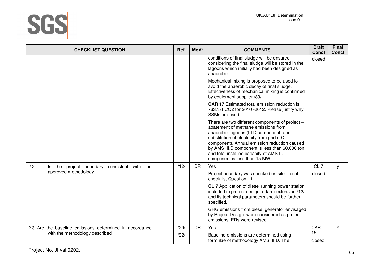

| <b>CHECKLIST QUESTION</b>                               | Ref. | MoV*      | <b>COMMENTS</b>                                                                                                                                                                                                                                                                                                                                               | <b>Draft</b><br><b>Concl</b> | <b>Final</b><br><b>Concl</b> |
|---------------------------------------------------------|------|-----------|---------------------------------------------------------------------------------------------------------------------------------------------------------------------------------------------------------------------------------------------------------------------------------------------------------------------------------------------------------------|------------------------------|------------------------------|
|                                                         |      |           | conditions of final sludge will be ensured<br>considering the final sludge will be stored in the<br>lagoons which initially had been designed as<br>anaerobic.                                                                                                                                                                                                | closed                       |                              |
|                                                         |      |           | Mechanical mixing is proposed to be used to<br>avoid the anaerobic decay of final sludge.<br>Effectiveness of mechanical mixing is confirmed<br>by equipment supplier /89/.                                                                                                                                                                                   |                              |                              |
|                                                         |      |           | <b>CAR 17</b> Estimated total emission reduction is<br>76375 t CO2 for 2010 - 2012. Please justify why<br>SSMs are used.                                                                                                                                                                                                                                      |                              |                              |
|                                                         |      |           | There are two different components of project -<br>abatement of methane emissions from<br>anaerobic lagoons (III.D component) and<br>substitution of electricity from grid (I.C<br>component). Annual emission reduction caused<br>by AMS III.D component is less than 60,000 ton<br>and total installed capacity of AMS I.C<br>component is less than 15 MW. |                              |                              |
| 2.2<br>Is the project boundary<br>consistent with the   | /12/ | <b>DR</b> | Yes                                                                                                                                                                                                                                                                                                                                                           | CL7                          | y                            |
| approved methodology                                    |      |           | Project boundary was checked on site. Local<br>check list Question 11.                                                                                                                                                                                                                                                                                        | closed                       |                              |
|                                                         |      |           | CL 7 Application of diesel running power station<br>included in project design of farm extension /12/<br>and its technical parameters should be further<br>specified.                                                                                                                                                                                         |                              |                              |
|                                                         |      |           | GHG emissions from diesel generator envisaged<br>by Project Design were considered as project<br>emissions. ERs were revised.                                                                                                                                                                                                                                 |                              |                              |
| 2.3 Are the baseline emissions determined in accordance | /29/ | <b>DR</b> | Yes                                                                                                                                                                                                                                                                                                                                                           | CAR                          | Y                            |
| with the methodology described                          | /92/ |           | Baseline emissions are determined using<br>formulae of methodology AMS III.D. The                                                                                                                                                                                                                                                                             | 15<br>closed                 |                              |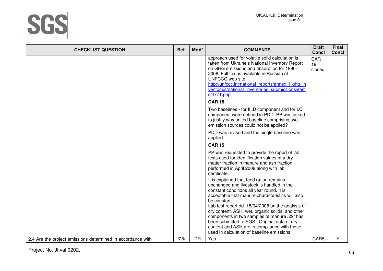

| <b>CHECKLIST QUESTION</b>                                   | Ref. | MoV*      | <b>COMMENTS</b>                                                                                                                                                                                                                                                                                                                                         | <b>Draft</b><br><b>Concl</b> | <b>Final</b><br><b>Concl</b> |
|-------------------------------------------------------------|------|-----------|---------------------------------------------------------------------------------------------------------------------------------------------------------------------------------------------------------------------------------------------------------------------------------------------------------------------------------------------------------|------------------------------|------------------------------|
|                                                             |      |           | approach used for volatile solid calculation is<br>taken from Ukraine's National Inventory Report<br>on GHG emissions and absorption for 1990-<br>2006. Full text is available in Russian at<br>UNFCCC web site:<br>http://unfccc.int/national reports/annex i ghg in<br>ventories/national inventories submissions/item<br>s/4771.php<br><b>CAR 18</b> | <b>CAR</b><br>18<br>closed   |                              |
|                                                             |      |           | Two baselines - for III.D component and for I.C<br>component were defined in PDD. PP was asked<br>to justify why united baseline comprising two<br>emission sources could not be applied?                                                                                                                                                               |                              |                              |
|                                                             |      |           | PDD was revised and the single baseline was<br>applied.                                                                                                                                                                                                                                                                                                 |                              |                              |
|                                                             |      |           | <b>CAR 15</b><br>PP was requested to provide the report of lab<br>tests used for identification values of a dry<br>matter fraction in manure and ash fraction<br>performed in April 2008 along with lab<br>certificate.                                                                                                                                 |                              |                              |
|                                                             |      |           | It is explained that feed ration remains<br>unchanged and livestock is handled in the<br>constant conditions all year round. It is<br>acceptable that manure characteristics will also<br>be constant.<br>Lab test report dd. 18/04/2008 on the analysis of                                                                                             |                              |                              |
|                                                             |      |           | dry content, ASH, wet, organic solids, and other<br>components in two samples of manure /29/ has<br>been submitted to SGS. Original data of dry<br>content and ASH are in compliance with those<br>used in calculation of baseline emissions.                                                                                                           |                              |                              |
| 2.4 Are the project emissions determined in accordance with | /28/ | <b>DR</b> | Yes                                                                                                                                                                                                                                                                                                                                                     | CAR5                         | Y                            |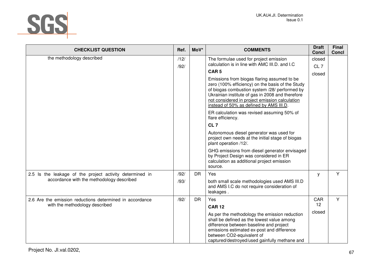

| <b>CHECKLIST QUESTION</b>                                | Ref.         | MoV*      | <b>COMMENTS</b>                                                                                                                                                                                                                                                                                   | <b>Draft</b><br><b>Concl</b> | <b>Final</b><br><b>Concl</b> |
|----------------------------------------------------------|--------------|-----------|---------------------------------------------------------------------------------------------------------------------------------------------------------------------------------------------------------------------------------------------------------------------------------------------------|------------------------------|------------------------------|
| the methodology described                                | /12/<br>/92/ |           | The formulae used for project emission<br>calculation is in line with AMC III.D. and I.C                                                                                                                                                                                                          | closed<br>CL <sub>7</sub>    |                              |
|                                                          |              |           | CAR <sub>5</sub>                                                                                                                                                                                                                                                                                  | closed                       |                              |
|                                                          |              |           | Emissions from biogas flaring assumed to be<br>zero (100% efficiency) on the basis of the Study<br>of biogas combustion system /28/ performed by<br>Ukrainian institute of gas in 2008 and therefore<br>not considered in project emission calculation<br>instead of 50% as defined by AMS III.D. |                              |                              |
|                                                          |              |           | ER calculation was revised assuming 50% of<br>flare efficiency.                                                                                                                                                                                                                                   |                              |                              |
|                                                          |              |           | CL <sub>7</sub>                                                                                                                                                                                                                                                                                   |                              |                              |
|                                                          |              |           | Autonomous diesel generator was used for<br>project own needs at the initial stage of biogas<br>plant operation /12/.                                                                                                                                                                             |                              |                              |
|                                                          |              |           | GHG emissions from diesel generator envisaged<br>by Project Design was considered in ER<br>calculation as additional project emission<br>source.                                                                                                                                                  |                              |                              |
| 2.5 Is the leakage of the project activity determined in | /92/         | <b>DR</b> | Yes                                                                                                                                                                                                                                                                                               | у                            | Y                            |
| accordance with the methodology described                | /93/         |           | both small scale methodologies used AMS III.D<br>and AMS I.C do not require consideration of<br>leakages.                                                                                                                                                                                         |                              |                              |
| 2.6 Are the emission reductions determined in accordance | /92/         | <b>DR</b> | Yes                                                                                                                                                                                                                                                                                               | CAR                          | Y                            |
| with the methodology described                           |              |           | <b>CAR 12</b>                                                                                                                                                                                                                                                                                     | 12                           |                              |
|                                                          |              |           | As per the methodology the emission reduction<br>shall be defined as the lowest value among<br>difference between baseline and project<br>emissions estimated ex-post and difference<br>between CO2-equivalent of<br>captured/destroyed/used gainfully methane and                                | closed                       |                              |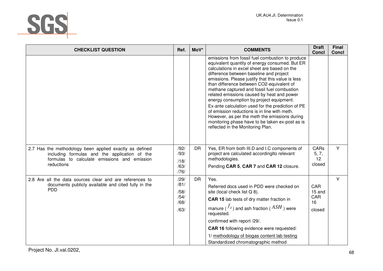

| <b>CHECKLIST QUESTION</b>                                                                                                                                              | Ref.                                         | MoV*      | <b>COMMENTS</b>                                                                                                                                                                                                                                                                                                                                                                                                                                                                                                                                                                                                                                                                        | <b>Draft</b><br><b>Concl</b>         | <b>Final</b><br>Concl |
|------------------------------------------------------------------------------------------------------------------------------------------------------------------------|----------------------------------------------|-----------|----------------------------------------------------------------------------------------------------------------------------------------------------------------------------------------------------------------------------------------------------------------------------------------------------------------------------------------------------------------------------------------------------------------------------------------------------------------------------------------------------------------------------------------------------------------------------------------------------------------------------------------------------------------------------------------|--------------------------------------|-----------------------|
|                                                                                                                                                                        |                                              |           | emissions from fossil fuel combustion to produce<br>equivalent quantity of energy consumed. But ER<br>calculations in excel sheet are based on the<br>difference between baseline and project<br>emissions. Please justify that this value is less<br>than difference between CO2-equivalent of<br>methane captured and fossil fuel combustion<br>related emissions caused by heat and power<br>energy consumption by project equipment.<br>Ex-ante calculation used for the prediction of PE<br>of emission reductions is in line with meth.<br>However, as per the meth the emissions during<br>monitoring phase have to be taken ex-post as is<br>reflected in the Monitoring Plan. |                                      |                       |
| 2.7 Has the methodology been applied exactly as defined<br>including formulas and the application of the<br>formulas to calculate emissions and emission<br>reductions | /92/<br>/93/<br>/18/<br>/63/<br>/76/         | <b>DR</b> | Yes, ER from both III.D and I.C components of<br>project are calculated accordingIto relevant<br>methodologies.<br>Pending CAR 5, CAR 7 and CAR 12 closure.                                                                                                                                                                                                                                                                                                                                                                                                                                                                                                                            | CARs<br>5, 7,<br>12<br>closed        | Y                     |
| 2.8 Are all the data sources clear and are references to<br>documents publicly available and cited fully in the<br><b>PDD</b>                                          | /29/<br>/81/<br>/58/<br>/54/<br>/68/<br>/63/ | <b>DR</b> | Yes.<br>Referred docs used in PDD were checked on<br>site (local check list Q 8).<br><b>CAR 15</b> lab tests of dry matter fraction in<br>manure ( $J_d$ ) and ash fraction ( $\overline{ASH}$ ) were<br>requested.<br>confirmed with report /29/.<br><b>CAR 16 following evidence were requested:</b><br>1/ methodology of biogas content lab testing<br>Standardized chromatographic method                                                                                                                                                                                                                                                                                          | CAR<br>15 and<br>CAR<br>16<br>closed | Y                     |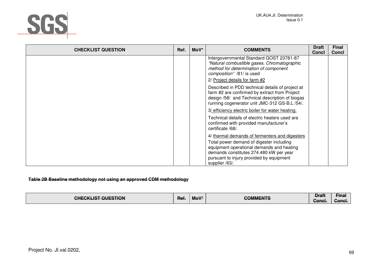

| <b>CHECKLIST QUESTION</b> | Ref. | MoV* | <b>COMMENTS</b>                                                                                                                                                                                       | <b>Draft</b><br><b>Concl</b> | <b>Final</b><br><b>Concl</b> |
|---------------------------|------|------|-------------------------------------------------------------------------------------------------------------------------------------------------------------------------------------------------------|------------------------------|------------------------------|
|                           |      |      | Intergovernmental Standard GOST 23781-87<br>"Natural combustible gases. Chromatographic<br>method for determination of component<br>composition" /81/ is used<br>2/ Project details for farm #2       |                              |                              |
|                           |      |      | Described in PDD technical details of project at<br>farm #2 are confirmed by extract from Project<br>design /58/ and Technical description of biogas<br>running cogenerator unit JMC-312 GS-B.L /54/. |                              |                              |
|                           |      |      | 3/ efficiency electric boiler for water heating.                                                                                                                                                      |                              |                              |
|                           |      |      | Technical details of electric heaters used are<br>confirmed with provided manufacturer's<br>certificate /68/.                                                                                         |                              |                              |
|                           |      |      | 4/ thermal demands of fermenters and digesters                                                                                                                                                        |                              |                              |
|                           |      |      | Total power demand of digester including<br>equipment operational demands and heating<br>demands constitutes 274.480 kW per year<br>pursuant to injury provided by equipment<br>supplier /63/.        |                              |                              |

#### **Table 2B Baseline methodology not using an approved CDM methodology**

| T OLIESTION<br>EGKI IGT.<br>זור<br><del>UNEURENT UULUNUN</del> | Ref. | $M \cap V^*$<br><b>MOV</b> | COMMENTS<br><del>oommen o</del> | <b>Draft</b><br>Concl. | <del>Fina</del><br><u>one</u><br><del>oomor.</del> |
|----------------------------------------------------------------|------|----------------------------|---------------------------------|------------------------|----------------------------------------------------|
|----------------------------------------------------------------|------|----------------------------|---------------------------------|------------------------|----------------------------------------------------|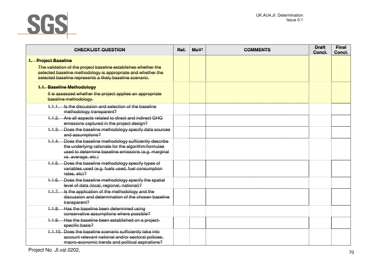

| <b>CHECKLIST QUESTION</b>                                                                                                                                                                                         | Ref. | $M_0V^*$ | <b>COMMENTS</b> | <b>Draft</b><br>Concl. | <b>Final</b><br>Concl. |
|-------------------------------------------------------------------------------------------------------------------------------------------------------------------------------------------------------------------|------|----------|-----------------|------------------------|------------------------|
| 1. Project Baseline<br>The validation of the project baseline establishes whether the<br>selected baseline methodology is appropriate and whether the<br>selected baseline represents a likely baseline scenario. |      |          |                 |                        |                        |
| 1.1. Baseline Methodology<br>It is assessed whether the project applies an appropriate<br>baseline methodology.                                                                                                   |      |          |                 |                        |                        |
| 1.1.1. Is the discussion and selection of the baseline<br>methodology transparent?                                                                                                                                |      |          |                 |                        |                        |
| Are all aspects related to direct and indirect GHG<br>4.1.2.<br>emissions captured in the project design?                                                                                                         |      |          |                 |                        |                        |
| 1.1.3. Does the baseline methodology specify data sources<br>and assumptions?                                                                                                                                     |      |          |                 |                        |                        |
| 1.1.4. Does the baseline methodology sufficiently describe<br>the underlying rationale for the algorithm/formulae<br>used to determine baseline emissions (e.g. marginal<br>vs. average, etc.)                    |      |          |                 |                        |                        |
| 1.1.5. Does the baseline methodology specify types of<br>variables used (e.g. fuels used, fuel consumption<br>rates, etc)?                                                                                        |      |          |                 |                        |                        |
| 1.1.6. Does the baseline methodology specify the spatial<br>level of data (local, regional, national)?                                                                                                            |      |          |                 |                        |                        |
| 1.1.7. Is the application of the methodology and the<br>discussion and determination of the chosen baseline<br>transparent?                                                                                       |      |          |                 |                        |                        |
| Has the baseline been determined using<br>1.1.8.<br>conservative assumptions where possible?                                                                                                                      |      |          |                 |                        |                        |
| 1.1.9. Has the baseline been established on a project-<br>specific basis?                                                                                                                                         |      |          |                 |                        |                        |
| 1.1.10. Does the baseline scenario sufficiently take into<br>account relevant national and/or sectoral policies.<br>macro-economic trends and political aspirations?                                              |      |          |                 |                        |                        |

Project No. JI.val.0202, 2002, 2008, 2009, 2009, 2009, 2009, 2009, 2009, 2009, 2009, 2009, 2009, 2009, 2009, 20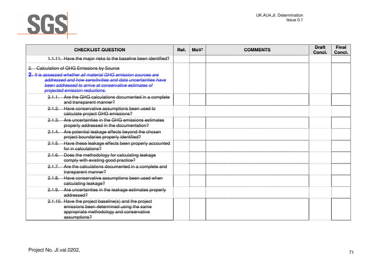

| <b>CHECKLIST QUESTION</b>                                                                                            | Ref. | $MoV*$ | <b>COMMENTS</b> | <b>Draft</b><br>Concl. | <b>Final</b><br>Concl. |
|----------------------------------------------------------------------------------------------------------------------|------|--------|-----------------|------------------------|------------------------|
| 1.1.11. Have the major risks to the baseline been identified?                                                        |      |        |                 |                        |                        |
| <b>Calculation of GHG Emissions by Source</b>                                                                        |      |        |                 |                        |                        |
| 2. It is assessed whether all material GHG emission sources are                                                      |      |        |                 |                        |                        |
| addressed and how sensitivities and data uncertainties have<br>been addressed to arrive at conservative estimates of |      |        |                 |                        |                        |
| projected emission reductions.                                                                                       |      |        |                 |                        |                        |
| 2.1.1. Are the GHG calculations documented in a complete<br>and transparent manner?                                  |      |        |                 |                        |                        |
| 2.1.2. Have conservative assumptions been used to<br>calculate project GHG emissions?                                |      |        |                 |                        |                        |
| 2.1.3. Are uncertainties in the GHG emissions estimates<br>properly addressed in the documentation?                  |      |        |                 |                        |                        |
| 2.1.4. Are potential leakage effects beyond the chosen<br>project boundaries properly identified?                    |      |        |                 |                        |                        |
| 2.1.5. Have these leakage effects been properly accounted<br>for in calculations?                                    |      |        |                 |                        |                        |
| 2.1.6. Does the methodology for calculating leakage<br>comply with existing good practice?                           |      |        |                 |                        |                        |
| 2.1.7. Are the calculations documented in a complete and<br>transparent manner?                                      |      |        |                 |                        |                        |
| 2.1.8. Have conservative assumptions been used when<br>calculating leakage?                                          |      |        |                 |                        |                        |
| 2.1.9. Are uncertainties in the leakage estimates properly<br>addressed?                                             |      |        |                 |                        |                        |
| 2.1.10. Have the project baseline(s) and the project                                                                 |      |        |                 |                        |                        |
| emissions been determined using the same                                                                             |      |        |                 |                        |                        |
| appropriate methodology and conservative                                                                             |      |        |                 |                        |                        |
| assumptions?                                                                                                         |      |        |                 |                        |                        |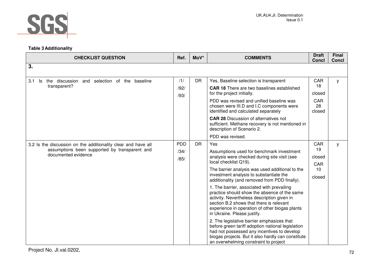

### **Table 3 Additionality**

| <b>CHECKLIST QUESTION</b>                                                                                                             | Ref.                       | MoV*      | <b>COMMENTS</b>                                                                                                                                                                                                                                                                                                                                                                                                                                                                                                                                                                                                                                                                                                                                                                                            | <b>Draft</b><br><b>Concl</b>               | Final<br><b>Concl</b> |
|---------------------------------------------------------------------------------------------------------------------------------------|----------------------------|-----------|------------------------------------------------------------------------------------------------------------------------------------------------------------------------------------------------------------------------------------------------------------------------------------------------------------------------------------------------------------------------------------------------------------------------------------------------------------------------------------------------------------------------------------------------------------------------------------------------------------------------------------------------------------------------------------------------------------------------------------------------------------------------------------------------------------|--------------------------------------------|-----------------------|
| 3.                                                                                                                                    |                            |           |                                                                                                                                                                                                                                                                                                                                                                                                                                                                                                                                                                                                                                                                                                                                                                                                            |                                            |                       |
| the discussion and selection of the baseline<br>3.1<br>ls.<br>transparent?                                                            | /1/<br>/92/<br>/93/        | <b>DR</b> | Yes, Baseline selection is transparent<br><b>CAR 18</b> There are two baselines established<br>for the project initially.<br>PDD was revised and unified baseline was<br>chosen were III.D and I.C components were<br>identified and calculated separately<br><b>CAR 28 Discussion of alternatives not</b><br>sufficient. Methane recovery is not mentioned in<br>description of Scenario 2.<br>PDD was revised.                                                                                                                                                                                                                                                                                                                                                                                           | CAR<br>18<br>closed<br>CAR<br>28<br>closed | У                     |
| 3.2 Is the discussion on the additionality clear and have all<br>assumptions been supported by transparent and<br>documented evidence | <b>PDD</b><br>/34/<br>/85/ | <b>DR</b> | <b>Yes</b><br>Assumptions used for benchmark investment<br>analysis were checked during site visit (see<br>local checklist Q19).<br>The barrier analysis was used additional to the<br>investment analysis to substantiate the<br>additionality (and removed from PDD finally).<br>1. The barrier, associated with prevailing<br>practice should show the absence of the same<br>activity. Nevertheless description given in<br>section B.2 shows that there is relevant<br>experience in operation of other biogas plants<br>in Ukraine. Please justify.<br>2. The legislative barrier emphasizes that<br>before green tariff adoption national legislation<br>had not possessed any incentives to develop<br>biogas projects. But it also hardly can constitute<br>an overwhelming constraint to project | CAR<br>19<br>closed<br>CAR<br>10<br>closed | У                     |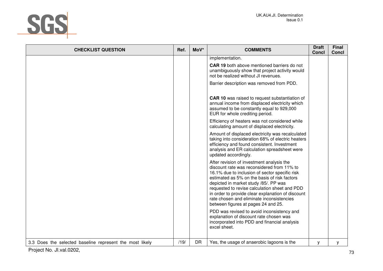

| <b>CHECKLIST QUESTION</b>                                | Ref. | MoV*      | <b>COMMENTS</b>                                                                                                                                                                                                                                                                                                                                                                                                              | <b>Draft</b><br><b>Concl</b> | <b>Final</b><br><b>Concl</b> |
|----------------------------------------------------------|------|-----------|------------------------------------------------------------------------------------------------------------------------------------------------------------------------------------------------------------------------------------------------------------------------------------------------------------------------------------------------------------------------------------------------------------------------------|------------------------------|------------------------------|
|                                                          |      |           | implementation.                                                                                                                                                                                                                                                                                                                                                                                                              |                              |                              |
|                                                          |      |           | <b>CAR 19</b> both above mentioned barriers do not<br>unambiguously show that project activity would<br>not be realized without JI revenues.                                                                                                                                                                                                                                                                                 |                              |                              |
|                                                          |      |           | Barrier description was removed from PDD.                                                                                                                                                                                                                                                                                                                                                                                    |                              |                              |
|                                                          |      |           | <b>CAR 10</b> was raised to request substantiation of<br>annual income from displaced electricity which<br>assumed to be constantly equal to 929,000<br>EUR for whole crediting period.                                                                                                                                                                                                                                      |                              |                              |
|                                                          |      |           | Efficiency of heaters was not considered while<br>calculating amount of displaced electricity.                                                                                                                                                                                                                                                                                                                               |                              |                              |
|                                                          |      |           | Amount of displaced electricity was recalculated<br>taking into consideration 68% of electric heaters<br>efficiency and found consistent. Investment<br>analysis and ER calculation spreadsheet were<br>updated accordingly.                                                                                                                                                                                                 |                              |                              |
|                                                          |      |           | After revision of investment analysis the<br>discount rate was reconsidered from 11% to<br>16.1% due to inclusion of sector specific risk<br>estimated as 5% on the basis of risk factors<br>depicted in market study /85/. PP was<br>requested to revise calculation sheet and PDD<br>in order to provide clear explanation of discount<br>rate chosen and eliminate inconsistencies<br>between figures at pages 24 and 25. |                              |                              |
|                                                          |      |           | PDD was revised to avoid inconsistency and<br>explanation of discount rate chosen was<br>incorporated into PDD and financial analysis<br>excel sheet.                                                                                                                                                                                                                                                                        |                              |                              |
| 3.3 Does the selected baseline represent the most likely | /19/ | <b>DR</b> | Yes, the usage of anaerobic lagoons is the                                                                                                                                                                                                                                                                                                                                                                                   | y                            | У                            |
| Project No. Jl.val.0202,                                 |      |           |                                                                                                                                                                                                                                                                                                                                                                                                                              |                              | 73                           |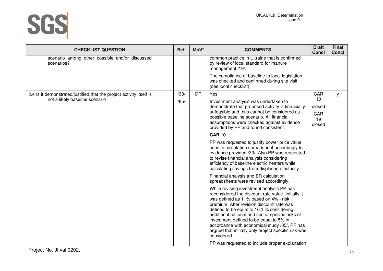

| Ref. | MoV*      | <b>COMMENTS</b>                                                                                                                                                                                                                                                                                                                                                                                                                                           | <b>Draft</b><br>Concl                                                                               | <b>Final</b><br><b>Concl</b> |
|------|-----------|-----------------------------------------------------------------------------------------------------------------------------------------------------------------------------------------------------------------------------------------------------------------------------------------------------------------------------------------------------------------------------------------------------------------------------------------------------------|-----------------------------------------------------------------------------------------------------|------------------------------|
|      |           | common practice in Ukraine that is confirmed<br>by review of local standard for manure<br>management /19/.                                                                                                                                                                                                                                                                                                                                                |                                                                                                     |                              |
|      |           | The compliance of baseline to local legislation<br>was checked and confirmed during site visit<br>(see local checklist)                                                                                                                                                                                                                                                                                                                                   |                                                                                                     |                              |
| /33/ | <b>DR</b> | Yes.                                                                                                                                                                                                                                                                                                                                                                                                                                                      | CAR                                                                                                 | У                            |
| /85/ |           | Investment analysis was undertaken to                                                                                                                                                                                                                                                                                                                                                                                                                     |                                                                                                     |                              |
|      |           | unfeasible and thus cannot be considered as<br>possible baseline scenario. All financial<br>assumptions were checked against evidence<br>provided by PP and found consistent.                                                                                                                                                                                                                                                                             | CAR<br>19<br>closed                                                                                 |                              |
|      |           | <b>CAR 10</b>                                                                                                                                                                                                                                                                                                                                                                                                                                             |                                                                                                     |                              |
|      |           | PP was requested to justify power price value<br>used in calculation spreadsheet accordingly to<br>evidence provided /33/. Also PP was requested<br>to revise financial analysis considering<br>efficiency of baseline electric heaters while<br>calculating savings from displaced electricity.                                                                                                                                                          |                                                                                                     |                              |
|      |           | Financial analysis and ER calculation<br>spreadsheets were revised accordingly.                                                                                                                                                                                                                                                                                                                                                                           |                                                                                                     |                              |
|      |           | While revising investment analysis PP has<br>reconsidered the discount rate value. Initially it<br>was defined as 11% based on 4% - risk<br>premium. After revision discount rate was<br>defined to be equal to 16.1 % considering<br>additional national and sector specific risks of<br>investment defined to be equal to 5% in<br>accordance with economical study /85/. PP has<br>argued that initially only project specific risk was<br>considered. |                                                                                                     |                              |
|      |           |                                                                                                                                                                                                                                                                                                                                                                                                                                                           | demonstrate that proposed activity is financially<br>PP was requested to include proper explanation | 10<br>closed                 |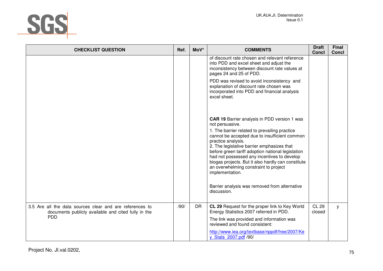

| <b>CHECKLIST QUESTION</b>                                                                                                     | Ref. | MoV*      | <b>COMMENTS</b>                                                                                                                                                                                                                                                                                                                                                                                                                                                                                                                    | <b>Draft</b><br><b>Concl</b> | <b>Final</b><br><b>Concl</b> |
|-------------------------------------------------------------------------------------------------------------------------------|------|-----------|------------------------------------------------------------------------------------------------------------------------------------------------------------------------------------------------------------------------------------------------------------------------------------------------------------------------------------------------------------------------------------------------------------------------------------------------------------------------------------------------------------------------------------|------------------------------|------------------------------|
|                                                                                                                               |      |           | of discount rate chosen and relevant reference<br>into PDD and excel sheet and adjust the<br>inconsistency between discount rate values at<br>pages 24 and 25 of PDD.                                                                                                                                                                                                                                                                                                                                                              |                              |                              |
|                                                                                                                               |      |           | PDD was revised to avoid inconsistency and<br>explanation of discount rate chosen was<br>incorporated into PDD and financial analysis<br>excel sheet.                                                                                                                                                                                                                                                                                                                                                                              |                              |                              |
|                                                                                                                               |      |           | <b>CAR 19 Barrier analysis in PDD version 1 was</b><br>not persuasive.<br>1. The barrier related to prevailing practice<br>cannot be accepted due to insufficient common<br>practice analysis.<br>2. The legislative barrier emphasizes that<br>before green tariff adoption national legislation<br>had not possessed any incentives to develop<br>biogas projects. But it also hardly can constitute<br>an overwhelming constraint to project<br>implementation.<br>Barrier analysis was removed from alternative<br>discussion. |                              |                              |
| 3.5 Are all the data sources clear and are references to<br>documents publicly available and cited fully in the<br><b>PDD</b> | /90/ | <b>DR</b> | CL 29 Request for the proper link to Key World<br>Energy Statistics 2007 referred in PDD.<br>The link was provided and information was<br>reviewed and found consistent:<br>http://www.iea.org/textbase/nppdf/free/2007/Ke<br>y Stats 2007.pdf /90/                                                                                                                                                                                                                                                                                | <b>CL 29</b><br>closed       | y                            |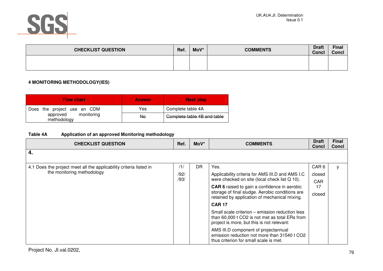

| <b>CHECKLIST QUESTION</b> | Ref. | MoV* | <b>COMMENTS</b> | <b>Draft</b><br><b>Concl</b> | <b>Final</b><br><b>Concl</b> |
|---------------------------|------|------|-----------------|------------------------------|------------------------------|
|                           |      |      |                 |                              |                              |

### **4 MONITORING METHODOLOGY(IES)**

| <b>Flow chart</b>                     | <b>Answer</b> | <b>Next step</b>            |
|---------------------------------------|---------------|-----------------------------|
| Does the project use an CDM           | Yes           | Complete table 4A           |
| monitoring<br>approved<br>methodology | No            | Complete table 4B and table |

### **Table 4A Application of an approved Monitoring methodology**

| <b>CHECKLIST QUESTION</b>                                          | Ref. | MoV*      | <b>COMMENTS</b>                                                                                                                                 | <b>Draft</b><br>Concl | <b>Final</b><br><b>Concl</b> |
|--------------------------------------------------------------------|------|-----------|-------------------------------------------------------------------------------------------------------------------------------------------------|-----------------------|------------------------------|
| 4.                                                                 |      |           |                                                                                                                                                 |                       |                              |
| 4.1 Does the project meet all the applicability criteria listed in | /1/  | <b>DR</b> | Yes.                                                                                                                                            | CAR <sub>6</sub>      | У                            |
| the monitoring methodology                                         | /92/ |           | Applicability criteria for AMS III.D and AMS I.C                                                                                                | closed                |                              |
|                                                                    | /93/ |           | were checked on site (local check list Q 10).                                                                                                   | <b>CAR</b>            |                              |
|                                                                    |      |           | <b>CAR 6</b> raised to gain a confidence in aerobic                                                                                             | 17                    |                              |
|                                                                    |      |           | storage of final sludge. Aerobic conditions are<br>retained by application of mechanical mixing.                                                | closed                |                              |
|                                                                    |      |           | <b>CAR 17</b>                                                                                                                                   |                       |                              |
|                                                                    |      |           | Small scale criterion – emission reduction less<br>than 60,000 t CO2 is not met as total ERs from<br>project is more, but this is not relevant: |                       |                              |
|                                                                    |      |           | AMS III.D component of projectannual<br>emission reduction not more than 31540 t CO2<br>thus criterion for small scale is met.                  |                       |                              |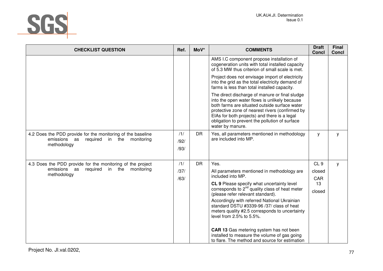

| <b>CHECKLIST QUESTION</b>                                                                                                   | Ref.                | MoV*      | <b>COMMENTS</b>                                                                                                                                                                                                                                                                                                           | <b>Draft</b><br><b>Concl</b> | <b>Final</b><br><b>Concl</b> |
|-----------------------------------------------------------------------------------------------------------------------------|---------------------|-----------|---------------------------------------------------------------------------------------------------------------------------------------------------------------------------------------------------------------------------------------------------------------------------------------------------------------------------|------------------------------|------------------------------|
|                                                                                                                             |                     |           | AMS I.C component propose installation of<br>cogeneration units with total installed capacity<br>of 5.3 MW thus criterion of small scale is met.                                                                                                                                                                          |                              |                              |
|                                                                                                                             |                     |           | Project does not envisage import of electricity<br>into the grid as the total electricity demand of<br>farms is less than total installed capacity.                                                                                                                                                                       |                              |                              |
|                                                                                                                             |                     |           | The direct discharge of manure or final sludge<br>into the open water flows is unlikely because<br>both farms are situated outside surface water<br>protective zone of nearest rivers (confirmed by<br>EIAs for both projects) and there is a legal<br>obligation to prevent the pollution of surface<br>water by manure. |                              |                              |
| 4.2 Does the PDD provide for the monitoring of the baseline<br>required in the<br>emissions as<br>monitoring<br>methodology | /1/<br>/92/<br>/93/ | <b>DR</b> | Yes, all parameters mentioned in methodology<br>are included into MP.                                                                                                                                                                                                                                                     | y                            | у                            |
| 4.3 Does the PDD provide for the monitoring of the project                                                                  | /1/                 | <b>DR</b> | Yes.                                                                                                                                                                                                                                                                                                                      | CL <sub>9</sub>              | y                            |
| emissions as<br>required in the<br>monitoring<br>methodology                                                                | /37/                |           | All parameters mentioned in methodology are<br>included into MP.                                                                                                                                                                                                                                                          | closed                       |                              |
|                                                                                                                             | /63/                |           | CL 9 Please specify what uncertainty level                                                                                                                                                                                                                                                                                | CAR<br>13                    |                              |
|                                                                                                                             |                     |           | corresponds to $2^{nd}$ quality class of heat meter<br>(please refer relevant standard).                                                                                                                                                                                                                                  | closed                       |                              |
|                                                                                                                             |                     |           | Accordingly with referred National Ukrainian<br>standard DSTU #3339-96 /37/ class of heat                                                                                                                                                                                                                                 |                              |                              |
|                                                                                                                             |                     |           | meters quality #2.5 corresponds to uncertainty<br>level from 2.5% to 5.5%.                                                                                                                                                                                                                                                |                              |                              |
|                                                                                                                             |                     |           | CAR 13 Gas metering system has not been<br>installed to measure the volume of gas going<br>to flare. The method and source for estimation                                                                                                                                                                                 |                              |                              |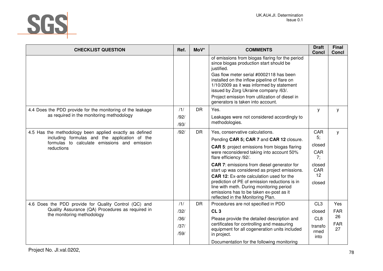

| <b>CHECKLIST QUESTION</b>                                                                                                                                              | Ref. | MoV*      | <b>COMMENTS</b>                                                                                                                                                              | <b>Draft</b><br><b>Concl</b>       | <b>Final</b><br>Concl |
|------------------------------------------------------------------------------------------------------------------------------------------------------------------------|------|-----------|------------------------------------------------------------------------------------------------------------------------------------------------------------------------------|------------------------------------|-----------------------|
|                                                                                                                                                                        |      |           | of emissions from biogas flaring for the period<br>since biogas production start should be<br>justified.                                                                     |                                    |                       |
|                                                                                                                                                                        |      |           | Gas flow meter serial #0002118 has been<br>installed on the inflow pipeline of flare on<br>1/10/2009 as it was informed by statement<br>issued by Zorg Ukraine company /63/. |                                    |                       |
|                                                                                                                                                                        |      |           | Project emission from utilization of diesel in<br>generators is taken into account.                                                                                          |                                    |                       |
| 4.4 Does the PDD provide for the monitoring of the leakage                                                                                                             | /1/  | <b>DR</b> | Yes.                                                                                                                                                                         | У                                  | у                     |
| as required in the monitoring methodology                                                                                                                              | /92/ |           | Leakages were not considered accordingly to                                                                                                                                  |                                    |                       |
|                                                                                                                                                                        | /93/ |           | methodologies.                                                                                                                                                               |                                    |                       |
| 4.5 Has the methodology been applied exactly as defined<br>including formulas and the application of the<br>formulas to calculate emissions and emission<br>reductions | /92/ | <b>DR</b> | Yes, conservative calculations.                                                                                                                                              | CAR                                | y                     |
|                                                                                                                                                                        |      |           | Pending CAR 5; CAR 7 and CAR 12 closure.                                                                                                                                     | 5:                                 |                       |
|                                                                                                                                                                        |      |           | <b>CAR 5:</b> project emissions from biogas flaring<br>were reconsidered taking into account 50%<br>flare efficiency /92/.                                                   | closed<br>CAR<br>7:                |                       |
|                                                                                                                                                                        |      |           | <b>CAR 7: emissions from diesel generator for</b><br>start up was considered as project emissions.<br><b>CAR 12:</b> Ex-ante calculation used for the                        | closed<br>CAR<br>$12 \overline{ }$ |                       |
|                                                                                                                                                                        |      |           | prediction of PE of emission reductions is in<br>line with meth. During monitoring period<br>emissions has to be taken ex-post as it<br>reflected in the Monitoring Plan.    | closed                             |                       |
| 4.6 Does the PDD provide for Quality Control (QC) and                                                                                                                  | /1/  | <b>DR</b> | Procedures are not specified in PDD                                                                                                                                          | CL <sub>3</sub>                    | Yes                   |
| Quality Assurance (QA) Procedures as required in<br>the monitoring methodology                                                                                         | /32/ |           | CL <sub>3</sub>                                                                                                                                                              | closed                             | <b>FAR</b>            |
|                                                                                                                                                                        | /36/ |           | Please provide the detailed description and                                                                                                                                  | CL <sub>8</sub>                    | 26                    |
|                                                                                                                                                                        | /37/ |           | certificates for controlling and measuring<br>equipment for all cogeneration units included                                                                                  | transfo                            | <b>FAR</b><br>27      |
|                                                                                                                                                                        | /59/ |           | in project.                                                                                                                                                                  | rmed<br>into                       |                       |
|                                                                                                                                                                        |      |           | Documentation for the following monitoring                                                                                                                                   |                                    |                       |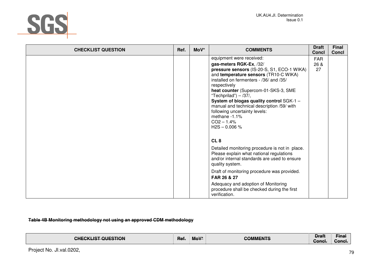

| <b>CHECKLIST QUESTION</b> | Ref. | MoV* | <b>COMMENTS</b>                                         | <b>Draft</b><br><b>Concl</b> | <b>Final</b><br>Concl |
|---------------------------|------|------|---------------------------------------------------------|------------------------------|-----------------------|
|                           |      |      | equipment were received:                                | <b>FAR</b>                   |                       |
|                           |      |      | gas-meters RGK-Ex, /32/                                 | 26 &                         |                       |
|                           |      |      | pressure sensors (IS-20-S, S1, ECO-1 WIKA)              | 27                           |                       |
|                           |      |      | and temperature sensors (TR10-C WIKA)                   |                              |                       |
|                           |      |      | installed on fermenters - /36/ and /35/<br>respectively |                              |                       |
|                           |      |      | heat counter (Supercom-01-SKS-3, SME                    |                              |                       |
|                           |      |      | "Techprilad") $-$ /37/,                                 |                              |                       |
|                           |      |      | System of biogas quality control SGK-1 -                |                              |                       |
|                           |      |      | manual and technical description /59/ with              |                              |                       |
|                           |      |      | following uncertainty levels:<br>methane -1.1%          |                              |                       |
|                           |      |      | $CO2 - 1.4%$                                            |                              |                       |
|                           |      |      | $H2S - 0.006 %$                                         |                              |                       |
|                           |      |      |                                                         |                              |                       |
|                           |      |      | CL <sub>8</sub>                                         |                              |                       |
|                           |      |      | Detailed monitoring procedure is not in place.          |                              |                       |
|                           |      |      | Please explain what national regulations                |                              |                       |
|                           |      |      | and/or internal standards are used to ensure            |                              |                       |
|                           |      |      | quality system.                                         |                              |                       |
|                           |      |      | Draft of monitoring procedure was provided.             |                              |                       |
|                           |      |      | FAR 26 & 27                                             |                              |                       |
|                           |      |      | Adequacy and adoption of Monitoring                     |                              |                       |
|                           |      |      | procedure shall be checked during the first             |                              |                       |
|                           |      |      | verification.                                           |                              |                       |

**Table 4B Monitoring methodology not using an approved CDM methodology** 

| <b>IST OLIESTION</b><br>.<br><del>טוובטמבוטו עטבטווטוז</del> | $M \cap V^*$<br>Ket.<br>$\cdot$ mo $\cdot$ | -11-0<br>$\mathbf{m}$<br><del>oomman o</del> | <u> Irott</u><br>ыш<br>™onel<br><del>oonor.</del> | --<br>Final<br>Conc. |
|--------------------------------------------------------------|--------------------------------------------|----------------------------------------------|---------------------------------------------------|----------------------|
|                                                              |                                            |                                              |                                                   |                      |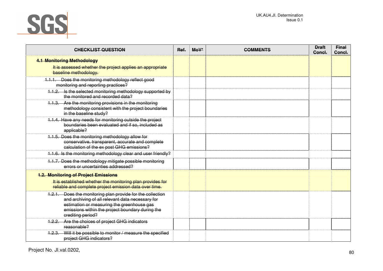

| <b>CHECKLIST QUESTION</b>                                                                                                                                                                                                             | Ref. | $M_0V^*$ | <b>COMMENTS</b> | <b>Draft</b><br>Concl. | <b>Final</b><br>Concl. |
|---------------------------------------------------------------------------------------------------------------------------------------------------------------------------------------------------------------------------------------|------|----------|-----------------|------------------------|------------------------|
| <b>4.1 Monitoring Methodology</b>                                                                                                                                                                                                     |      |          |                 |                        |                        |
| It is assessed whether the project applies an appropriate<br>baseline methodology.                                                                                                                                                    |      |          |                 |                        |                        |
| 1.1.1. Does the monitoring methodology reflect good<br>monitoring and reporting practices?                                                                                                                                            |      |          |                 |                        |                        |
| 1.1.2. Is the selected monitoring methodology supported by<br>the monitored and recorded data?                                                                                                                                        |      |          |                 |                        |                        |
| 1.1.3. Are the monitoring provisions in the monitoring<br>methodology consistent with the project boundaries<br>in the baseline study?                                                                                                |      |          |                 |                        |                        |
| 1.1.4. Have any needs for monitoring outside the project<br>boundaries been evaluated and if so, included as<br>applicable?                                                                                                           |      |          |                 |                        |                        |
| 1.1.5. Does the monitoring methodology allow for<br>conservative, transparent, accurate and complete<br>calculation of the ex post GHG emissions?                                                                                     |      |          |                 |                        |                        |
| 1.1.6. Is the monitoring methodology clear and user friendly?                                                                                                                                                                         |      |          |                 |                        |                        |
| 1.1.7. Does the methodology mitigate possible monitoring<br>errors or uncertainties addressed?                                                                                                                                        |      |          |                 |                        |                        |
| <b>1.2. Monitoring of Project Emissions</b><br>It is established whether the monitoring plan provides for<br>reliable and complete project emission data over time.                                                                   |      |          |                 |                        |                        |
| 1.2.1. Does the monitoring plan provide for the collection<br>and archiving of all relevant data necessary for<br>estimation or measuring the greenhouse gas<br>emissions within the project boundary during the<br>crediting period? |      |          |                 |                        |                        |
| Are the choices of project GHG indicators<br>4.2.2.<br>reasonable?                                                                                                                                                                    |      |          |                 |                        |                        |
| 1.2.3. Will it be possible to monitor / measure the specified<br>project GHG indicators?                                                                                                                                              |      |          |                 |                        |                        |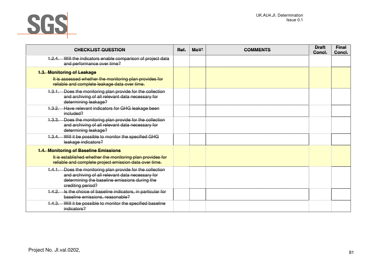

| <b>CHECKLIST QUESTION</b>                                                                                                                                                            | Ref. | $M*$ | <b>COMMENTS</b> | <b>Draft</b><br>Concl. | <b>Final</b><br>Concl. |
|--------------------------------------------------------------------------------------------------------------------------------------------------------------------------------------|------|------|-----------------|------------------------|------------------------|
| 1.2.4. Will the indicators enable comparison of project data<br>and performance over time?                                                                                           |      |      |                 |                        |                        |
| <b>1.3. Monitoring of Leakage</b>                                                                                                                                                    |      |      |                 |                        |                        |
| It is assessed whether the monitoring plan provides for<br>reliable and complete leakage data over time.                                                                             |      |      |                 |                        |                        |
| 1.3.1. Does the monitoring plan provide for the collection<br>and archiving of all relevant data necessary for<br>determining leakage?                                               |      |      |                 |                        |                        |
| 1.3.2. Have relevant indicators for GHG leakage been<br>included?                                                                                                                    |      |      |                 |                        |                        |
| 1.3.3. Does the monitoring plan provide for the collection<br>and archiving of all relevant data necessary for<br>determining leakage?                                               |      |      |                 |                        |                        |
| 1.3.4. Will it be possible to monitor the specified GHG<br>leakage indicators?                                                                                                       |      |      |                 |                        |                        |
| <b>1.4. Monitoring of Baseline Emissions</b>                                                                                                                                         |      |      |                 |                        |                        |
| It is established whether the monitoring plan provides for<br>reliable and complete project emission data over time.                                                                 |      |      |                 |                        |                        |
| 1.4.1. Does the monitoring plan provide for the collection<br>and archiving of all relevant data necessary for<br>determining the baseline emissions during the<br>erediting period? |      |      |                 |                        |                        |
| Is the choice of baseline indicators, in particular for<br>4.4.2.<br>baseline emissions, reasonable?                                                                                 |      |      |                 |                        |                        |
| 1.4.3. Will it be possible to monitor the specified baseline<br>indicators?                                                                                                          |      |      |                 |                        |                        |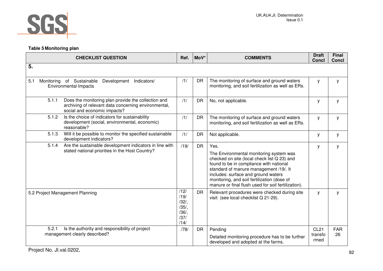

# **Table 5 Monitoring plan**

| <b>CHECKLIST QUESTION</b>                                                                                                                            | Ref.                                                 | MoV*      | <b>COMMENTS</b>                                                                                                                                                                                                                                                                                                                  | <b>Draft</b><br><b>Concl</b>   | Final<br><b>Concl</b> |
|------------------------------------------------------------------------------------------------------------------------------------------------------|------------------------------------------------------|-----------|----------------------------------------------------------------------------------------------------------------------------------------------------------------------------------------------------------------------------------------------------------------------------------------------------------------------------------|--------------------------------|-----------------------|
| 5.                                                                                                                                                   |                                                      |           |                                                                                                                                                                                                                                                                                                                                  |                                |                       |
| 5.1<br>Indicators/<br>Monitoring of Sustainable<br>Development<br><b>Environmental Impacts</b>                                                       | /1/                                                  | <b>DR</b> | The monitoring of surface and ground waters<br>monitoring, and soil fertilization as well as ERs.                                                                                                                                                                                                                                | У                              | У                     |
| 5.1.1<br>Does the monitoring plan provide the collection and<br>archiving of relevant data concerning environmental,<br>social and economic impacts? | /1/                                                  | <b>DR</b> | No, not applicable.                                                                                                                                                                                                                                                                                                              | y                              | y                     |
| 5.1.2<br>Is the choice of indicators for sustainability<br>development (social, environmental, economic)<br>reasonable?                              | /1/                                                  | <b>DR</b> | The monitoring of surface and ground waters<br>monitoring, and soil fertilization as well as ERs.                                                                                                                                                                                                                                | У                              | у                     |
| Will it be possible to monitor the specified sustainable<br>5.1.3<br>development indicators?                                                         | /1/                                                  | <b>DR</b> | Not applicable.                                                                                                                                                                                                                                                                                                                  | у                              | у                     |
| Are the sustainable development indicators in line with<br>5.1.4<br>stated national priorities in the Host Country?                                  | /19/                                                 | <b>DR</b> | Yes.<br>The Environmental monitoring system was<br>checked on site (local check list Q 23) and<br>found to be in compliance with national<br>standard of manure management /19/. It<br>includes: surface and ground waters<br>monitoring, and soil fertilization (dose of<br>manure or final flush used for soil fertilization). | У                              | y                     |
| 5.2 Project Management Planning                                                                                                                      | /12/<br>/19/<br>/32/<br>/35/<br>/36/<br>/37/<br>/14/ | <b>DR</b> | Relevant procedures were checked during site<br>visit (see local checklist Q 21-29).                                                                                                                                                                                                                                             | У                              | y                     |
| Is the authority and responsibility of project<br>5.2.1<br>management clearly described?                                                             | /78/                                                 | <b>DR</b> | Pending<br>Detailed monitoring procedure has to be further<br>developed and adopted at the farms.                                                                                                                                                                                                                                | <b>CL21</b><br>transfo<br>rmed | <b>FAR</b><br>26      |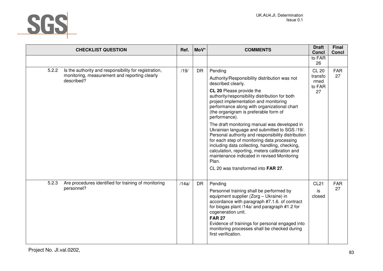

| <b>CHECKLIST QUESTION</b>                                                                                                     | Ref.  | MoV*      | <b>COMMENTS</b>                                                                                                                                                                                                                                                                                                                                                                                                                                                                                                                                                                                                                                                                                                        | <b>Draft</b><br><b>Concl</b>                    | Final<br><b>Concl</b> |
|-------------------------------------------------------------------------------------------------------------------------------|-------|-----------|------------------------------------------------------------------------------------------------------------------------------------------------------------------------------------------------------------------------------------------------------------------------------------------------------------------------------------------------------------------------------------------------------------------------------------------------------------------------------------------------------------------------------------------------------------------------------------------------------------------------------------------------------------------------------------------------------------------------|-------------------------------------------------|-----------------------|
|                                                                                                                               |       |           |                                                                                                                                                                                                                                                                                                                                                                                                                                                                                                                                                                                                                                                                                                                        | to FAR<br>26                                    |                       |
| 5.2.2<br>Is the authority and responsibility for registration,<br>monitoring, measurement and reporting clearly<br>described? | /19/  | <b>DR</b> | Pending<br>Authority/Responsibility distribution was not<br>described clearly.<br>CL 20 Please provide the<br>authority/responsibility distribution for both<br>project implementation and monitoring<br>performance along with organizational chart<br>(the organigram is preferable form of<br>performance).<br>The draft monitoring manual was developed in<br>Ukrainian language and submitted to SGS /19/.<br>Personal authority and responsibility distribution<br>for each step of monitoring data processing<br>including data collecting, handling, checking,<br>calculation, reporting, meters calibration and<br>maintenance indicated in revised Monitoring<br>Plan.<br>CL 20 was transformed into FAR 27. | <b>CL 20</b><br>transfo<br>rmed<br>to FAR<br>27 | <b>FAR</b><br>27      |
| 5.2.3<br>Are procedures identified for training of monitoring<br>personnel?                                                   | /14a/ | DR        | Pending<br>Personnel training shall be performed by<br>equipment supplier (Zorg - Ukraine) in<br>accordance with paragraph #7.1.6. of contract<br>for biogas plant /14a/ and paragraph #1.2 for<br>cogeneration unit.<br><b>FAR 27</b><br>Evidence of trainings for personal engaged into<br>monitoring processes shall be checked during<br>first verification.                                                                                                                                                                                                                                                                                                                                                       | <b>CL21</b><br>is<br>closed                     | <b>FAR</b><br>27      |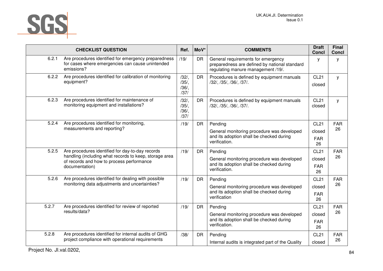

|       | <b>CHECKLIST QUESTION</b>                                                                                              | Ref.                                 | MoV*      | <b>COMMENTS</b>                                                                                                           | <b>Draft</b><br>Concl      | <b>Final</b><br><b>Concl</b> |
|-------|------------------------------------------------------------------------------------------------------------------------|--------------------------------------|-----------|---------------------------------------------------------------------------------------------------------------------------|----------------------------|------------------------------|
| 6.2.1 | Are procedures identified for emergency preparedness<br>for cases where emergencies can cause unintended<br>emissions? | /19/                                 | <b>DR</b> | General requirements for emergency<br>preparedness are defined by national standard<br>regulating manure management /19/. | У                          | У                            |
| 6.2.2 | Are procedures identified for calibration of monitoring<br>equipment?                                                  | /32/<br>$/35/$ ,<br>$/36/$ ,<br>/37/ | <b>DR</b> | Procedures is defined by equipment manuals<br>/32/, /35/, /36/, /37/.                                                     | <b>CL21</b><br>closed      | y                            |
| 6.2.3 | Are procedures identified for maintenance of<br>monitoring equipment and installations?                                | /32/<br>/35/<br>/36/<br>/37/         | <b>DR</b> | Procedures is defined by equipment manuals<br>/32/, /35/, /36/, /37/.                                                     | <b>CL21</b><br>closed      | y                            |
| 5.2.4 | Are procedures identified for monitoring,<br>measurements and reporting?                                               | /19/                                 | <b>DR</b> | Pending<br>General monitoring procedure was developed<br>and its adoption shall be checked during                         | <b>CL21</b><br>closed      | <b>FAR</b><br>26             |
|       |                                                                                                                        |                                      |           | verification.                                                                                                             | <b>FAR</b><br>26           |                              |
| 5.2.5 | Are procedures identified for day-to-day records<br>handling (including what records to keep, storage area             | /19/                                 | <b>DR</b> | Pending                                                                                                                   | <b>CL21</b>                | <b>FAR</b><br>26             |
|       | of records and how to process performance<br>documentation)                                                            |                                      |           | General monitoring procedure was developed<br>and its adoption shall be checked during<br>verification.                   | closed<br><b>FAR</b><br>26 |                              |
| 5.2.6 | Are procedures identified for dealing with possible<br>monitoring data adjustments and uncertainties?                  | /19/                                 | <b>DR</b> | Pending                                                                                                                   | <b>CL21</b>                | <b>FAR</b>                   |
|       |                                                                                                                        |                                      |           | General monitoring procedure was developed<br>and its adoption shall be checked during                                    | closed                     | 26                           |
|       |                                                                                                                        |                                      |           | verification                                                                                                              | <b>FAR</b><br>26           |                              |
| 5.2.7 | Are procedures identified for review of reported                                                                       | /19/                                 | DR        | Pending                                                                                                                   | <b>CL21</b>                | <b>FAR</b>                   |
|       | results/data?                                                                                                          |                                      |           | General monitoring procedure was developed<br>and its adoption shall be checked during                                    | closed                     | 26                           |
|       |                                                                                                                        |                                      |           | verification.                                                                                                             | <b>FAR</b><br>26           |                              |
| 5.2.8 | Are procedures identified for internal audits of GHG<br>project compliance with operational requirements               | /38/                                 | DR        | Pending                                                                                                                   | <b>CL21</b>                | <b>FAR</b>                   |
|       |                                                                                                                        |                                      |           | Internal audits is integrated part of the Quality                                                                         | closed                     | 26                           |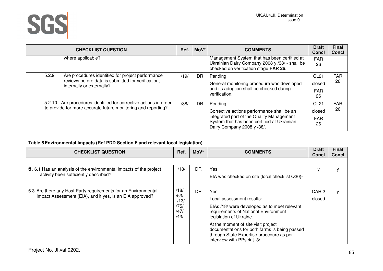

| <b>CHECKLIST QUESTION</b>                                                       | Ref. | MoV*      | <b>COMMENTS</b>                                                                                                                                                      | <b>Draft</b><br>Concl      | <b>Final</b><br>Concl |
|---------------------------------------------------------------------------------|------|-----------|----------------------------------------------------------------------------------------------------------------------------------------------------------------------|----------------------------|-----------------------|
| where applicable?                                                               |      |           | Management System that has been certified at<br>Ukrainian Dairy Company 2008 y /38/ - shall be<br>checked on verification stage FAR 26.                              | <b>FAR</b><br>26           |                       |
| 5.2.9<br>Are procedures identified for project performance                      | /19/ | DR.       | Pending                                                                                                                                                              | CL <sub>21</sub>           | FAR                   |
| reviews before data is submitted for verification,<br>internally or externally? |      |           | General monitoring procedure was developed                                                                                                                           | closed                     | 26                    |
|                                                                                 |      |           | and its adoption shall be checked during<br>verification.                                                                                                            | <b>FAR</b><br>26           |                       |
| Are procedures identified for corrective actions in order<br>5.2.10             | /38/ | <b>DR</b> | Pending                                                                                                                                                              | CL <sub>21</sub>           | <b>FAR</b>            |
| to provide for more accurate future monitoring and reporting?                   |      |           | Corrective actions performance shall be an<br>integrated part of the Quality Management<br>System that has been certified at Ukrainian<br>Dairy Company 2008 y /38/. | closed<br><b>FAR</b><br>26 | 26                    |

### **Table 6 Environmental Impacts (Ref PDD Section F and relevant local legislation)**

| <b>CHECKLIST QUESTION</b>                                                                                   | Ref.         | $M o V^*$ | <b>COMMENTS</b>                                                                                                                                                  | <b>Draft</b><br><b>Concl</b> | <b>Final</b><br><b>Concl</b> |
|-------------------------------------------------------------------------------------------------------------|--------------|-----------|------------------------------------------------------------------------------------------------------------------------------------------------------------------|------------------------------|------------------------------|
|                                                                                                             |              |           |                                                                                                                                                                  |                              |                              |
| 6. 6.1 Has an analysis of the environmental impacts of the project<br>activity been sufficiently described? | /18/         | DR        | Yes                                                                                                                                                              |                              |                              |
|                                                                                                             |              |           | EIA was checked on site (local checklist Q30)-                                                                                                                   |                              |                              |
|                                                                                                             |              |           |                                                                                                                                                                  |                              |                              |
| 6.3 Are there any Host Party requirements for an Environmental                                              | /18/<br>/53/ | DR        | Yes                                                                                                                                                              | CAR <sub>2</sub>             |                              |
| Impact Assessment (EIA), and if yes, is an EIA approved?                                                    | /13/         |           | Local assessment results:                                                                                                                                        | closed                       |                              |
|                                                                                                             | /75/         |           | EIAs /18/ were developed as to meet relevant                                                                                                                     |                              |                              |
|                                                                                                             | /47/<br>/43/ |           | requirements of National Environment<br>legislation of Ukraine.                                                                                                  |                              |                              |
|                                                                                                             |              |           | At the moment of site visit project<br>documentations for both farms is being passed<br>through State Expertise procedure as per<br>interview with PPs /int. 3/. |                              |                              |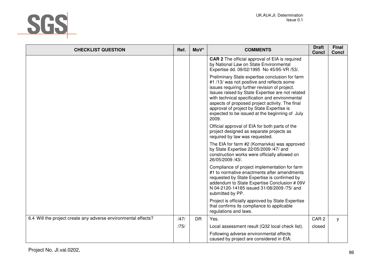

| <b>CHECKLIST QUESTION</b>                                      | Ref. | MoV*      | <b>COMMENTS</b>                                                                                                                                                                                                                                                                                                                                                                                                | <b>Draft</b><br><b>Concl</b> | <b>Final</b><br><b>Concl</b> |
|----------------------------------------------------------------|------|-----------|----------------------------------------------------------------------------------------------------------------------------------------------------------------------------------------------------------------------------------------------------------------------------------------------------------------------------------------------------------------------------------------------------------------|------------------------------|------------------------------|
|                                                                |      |           | <b>CAR 2</b> The official approval of EIA is required<br>by National Law on State Environmental<br>Expertise dd. 09/02/1995 No 45/95-VR /53/.                                                                                                                                                                                                                                                                  |                              |                              |
|                                                                |      |           | Preliminary State expertise conclusion for farm<br>#1/13/ was not positive and reflects some<br>issues requiring further revision of project.<br>Issues raised by State Expertise are not related<br>with technical specification and environmental<br>aspects of proposed project activity. The final<br>approval of project by State Expertise is<br>expected to be issued at the beginning of July<br>2009. |                              |                              |
|                                                                |      |           | Official approval of EIA for both parts of the<br>project designed as separate projects as<br>required by law was requested.                                                                                                                                                                                                                                                                                   |                              |                              |
|                                                                |      |           | The EIA for farm #2 (Komarivka) was approved<br>by State Expertise 22/05/2009 /47/ and<br>construction works were officially allowed on<br>26/05/2009 /43/.                                                                                                                                                                                                                                                    |                              |                              |
|                                                                |      |           | Compliance of project implementation for farm<br>#1 to normative enactments after amendments<br>requested by State Expertise is confirmed by<br>addendum to State Expertise Conclusion # 09V<br>N 04-2120-14185 issued 31/08/2009 /75/ and<br>submitted by PP.                                                                                                                                                 |                              |                              |
|                                                                |      |           | Project is officially approved by State Expertise<br>that confirms its compliance to applicable<br>regulations and laws.                                                                                                                                                                                                                                                                                       |                              |                              |
| 6.4 Will the project create any adverse environmental effects? | /47/ | <b>DR</b> | Yes.                                                                                                                                                                                                                                                                                                                                                                                                           | CAR <sub>2</sub>             | У                            |
|                                                                | /75/ |           | Local assessment result (Q32 local check list).                                                                                                                                                                                                                                                                                                                                                                | closed                       |                              |
|                                                                |      |           | Following adverse environmental effects<br>caused by project are considered in EIA:                                                                                                                                                                                                                                                                                                                            |                              |                              |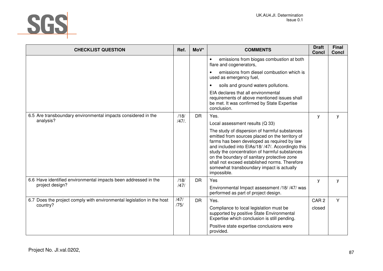

| <b>CHECKLIST QUESTION</b>                                              | Ref.         | MoV*      | <b>COMMENTS</b>                                                                                                                                                                                                                                                                                                                                                                                                   | <b>Draft</b><br><b>Concl</b> | <b>Final</b><br>Concl |
|------------------------------------------------------------------------|--------------|-----------|-------------------------------------------------------------------------------------------------------------------------------------------------------------------------------------------------------------------------------------------------------------------------------------------------------------------------------------------------------------------------------------------------------------------|------------------------------|-----------------------|
|                                                                        |              |           | emissions from biogas combustion at both<br>$\bullet$<br>flare and cogenerators,                                                                                                                                                                                                                                                                                                                                  |                              |                       |
|                                                                        |              |           | emissions from diesel combustion which is<br>used as emergency fuel,                                                                                                                                                                                                                                                                                                                                              |                              |                       |
|                                                                        |              |           | soils and ground waters pollutions.                                                                                                                                                                                                                                                                                                                                                                               |                              |                       |
|                                                                        |              |           | EIA declares that all environmental<br>requirements of above mentioned issues shall<br>be met. It was confirmed by State Expertise<br>conclusion.                                                                                                                                                                                                                                                                 |                              |                       |
| 6.5 Are transboundary environmental impacts considered in the          | /18/         | <b>DR</b> | Yes.                                                                                                                                                                                                                                                                                                                                                                                                              | y                            | у                     |
| analysis?                                                              | $/47/$ .     |           | Local assessment results (Q 33)                                                                                                                                                                                                                                                                                                                                                                                   |                              |                       |
|                                                                        |              |           | The study of dispersion of harmful substances<br>emitted from sources placed on the territory of<br>farms has been developed as required by law<br>and included into EIAs/18/ /47/. Accordingto this<br>study the concentration of harmful substances<br>on the boundary of sanitary protective zone<br>shall not exceed established norms. Therefore<br>somewhat transboundary impact is actually<br>impossible. |                              |                       |
| 6.6 Have identified environmental impacts been addressed in the        | /18/         | <b>DR</b> | Yes                                                                                                                                                                                                                                                                                                                                                                                                               | У                            | у                     |
| project design?                                                        | /47/         |           | Environmental Impact assessment /18/ /47/ was<br>performed as part of project design.                                                                                                                                                                                                                                                                                                                             |                              |                       |
| 6.7 Does the project comply with environmental legislation in the host | /47/<br>/75/ | <b>DR</b> | Yes.                                                                                                                                                                                                                                                                                                                                                                                                              | CAR <sub>2</sub>             | Y                     |
| country?                                                               |              |           | Compliance to local legislation must be<br>supported by positive State Environmental<br>Expertise which conclusion is still pending.                                                                                                                                                                                                                                                                              | closed                       |                       |
|                                                                        |              |           | Positive state expertise conclusions were<br>provided.                                                                                                                                                                                                                                                                                                                                                            |                              |                       |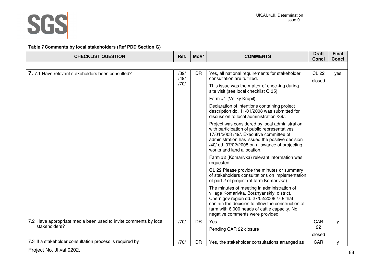

### **Table 7 Comments by local stakeholders (Ref PDD Section G)**

| <b>CHECKLIST QUESTION</b>                                        | Ref.         | MoV*      | <b>COMMENTS</b>                                                                                                                                                                                                                                                                | <b>Draft</b><br><b>Concl</b>                                                                                                               | <b>Final</b><br><b>Concl</b>                               |  |  |
|------------------------------------------------------------------|--------------|-----------|--------------------------------------------------------------------------------------------------------------------------------------------------------------------------------------------------------------------------------------------------------------------------------|--------------------------------------------------------------------------------------------------------------------------------------------|------------------------------------------------------------|--|--|
|                                                                  |              |           |                                                                                                                                                                                                                                                                                |                                                                                                                                            |                                                            |  |  |
| 7. 7.1 Have relevant stakeholders been consulted?                | /39/         | <b>DR</b> | Yes, all national requirements for stakeholder<br>consultation are fulfilled.                                                                                                                                                                                                  | <b>CL 22</b>                                                                                                                               | yes                                                        |  |  |
|                                                                  | /49/<br>/70/ |           | This issue was the matter of checking during                                                                                                                                                                                                                                   | closed                                                                                                                                     |                                                            |  |  |
|                                                                  |              |           | site visit (see local checklist Q 35).                                                                                                                                                                                                                                         |                                                                                                                                            |                                                            |  |  |
|                                                                  |              |           | Farm #1 (Veliky Krupil)                                                                                                                                                                                                                                                        |                                                                                                                                            |                                                            |  |  |
|                                                                  |              |           | Declaration of intentions containing project<br>description dd. 11/01/2008 was submitted for<br>discussion to local administration /39/.                                                                                                                                       |                                                                                                                                            |                                                            |  |  |
|                                                                  |              |           | Project was considered by local administration<br>with participation of public representatives<br>17/01/2008 /49/. Executive committee of<br>administration has issued the positive decision<br>/40/ dd. 07/02/2008 on allowance of projecting<br>works and land allocation.   |                                                                                                                                            |                                                            |  |  |
|                                                                  |              |           |                                                                                                                                                                                                                                                                                |                                                                                                                                            | Farm #2 (Komarivka) relevant information was<br>requested. |  |  |
|                                                                  |              |           |                                                                                                                                                                                                                                                                                | CL 22 Please provide the minutes or summary<br>of stakeholders consultations on implementation<br>of part 2 of project (at farm Komarivka) |                                                            |  |  |
|                                                                  |              |           | The minutes of meeting in administration of<br>village Komarivka, Borznyanskiy district,<br>Chernigov region dd. 27/02/2008 /70/ that<br>contain the decision to allow the construction of<br>farm with 6,000 heads of cattle capacity. No<br>negative comments were provided. |                                                                                                                                            |                                                            |  |  |
| 7.2 Have appropriate media been used to invite comments by local | /70/         | <b>DR</b> | Yes                                                                                                                                                                                                                                                                            | CAR                                                                                                                                        | y                                                          |  |  |
| stakeholders?                                                    |              |           | Pending CAR 22 closure                                                                                                                                                                                                                                                         | 22                                                                                                                                         |                                                            |  |  |
|                                                                  |              |           |                                                                                                                                                                                                                                                                                | closed                                                                                                                                     |                                                            |  |  |
| 7.3 If a stakeholder consultation process is required by         | /70/         | <b>DR</b> | Yes, the stakeholder consultations arranged as                                                                                                                                                                                                                                 | CAR                                                                                                                                        | у                                                          |  |  |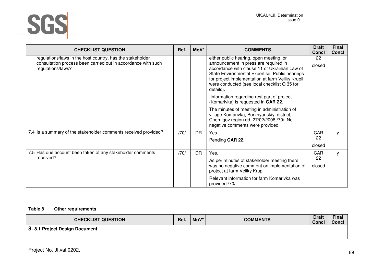

| <b>CHECKLIST QUESTION</b>                                                                                                                       | Ref. | MoV*      | <b>COMMENTS</b>                                                                                                                                                                                                                                                                                      | <b>Draft</b><br><b>Concl</b> | <b>Final</b><br><b>Concl</b> |
|-------------------------------------------------------------------------------------------------------------------------------------------------|------|-----------|------------------------------------------------------------------------------------------------------------------------------------------------------------------------------------------------------------------------------------------------------------------------------------------------------|------------------------------|------------------------------|
| regulations/laws in the host country, has the stakeholder<br>consultation process been carried out in accordance with such<br>regulations/laws? |      |           | either public hearing, open meeting, or<br>announcement in press are required in<br>accordance with clause 11 of Ukrainian Law of<br>State Environmental Expertise. Public hearings<br>for project implementation at farm Veliky Krupil<br>were conducted (see local checklist Q 35 for<br>details). | 22<br>closed                 |                              |
|                                                                                                                                                 |      |           | Information regarding rest part of project<br>(Komarivka) is requested in CAR 22.                                                                                                                                                                                                                    |                              |                              |
|                                                                                                                                                 |      |           | The minutes of meeting in administration of<br>village Komarivka, Borznyanskiy district,<br>Chernigov region dd. 27/02/2008 /70/. No<br>negative comments were provided.                                                                                                                             |                              |                              |
| 7.4 Is a summary of the stakeholder comments received provided?                                                                                 | /70/ | <b>DR</b> | Yes.                                                                                                                                                                                                                                                                                                 | <b>CAR</b>                   | y                            |
|                                                                                                                                                 |      |           | Pending CAR 22.                                                                                                                                                                                                                                                                                      | 22                           |                              |
|                                                                                                                                                 |      |           |                                                                                                                                                                                                                                                                                                      | closed                       |                              |
| 7.5 Has due account been taken of any stakeholder comments                                                                                      | /70/ | <b>DR</b> | Yes.                                                                                                                                                                                                                                                                                                 | CAR                          | y                            |
| received?                                                                                                                                       |      |           | As per minutes of stakeholder meeting there<br>was no negative comment on implementation of<br>project at farm Veliky Krupil.                                                                                                                                                                        | 22<br>closed                 |                              |
|                                                                                                                                                 |      |           | Relevant information for farm Komarivka was<br>provided /70/.                                                                                                                                                                                                                                        |                              |                              |

### **Table 8 Other requirements**

| <b>CHECKLIST QUESTION</b>     | Ref. | MoV* | <b>COMMENTS</b> | <b>Draft</b><br><b>Concl</b> | <b>Final</b><br>Concl |
|-------------------------------|------|------|-----------------|------------------------------|-----------------------|
| 8.8.1 Project Design Document |      |      |                 |                              |                       |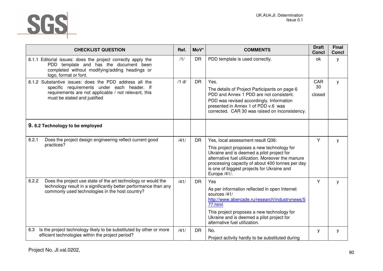

|       | <b>CHECKLIST QUESTION</b>                                                                                                                                                                     | Ref.    | MoV*      | <b>COMMENTS</b>                                                                                                                                                                                                                                                                                    | <b>Draft</b><br><b>Concl</b> | <b>Final</b><br><b>Concl</b> |
|-------|-----------------------------------------------------------------------------------------------------------------------------------------------------------------------------------------------|---------|-----------|----------------------------------------------------------------------------------------------------------------------------------------------------------------------------------------------------------------------------------------------------------------------------------------------------|------------------------------|------------------------------|
|       | 8.1.1 Editorial issues: does the project correctly apply the<br>PDD template and has the document been<br>completed without modifying/adding headings or<br>logo, format or font.             | /1/     | <b>DR</b> | PDD template is used correctly.                                                                                                                                                                                                                                                                    | ok                           | У                            |
|       | 8.1.2 Substantive issues: does the PDD address all the<br>specific requirements under each header. If<br>requirements are not applicable / not relevant, this<br>must be stated and justified | $/1$ d/ | <b>DR</b> | Yes.<br>The details of Project Participants on page 6<br>PDD and Annex 1 PDD are not consistent.<br>PDD was revised accordingly. Information<br>presented in Annex 1 of PDD v.6 was<br>corrected. CAR 30 was raised on inconsistency.                                                              | CAR<br>30<br>closed          | y                            |
|       | 9.8.2 Technology to be employed                                                                                                                                                               |         |           |                                                                                                                                                                                                                                                                                                    |                              |                              |
| 8.2.1 | Does the project design engineering reflect current good<br>practices?                                                                                                                        | /41/    | <b>DR</b> | Yes, local assessment result Q36:<br>This project proposes a new technology for<br>Ukraine and is deemed a pilot project for<br>alternative fuel utilization. Moreover the manure<br>processing capacity of about 400 tonnes per day<br>is one of biggest projects for Ukraine and<br>Europe /41/. | Y                            | y                            |
| 8.2.2 | Does the project use state of the art technology or would the<br>technology result in a significantly better performance than any<br>commonly used technologies in the host country?          | /41/    | <b>DR</b> | Yes<br>As per information reflected in open Internet<br>sources /41/<br>http://www.abercade.ru/research/industrynews/5<br>77.html<br>This project proposes a new technology for<br>Ukraine and is deemed a pilot project for<br>alternative fuel utilization.                                      | Y                            | y                            |
| 8.3   | Is the project technology likely to be substituted by other or more<br>efficient technologies within the project period?                                                                      | /41/    | <b>DR</b> | No.<br>Project activity hardly to be substituted during                                                                                                                                                                                                                                            | У                            | у                            |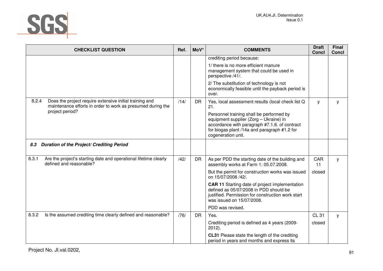

| <b>CHECKLIST QUESTION</b>                                                                                                       | Ref. | MoV*      | <b>COMMENTS</b>                                                                                                                                                                                           | <b>Draft</b><br><b>Concl</b> | <b>Final</b><br><b>Concl</b> |
|---------------------------------------------------------------------------------------------------------------------------------|------|-----------|-----------------------------------------------------------------------------------------------------------------------------------------------------------------------------------------------------------|------------------------------|------------------------------|
|                                                                                                                                 |      |           | crediting period because:                                                                                                                                                                                 |                              |                              |
|                                                                                                                                 |      |           | 1/ there is no more efficient manure<br>management system that could be used in<br>perspective /41/.                                                                                                      |                              |                              |
|                                                                                                                                 |      |           | 2/ The substitution of technology is not<br>economically feasible until the payback period is<br>over.                                                                                                    |                              |                              |
| 8.2.4<br>Does the project require extensive initial training and<br>maintenance efforts in order to work as presumed during the | /14/ | <b>DR</b> | Yes, local assessment results (local check list Q<br>21.                                                                                                                                                  | y                            | у                            |
| project period?                                                                                                                 |      |           | Personnel training shall be performed by<br>equipment supplier (Zorg - Ukraine) in<br>accordance with paragraph #7.1.6. of contract<br>for biogas plant /14a and paragraph #1.2 for<br>cogeneration unit. |                              |                              |
| Duration of the Project/ Crediting Period<br>8.3                                                                                |      |           |                                                                                                                                                                                                           |                              |                              |
| 8.3.1<br>Are the project's starting date and operational lifetime clearly<br>defined and reasonable?                            | /42/ | <b>DR</b> | As per PDD the starting date of the building and<br>assembly works at Farm 1: 05.07.2008.                                                                                                                 | CAR<br>11                    | y                            |
|                                                                                                                                 |      |           | But the permit for construction works was issued<br>on 15/07/2008 /42/.                                                                                                                                   | closed                       |                              |
|                                                                                                                                 |      |           | <b>CAR 11 Starting date of project implementation</b><br>defined as 05/07/2008 in PDD should be<br>justified. Permission for construction work start<br>was issued on 15/07/2008.                         |                              |                              |
|                                                                                                                                 |      |           | PDD was revised.                                                                                                                                                                                          |                              |                              |
| 8.3.2<br>Is the assumed crediting time clearly defined and reasonable?                                                          | /76/ | <b>DR</b> | Yes.                                                                                                                                                                                                      | <b>CL 31</b>                 | y                            |
|                                                                                                                                 |      |           | Crediting period is defined as 4 years (2009-<br>$2012$ ).                                                                                                                                                | closed                       |                              |
|                                                                                                                                 |      |           | CL31 Please state the length of the crediting<br>period in years and months and express its                                                                                                               |                              |                              |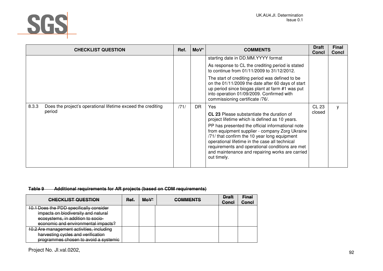

|       | <b>CHECKLIST QUESTION</b>                                              | Ref. | $M o V^*$ | <b>COMMENTS</b>                                                                                                                                                                                                                                                                                                           | <b>Draft</b><br><b>Concl</b> | <b>Final</b><br><b>Concl</b> |
|-------|------------------------------------------------------------------------|------|-----------|---------------------------------------------------------------------------------------------------------------------------------------------------------------------------------------------------------------------------------------------------------------------------------------------------------------------------|------------------------------|------------------------------|
|       |                                                                        |      |           | starting date in DD.MM.YYYY format                                                                                                                                                                                                                                                                                        |                              |                              |
|       |                                                                        |      |           | As response to CL the crediting period is stated<br>to continue from 01/11/2009 to 31/12/2012.                                                                                                                                                                                                                            |                              |                              |
|       |                                                                        |      |           | The start of crediting period was defined to be<br>on the 01/11/2009 the date after 60 days of start<br>up period since biogas plant at farm #1 was put<br>into operation 01/09/2009. Confirmed with<br>commissioning certificate /76/.                                                                                   |                              |                              |
| 8.3.3 | Does the project's operational lifetime exceed the crediting<br>period | /71/ | DR        | Yes.                                                                                                                                                                                                                                                                                                                      | <b>CL 23</b><br>closed       | y                            |
|       |                                                                        |      |           | <b>CL 23</b> Please substantiate the duration of<br>project lifetime which is defined as 10 years.                                                                                                                                                                                                                        |                              |                              |
|       |                                                                        |      |           | PP has presented the official informational note<br>from equipment supplier - company Zorg Ukraine<br>/71/ that confirm the 10 year long equipment<br>operational lifetime in the case all technical<br>requirements and operational conditions are met<br>and maintenance and repairing works are carried<br>out timely. |                              |                              |
|       |                                                                        |      |           |                                                                                                                                                                                                                                                                                                                           |                              |                              |

### **Table 9Additional requirements for AR projects (based on CDM requirements)**

| <b>CHECKLIST QUESTION</b>                 | Ref. | MoV* | <b>COMMENTS</b> | <b>Draft</b><br>Concl | <b>Final</b><br>Concl |
|-------------------------------------------|------|------|-----------------|-----------------------|-----------------------|
| 10.1 Does the PDD specifically consider   |      |      |                 |                       |                       |
| impacts on biodiversity and natural       |      |      |                 |                       |                       |
| ecosystems, in addition to socio-         |      |      |                 |                       |                       |
| economic and environmental impacts?       |      |      |                 |                       |                       |
| 10.2 Are management activities, including |      |      |                 |                       |                       |
| harvesting cycles and verification        |      |      |                 |                       |                       |
| programmes chosen to avoid a systemic     |      |      |                 |                       |                       |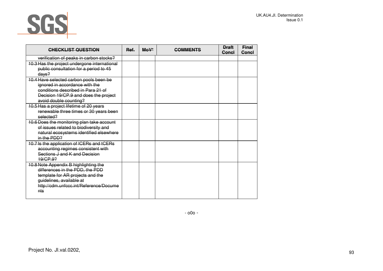

| <b>CHECKLIST QUESTION</b>                                                                                                                                                                 | Ref. | $M_0V^*$ | <b>COMMENTS</b> | <b>Draft</b><br>Concl | <b>Final</b><br>Concl |
|-------------------------------------------------------------------------------------------------------------------------------------------------------------------------------------------|------|----------|-----------------|-----------------------|-----------------------|
| verification of peaks in carbon stocks?                                                                                                                                                   |      |          |                 |                       |                       |
| 10.3 Has the project undergone international<br>public consultation for a period to 45<br>days?                                                                                           |      |          |                 |                       |                       |
| 10.4 Have selected carbon pools been be<br>ignored in accordance with the<br>conditions described in Para 21 of<br>Decision 19/CP.9 and does the project<br>avoid double counting?        |      |          |                 |                       |                       |
| 10.5 Has a project lifetime of 20 years<br>renewable three times or 30 years been<br>selected?                                                                                            |      |          |                 |                       |                       |
| 10.6 Does the monitoring plan take account<br>of issues related to biodiversity and<br>natural ecosystems identified elsewhere<br>in the PDD?                                             |      |          |                 |                       |                       |
| 10.7 Is the application of ICERs and tCERs<br>accounting regimes consistent with<br>Sections J and K and Decision<br>19/CP.92                                                             |      |          |                 |                       |                       |
| 10.8 Note Appendix B highlighting the<br>differences in the PDD, the PDD<br>template for AR projects and the<br>quidelines, available at<br>http://cdm.unfccc.int/Reference/Docume<br>nts |      |          |                 |                       |                       |

- o0o -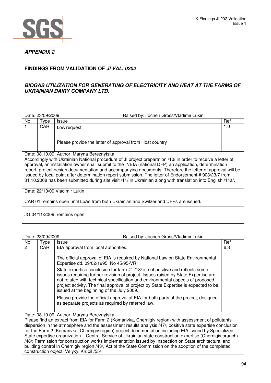

# **APPENDIX 2**

# **FINDINGS FROM VALIDATION OF JI VAL. 0202**

### **BIOGAS UTILIZATION FOR GENERATING OF ELECTRICITY AND HEAT AT THE FARMS OF UKRAINIAN DAIRY COMPANY LTD.**

|                                                                                     | Date: 23/09/2009                                                                                                                                                                                                                                                                                                                                                                                                                                                                                                                                            | Raised by: Jochen Gross/Vladimir Lukin                  |     |  |  |
|-------------------------------------------------------------------------------------|-------------------------------------------------------------------------------------------------------------------------------------------------------------------------------------------------------------------------------------------------------------------------------------------------------------------------------------------------------------------------------------------------------------------------------------------------------------------------------------------------------------------------------------------------------------|---------------------------------------------------------|-----|--|--|
| No.                                                                                 | Type                                                                                                                                                                                                                                                                                                                                                                                                                                                                                                                                                        | <b>Issue</b>                                            | Ref |  |  |
|                                                                                     | CAR.                                                                                                                                                                                                                                                                                                                                                                                                                                                                                                                                                        | LoA request                                             | 1.0 |  |  |
|                                                                                     |                                                                                                                                                                                                                                                                                                                                                                                                                                                                                                                                                             | Please provide the letter of approval from Host country |     |  |  |
|                                                                                     |                                                                                                                                                                                                                                                                                                                                                                                                                                                                                                                                                             | Date: 08.10.09, Author: Maryna Bereznytska              |     |  |  |
|                                                                                     | Accordingly with Ukrainian National procedure of JI project preparation /10/ in order to receive a letter of<br>approval, an installation owner shall submit to the NEIA (national DFP) an application, determination<br>report, project design documentation and accompanying documents. Therefore the letter of approval will be<br>issued by focal point after determination report submission. The letter of Endorsement #903/23/7 from<br>31.10.2008 has been submitted during site visit /11/ in Ukrainian along with translation into English /11a/. |                                                         |     |  |  |
|                                                                                     |                                                                                                                                                                                                                                                                                                                                                                                                                                                                                                                                                             | Date: 22/10/09 Vladimir Lukin                           |     |  |  |
| CAR 01 remains open until LoAs from both Ukrainian and Switzerland DFPs are issued. |                                                                                                                                                                                                                                                                                                                                                                                                                                                                                                                                                             |                                                         |     |  |  |
|                                                                                     |                                                                                                                                                                                                                                                                                                                                                                                                                                                                                                                                                             | JG 04/11/2009: remains open                             |     |  |  |

|     | Date: 23/09/2009                                                                                                                                                                                                                                                   | Raised by: Jochen Gross/Vladimir Lukin                                                                                                                                                                                                                                                                                                                                                     |     |  |  |
|-----|--------------------------------------------------------------------------------------------------------------------------------------------------------------------------------------------------------------------------------------------------------------------|--------------------------------------------------------------------------------------------------------------------------------------------------------------------------------------------------------------------------------------------------------------------------------------------------------------------------------------------------------------------------------------------|-----|--|--|
| No. | Type                                                                                                                                                                                                                                                               | <b>Issue</b>                                                                                                                                                                                                                                                                                                                                                                               | Ref |  |  |
| 2   | CAR                                                                                                                                                                                                                                                                | EIA approval from local authorities.                                                                                                                                                                                                                                                                                                                                                       | 6.3 |  |  |
|     |                                                                                                                                                                                                                                                                    | The official approval of EIA is required by National Law on State Environmental<br>Expertise dd. 09/02/1995 No 45/95-VR.                                                                                                                                                                                                                                                                   |     |  |  |
|     |                                                                                                                                                                                                                                                                    | State expertise conclusion for farm #1 /13/ is not positive and reflects some<br>issues requiring further revision of project. Issues raised by State Expertise are<br>not related with technical specification and environmental aspects of proposed<br>project activity. The final approval of project by State Expertise is expected to be<br>issued at the beginning of the July 2009. |     |  |  |
|     |                                                                                                                                                                                                                                                                    | Please provide the official approval of EIA for both parts of the project, designed<br>as separate projects as required by referred law.                                                                                                                                                                                                                                                   |     |  |  |
|     | Date: 08.10.09, Author: Maryna Bereznytska<br>Please find an extract from EIA for Farm 2 (Komarivka, Chernigiv region) with assessment of pollutants<br>dispersion in the atmosphere and the assessment results analysis /47/; positive state expertise conclusion |                                                                                                                                                                                                                                                                                                                                                                                            |     |  |  |

for the Farm 2 (Komarivka, Chernigiv region) project documentation including EIA issued by Specialized State expertise organization – Central Service of Ukrainian state construction expertise (Chernigiv branch) /48/; Permission for construction works implementation issued by Inspection on State architectural and building control in Chernigiv region /43/, Act of the State Commission on the adoption of the completed construction object, Velykyi Krupil /55/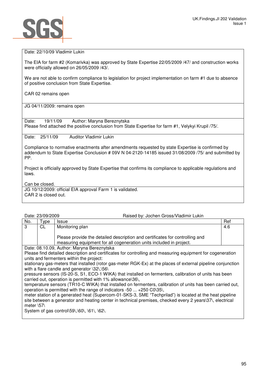

Date: 22/10/09 Vladimir Lukin

The EIA for farm #2 (Komarivka) was approved by State Expertise 22/05/2009 /47/ and construction works were officially allowed on 26/05/2009 /43/.

We are not able to confirm compliance to legislation for project implementation on farm #1 due to absence of positive conclusion from State Expertise.

CAR 02 remains open

JG 04/11/2009: remains open

Date: 19/11/09 Author: Maryna Bereznytska Please find attached the positive conclusion from State Expertise for farm #1, Velykyi Krupil /75/.

Date: 25/11/09 Auditor Vladimir Lukin

Compliance to normative enactments after amendments requested by state Expertise is confirmed by addendum to State Expertise Conclusion # 09V N 04-2120-14185 issued 31/08/2009 /75/ and submitted by PP.

Project is officially approved by State Expertise that confirms its compliance to applicable regulations and laws.

Can be closed.

JG 10/12/2009: official EIA approval Farm 1 is validated. CAR 2 is closed out.

|                   | Date: 23/09/2009                                                                                                                                                                           | Raised by: Jochen Gross/Vladimir Lukin                                                                                                                                                                              |     |  |  |
|-------------------|--------------------------------------------------------------------------------------------------------------------------------------------------------------------------------------------|---------------------------------------------------------------------------------------------------------------------------------------------------------------------------------------------------------------------|-----|--|--|
| No.               | Type                                                                                                                                                                                       | <b>Issue</b>                                                                                                                                                                                                        | Ref |  |  |
| 3                 | CL                                                                                                                                                                                         | Monitoring plan                                                                                                                                                                                                     | 4.6 |  |  |
|                   |                                                                                                                                                                                            | Please provide the detailed description and certificates for controlling and<br>measuring equipment for all cogeneration units included in project.                                                                 |     |  |  |
|                   |                                                                                                                                                                                            | Date: 08.10.09, Author: Maryna Bereznytska                                                                                                                                                                          |     |  |  |
|                   |                                                                                                                                                                                            | Please find detailed description and certificates for controlling and measuring equipment for cogeneration                                                                                                          |     |  |  |
|                   |                                                                                                                                                                                            | units and fermenters within the project:                                                                                                                                                                            |     |  |  |
|                   | stationary gas-meters that installed (rotor gas-meter RGK-Ex) at the places of external pipeline conjunction<br>with a flare candle and generator \32\,\56\                                |                                                                                                                                                                                                                     |     |  |  |
|                   | pressure sensors (IS-20-S, S1, ECO-1 WIKA) that installed on fermenters, calibration of units has been<br>carried out, operation is permitted with 1% allowance\36\,                       |                                                                                                                                                                                                                     |     |  |  |
|                   | temperature sensors (TR10-C WIKA) that installed on fermenters, calibration of units has been carried out,<br>operation is permitted with the range of indicators -50 $\dots$ +250 C0\35\, |                                                                                                                                                                                                                     |     |  |  |
| meter $\sqrt{57}$ |                                                                                                                                                                                            | meter station of a generated heat (Supercom-01-SKS-3, SME "Techprilad") is located at the heat pipeline<br>site between a generator and heating center in technical premises, checked every 2 years\37\, electrical |     |  |  |

System of gas control\59\,\60\, \61\, \62\.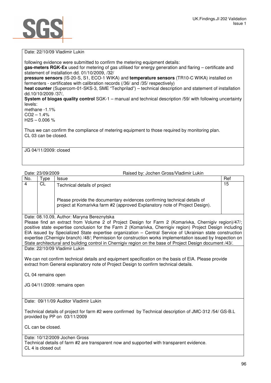Date: 22/10/09 Vladimir Lukin

following evidence were submitted to confirm the metering equipment details: **gas-meters RGK-**Ех used for metering of gas utilised for energy generation and flaring – certificate and statement of installation dd. 01/10/2009, /32/ **pressure sensors** (IS-20-S, S1, ECO-1 WIKA) and **temperature sensors** (TR10-С WIKA) installed on fermenters - certificates with calibration records (/36/ and /35/ respectively) **heat counter** (Supercom-01-SKS-3, SME "Techprilad") – technical description and statement of installation dd.10/10/2009 /37/, **System of biogas quality control** SGK-1 – manual and technical description /59/ with following uncertainty levels: methane -1.1%  $CO2 - 1.4%$  $H2S - 0.006 %$ Thus we can confirm the compliance of metering equipment to those required by monitoring plan. CL 03 can be closed. JG 04/11/2009: closed

Date: 23/09/2009 Raised by: Jochen Gross/Vladimir Lukin

| No. | vpe | <b>Issue</b>                                                                                                                                            | Ref |
|-----|-----|---------------------------------------------------------------------------------------------------------------------------------------------------------|-----|
|     | CL  | Technical details of project                                                                                                                            | 15  |
|     |     | Please provide the documentary evidences confirming technical details of<br>project at Komarivka farm #2 (approved Explanatory note of Project Design). |     |

Date: 08.10.09, Author: Maryna Bereznytska

Please find an extract from Volume 2 of Project Design for Farm 2 (Komarivka, Chernigiv region)/47/: positive state expertise conclusion for the Farm 2 (Komarivka, Chernigiv region) Project Design including EIA issued by Specialized State expertise organization – Central Service of Ukrainian state construction expertise (Chernigiv branch) /48/; Permission for construction works implementation issued by Inspection on State architectural and building control in Chernigiv region on the base of Project Design document /43/. Date: 22/10/09 Vladimir Lukin

We can not confirm technical details and equipment specification on the basis of EIA. Please provide extract from General explanatory note of Project Design to confirm technical details.

CL 04 remains open

JG 04/11/2009: remains open

Date: 09/11/09 Auditor Vladimir Lukin

Technical details of project for farm #2 were confirmed by Technical description of JMC-312 /54/ GS-B.L provided by PP on 03/11/2009

CL can be closed.

### Date: 10/12/2009 Jochen Gross

Technical details of farm #2 are transparent now and supported with transparent evidence. CL 4 is closed out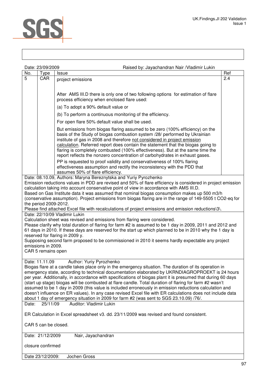| <b><i>CONTRACTOR</i></b><br><b>ANTICOLOGY</b> |  |
|-----------------------------------------------|--|
|                                               |  |

| Date: 23/09/2009                                                                                                                                                                                                                                                                                                                                                                                                                                                                                                                                                                                                                                                                                                                                                                                       |                                                                                          | Raised by: Jayachandran Nair / Vladimir Lukin                                                                                                                                                                                                                                                                                                                                                                                                                                                                                                                                                     |     |  |  |
|--------------------------------------------------------------------------------------------------------------------------------------------------------------------------------------------------------------------------------------------------------------------------------------------------------------------------------------------------------------------------------------------------------------------------------------------------------------------------------------------------------------------------------------------------------------------------------------------------------------------------------------------------------------------------------------------------------------------------------------------------------------------------------------------------------|------------------------------------------------------------------------------------------|---------------------------------------------------------------------------------------------------------------------------------------------------------------------------------------------------------------------------------------------------------------------------------------------------------------------------------------------------------------------------------------------------------------------------------------------------------------------------------------------------------------------------------------------------------------------------------------------------|-----|--|--|
| No.                                                                                                                                                                                                                                                                                                                                                                                                                                                                                                                                                                                                                                                                                                                                                                                                    | Type                                                                                     | <b>Issue</b>                                                                                                                                                                                                                                                                                                                                                                                                                                                                                                                                                                                      | Ref |  |  |
| $\overline{5}$                                                                                                                                                                                                                                                                                                                                                                                                                                                                                                                                                                                                                                                                                                                                                                                         | <b>CAR</b>                                                                               | project emissions                                                                                                                                                                                                                                                                                                                                                                                                                                                                                                                                                                                 | 2.4 |  |  |
|                                                                                                                                                                                                                                                                                                                                                                                                                                                                                                                                                                                                                                                                                                                                                                                                        |                                                                                          |                                                                                                                                                                                                                                                                                                                                                                                                                                                                                                                                                                                                   |     |  |  |
|                                                                                                                                                                                                                                                                                                                                                                                                                                                                                                                                                                                                                                                                                                                                                                                                        |                                                                                          |                                                                                                                                                                                                                                                                                                                                                                                                                                                                                                                                                                                                   |     |  |  |
|                                                                                                                                                                                                                                                                                                                                                                                                                                                                                                                                                                                                                                                                                                                                                                                                        |                                                                                          | After AMS III.D there is only one of two following options for estimation of flare<br>process efficiency when enclosed flare used:                                                                                                                                                                                                                                                                                                                                                                                                                                                                |     |  |  |
|                                                                                                                                                                                                                                                                                                                                                                                                                                                                                                                                                                                                                                                                                                                                                                                                        |                                                                                          | (a) To adopt a 90% default value or                                                                                                                                                                                                                                                                                                                                                                                                                                                                                                                                                               |     |  |  |
|                                                                                                                                                                                                                                                                                                                                                                                                                                                                                                                                                                                                                                                                                                                                                                                                        |                                                                                          | (b) To perform a continuous monitoring of the efficiency.                                                                                                                                                                                                                                                                                                                                                                                                                                                                                                                                         |     |  |  |
|                                                                                                                                                                                                                                                                                                                                                                                                                                                                                                                                                                                                                                                                                                                                                                                                        |                                                                                          | For open flare 50% default value shall be used.                                                                                                                                                                                                                                                                                                                                                                                                                                                                                                                                                   |     |  |  |
|                                                                                                                                                                                                                                                                                                                                                                                                                                                                                                                                                                                                                                                                                                                                                                                                        |                                                                                          | But emissions from biogas flaring assumed to be zero (100% efficiency) on the<br>basis of the Study of biogas combustion system /28/ performed by Ukrainian<br>institute of gas in 2008 and therefore not considered in project emission<br>calculation. Referred report does contain the statement that the biogas going to<br>flaring is completely combusted (100% effectiveness). But at the same time the<br>report reflects the nonzero concentration of carbohydrates in exhaust gases.                                                                                                    |     |  |  |
|                                                                                                                                                                                                                                                                                                                                                                                                                                                                                                                                                                                                                                                                                                                                                                                                        |                                                                                          | PP is requested to proof validity and conservativeness of 100% flaring<br>effectiveness assumption and rectify the inconsistency with the PDD that                                                                                                                                                                                                                                                                                                                                                                                                                                                |     |  |  |
|                                                                                                                                                                                                                                                                                                                                                                                                                                                                                                                                                                                                                                                                                                                                                                                                        |                                                                                          | assumes 50% of flare efficiency.                                                                                                                                                                                                                                                                                                                                                                                                                                                                                                                                                                  |     |  |  |
| the period 2009-2012.                                                                                                                                                                                                                                                                                                                                                                                                                                                                                                                                                                                                                                                                                                                                                                                  |                                                                                          | Date: 08.10.09, Authors: Maryna Bereznytska and Yuriy Pyrozhenko<br>Emission reductions values in PDD are revised and 50% of flare efficiency is considered in project emission<br>calculation taking into account conservative point of view in accordance with AMS III.D.<br>Based on Gas Institute data it was assumed that nominal biogas consumption makes up 500 m3/h<br>(conservative assumption). Project emissions from biogas flaring are in the range of 149-5505 t CO2-eq for<br>Please find attached Excel file with recalculations of project emissions and emission reductions\3\. |     |  |  |
|                                                                                                                                                                                                                                                                                                                                                                                                                                                                                                                                                                                                                                                                                                                                                                                                        |                                                                                          | Date: 22/10/09 Vladimir Lukin                                                                                                                                                                                                                                                                                                                                                                                                                                                                                                                                                                     |     |  |  |
| emissions in 2009.<br>CAR 5 remains open                                                                                                                                                                                                                                                                                                                                                                                                                                                                                                                                                                                                                                                                                                                                                               |                                                                                          | Calculation sheet was revised and emissions from flaring were considered.<br>Please clarify why total duration of flaring for farm #2 is assumed to be 1 day in 2009, 2011 and 2012 and<br>61 days in 2010. If these days are reserved for the start up which planned to be in 2010 why the 1 day is<br>reserved for flaring in 2009 y.<br>Supposing second farm proposed to be commissioned in 2010 it seems hardly expectable any project                                                                                                                                                       |     |  |  |
|                                                                                                                                                                                                                                                                                                                                                                                                                                                                                                                                                                                                                                                                                                                                                                                                        |                                                                                          |                                                                                                                                                                                                                                                                                                                                                                                                                                                                                                                                                                                                   |     |  |  |
| Date: 11.11.09<br>Author: Yuriy Pyrozhenko<br>Biogas flare at a candle takes place only in the emergency situation. The duration of its operation in<br>emergency state, according to technical documentation elaborated by UKRNDIAGROPROEKT is 24 hours<br>per year. Additionally, in accordance with specifications of biogas plant it is presumed that during 60 days<br>(start up stage) biogas will be combusted at flare candle. Total duration of flaring for farm #2 wasn't<br>assumed to be 1 day in 2009 (this value is included erroneously in emission reductions calculation and<br>doesn't influence on ER values). In any case revised Excel file with ER calculations does not include data<br>about 1 day of emergency situation in 2009 for farm #2 (was sent to SGS 23.10.09) /76/. |                                                                                          |                                                                                                                                                                                                                                                                                                                                                                                                                                                                                                                                                                                                   |     |  |  |
| Date:                                                                                                                                                                                                                                                                                                                                                                                                                                                                                                                                                                                                                                                                                                                                                                                                  | 25/11/09                                                                                 | Auditor: Vladimir Lukin                                                                                                                                                                                                                                                                                                                                                                                                                                                                                                                                                                           |     |  |  |
|                                                                                                                                                                                                                                                                                                                                                                                                                                                                                                                                                                                                                                                                                                                                                                                                        | ER Calculation in Excel spreadsheet v3. dd. 23/11/2009 was revised and found consistent. |                                                                                                                                                                                                                                                                                                                                                                                                                                                                                                                                                                                                   |     |  |  |
| CAR 5 can be closed.                                                                                                                                                                                                                                                                                                                                                                                                                                                                                                                                                                                                                                                                                                                                                                                   |                                                                                          |                                                                                                                                                                                                                                                                                                                                                                                                                                                                                                                                                                                                   |     |  |  |
| Date: 21/12/2009                                                                                                                                                                                                                                                                                                                                                                                                                                                                                                                                                                                                                                                                                                                                                                                       |                                                                                          | Nair, Jayachandran                                                                                                                                                                                                                                                                                                                                                                                                                                                                                                                                                                                |     |  |  |
| closure confirmed                                                                                                                                                                                                                                                                                                                                                                                                                                                                                                                                                                                                                                                                                                                                                                                      |                                                                                          |                                                                                                                                                                                                                                                                                                                                                                                                                                                                                                                                                                                                   |     |  |  |
| Date 23/12/2009:                                                                                                                                                                                                                                                                                                                                                                                                                                                                                                                                                                                                                                                                                                                                                                                       |                                                                                          | Jochen Gross                                                                                                                                                                                                                                                                                                                                                                                                                                                                                                                                                                                      |     |  |  |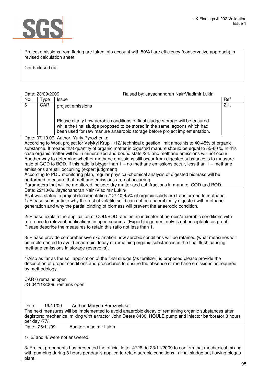

Project emissions from flaring are taken into account with 50% flare efficiency (conservative approach) in revised calculation sheet.

Car 5 closed out.

### Date: 23/09/2009 Raised by: Jayachandran Nair/Vladimir Lukin

|     | Dalt. <i>Lui Uul Luuu</i> | 1 iaiseu by. Javaullallulall Nail/Viaulliil Luniil                                                                                                      |      |
|-----|---------------------------|---------------------------------------------------------------------------------------------------------------------------------------------------------|------|
| No. | $\tau$ ype                | Issue                                                                                                                                                   | Ref  |
| 6   | CAR                       | project emissions<br>Please clarify how aerobic conditions of final sludge storage will be ensured                                                      | 2.1. |
|     |                           | while the final sludge proposed to be stored in the same lagoons which had<br>been used for raw manure anaerobic storage before project implementation. |      |
|     | ^^^                       |                                                                                                                                                         |      |

Date: 07.10.09, Author: Yuriy Pyrozhenko

According to Work project for Velykyi Krupil' /12/ technical digestion limit amounts to 40-45% of organic substance. It means that quantity of organic matter in digested manure should be equal to 55-60%. In this case organic matter will be in mineralized and bound state /24/ and methane emissions will not occur. Another way to determine whether methane emissions still occur from digested substance is to measure ratio of COD to BOD. If this ratio is bigger than 1 – no methane emissions occur, less than 1 – methane emissions are still occurring (expert judgment).

According to PDD monitoring plan, regular physical-chemical analysis of digested biomass will be performed to ensure that methane emissions are not occurring.

Parameters that will be monitored include: dry matter and ash fractions in manure, COD and BOD. Date: 22/10/09 Jayachandran Nair /Vladimir Lukin/

As it was stated in project documentation /12/ 40-45% of organic solids are transformed to methane. 1/ Please substantiate why the rest of volatile solid can not be anaerobically digested with methane generation and why the partial binding of biomass will prevent the anaerobic condition.

2/ Please explain the application of COD/BOD ratio as an indicator of aerobic/anaerobic conditions with reference to relevant publications in open sources. (Expert judgement only is not acceptable as proof). Please describe the measures to retain this ratio not less than 1.

3**/** Please provide comprehensive explanation how aerobic conditions will be retained (what measures will be implemented to avoid anaerobic decay of remaining organic substances in the final flush causing methane emissions in storage reservoirs).

4/Also as far as the soil application of the final sludge (as fertilizer) is proposed please provide the description of proper conditions and procedures to ensure the absence of methane emissions as required by methodology.

CAR 6 remains open JG 04/11/2009: remains open

Date: 19/11/09 Author: Maryna Bereznytska

The next measures will be implemented to avoid anaerobic decay of remaining organic substances after degistors: mechanical mixing with a tractor John Deere 8430, HOULE pump and injector barborator 8 hours per day /77/.

Date: 25/11/09 Auditor: Vladimir Lukin.

1/, 2/ and 4/ were not answered.

3/ Project proponents has presented the official letter #726 dd.23/11/2009 to confirm that mechanical mixing with pumping during 8 hours per day is applied to retain aerobic conditions in final sludge out flowing biogas plant.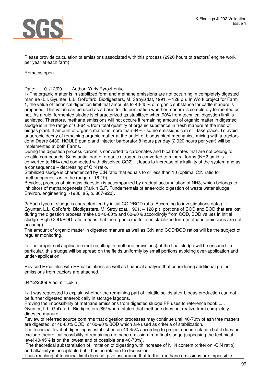

Please provide calculation of emissions associated with this process (2920 hours of tractors' engine work per year at each farm).

Remains open

Date: 01/12/09 Author: Yuriy Pyrozhenko

1/ The organic matter is in stabilized form and methane emissions are not occurring in completely digested manure (L.I. Gyunter, L.L. Gol'dfarb. Biodigesters, M: Stroyizdat, 1991. – 128 p.). In Work project for Farm 1, the value of technical digestion limit that amounts to 40-45% of organic substance for cattle manure is proposed. This value can be used as a basis for determination whether manure is completely fermented or not. As a rule, fermented sludge is characterized as stabilized when 90% from technical digestion limit is achieved. Therefore, methane emissions will not occure if remaining amount of organic matter in digested sludge is in the range of 60-64% from total quantity of organic substance in fresh manure at the inlet of biogas plant. If amount of organic matter is more than 64% - some emissions can still take place. To avoid anaerobic decay of remaining organic matter at the outlet of biogas plant mechanical mixing with a tractors John Deere 8430, HOULE pump and injector barborator 8 hours per day (2 920 hours per year) will be implemented at both Farms.

During the digestion process carbon is converted to carbonates and bicarbonates that are not belong to volatile compounds. Substantial part of organic nitrogen is converted to mineral forms (NH2 amid is converted to NH4 and connected with dissolved CO2). It leads to increase of alkalinity of the system and as a consequence – decreasing of C:N ratio.

Stabilized sludge is characterized by C:N ratio that equals to or less than 10 (optimal C:N ratio for methanogenesis is in the range of 16-19).

Besides, process of biomass digestion is accompanied by gradual accumulation of NH3, which belongs to inhibitors of methanogenesis (Parkin G.F. Fundementals of anaerobic digestion of waste water sludge. Environ. engineering. -1986, #5, p. 867-920).

2/ Each type of sludge is characterized by initial COD/BOD ratio. According to investigations data (L.I. Gyunter, L.L. Gol'dfarb. Biodigesters, M: Stroyizdat, 1991. – 128 p.) portions of COD and BOD that are lost during the digestion process make up 40-60% and 60-90% accordingly from COD, BOD values in initial sludge. High COD/BOD ratio means that the organic matter is in stabilized form (methane emissions are not occuring).

The amount of organic matter in digested manure as well as C:N and COD/BOD ratios will be the subject of regular monitoring.

4/ The proper soil application (not resulting in methane emissions) of the final sludge will be ensured. In particular, this sludge will be spread on the fields uniformly by small portions avoiding over-application and under-application

Revised Excel files with ER calculations as well as financial analysis that considering additional project emissions from tractors are attached.

### 04/12/2009 Vladimir Lukin

1/ It was requested to explain whether the remaining part of volatile solids after biogas production can not be further digested anaerobically in storage lagoons.

Proving the impossibility of methane emissions from digested sludge PP uses to reference book L.I. Gyunter, L.L. Gol'dfarb. Biodigesters /85/ where stated that methane does not realize from completely digested manure.

Review of referred source confirms that digestion processes may continue until 40-70% of ash free matters are digested, or 40-60% COD, or 60-90% BOD which are used as criteria of stabilization.

The technical level of digesting is established on 40-45% according to project documentation but it does not exclude theoretical possibility of remaining methane emission from final sludge (supposing the technical level 40-45% is on the lowest end of possible one 40-70%).

 The theoretical substantiation of limitation of digesting with increase of NH4 content (criterion -C:N ratio) and alkalinity is acceptable but it has no relation to discussion.

Thus reaching of technical limit does not give assurance that further methane emissions are impossible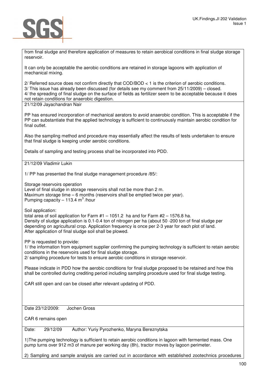

from final sludge and therefore application of measures to retain aerobical conditions in final sludge storage reservoir.

It can only be acceptable the aerobic conditions are retained in storage lagoons with application of mechanical mixing.

2/ Referred source does not confirm directly that COD/BOD < 1 is the criterion of aerobic conditions. 3/ This issue has already been discussed (for details see my comment from 25/11/2009) – closed. 4/ the spreading of final sludge on the surface of fields as fertilizer seem to be acceptable because it does not retain conditions for anaerobic digestion.

21/12/09 Jayachandran Nair

PP has ensured incorporation of mechanical aerators to avoid anaerobic condition. This is acceptable if the PP can substantiate that the applied technology is sufficient to continuously maintain aerobic condition for final outlet.

Also the sampling method and procedure may essentially affect the results of tests undertaken to ensure that final sludge is keeping under aerobic conditions.

Details of sampling and testing process shall be incorporated into PDD.

21/12/09 Vladimir Lukin

1/ PP has presented the final sludge management procedure /85/:

Storage reservoirs operation

Level of final sludge in storage reservoirs shall not be more than 2 m. Maximum storage time – 6 months (reservoirs shall be emptied twice per year). Pumping capacity  $-113.4$  m<sup>3</sup>/hour

Soil application:

total area of soil application for Farm #1 – 1051.2 ha and for Farm #2 – 1576.8 ha. Density of sludge application is 0.1-0.4 ton of nitrogen per ha (about 50 -200 ton of final sludge per depending on agricultural crop. Application frequency is once per 2-3 year for each plot of land. After application of final sludge soil shall be plowed.

PP is requested to provide:

1/ the information from equipment supplier confirming the pumping technology is sufficient to retain aerobic conditions in the reservoirs used for final sludge storage. 2/ sampling procedure for tests to ensure aerobic conditions in storage reservoir.

Please indicate in PDD how the aerobic conditions for final sludge proposed to be retained and how this shall be controlled during crediting period including sampling procedure used for final sludge testing.

CAR still open and can be closed after relevant updating of PDD.

Date 23/12/2009: Jochen Gross

CAR 6 remains open

Date: 29/12/09 Author: Yuriy Pyrozhenko, Maryna Bereznytska

1)The pumping technology is sufficient to retain aerobic conditions in lagoon with fermented mass. One pump turns over 912 m3 of manure per working day (8h), tractor moves by lagoon perimeter.

2) Sampling and sample analysis are carried out in accordance with established zootechnics procedures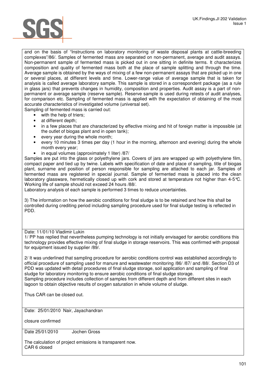and on the basis of "Instructions on laboratory monitoring of waste disposal plants at cattle-breeding complexes"/86/. Samples of fermented mass are separated on non-permanent, average and audit assays. Non-permanent sample of fermented mass is picked out in one sitting in definite terms. It characterizes composition and quality of fermented mass both at the place of sample splitting and through the time. Average sample is obtained by the ways of mixing of a few non-permanent assays that are picked up in one or several places, at different levels and time. Lower-range value of average sample that is taken for analysis is called average laboratory sample. This sample is stored in a correspondent package (as a rule in glass jars) that prevents changes in humidity, composition and properties. Audit assay is a part of nonpermanent or average sample (reserve sample). Reserve sample is used during retests of audit analyses, for comparison etc. Sampling of fermented mass is applied with the expectation of obtaining of the most accurate characteristics of investigated volume (universal set).

Sampling of fermented mass is carried out:

- with the help of triers;
- at different depth;
- in a few places that are characterized by effective mixing and hit of foreign matter is impossible (at the outlet of biogas plant and in open tank);
- every year during the whole month;
- every 10 minutes 3 times per day (1 hour in the morning, afternoon and evening) during the whole month every year;
- in equal volumes (approximately 1 liter) /87/

Samples are put into the glass or polyethylene jars. Covers of jars are wrapped up with polyethylene film, compact paper and tied up by twine. Labels with specification of date and place of sampling, title of biogas plant, surname and position of person responsible for sampling are attached to each jar. Samples of fermented mass are registered in special journal. Sample of fermented mass is placed into the clean laboratory glassware, hermetically closed up with cork and stored at temperature not higher than 4-5°C. Working life of sample should not exceed 24 hours /88/.

Laboratory analysis of each sample is performed 3 times to reduce uncertainties.

3) The information on how the aerobic conditions for final sludge is to be retained and how this shall be controlled during crediting period including sampling procedure used for final sludge testing is reflected in PDD.

### Date: 11/01/10 Vladimir Lukin

1/ PP has replied that nevertheless pumping technology is not initially envisaged for aerobic conditions this technology provides effective mixing of final sludge in storage reservoirs. This was confirmed with proposal for equipment issued by supplier /89/.

2/ It was underlined that sampling procedure for aerobic conditions control was established accordingly to official procedure of sampling used for manure and wastewater monitoring /86/ /87/ and /88/. Section D3 of PDD was updated with detail procedures of final sludge storage, soil application and sampling of final sludge for laboratory monitoring to ensure aerobic conditions of final sludge storage. Sampling procedure includes collection of samples from different depth and from different sites in each lagoon to obtain objective results of oxygen saturation in whole volume of sludge.

Thus CAR can be closed out.

Date: 25/01/2010 Nair, Jayachandran

closure confirmed

Date 25/01/2010 Jochen Gross

The calculation of project emissions is transparent now. CAR 6 closed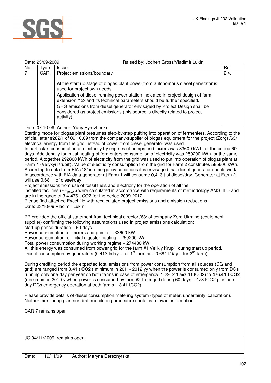

|                | Date: 23/09/2009                                                                                                              | Raised by: Jochen Gross/Vladimir Lukin                                                                                                                                                                                    |      |  |  |
|----------------|-------------------------------------------------------------------------------------------------------------------------------|---------------------------------------------------------------------------------------------------------------------------------------------------------------------------------------------------------------------------|------|--|--|
| No.            | <b>Type</b>                                                                                                                   | Issue                                                                                                                                                                                                                     | Ref  |  |  |
| $\overline{7}$ | CAR                                                                                                                           | Project emissions/boundary                                                                                                                                                                                                | 2.4. |  |  |
|                |                                                                                                                               |                                                                                                                                                                                                                           |      |  |  |
|                |                                                                                                                               | At the start up stage of biogas plant power from autonomous diesel generator is<br>used for project own needs.                                                                                                            |      |  |  |
|                |                                                                                                                               | Application of diesel running power station indicated in project design of farm<br>extension /12/ and its technical parameters should be further specified.                                                               |      |  |  |
|                |                                                                                                                               | GHG emissions from diesel generator envisaged by Project Design shall be                                                                                                                                                  |      |  |  |
|                |                                                                                                                               | considered as project emissions (this source is directly related to project                                                                                                                                               |      |  |  |
|                |                                                                                                                               | activity).                                                                                                                                                                                                                |      |  |  |
|                |                                                                                                                               | Date: 07.10.09, Author: Yuriy Pyrozhenko                                                                                                                                                                                  |      |  |  |
|                |                                                                                                                               | Starting mode for biogas plant presumes step-by-step putting into operation of fermenters. According to the                                                                                                               |      |  |  |
|                |                                                                                                                               | official letter #282/1 of 09.10.09 from the company-supplier of biogas equipment for the project (Zorg) /63/                                                                                                              |      |  |  |
|                |                                                                                                                               | electrical energy from the grid instead of power from diesel generator was used.                                                                                                                                          |      |  |  |
|                |                                                                                                                               | In particular, consumption of electricity by engines of pumps and mixers was 33600 kWh for the period 60                                                                                                                  |      |  |  |
|                |                                                                                                                               | days. Additionally for initial heating of fermenters consumption of electricity was 259200 kWh for the same                                                                                                               |      |  |  |
|                |                                                                                                                               | period. Altogether 292800 kWh of electricity from the grid was used to put into operation of biogas plant at                                                                                                              |      |  |  |
|                |                                                                                                                               | Farm 1 (Velykyi Krupil'). Value of electricity consumption from the gird for Farm 2 constitutes 585600 kWh.<br>According to data from EIA /18/ in emergency conditions it is envisaged that diesel generator should work. |      |  |  |
|                |                                                                                                                               | In accordance with EIA data generator at Farm 1 will consume 0,413 t of diesel/day. Generator at Farm 2                                                                                                                   |      |  |  |
|                |                                                                                                                               | will use 0,681 t of diesel/day.                                                                                                                                                                                           |      |  |  |
|                |                                                                                                                               | Project emissions from use of fossil fuels and electricity for the operation of all the                                                                                                                                   |      |  |  |
|                |                                                                                                                               | installed facilities (PE <sub>power</sub> ) were calculated in accordance with requirements of methodology AMS III.D and                                                                                                  |      |  |  |
|                |                                                                                                                               | are in the range of 3,4-476 t CO2 for the period 2009-2012.                                                                                                                                                               |      |  |  |
|                | Please find attached Excel file with recalculated project emissions and emission reductions.<br>Date: 23/10/09 Vladimir Lukin |                                                                                                                                                                                                                           |      |  |  |
|                |                                                                                                                               |                                                                                                                                                                                                                           |      |  |  |
|                |                                                                                                                               | PP provided the official statement from technical director /63/ of company Zorg Ukraine (equipment                                                                                                                        |      |  |  |
|                |                                                                                                                               | supplier) confirming the following assumptions used in project emissions calculation:                                                                                                                                     |      |  |  |
|                |                                                                                                                               | start up phase duration $-60$ days                                                                                                                                                                                        |      |  |  |
|                |                                                                                                                               | Power consumption for mixers and pumps - 33600 kW                                                                                                                                                                         |      |  |  |
|                |                                                                                                                               | Power consumption for initial digester heating - 259200 kW                                                                                                                                                                |      |  |  |
|                |                                                                                                                               | Total power consumption during working regime - 274480 kW.<br>All this energy was consumed from power grid for the farm #1 Velikiy Krupil' during start up period.                                                        |      |  |  |
|                |                                                                                                                               | Diesel consumption by generators (0.413 t/day – for 1 <sup>st</sup> farm and 0.681 t/day – for $2^{nd}$ farm).                                                                                                            |      |  |  |
|                |                                                                                                                               | During crediting period the expected total emissions from power consumption from all sources (DG and                                                                                                                      |      |  |  |
|                |                                                                                                                               | grid) are ranged from 3.41 t CO2 (minimum in 2011-2012 yy when the power is consumed only from DGs                                                                                                                        |      |  |  |
|                |                                                                                                                               | running only one day per year on both farms in case of emergency: 1.29+2.12=3.41 tCO2) to 476.41 t CO2                                                                                                                    |      |  |  |
|                |                                                                                                                               | (maximum in 2010 y when power is consumed by farm #2 from grid during 60 days - 473 tCO2 plus one                                                                                                                         |      |  |  |
|                |                                                                                                                               | day DGs emergency operation at both farms - 3.41 tCO2)                                                                                                                                                                    |      |  |  |
|                |                                                                                                                               |                                                                                                                                                                                                                           |      |  |  |
|                |                                                                                                                               | Please provide details of diesel consumption metering system (types of meter, uncertainty, calibration).<br>Neither monitoring plan nor draft monitoring procedure contains relevant information.                         |      |  |  |
|                | CAR 7 remains open                                                                                                            |                                                                                                                                                                                                                           |      |  |  |
|                |                                                                                                                               |                                                                                                                                                                                                                           |      |  |  |
|                |                                                                                                                               |                                                                                                                                                                                                                           |      |  |  |
|                |                                                                                                                               |                                                                                                                                                                                                                           |      |  |  |
|                |                                                                                                                               | JG 04/11/2009: remains open                                                                                                                                                                                               |      |  |  |
|                |                                                                                                                               |                                                                                                                                                                                                                           |      |  |  |
|                |                                                                                                                               |                                                                                                                                                                                                                           |      |  |  |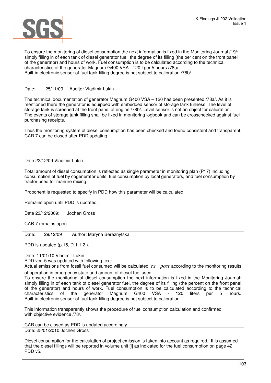

To ensure the monitoring of diesel consumption the next information is fixed in the Monitoring Journal /19/: simply filling in of each tank of diesel generator fuel, the degree of its filling (the per cent on the front panel of the generator) and hours of work. Fuel consumption is to be calculated according to the technical characteristics of the generator Magnum G400 VSA - 120 l per 5 hours /78a/. Built-in electronic sensor of fuel tank filling degree is not subject to calibration /78b/.

### Date: 25/11/09 Auditor Vladimir Lukin

The technical documentation of generator Magnum G400 VSA – 120 has been presented /78a/. As it is mentioned there the generator is equipped with embedded sensor of storage tank fullness. The level of storage tank is screened at the front panel of engine /78b/. Level sensor is not an object for calibration. The events of storage tank filling shall be fixed in monitoring logbook and can be crosschecked against fuel purchasing receipts.

Thus the monitoring system of diesel consumption has been checked and found consistent and transparent. CAR 7 can be closed after PDD updating

### Date 22/12/09 Vladimir Lukin

Total amount of diesel consumption is reflected as single parameter in monitoring plan (P17) including consumption of fuel by cogenerator units, fuel consumption by local generators, and fuel consumption by tractor used for manure mixing.

Proponent is requested to specify in PDD how this parameter will be calculated.

Remains open until PDD is updated.

Date 23/12/2009: Jochen Gross

CAR 7 remains open

Date: 29/12/09 Author: Maryna Bereznytska

PDD is updated (p.15, D.1.1.2.).

Date: 11/01/10 Vladimir Lukin

PDD ver. 5 was updated with following text:

Actual emissions from fossil fuel consumed will be calculated *ex*− *post* according to the monitoring results of operation in emergency state and amount of diesel fuel used.

To ensure the monitoring of diesel consumption the next information is fixed in the Monitoring Journal: simply filling in of each tank of diesel generator fuel, the degree of its filling (the percent on the front panel of the generator) and hours of work. Fuel consumption is to be calculated according to the technical characteristics of the generator Magnum G400 VSA - 120 liters per 5 hours. Built-in electronic sensor of fuel tank filling degree is not subject to calibration.

This information transparently shows the procedure of fuel consumption calculation and confirmed with objective evidence /78/.

CAR can be closed as PDD is updated accordingly.

Date: 25/01/2010 Jochen Gross

Diesel consumption for the calculation of project emission is taken into account as required. It is assumed that the diesel fillings will be reported in volume unit [l] as indicated for the fuel consumption on page 42 PDD v5.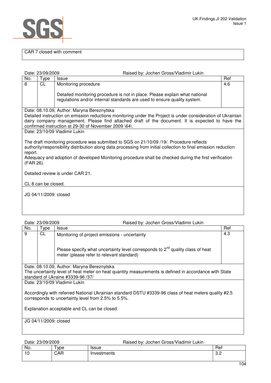

### CAR 7 closed with comment

|                      | Date: 23/09/2009              | Raised by: Jochen Gross/Vladimir Lukin                                                                                                                    |     |  |
|----------------------|-------------------------------|-----------------------------------------------------------------------------------------------------------------------------------------------------------|-----|--|
| No.                  | Type                          | <b>Issue</b>                                                                                                                                              | Ref |  |
| 8                    | CL                            | Monitoring procedure                                                                                                                                      | 4.6 |  |
|                      |                               | Detailed monitoring procedure is not in place. Please explain what national<br>regulations and/or internal standards are used to ensure quality system.   |     |  |
|                      |                               | Date: 08.10.09, Author: Maryna Bereznytska                                                                                                                |     |  |
|                      |                               | Detailed instruction on emission reductions monitoring under the Project is under consideration of Ukrainian                                              |     |  |
|                      |                               | dairy company management. Please find attached draft of the document. It is expected to have the<br>confirmed instruction at 29-30 of November 2009 \64\. |     |  |
|                      | Date: 23/10/09 Vladimir Lukin |                                                                                                                                                           |     |  |
|                      |                               |                                                                                                                                                           |     |  |
|                      |                               | The draft monitoring procedure was submitted to SGS on 21/10/09 /19/. Procedure reflects                                                                  |     |  |
|                      |                               | authority/responsibility distribution along data processing from initial collection to final emission reduction                                           |     |  |
| report.<br>(FAR 26). |                               | Adequacy and adoption of developed Monitoring procedure shall be checked during the first verification                                                    |     |  |
|                      |                               |                                                                                                                                                           |     |  |
|                      |                               | Detailed review is under CAR 21.                                                                                                                          |     |  |
|                      | CL 8 can be closed.           |                                                                                                                                                           |     |  |
|                      |                               |                                                                                                                                                           |     |  |
|                      | JG 04/11/2009: closed         |                                                                                                                                                           |     |  |
|                      |                               |                                                                                                                                                           |     |  |
|                      |                               |                                                                                                                                                           |     |  |
|                      | Date: 23/09/2009              | <b>Raised by: Jochen Gross/Vladimir Lukin</b>                                                                                                             |     |  |

| No.                                                                                                                                                          | Type      | <b>Issue</b>                                                                                                                     | Ref |  |  |  |
|--------------------------------------------------------------------------------------------------------------------------------------------------------------|-----------|----------------------------------------------------------------------------------------------------------------------------------|-----|--|--|--|
| 9                                                                                                                                                            | <b>CL</b> | Monitoring of project emissions - uncertainty                                                                                    | 4.3 |  |  |  |
|                                                                                                                                                              |           | Please specify what uncertainty level corresponds to $2^{nd}$ quality class of heat<br>meter (please refer to relevant standard) |     |  |  |  |
| Date: 08.10.09, Author: Maryna Bereznytska                                                                                                                   |           |                                                                                                                                  |     |  |  |  |
| The uncertainty level of heat meter on heat quantity measurements is defined in accordance with State                                                        |           |                                                                                                                                  |     |  |  |  |
| standard of Ukraine #3339-96 /37/                                                                                                                            |           |                                                                                                                                  |     |  |  |  |
| Date: 23/10/09 Vladimir Lukin                                                                                                                                |           |                                                                                                                                  |     |  |  |  |
| Accordingly with referred National Ukrainian standard DSTU #3339-96 class of heat meters quality #2.5<br>corresponds to uncertainty level from 2.5% to 5.5%. |           |                                                                                                                                  |     |  |  |  |
| Explanation acceptable and CL can be closed.                                                                                                                 |           |                                                                                                                                  |     |  |  |  |

JG 04/11/2009: closed

Date: 23/09/2009 Raised by: Jochen Gross/Vladimir Lukin

| No. | vpe      | .<br>issue  | Ref       |
|-----|----------|-------------|-----------|
| 10  | Ð<br>CAR | Investments | C.<br>ے.ب |
|     |          |             |           |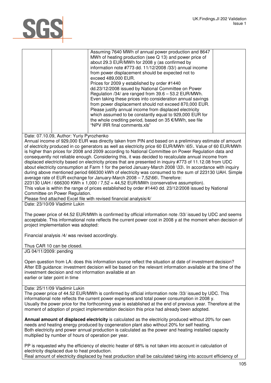# SGS

### Date: 07.10.09, Author: Yuriy Pyrozhenko

Annual income of 929,000 EUR was directly taken from PIN and based on a preliminary estimate of amount of electricity produced in co generators as well as electricity price 60 EUR/MWh \65\. Value of 60 EUR/MWh is higher than prices for 2008 and 2009 according to National Committee on Power Regulation data and consequently not reliable enough. Considering this, it was decided to recalculate annual income from displaced electricity based on electricity prices that are presented in inquiry #773 of 11.12.08 from UDC about electricity consumption at Farm 1 for the period January-March 2008 \33\. In accordance with inquiry during above mentioned period 666300 kWh of electricity was consumed to the sum of 223130 UAH. Simple average rate of EUR exchange for January-March 2008 – 7,52\66\. Therefore:

223130 UAH / 666300 KWh x 1,000 / 7,52 = 44,52 EUR/MWh (conservative assumption). This value is within the range of prices established by order #1440 dd. 23/12/2008 issued by National Committee on Power Regulation.

Please find attached Excel file with revised financial analysis/4/

Date: 23/10/09 Vladimir Lukin

The power price of 44.52 EUR/MWh is confirmed by official information note /33/ issued by UDC and seems acceptable. This informational note reflects the current power cost in 2008 y at the moment when decision of project implementation was adopted:

Financial analysis /4/ was revised accordingly.

Thus CAR 10 can be closed.

JG 04/11/2009: pending

Open question from LA: does this information source reflect the situation at date of investment decision? After EB guidance: investment decision will be based on the relevant information available at the time of the investment decision and not information available at an earlier or later point in time

### Date: 25/11/09 Vladimir Lukin

The power price of 44.52 EUR/MWh is confirmed by official information note /33/ issued by UDC. This informational note reflects the current power expenses and total power consumption in 2008 y. Usually the power price for the forthcoming year is established at the end of previous year. Therefore at the moment of adoption of project implementation decision this price had already been adopted.

**Annual amount of displaced electricity** is calculated as the electricity produced without 20% for own needs and heating energy produced by cogeneration plant also without 20% for self heating. Both electricity and power annual production is calculated as the power and heating installed capacity multiplied by number of hours of operation per year.

PP is requested why the efficiency of electric heater of 68% is not taken into account in calculation of electricity displaced due to heat production.

Real amount of electricity displaced by heat production shall be calculated taking into account efficiency of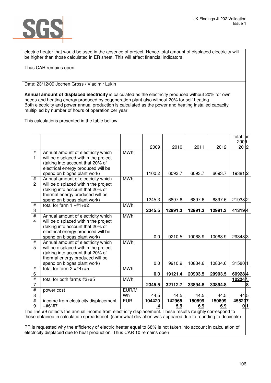

electric heater that would be used in the absence of project. Hence total amount of displaced electricity will be higher than those calculated in ER sheet. This will affect financial indicators.

Thus CAR remains open

Date: 23/12/09 Jochen Gross / Vladimir Lukin

**Annual amount of displaced electricity** is calculated as the electricity produced without 20% for own needs and heating energy produced by cogeneration plant also without 20% for self heating. Both electricity and power annual production is calculated as the power and heating installed capacity multiplied by number of hours of operation per year.

This calculations presented in the table bellow:

|                         |                                                                          |            |        |         |         |         | total for<br>2009- |
|-------------------------|--------------------------------------------------------------------------|------------|--------|---------|---------|---------|--------------------|
|                         |                                                                          |            | 2009   | 2010    | 2011    | 2012    | 2012               |
| #                       | Annual amount of electricity which                                       | <b>MWh</b> |        |         |         |         |                    |
| 1                       | will be displaced within the project                                     |            |        |         |         |         |                    |
|                         | (taking into account that 20% of                                         |            |        |         |         |         |                    |
|                         | electrical energy produced will be                                       |            |        |         |         |         |                    |
|                         | spend on biogas plant work)                                              |            | 1100.2 | 6093.7  | 6093.7  | 6093.7  | 193812             |
| $\#$<br>$\overline{2}$  | Annual amount of electricity which                                       | <b>MWh</b> |        |         |         |         |                    |
|                         | will be displaced within the project<br>(taking into account that 20% of |            |        |         |         |         |                    |
|                         | thermal energy produced will be                                          |            |        |         |         |         |                    |
|                         | spend on biogas plant work)                                              |            | 1245.3 | 6897.6  | 6897.6  | 6897.6  | 219382             |
| $\overline{\#}$         | total for farm $1 = #1 + #2$                                             | <b>MWh</b> |        |         |         |         |                    |
| 3                       |                                                                          |            | 2345.5 | 12991.3 | 12991.3 | 12991.3 | 41319.4            |
| #                       | Annual amount of electricity which                                       | <b>MWh</b> |        |         |         |         |                    |
| $\overline{\mathbf{4}}$ | will be displaced within the project                                     |            |        |         |         |         |                    |
|                         | (taking into account that 20% of                                         |            |        |         |         |         |                    |
|                         | electrical energy produced will be                                       |            |        |         |         |         |                    |
|                         | spend on biogas plant work)                                              |            | 0.0    | 9210.5  | 10068.9 | 10068.9 | 293483             |
| $\overline{\#}$         | Annual amount of electricity which                                       | <b>MWh</b> |        |         |         |         |                    |
| 5                       | will be displaced within the project<br>(taking into account that 20% of |            |        |         |         |         |                    |
|                         | thermal energy produced will be                                          |            |        |         |         |         |                    |
|                         | spend on biogas plant work)                                              |            | 0.0    | 9910.9  | 10834.6 | 10834.6 | 31580.1            |
| $\overline{t}$          | total for farm $2 = #4 + #5$                                             | <b>MWh</b> |        |         |         |         |                    |
| 6                       |                                                                          |            | 0.0    | 19121.4 | 20903.5 | 20903.5 | 60928.4            |
| #                       | total for both farms $#3+#5$                                             | <b>MWh</b> |        |         |         |         | 102247.            |
| $\overline{7}$          |                                                                          |            | 2345.5 | 32112.7 | 33894.8 | 33894.8 | 8                  |
| #                       | power cost                                                               | EUR/M      |        |         |         |         |                    |
| 8                       |                                                                          | Wh         | 44.5   | 44.5    | 44.5    | 44.5    | 44.5               |
| $\overline{\#}$         | income from electricity displacement                                     | <b>EUR</b> | 104420 | 142965  | 150899  | 150899  | 455207             |
| 9                       | $=$ #6*#7                                                                |            | .4     | 5.9     | 6.9     | 6.9     | 0.11               |

The line #9 reflects the annual income from electricity displacement. These results roughly correspond to those obtained in calculation spreadsheet. (somewhat deviation was appeared due to rounding to decimals).

PP is requested why the efficiency of electric heater equal to 68% is not taken into account in calculation of electricity displaced due to heat production. Thus CAR 10 remains open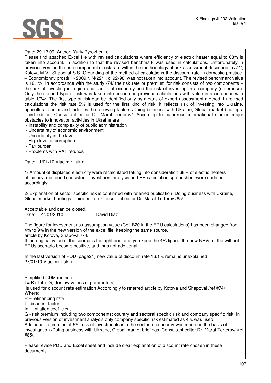### Date: 29.12.09, Author: Yuriy Pyrozhenko

Please find attached Excel file with revised calculations where efficiency of electric heater equal to 68% is taken into account. In addition to that the revised benchmark was used in calculations. Unfortunately in previous version the one component of risk rate within the methodology of risk assessment described in /74/, Kotova M.V., Shapoval S.S. Grounding of the method of calculations the discount rate in domestic practice. – Economichny prostir. - 2009 г. №22/1, с. 92-98. was not taken into account. The revised benchmark value is 16.1%. In accordance with the study /74/ the risk rate or premium for risk consists of two components the risk of investing in region and sector of economy and the risk of investing in a company (enterprise). Only the second type of risk was taken into account in previous calculations with value in accordance with table 1/74/. The first type of risk can be identified only by means of expert assessment method. In revised calculations the risk rate 5% is used for the first kind of risk. It reflects risk of investing into Ukraine, agricultural sector and includes the following factors /Doing business with Ukraine, Global market briefings. Third edition. Consultant editor Dr. Marat Terterov/. According to numerous international studies major obstacles to innovation activities in Ukraine are:

- Instability and complexity of public administration
- Uncertainty of economic environment
- Uncertainty in the law
- High level of corruption
- Tax burden
- Problems with VAT refunds

Date: 11/01/10 Vladimir Lukin

1/ Amount of displaced electricity were recalculated taking into consideration 68% of electric heaters efficiency and found consistent. Investment analysis and ER calculation spreadsheet were updated accordingly.

2/ Explanation of sector specific risk is confirmed with referred publication: Doing business with Ukraine, Global market briefings. Third edition. Consultant editor Dr. Marat Terterov /85/.

Acceptable and can be closed.

Date: 27/01/2010 David Diaz

The figure for investment risk assumption value (Cell B20 in the ERU calculations) has been changed from 4% to 9% in the new version of the excel file, keeping the same source.

article by Kotova, Shapoval /74/

If the original value of the source is the right one, and you keep the 4% figure, the new NPVs of the without ERUs scenario become positive, and thus not additional.

In the last version of PDD (page24) new value of discount rate 16.1% remains unexplained 27/01/10 Vladimir Lukin

Simplified CDM method

 $I = R + Inf + G$ , (for low values of parameters)

 is used for discount rate estimation Accordingly to referred article by Kotova and Shapoval /ref #74/ Where:

R – refinancing rate

I - discount factor,

Inf - inflation coefficient,

G - risk premium including two components: country and sectoral specific risk and company specific risk. In previous version of investment analysis only company specific risk estimated as 4% was used. Additional estimation of 5% risk of investments into the sector of economy was made on the basis of investigation /Doing business with Ukraine, Global market briefings. Consultant editor Dr. Marat Terterov/ /ref #85/.

Please revise PDD and Excel sheet and include clear explanation of discount rate chosen in these documents.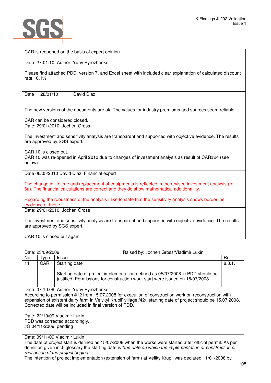

CAR is reopened on the basis of expert opinion.

Date: 27.01.10, Author: Yuriy Pyrozhenko

Please find attached PDD, version 7, and Excel sheet with included clear explanation of calculated discount rate 16.1%.

Date 28/01/10 David Diaz

The new versions of the documents are ok. The values for industry premiums and sources seem reliable.

CAR can be considered closed.

Date: 29/01/2010 Jochen Gross

The investment and sensitivity analysis are transparent and supported with objective evidence. The results are approved by SGS expert.

CAR 10 is closed out.

CAR 10 was re-opened in April 2010 due to changes of investment analysis as result of CAR#24 (see below).

Date 06/05/2010 David Diaz, Financial expert

The change in lifetime and replacement of equipments is reflected in the revised investment analysis (ref 6a). The financial calculations are correct and they do show mathematical additionallity.

Regarding the robustness of the analysis I like to state that the sensitivity analysis shows borderline evidence of these.

Date: 29/01/2010 Jochen Gross

The investment and sensitivity analysis are transparent and supported with objective evidence. The results are approved by SGS expert.

CAR 10 is closed out again.

| Date: 23/09/2009                                                                                                                                                                                                                                                                                                                  |                                                                                                         | Raised by: Jochen Gross/Vladimir Lukin                                                                                                                          |        |  |  |  |
|-----------------------------------------------------------------------------------------------------------------------------------------------------------------------------------------------------------------------------------------------------------------------------------------------------------------------------------|---------------------------------------------------------------------------------------------------------|-----------------------------------------------------------------------------------------------------------------------------------------------------------------|--------|--|--|--|
| No.                                                                                                                                                                                                                                                                                                                               | Type                                                                                                    | <b>Issue</b>                                                                                                                                                    | Ref    |  |  |  |
| 11                                                                                                                                                                                                                                                                                                                                | CAR                                                                                                     | Starting date                                                                                                                                                   | 8.3.1. |  |  |  |
|                                                                                                                                                                                                                                                                                                                                   |                                                                                                         | Starting date of project implementation defined as 05/07/2008 in PDD should be<br>justified. Permissions for construction work start were issued on 15/07/2008. |        |  |  |  |
| Date: 07.10.09, Author: Yuriy Pyrozhenko<br>According to permission #12 from 15.07.2008 for execution of construction work on reconstruction with<br>expansion of existent dairy farm in Velykyi Krupil' village /42/, starting date of project should be 15.07.2008.<br>Corrected date will be included in final version of PDD. |                                                                                                         |                                                                                                                                                                 |        |  |  |  |
| Date: 22/10/09 Vladimir Lukin                                                                                                                                                                                                                                                                                                     |                                                                                                         |                                                                                                                                                                 |        |  |  |  |
|                                                                                                                                                                                                                                                                                                                                   | PDD was corrected accordingly.                                                                          |                                                                                                                                                                 |        |  |  |  |
| JG 04/11/2009: pending                                                                                                                                                                                                                                                                                                            |                                                                                                         |                                                                                                                                                                 |        |  |  |  |
| Date: 09/11/09 Vladimir Lukin<br>The date of project start is defined as 15/07/2008 when the works were started after official permit. As per<br>definition given in JI glossary the starting date is "the date on which the implementation or construction or<br>real action of the project begins".                             |                                                                                                         |                                                                                                                                                                 |        |  |  |  |
|                                                                                                                                                                                                                                                                                                                                   | The intention of project implementation (extension of farm) at Veliky Krupil was declared 11/01/2008 by |                                                                                                                                                                 |        |  |  |  |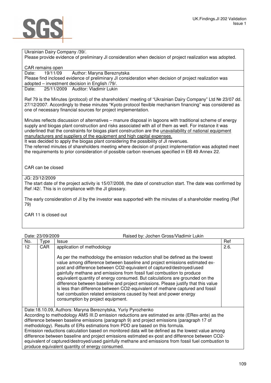Ukrainian Dairy Company /39/.

Please provide evidence of preliminary JI consideration when decision of project realization was adopted.

CAR remains open

Date: 19/11/09 Author: Maryna Bereznytska

Please find inclosed evidence of preliminary JI consideration when decision of project realization was adopted – investment decision in English /79/.

Date: 25/11/2009 Auditor: Vladimir Lukin

Ref 79 is the Minutes (protocol) of the shareholders' meeting of "Ukrainian Dairy Company" Ltd № 23/07 dd. 27/12/2007. Accordingly to these minutes "Kyoto protocol flexible mechanism financing" was considered as one of necessary financial sources for project implementation.

Minutes reflects discussion of alternatives – manure disposal in lagoons with traditional scheme of energy supply and biogas plant construction and risks associated with all of them as well. For instance it was underlined that the constraints for biogas plant construction are the unavailability of national equipment manufacturers and suppliers of the equipment and high capital expenses.

It was decided to apply the biogas plant considering the possibility of JI revenues.

The referred minutes of shareholders meeting where decision of project implementation was adopted meet the requirements to prior consideration of possible carbon revenues specified in EB 49 Annex 22.

CAR can be closed

JG: 23/12/2009

The start date of the project activity is 15/07/2008, the date of construction start. The date was confirmed by Ref /42/. This is in compliance with the JI glossary.

The early consideration of JI by the investor was supported with the minutes of a shareholder meeting (Ref 79)

CAR 11 is closed out

|                  | Raised by: Jochen Gross/Vladimir Lukin<br>Date: 23/09/2009                                                                                                                                                                                                                                                                                                                                                                                                                                                                                                                                                                                                                     |      |
|------------------|--------------------------------------------------------------------------------------------------------------------------------------------------------------------------------------------------------------------------------------------------------------------------------------------------------------------------------------------------------------------------------------------------------------------------------------------------------------------------------------------------------------------------------------------------------------------------------------------------------------------------------------------------------------------------------|------|
| No.<br>Type      | <b>Issue</b>                                                                                                                                                                                                                                                                                                                                                                                                                                                                                                                                                                                                                                                                   | Ref  |
| 12<br><b>CAR</b> | application of methodology                                                                                                                                                                                                                                                                                                                                                                                                                                                                                                                                                                                                                                                     | 2.6. |
|                  | As per the methodology the emission reduction shall be defined as the lowest<br>value among difference between baseline and project emissions estimated ex-<br>post and difference between CO2-equivalent of captured/destroyed/used<br>gainfully methane and emissions from fossil fuel combustion to produce<br>equivalent quantity of energy consumed. But calculations are grounded on the<br>difference between baseline and project emissions. Please justify that this value<br>is less than difference between CO2-equivalent of methane captured and fossil<br>fuel combustion related emissions caused by heat and power energy<br>consumption by project equipment. |      |
|                  | Date:18.10.09, Authors: Maryna Bereznytska, Yuriy Pyrozhenko<br>According to methodology AMS III.D emission reductions are estimated ex ante (ERex-ante) as the<br>difference between baseline emissions (paragraph 9) and project emissions (paragraph 17 of<br>methodology). Results of ERs estimations from PDD are based on this formula.<br>Emission reductions calculation based on monitored data will be defined as the lowest value among<br>difference between baseline and project emissions estimated ex-post and difference between CO2-<br>equivalent of captured/destroyed/used gainfully methane and emissions from fossil fuel combustion to                  |      |
|                  | produce equivalent quantity of energy consumed.                                                                                                                                                                                                                                                                                                                                                                                                                                                                                                                                                                                                                                |      |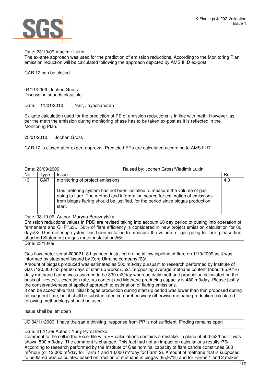

### Date: 23/10/09 Vladimir Lukin

The ex-ante approach was used for the prediction of emission reductions. According to the Monitoring Plan emission reduction will be calculated following the approach depicted by AMS III.D ex-post.

CAR 12 can be closed.

04/11/2009: Jochen Gross Discussion sounds plausible

Date: 11/01/2010 Nair, Jayachandran

Ex-ante calculation used for the prediction of PE of emission reductions is in line with meth. However, as per the meth the emission during monitoring phase has to be taken ex-post as it is reflected in the Monitoring Plan.

25/01/2010: Jochen Gross

CAR 12 is closed after expert approval. Predicted ERs are calculated according to AMS III.D

Date: 23/09/2009 Raised by: Jochen Gross/Vladimir Lukin

| No. | vpe        | <b>Issue</b>                                                                                                                                                                                                                                          | Ref |
|-----|------------|-------------------------------------------------------------------------------------------------------------------------------------------------------------------------------------------------------------------------------------------------------|-----|
| 13  | <b>CAR</b> | monitoring of project emissions                                                                                                                                                                                                                       | 4.3 |
|     |            | Gas metering system has not been installed to measure the volume of gas<br>going to flare. The method and information source for estimation of emissions<br>from biogas flaring should be justified, for the period since biogas production<br>start. |     |

Date: 08.10.09, Author: Maryna Bereznytska

Emission reductions values in PDD are revised taking into account 60 day period of putting into operation of fermenters and CHP \63\. 50% of flare efficiency is considered in new project emission calculation for 60 days\3\. Gas metering system has been installed to measure the volume of gas going to flare, please find attached Statement on gas meter installation\56\.

Date: 23/10/09

Gas flow meter serial #0002118 has been installed on the inflow pipeline of flare on 1/10/2009 as it was informed by statement issued by Zorg Ukraine company /63/.

Amount of biogas produced was estimated as 500 m3/day pursuant to research performed by Institute of Gas (120,000 m3 per 60 days of start up works) /52/. Supposing average methane content (about 65.97%) daily methane flaring was assumed to be 330 m3/day whereas daily methane production calculated on the basis of livestock, excretion rate, Vs content and Methane producing capacity is 480 m3/day. Please justify the conservativeness of applied approach to estimation of flaring emissions.

It can be acceptable that initial biogas production during start up period was lower than that proposed during consequent time, but it shall be substantiated comprehensively otherwise methane production calculated following methodology should be used.

Issue shall be left open

JG 04/11/2009: I have the same thinking, response from PP is not sufficient. Finding remains open

Date: 21.11.09 Author: Yuriy Pyrozhenko

Comment to the cell in the Excel file with ER calculations contains a mistake. In place of 500 m3/hour it was shown 500 m3/day. The comment is changed. This fact had not an impact on calculations results /76/. According to research performed by the Institute of Gas nominal capacity of flare candle constitutes 500  $\text{m}^3$ /hour (or 12,000 m $\text{m}^3$ /day for Farm 1 and 18,000 m $\text{m}^3$ /day for Farm 2). Amount of methane that is supposed to be flared was calculated based on fraction of methane in biogas (65,97%) and for Farms 1 and 2 makes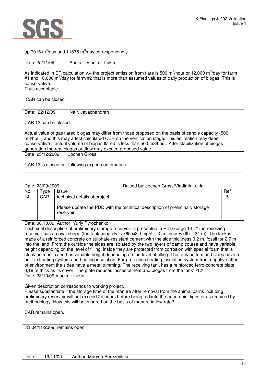

| up 7916 $m^3$ /day and 11875 $m^3$ /day correspondingly.                                                                                                                                                                                                                                                                                                                            |
|-------------------------------------------------------------------------------------------------------------------------------------------------------------------------------------------------------------------------------------------------------------------------------------------------------------------------------------------------------------------------------------|
| Date: 25/11/09<br>Auditor: Vladimir Lukin                                                                                                                                                                                                                                                                                                                                           |
| As indicated in ER calculation v.4 the project emission from flare is 500 $m^3$ /hour or 12,000 $m^3$ /day for farm<br>#1 and 18,000 m <sup>3</sup> /day for farm #2 that is more than assumed values of daily production of biogas. This is<br>conservative.<br>Thus acceptable.                                                                                                   |
| CAR can be closed                                                                                                                                                                                                                                                                                                                                                                   |
| Date: 22/12/09<br>Nair, Jayachandran                                                                                                                                                                                                                                                                                                                                                |
| CAR 13 can be closed                                                                                                                                                                                                                                                                                                                                                                |
| Actual value of gas flared biogas may differ from those proposed on the basis of candle capacity (500<br>m3/hour) and this may affect calculated CER on the verification stage. This estimation may deem<br>conservative if actual volume of biogas flared is less than 500 m3/hour. After stabilization of biogas<br>generation the real biogas outflow may exceed proposed value. |
| Date 23/12/2009: Jochen Gross                                                                                                                                                                                                                                                                                                                                                       |
| CAR 13 is closed out following expert confirmation.                                                                                                                                                                                                                                                                                                                                 |

|     | Date: 23/09/2009 | Raised by: Jochen Gross/Vladimir Lukin                                                                                    |     |
|-----|------------------|---------------------------------------------------------------------------------------------------------------------------|-----|
| No. | vpe              | <b>Issue</b>                                                                                                              | Ref |
| 14  | <b>CAR</b>       | technical details of project<br>Please update the PDD with the technical description of preliminary storage<br>reservoir. | 15. |

Date: 08.10.09, Author: Yuriy Pyrozhenko

Technical description of preliminary storage reservoir is presented in PDD (page 14): "The receiving reservoir has an oval shape (the tank capacity is 765 м3, height – 3 m, inner width – 24 m). The tank is made of a reinforced concrete on sulphate-resistant cement with the side thickness 0,2 m, fossil for 2,7 m into the land. From the outside the sides are isolated by the two layers of damp course and have variable height depending on the level of filling, inside they are protected from corrosion with special foam that is stuck on mastic and has variable height depending on the level of filling. The tank bottom and sides have a built-in heating system and heating insulation. For protection heating insulation system from negative affect of environment the sides have a metal trimming. The receiving tank has a reinforced ferro-concrete plate 0,18 m thick as its cover. The plate reduces losses of heat and biogas from the tank" \12\.

Date: 23/10/09 Vladimir Lukin

Given description corresponds to working project.

Please substantiate if the storage time of the manure after removal from the animal barns including preliminary reservoir will not exceed 24 hours before being fed into the anaerobic digester as required by methodology. How this will be ensured on the basis of manure inflow rate?

CAR remains open.

JG 04/11/2009: remains open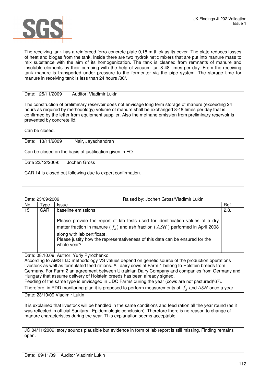

The receiving tank has a reinforced ferro-concrete plate 0,18 m thick as its cover. The plate reduces losses of heat and biogas from the tank. Inside there are two hydrokinetic mixers that are put into manure mass to mix substance with the aim of its homogenization. The tank is cleaned from remnants of manure and insoluble elements by their pumping with the help of vacuum tun 8-48 times per day. From the receiving tank manure is transported under pressure to the fermenter via the pipe system. The storage time for manure in receiving tank is less than 24 hours /80/.

Date: 25/11/2009 Auditor: Vladimir Lukin

The construction of preliminary reservoir does not envisage long term storage of manure (exceeding 24 hours as required by methodology) volume of manure shall be exchanged 8-48 times per day that is confirmed by the letter from equipment supplier. Also the methane emission from preliminary reservoir is prevented by concrete lid.

Can be closed.

Date: 13/11/2009 Nair, Jayachandran

Can be closed on the basis of justification given in FO.

Date 23/12/2009: Jochen Gross

CAR 14 is closed out following due to expert confirmation.

|       | Date: 23/09/2009<br>Raised by: Jochen Gross/Vladimir Lukin                                                                                                                                                                                                                                                                                                                                                                                                                                                                                                                                                                                         |                                                                                                            |      |
|-------|----------------------------------------------------------------------------------------------------------------------------------------------------------------------------------------------------------------------------------------------------------------------------------------------------------------------------------------------------------------------------------------------------------------------------------------------------------------------------------------------------------------------------------------------------------------------------------------------------------------------------------------------------|------------------------------------------------------------------------------------------------------------|------|
| No.   | Type                                                                                                                                                                                                                                                                                                                                                                                                                                                                                                                                                                                                                                               | <b>Issue</b>                                                                                               | Ref  |
| 15    | CAR.                                                                                                                                                                                                                                                                                                                                                                                                                                                                                                                                                                                                                                               | baseline emissions                                                                                         | 2.8. |
|       |                                                                                                                                                                                                                                                                                                                                                                                                                                                                                                                                                                                                                                                    | Please provide the report of lab tests used for identification values of a dry                             |      |
|       |                                                                                                                                                                                                                                                                                                                                                                                                                                                                                                                                                                                                                                                    | matter fraction in manure ( $f_d$ ) and ash fraction (ASH) performed in April 2008                         |      |
|       |                                                                                                                                                                                                                                                                                                                                                                                                                                                                                                                                                                                                                                                    | along with lab certificate.                                                                                |      |
|       |                                                                                                                                                                                                                                                                                                                                                                                                                                                                                                                                                                                                                                                    | Please justify how the representativeness of this data can be ensured for the<br>whole year?               |      |
|       |                                                                                                                                                                                                                                                                                                                                                                                                                                                                                                                                                                                                                                                    |                                                                                                            |      |
|       | Date: 08.10.09, Author: Yuriy Pyrozhenko<br>According to AMS III.D methodology VS values depend on genetic source of the production operations<br>livestock as well as formulated feed rations. All dairy cows at Farm 1 belong to Holstein breeds from<br>Germany. For Farm 2 an agreement between Ukrainian Dairy Company and companies from Germany and<br>Hungary that assume delivery of Holstein breeds has been already signed.<br>Feeding of the same type is envisaged in UDC Farms during the year (cows are not pastured)\67\.<br>Therefore, in PDD monitoring plan it is proposed to perform measurements of $fd$ and ASH once a year. |                                                                                                            |      |
|       |                                                                                                                                                                                                                                                                                                                                                                                                                                                                                                                                                                                                                                                    | Date: 23/10/09 Vladimir Lukin                                                                              |      |
|       | It is explained that livestock will be handled in the same conditions and feed ration all the year round (as it<br>was reflected in official Sanitary -Epidemiologic conclusion). Therefore there is no reason to change of<br>manure characteristics during the year. This explanation seems acceptable.                                                                                                                                                                                                                                                                                                                                          |                                                                                                            |      |
| open. |                                                                                                                                                                                                                                                                                                                                                                                                                                                                                                                                                                                                                                                    | JG 04/11/2009: story sounds plausible but evidence in form of lab report is still missing. Finding remains |      |

Date: 09/11/09 Auditor Vladimir Lukin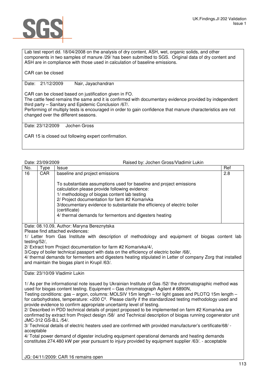

Lab test report dd. 18/04/2008 on the analysis of dry content, ASH, wet, organic solids, and other components in two samples of manure /29/ has been submitted to SGS. Original data of dry content and ASH are in compliance with those used in calculation of baseline emissions.

CAR can be closed

Date: 21/12/2009 Nair, Jayachandran

CAR can be closed based on justification given in FO.

The cattle feed remains the same and it is confirmed with documentary evidence provided by independent third party – Sanitary and Epidemic Conclusion /67/.

Performing of multiply tests is encouraged in order to gain confidence that manure characteristics are not changed over the different seasons.

Date: 23/12/2009 Jochen Gross

CAR 15 is closed out following expert confirmation.

Date: 23/09/2009 Raised by: Jochen Gross/Vladimir Lukin

| No. | Type | <b>Issue</b>                                                                                                                                                                                                                                           | Ref |
|-----|------|--------------------------------------------------------------------------------------------------------------------------------------------------------------------------------------------------------------------------------------------------------|-----|
| 16  | CAR  | baseline and project emissions<br>To substantiate assumptions used for baseline and project emissions<br>calculation please provide following evidence:                                                                                                | 2.8 |
|     |      | 1/ methodology of biogas content lab testing<br>2/ Project documentation for farm #2 Komarivka<br>3/documentary evidence to substantiate the efficiency of electric boiler<br>(certificate)<br>4/ thermal demands for fermentors and digesters heating |     |

Date: 08.10.09, Author: Maryna Bereznytska

Please find attached evidences:

1/ Letter from Gas Institute with description of methodology and equipment of biogas content lab testing/52/,

2/ Extract from Project documentation for farm #2 Komarivka/4/,

3/Copy of boiler technical passport with data on the efficiency of electric boiler /68/,

4/ thermal demands for fermenters and digesters heating stipulated in Letter of company Zorg that installed and maintain the biogas plant in Krupil /63/.

Date: 23/10/09 Vladimir Lukin

1/ As per the informational note issued by Ukrainian Institute of Gas /52/ the chromatographic method was used for biogas content testing. Equipment - Gas chromatograph Agilent # 6890N,

Testing conditions: gas – argon, columns: MOLSIV 15m length – for light gases and PLOTQ 15m length – for carbohydrates, temperature: +200 Cº. Please clarify if the standardized testing methodology used and provide evidence to confirm appropriate uncertainty level of testing.

2/ Described in PDD technical details of project proposed to be implemented on farm #2 Komarivka are confirmed by extract from Project design /58/ and Technical description of biogas running cogenerator unit JMC-312 GS-B.L /54/.

3/ Technical details of electric heaters used are confirmed with provided manufacturer's certificate/68/ acceptable

4/ Total power demand of digester including equipment operational demands and heating demands constitutes 274.480 kW per year pursuant to injury provided by equipment supplier /63/. - acceptable

JG: 04/11/2009: CAR 16 remains open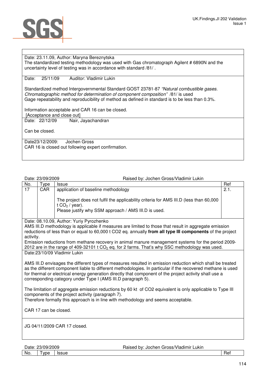

# Date: 23.11.09, Author: Maryna Bereznytska

The standardized testing methodology was used with Gas chromatograph Agilent # 6890N and the uncertainty level of testing was in accordance with standard /81/ .

Date: 25/11/09 Auditor: Vladimir Lukin

Standardized method Intergovernmental Standard GOST 23781-87 "Natural combustible gases. Chromatographic method for determination of component composition" /81/ is used Gage repeatability and reproducibility of method as defined in standard is to be less than 0.3%.

Information acceptable and CAR 16 can be closed.

[Acceptance and close out]<br>Date: 22/12/09 Nair. Nair, Jayachandran

Can be closed.

Date23/12/2009: Jochen Gross CAR 16 is closed out following expert confirmation.

Date: 23/09/2009 **Participal Exercise State:** Participal Raised by: Jochen Gross/Vladimir Lukin

| No.       | Type       | Issue                                                                                                                                                              | Ref  |
|-----------|------------|--------------------------------------------------------------------------------------------------------------------------------------------------------------------|------|
| 17        | <b>CAR</b> | application of baseline methodology                                                                                                                                | 2.1. |
|           |            | The project does not fulfil the applicability criteria for AMS III.D (less than 60,000<br>t $CO2$ / year).<br>Please justify why SSM approach / AMS III.D is used. |      |
|           |            | Date: 08.10.09, Author: Yuriy Pyrozhenko                                                                                                                           |      |
|           |            | AMS III.D methodology is applicable if measures are limited to those that result in aggregate emission                                                             |      |
|           |            | reductions of less than or equal to 60,000 t CO2 eq. annually from all type III components of the project                                                          |      |
| activity. |            |                                                                                                                                                                    |      |
|           |            | Emission reductions from methane recovery in animal manure management systems for the period 2009-                                                                 |      |
|           |            | 2012 are in the range of 409-32101 t $CO2$ eq. for 2 farms. That's why SSC methodology was used.                                                                   |      |
|           |            | Date:23/10/09 Vladimir Lukin                                                                                                                                       |      |
|           |            |                                                                                                                                                                    |      |
|           |            | AMS III.D envisages the different types of measures resulted in emission reduction which shall be treated                                                          |      |
|           |            | as the different component liable to different methodologies. In particular if the recovered methane is used                                                       |      |
|           |            | for thermal or electrical energy generation directly that component of the project activity shall use a                                                            |      |
|           |            | corresponding category under Type I (AMS III.D paragraph 5).                                                                                                       |      |
|           |            |                                                                                                                                                                    |      |
|           |            | The limitation of aggregate emission reductions by 60 kt of CO2 equivalent is only applicable to Type III                                                          |      |

components of the project activity (paragraph 7). Therefore formally this approach is in line with methodology and seems acceptable.

CAR 17 can be closed.

JG 04/11/2009 CAR 17 closed.

| Date: | 23/09/2009 | . Jochen Gross/Vladimir '<br>Raised by:<br>Lukin |     |
|-------|------------|--------------------------------------------------|-----|
| No.   | vpe        | Issue                                            | Rei |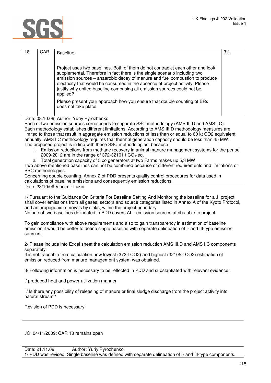

| 18          | CAR                | <b>Baseline</b>                                                                                                                                                                                                                                                                                                                                                                                                                                                                                                                                                                                                                                                                                                                                                                                                                                                                                                                                              | 3.1. |
|-------------|--------------------|--------------------------------------------------------------------------------------------------------------------------------------------------------------------------------------------------------------------------------------------------------------------------------------------------------------------------------------------------------------------------------------------------------------------------------------------------------------------------------------------------------------------------------------------------------------------------------------------------------------------------------------------------------------------------------------------------------------------------------------------------------------------------------------------------------------------------------------------------------------------------------------------------------------------------------------------------------------|------|
|             |                    | Project uses two baselines. Both of them do not contradict each other and look<br>supplemental. Therefore in fact there is the single scenario including two<br>emission sources - anaerobic decay of manure and fuel combustion to produce<br>electricity that would be consumed in the absence of project activity. Please<br>justify why united baseline comprising all emission sources could not be<br>applied?<br>Please present your approach how you ensure that double counting of ERs<br>does not take place.                                                                                                                                                                                                                                                                                                                                                                                                                                      |      |
|             |                    | Date: 08.10.09, Author: Yuriy Pyrozhenko                                                                                                                                                                                                                                                                                                                                                                                                                                                                                                                                                                                                                                                                                                                                                                                                                                                                                                                     |      |
|             | SSC methodologies. | Each of two emission sources corresponds to separate SSC methodology (AMS III.D and AMS I.C).<br>Each methodology establishes different limitations. According to AMS III.D methodology measures are<br>limited to those that result in aggregate emission reductions of less than or equal to 60 kt CO2 equivalent<br>annually. AMS I.C methodology requires that thermal generation capacity should be less than 45 MW.<br>The proposed project is in line with these SSC methodologies, because:<br>1. Emission reductions from methane recovery in animal manure management systems for the period<br>2009-2012 are in the range of 372-32101 t $CO_2$ -eq.<br>2. Total generation capacity of 5 co generators at two Farms makes up 5,3 MW<br>Two above mentioned baselines can not be combined because of different requirements and limitations of<br>Concerning double counting, Annex 2 of PDD presents quality control procedures for data used in |      |
|             |                    | calculations of baseline emissions and consequently emission reductions.                                                                                                                                                                                                                                                                                                                                                                                                                                                                                                                                                                                                                                                                                                                                                                                                                                                                                     |      |
|             |                    | Date: 23/10/09 Vladimir Lukin                                                                                                                                                                                                                                                                                                                                                                                                                                                                                                                                                                                                                                                                                                                                                                                                                                                                                                                                |      |
|             |                    | 1/ Pursuant to the Guidance On Criteria For Baseline Setting And Monitoring the baseline for a JI project<br>shall cover emissions from all gases, sectors and source categories listed in Annex A of the Kyoto Protocol,<br>and anthropogenic removals by sinks, within the project boundary.<br>No one of two baselines delineated in PDD covers ALL emission sources attributable to project.                                                                                                                                                                                                                                                                                                                                                                                                                                                                                                                                                             |      |
| sources.    |                    | To gain compliance with above requirements and also to gain transparency in estimation of baseline<br>emission it would be better to define single baseline with separate delineation of I- and III-type emission                                                                                                                                                                                                                                                                                                                                                                                                                                                                                                                                                                                                                                                                                                                                            |      |
|             |                    | 2/ Please include into Excel sheet the calculation emission reduction AMS III.D and AMS I.C components                                                                                                                                                                                                                                                                                                                                                                                                                                                                                                                                                                                                                                                                                                                                                                                                                                                       |      |
| separately. |                    | It is not traceable from calculation how lowest (372 t CO2) and highest (32105 t CO2) estimation of<br>emission reduced from manure management system was obtained.                                                                                                                                                                                                                                                                                                                                                                                                                                                                                                                                                                                                                                                                                                                                                                                          |      |
|             |                    | 3/ Following information is necessary to be reflected in PDD and substantiated with relevant evidence:                                                                                                                                                                                                                                                                                                                                                                                                                                                                                                                                                                                                                                                                                                                                                                                                                                                       |      |
|             |                    | i/ produced heat and power utilization manner                                                                                                                                                                                                                                                                                                                                                                                                                                                                                                                                                                                                                                                                                                                                                                                                                                                                                                                |      |
|             | natural stream?    | ii/ Is there any possibility of releasing of manure or final sludge discharge from the project activity into                                                                                                                                                                                                                                                                                                                                                                                                                                                                                                                                                                                                                                                                                                                                                                                                                                                 |      |
|             |                    | Revision of PDD is necessary.                                                                                                                                                                                                                                                                                                                                                                                                                                                                                                                                                                                                                                                                                                                                                                                                                                                                                                                                |      |
|             |                    | JG. 04/11/2009: CAR 18 remains open                                                                                                                                                                                                                                                                                                                                                                                                                                                                                                                                                                                                                                                                                                                                                                                                                                                                                                                          |      |
|             | Date: 21.11.09     | Author: Yuriy Pyrozhenko                                                                                                                                                                                                                                                                                                                                                                                                                                                                                                                                                                                                                                                                                                                                                                                                                                                                                                                                     |      |

1/ PDD was revised. Single baseline was defined with separate delineation of I- and III-type components.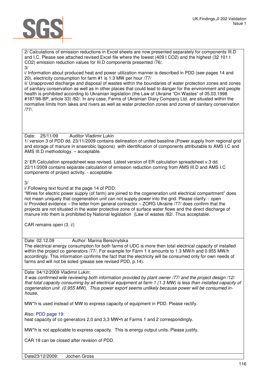

2/ Calculations of emission reductions in Excel sheets are now presented separately for components III.D and I.C. Please see attached revised Excel file where the lowest (409 t CO2) and the highest (32 101 t CO2) emission reduction values for III.D components presented /76/. 3/

i/ Information about produced heat and power utilization manner is described in PDD (see pages 14 and 20), electricity consumption for farm #1 is 1.3 MW per hour /77/

ii/ Unapproved discharge and disposal of wastes within the boundaries of water protection zones and zones of sanitary conservation as well as in other places that could lead to danger for the environment and people health is prohibited according to Ukrainian legislation (the Law of Ukraine "On Wastes" of 05.03.1998 #187/98-BP, article 33) /82/. In any case, Farms of Ukrainian Diary Company Ltd. are situated within the normative limits from lakes and rivers as well as water protection zones and zones of sanitary conservation /77/.

Date: 25/11/09 Auditor Vladimir Lukin 1/ version 3 of PDD dd. 23/11/2009 contains delineation of united baseline (Power supply from regional grid and storage of manure in anaerobic lagoons) with identification of components attributable to AMS I.C and AMS III.D methodology. – acceptable.

2/ ER Calculation spreadsheet was revised. Latest version of ER calculation spreadsheet v.3 dd. 22/11/2009 contains separate calculation of emission reduction coming from AMS III.D and AMS I.C components of project activity. - acceptable.

# 3/

i/ Following text found at the page 14 of PDD:

"Wires for electric power supply (of farm) are joined to the cogeneration unit electrical compartment" does not mean uniquely that cogeneration unit can not supply power into the grid. Please clarify. - open ii/ Provided evidence – the letter from general contractor – ZORG Ukraine /77/ does confirm that the projects are not situated in the water protective zone of surface water flows and the direct discharge of manure into them is prohibited by National legislation (Law of wastes /82/. Thus acceptable.

CAR remains open (3. i/)

Date: 02.12.09 Author: Marina Bereznytska

The electrical energy consumption for both farms of UDC is more then total electrical capacity of installed within the project co generators /77/. For example for Farm 1 it amounts to 1.3 MW/h and 0.955 MW/h accordingly. This information confirms the fact that the electricity will be consumed only for own needs of farms and will not be soled (please see revised PDD, p.14).

# Date: 04/12/2009 Vladimir Lukin:

It was confirmed wile reviewing both information provided by plant owner /77/ and the project design /12/ that total capacity consuming by all electrical equipment at farm 1 (1.3 MW) is less than installed capacity of cogeneration unit (0.955 MW). Thus power export seems unlikely because power will be consumed inhouse.

. MW\*h is used instead of MW to express capacity of equipment in PDD. Please rectify.

Also: PDD page 19:

heat capacity of co generators 2,0 and 3,3 MW•h at Farms 1 and 2 correspondingly.

MW\*h is not applicable to express capacity. This is energy output units. Please justify.

CAR 18 can be closed after revision of PDD.

Date23/12/2009: Jochen Gross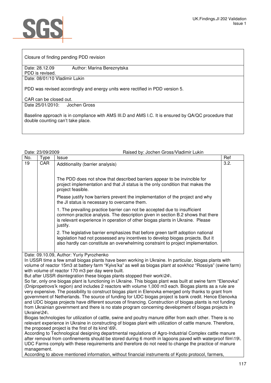

Closure of finding pending PDD revision

Date: 28.12.09 Author: Marina Bereznytska PDD is revised.

Date: 08/01/10 Vladimir Lukin

PDD was revised accordingly and energy units were rectified in PDD version 5.

CAR can be closed out.

Date 25/01/2010: Jochen Gross

Baseline approach is in compliance with AMS III.D and AMS I.C. It is ensured by QA/QC procedure that double counting can't take place.

| Date: 23/09/2009 |  |
|------------------|--|
|                  |  |

Raised by: Jochen Gross/Vladimir Lukin

| No.          | Type       | <b>Issue</b>                                                                                                                                                                                                                                               | Ref  |
|--------------|------------|------------------------------------------------------------------------------------------------------------------------------------------------------------------------------------------------------------------------------------------------------------|------|
| 19           | <b>CAR</b> | Additionality (barrier analysis)                                                                                                                                                                                                                           | 3.2. |
|              |            |                                                                                                                                                                                                                                                            |      |
|              |            | The PDD does not show that described barriers appear to be invincible for<br>project implementation and that JI status is the only condition that makes the<br>project feasible.                                                                           |      |
|              |            | Please justify how barriers prevent the implementation of the project and why<br>the JI status is necessary to overcame them.                                                                                                                              |      |
|              |            | 1. The prevailing practice barrier can not be accepted due to insufficient<br>common practice analysis. The description given in section B.2 shows that there<br>is relevant experience in operation of other biogas plants in Ukraine. Please<br>justify. |      |
|              |            | 2. The legislative barrier emphasizes that before green tariff adoption national<br>legislation had not possessed any incentives to develop biogas projects. But it<br>also hardly can constitute an overwhelming constraint to project implementation.    |      |
|              |            | Date: 09.10.09, Author: Yuriy Pyrozhenko                                                                                                                                                                                                                   |      |
|              |            | In USSR time a few small biogas plants have been working in Ukraine. In particular, biogas plants with                                                                                                                                                     |      |
|              |            | volume of reactor 15m3 at battery farm "Kyivs'ka" as well as biogas plant at sovkhoz "Rossiya" (swine farm)                                                                                                                                                |      |
|              |            | with volume of reactor 170 m3 per day were built.<br>But after USSR disintegration these biogas plants stopped their work\24\.                                                                                                                             |      |
|              |            | So far, only one biogas plant is functioning in Ukraine. This biogas plant was built at swine farm "Elenovka"                                                                                                                                              |      |
|              |            | (Dnipropetrovs'k region) and includes 2 reactors with volume 1,000 m3 each. Biogas plants as a rule are                                                                                                                                                    |      |
|              |            | very expensive. The possibility to construct biogas plant in Elenovka emerged only thanks to grant from                                                                                                                                                    |      |
|              |            | government of Netherlands. The source of funding for UDC biogas project is bank credit. Hence Elenovka<br>and UDC biogas projects have different sources of financing. Construction of biogas plants is not funding                                        |      |
|              |            | from Ukrainian government and there is no state program concerning development of biogas projects in                                                                                                                                                       |      |
| Ukraine\24\. |            |                                                                                                                                                                                                                                                            |      |
|              |            | Biogas technologies for utilization of cattle, swine and poultry manure differ from each other. There is no                                                                                                                                                |      |
|              |            | relevant experience in Ukraine in constructing of biogas plant with utilization of cattle manure. Therefore,                                                                                                                                               |      |

the proposed project is the first of its kind \69\. According to Technological designing departmental regulations of Agro-Industrial Complex cattle manure after removal from confinements should be stored during 6 month in lagoons paved with waterproof film\19\. UDC Farms comply with these requirements and therefore do not need to change the practice of manure

management. According to above mentioned information, without financial instruments of Kyoto protocol, farmers,

117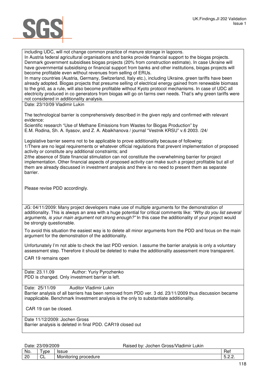

including UDC, will not change common practice of manure storage in lagoons.

In Austria federal agricultural organisations and banks provide financial support to the biogas projects. Denmark government subsidises biogas projects (20% from construction estimate). In case Ukraine will have governmental subsidising or financial support from banks and other institutions, biogas projects will become profitable even without revenues from selling of ERUs.

In many countries (Austria, Germany, Switzerland, Italy etc.), including Ukraine, green tariffs have been already adopted. Biogas projects that presume selling of electrical energy gained from renewable biomass to the grid, as a rule, will also become profitable without Kyoto protocol mechanisms. In case of UDC all electricity produced in co generators from biogas will go on farms own needs. That's why green tariffs were not considered in additionality analysis.

Date: 23/10/09 Vladimir Lukin

The technological barrier is comprehensively described in the given reply and confirmed with relevant evidence:

Scientific research "Use of Methane Emissions from Wastes for Biogas Production" by E.M. Rodina, Sh. A. Ilyasov, and Z. A. Abaikhanova / journal "Vestnik KRSU" v.6 2003. /24/

Legislative barrier seems not to be applicable to prove additionality because of following: 1/There are no legal requirements or whatever official regulations that prevent implementation of proposed activity or constitute any additional constraints; and

2/the absence of State financial stimulation can not constitute the overwhelming barrier for project implementation. Other financial aspects of proposed activity can make such a project profitable but all of them are already discussed in investment analysis and there is no need to present them as separate barrier.

Please revise PDD accordingly.

JG: 04/11/2009: Many project developers make use of multiple arguments for the demonstration of additionality. This is always an area with a huge potential for critical comments like: "Why do you list several arguments, is your main argument not strong enough?" In this case the additionality of your project would be strongly questionable.

To avoid this situation the easiest way is to delete all minor arguments from the PDD and focus on the main argument for the demonstration of the additionality.

Unfortunately I'm not able to check the last PDD version. I assume the barrier analysis is only a voluntary assessment step. Therefore it should be deleted to make the additionality assessment more transparent.

CAR 19 remains open

Date: 23.11.09 Author: Yuriy Pyrozhenko PDD is changed. Only investment barrier is left.

Date: 25/11/09 Auditor Vladimir Lukin Barrier analysis of all barriers has been removed from PDD ver. 3 dd. 23/11/2009 thus discussion became inapplicable. Benchmark Investment analysis is the only to substantiate additionality.

CAR 19 can be closed.

Date 11/12/2009: Jochen Gross Barrier analysis is deleted in final PDD. CAR19 closed out

Date: 23/09/2009 Raised by: Jochen Gross/Vladimir Lukin

| No.      | VDA<br>∞⊌∿ | <br>.aau                                           | Rei       |
|----------|------------|----------------------------------------------------|-----------|
| ററ<br>ΔU | -<br>◡     | .<br>edure:<br><b>IVIONITON</b><br>n<br>эτ<br>' 11 | <br>◡.←.← |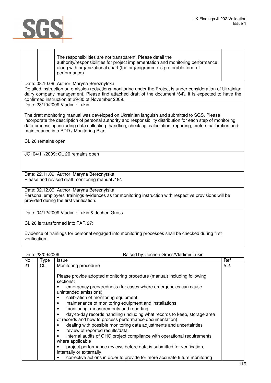

The responsibilities are not transparent. Please detail the authority/responsibilities for project implementation and monitoring performance along with organizational chart (the organigramme is preferable form of performance)

Date: 08.10.09, Author: Maryna Bereznytska

Detailed instruction on emission reductions monitoring under the Project is under consideration of Ukrainian dairy company management. Please find attached draft of the document \64\. It is expected to have the confirmed instruction at 29-30 of November 2009.

Date: 23/10/2009 Vladimir Lukin

The draft monitoring manual was developed on Ukrainian languish and submitted to SGS. Please incorporate the description of personal authority and responsibility distribution for each step of monitoring data processing including data collecting, handling, checking, calculation, reporting, meters calibration and maintenance into PDD / Monitoring Plan.

CL 20 remains open

JG: 04/11/2009: CL 20 remains open

Date: 22.11.09, Author: Maryna Bereznytska Please find revised draft monitoring manual /19/.

Date: 02.12.09, Author: Maryna Bereznytska Personal employers' trainings evidences as for monitoring instruction with respective provisions will be provided during the first verification.

Date: 04/12/2009 Vladimir Lukin & Jochen Gross

CL 20 is transformed into FAR 27:

Evidence of trainings for personal engaged into monitoring processes shall be checked during first verification.

Date: 23/09/2009 Raised by: Jochen Gross/Vladimir Lukin

| No. | Type | <b>Issue</b>                                                                           | Ref  |
|-----|------|----------------------------------------------------------------------------------------|------|
| 21  | CL   | Monitoring procedure                                                                   | 5.2. |
|     |      |                                                                                        |      |
|     |      | Please provide adopted monitoring procedure (manual) including following               |      |
|     |      | sections:                                                                              |      |
|     |      | emergency preparedness (for cases where emergencies can cause<br>unintended emissions) |      |
|     |      | calibration of monitoring equipment                                                    |      |
|     |      | maintenance of monitoring equipment and installations                                  |      |
|     |      | monitoring, measurements and reporting                                                 |      |
|     |      | day-to-day records handling (including what records to keep, storage area              |      |
|     |      | of records and how to process performance documentation)                               |      |
|     |      | dealing with possible monitoring data adjustments and uncertainties                    |      |
|     |      | review of reported results/data                                                        |      |
|     |      | internal audits of GHG project compliance with operational requirements                |      |
|     |      | where applicable                                                                       |      |
|     |      | project performance reviews before data is submitted for verification,                 |      |
|     |      | internally or externally                                                               |      |
|     |      | corrective actions in order to provide for more accurate future monitoring             |      |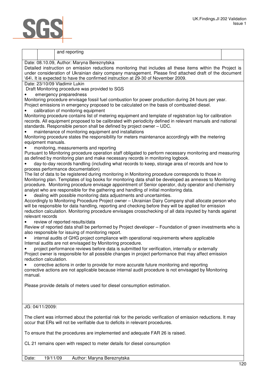

| and reporting                                                                                                                                                                                                                                                                                                                                                                                                    |
|------------------------------------------------------------------------------------------------------------------------------------------------------------------------------------------------------------------------------------------------------------------------------------------------------------------------------------------------------------------------------------------------------------------|
| Date: 08.10.09, Author: Maryna Bereznytska                                                                                                                                                                                                                                                                                                                                                                       |
| Detailed instruction on emission reductions monitoring that includes all these items within the Project is<br>under consideration of Ukrainian dairy company management. Please find attached draft of the document<br>\64\. It is expected to have the confirmed instruction at 29-30 of November 2009.                                                                                                         |
| Date: 23/10/09 Vladimir Lukin                                                                                                                                                                                                                                                                                                                                                                                    |
| Draft Monitoring procedure was provided to SGS                                                                                                                                                                                                                                                                                                                                                                   |
| emergency preparedness                                                                                                                                                                                                                                                                                                                                                                                           |
| Monitoring procedure envisage fossil fuel combustion for power production during 24 hours per year.<br>Project emissions in emergency proposed to be calculated on the basis of combusted diesel.<br>calibration of monitoring equipment                                                                                                                                                                         |
| Monitoring procedure contains list of metering equipment and template of registration log for calibration<br>records. All equipment proposed to be calibrated with periodicity defined in relevant manuals and national<br>standards. Responsible person shall be defined by project owner - UDC.<br>maintenance of monitoring equipment and installations                                                       |
| Monitoring procedure states the responsibility for meters maintenance accordingly with the metering<br>equipment manuals.                                                                                                                                                                                                                                                                                        |
| monitoring, measurements and reporting                                                                                                                                                                                                                                                                                                                                                                           |
| Pursuant to Monitoring procedure operation staff obligated to perform necessary monitoring and measuring<br>as defined by monitoring plan and make necessary records in monitoring logbook.                                                                                                                                                                                                                      |
| day-to-day records handling (including what records to keep, storage area of records and how to                                                                                                                                                                                                                                                                                                                  |
| process performance documentation)                                                                                                                                                                                                                                                                                                                                                                               |
| The list of data to be registered during monitoring in Monitoring procedure corresponds to those in<br>Monitoring plan. Templates of log books for monitoring data shall be developed as annexes to Monitoring<br>procedure. Monitoring procedure envisage appointment of Senior operator, duty operator and chemistry<br>analyst who are responsible for the gathering and handling of initial monitoring data. |
| dealing with possible monitoring data adjustments and uncertainties.<br>Accordingly to Monitoring Procedure Project owner - Ukrainian Dairy Company shall allocate person who<br>will be responsible for data handling, reporting and checking before they will be applied for emission                                                                                                                          |
| reduction calculation. Monitoring procedure envisages crosschecking of all data inputed by hands against<br>relevant records                                                                                                                                                                                                                                                                                     |
| review of reported results/data<br>Review of reported data shall be performed by Project developer - Foundation of green investments who is<br>also responsible for issuing of monitoring report.                                                                                                                                                                                                                |
| internal audits of GHG project compliance with operational requirements where applicable                                                                                                                                                                                                                                                                                                                         |
| Internal audits are not envisaged by Monitoring procedure.                                                                                                                                                                                                                                                                                                                                                       |
| project performance reviews before data is submitted for verification, internally or externally<br>Project owner is responsible for all possible changes in project performance that may affect emission<br>reduction calculation.                                                                                                                                                                               |
| corrective actions in order to provide for more accurate future monitoring and reporting                                                                                                                                                                                                                                                                                                                         |
| corrective actions are not applicable because internal audit procedure is not envisaged by Monitoring<br>manual.                                                                                                                                                                                                                                                                                                 |
| Please provide details of meters used for diesel consumption estimation.                                                                                                                                                                                                                                                                                                                                         |
|                                                                                                                                                                                                                                                                                                                                                                                                                  |
| JG: 04/11/2009:                                                                                                                                                                                                                                                                                                                                                                                                  |
| The client was informed about the potential risk for the periodic verification of emission reductions. It may<br>occur that ERs will not be verifiable due to deficits in relevant procedures.                                                                                                                                                                                                                   |
| To ensure that the procedures are implemented and adequate FAR 26 is raised.                                                                                                                                                                                                                                                                                                                                     |
| CL 21 remains open with respect to meter details for diesel consumption                                                                                                                                                                                                                                                                                                                                          |
| 19/11/09<br>Author: Maryna Bereznytska<br>Date:                                                                                                                                                                                                                                                                                                                                                                  |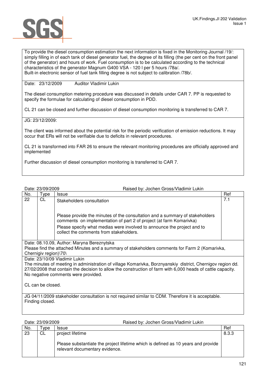

To provide the diesel consumption estimation the next information is fixed in the Monitoring Journal /19/: simply filling in of each tank of diesel generator fuel, the degree of its filling (the per cent on the front panel of the generator) and hours of work. Fuel consumption is to be calculated according to the technical characteristics of the generator Magnum G400 VSA - 120 l per 5 hours /78a/. Built-in electronic sensor of fuel tank filling degree is not subject to calibration /78b/.

Date: 23/12/2009 Auditor Vladimir Lukin

The diesel consumption metering procedure was discussed in details under CAR 7. PP is requested to specify the formulae for calculating of diesel consumption in PDD.

CL 21 can be closed and further discussion of diesel consumption monitoring is transferred to CAR 7.

JG: 23/12/2009:

The client was informed about the potential risk for the periodic verification of emission reductions. It may occur that ERs will not be verifiable due to deficits in relevant procedures.

CL 21 is transformed into FAR 26 to ensure the relevant monitoring procedures are officially approved and implemented

Further discussion of diesel consumption monitoring is transferred to CAR 7.

Date: 23/09/2009 Raised by: Jochen Gross/Vladimir Lukin

| No.                   | Type                                                                                                       | <b>Issue</b>                                                                                                                                                                     | Ref |  |
|-----------------------|------------------------------------------------------------------------------------------------------------|----------------------------------------------------------------------------------------------------------------------------------------------------------------------------------|-----|--|
| 22                    | CL                                                                                                         | Stakeholders consultation<br>Please provide the minutes of the consultation and a summary of stakeholders<br>comments on implementation of part 2 of project (at farm Komarivka) | 7.1 |  |
|                       |                                                                                                            | Please specify what medias were involved to announce the project and to<br>collect the comments from stakeholders.                                                               |     |  |
|                       |                                                                                                            | Date: 08.10.09, Author: Maryna Bereznytska                                                                                                                                       |     |  |
|                       |                                                                                                            | Please find the attached Minutes and a summary of stakeholders comments for Farm 2 (Komarivka,                                                                                   |     |  |
| Chernigiv region)\70\ |                                                                                                            |                                                                                                                                                                                  |     |  |
|                       | Date: 23/10/09 Vladimir Lukin                                                                              |                                                                                                                                                                                  |     |  |
|                       | The minutes of meeting in administration of village Komarivka, Borznyanskiy district, Chernigov region dd. |                                                                                                                                                                                  |     |  |
|                       |                                                                                                            | 27/02/2008 that contain the decision to allow the construction of farm with 6,000 heads of cattle capacity.                                                                      |     |  |
|                       |                                                                                                            | No negative comments were provided.                                                                                                                                              |     |  |
| CL can be closed.     |                                                                                                            |                                                                                                                                                                                  |     |  |
|                       |                                                                                                            | JG 04/11/2009 stakeholder consultation is not required similar to CDM. Therefore it is acceptable.                                                                               |     |  |
| Finding closed.       |                                                                                                            |                                                                                                                                                                                  |     |  |
|                       |                                                                                                            |                                                                                                                                                                                  |     |  |

| Date: 23/09/2009 |           | Raised by: Jochen Gross/Vladimir Lukin                                                                                                  |       |
|------------------|-----------|-----------------------------------------------------------------------------------------------------------------------------------------|-------|
| No.              | vpe       | <b>Issue</b>                                                                                                                            | Ref   |
| 23               | <b>CL</b> | project lifetime<br>Please substantiate the project lifetime which is defined as 10 years and provide<br>relevant documentary evidence. | 8.3.3 |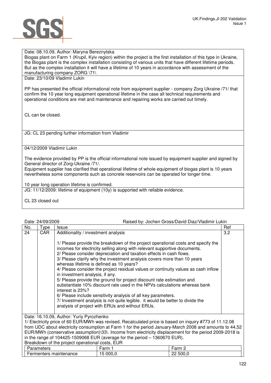

## Date: 08.10.09, Author: Maryna Bereznytska

Biogas plant on Farm 1 (Krupil, Kyiv region) within the project is the first installation of this type in Ukraine, the Biogas plant is the complex installation consisting of various units that have different lifetime periods. But as the complex installation it will have a lifetime of 10 years in accordance with assessment of the manufacturing company ZORG \71\

Date: 23/10/09 Vladimir Lukin

PP has presented the official informational note from equipment supplier - company Zorg Ukraine /71/ that confirm the 10 year long equipment operational lifetime in the case all technical requirements and operational conditions are met and maintenance and repairing works are carried out timely.

CL can be closed.

JG: CL 23 pending further information from Vladimir

04/12/2009 Vladimir Lukin

The evidence provided by PP is the official informational note issued by equipment supplier and signed by General director of Zorg-Ukraine /71/.

Equipment supplier has clarified that operational lifetime of whole equipment of biogas plant is 10 years nevertheless some components such as concrete reservoirs can be operated for longer time.

10 year long operation lifetime is confirmed.

JG: 11/12/2009: lifetime of equipment (10y) is supported with reliable evidence.

CL 23 closed out

## Date: 24/09/2009 Raised by: Jochen Gross/David Diaz/Vladimir Lukin

|     | Dalt. 27/VJ/LVVJ<br><u>Haised by: dochen Giloss/David Diaz/Viadiniil Lunin</u>                          |                                                                                                                                                  |     |  |
|-----|---------------------------------------------------------------------------------------------------------|--------------------------------------------------------------------------------------------------------------------------------------------------|-----|--|
| No. | Type                                                                                                    | Issue                                                                                                                                            | Ref |  |
| 24  | CAR.                                                                                                    | Additionality / investment analysis                                                                                                              | 3.2 |  |
|     |                                                                                                         |                                                                                                                                                  |     |  |
|     |                                                                                                         | 1/ Please provide the breakdown of the project operational costs and specify the                                                                 |     |  |
|     |                                                                                                         | incomes for electricity selling along with relevant supportive documents.<br>2/ Please consider depreciation and taxation effects in cash flows. |     |  |
|     |                                                                                                         | 3/ Please clarify why the investment analysis covers more than 10 years                                                                          |     |  |
|     |                                                                                                         | whereas lifetime is defined as 10 years?                                                                                                         |     |  |
|     |                                                                                                         | 4/ Please consider the project residual values or continuity values as cash inflow                                                               |     |  |
|     |                                                                                                         | in investment analysis, if any.                                                                                                                  |     |  |
|     |                                                                                                         | 5/ Please provide the ground for project discount rate estimation and                                                                            |     |  |
|     |                                                                                                         | substantiate 10% discount rate used in the NPVs calculations whereas bank<br>interest is 23%?                                                    |     |  |
|     |                                                                                                         | 6/ Please include sensitivity analysis of all key parameters.                                                                                    |     |  |
|     |                                                                                                         | 7/ Investment analysis is not quite legible. it would be better to divide the                                                                    |     |  |
|     |                                                                                                         | analysis of project with ERUs and without ERUs.                                                                                                  |     |  |
|     |                                                                                                         |                                                                                                                                                  |     |  |
|     | Date: 16.10.09, Author: Yuriy Pyrozhenko                                                                |                                                                                                                                                  |     |  |
|     | 1/ Electricity price of 60 EUR/MWh was revised. Recalculated price is based on inquiry #773 of 11.12.08 |                                                                                                                                                  |     |  |

from UDC about electricity consumption at Farm 1 for the period January-March 2008 and amounts to 44,52 EUR/MWh (conservative assumption)\33\. Income from electricity displacement for the period 2009-2018 is in the range of 104425-1509068 EUR (average for the period  $-$  1360670 EUR).

# Breakdown of the project operational costs, EUR Parameters **Farm 1** Farm 1 Farm 2 Fermenters maintenance 15 000,0 22 500,0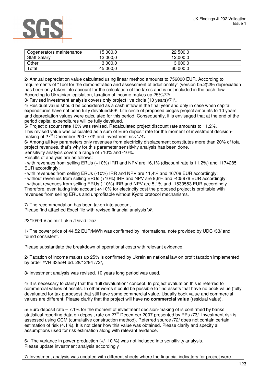# SG

| Cogenerators maintenance | 15 000.0 | 22 500.0 |
|--------------------------|----------|----------|
| <b>Staff Salary</b>      | 12,000.0 | 12,000,0 |
| Other                    | 3 000.0  | 3 000,0  |
| Total                    | 45 000,0 | 60 000,0 |

2/ Annual depreciation value calculated using linear method amounts to 756000 EUR. According to requirements of "Tool for the demonstration and assessment of additionality" (version 05.2)\29\ depreciation has been only taken into account for the calculation of the taxes and is not included in the cash flow. According to Ukrainian legislation, taxation of income makes up 25%\72\.

3/ Revised investment analysis covers only project live circle (10 years)\71\.

4/ Residual value should be considered as a cash inflow in the final year and only in case when capital expenditures have not been fully devalued\69\. Life circle of proposed biogas project amounts to 10 years and depreciation values were calculated for this period. Consequently, it is envisaged that at the end of the period capital expenditures will be fully devalued.

5/ Project discount rate 10% was revised. Recalculated project discount rate amounts to 11,2%. This revised value was calculated as a sum of Euro deposit rate for the moment of investment decisionmaking of  $27<sup>th</sup>$  December 2007 \73\ and investment risk \74\.

6/ Among all key parameters only revenues from electricity displacement constitutes more than 20% of total project revenues, that's why for this parameter sensitivity analysis has been done.

Sensitivity analysis covers a range of +10% and -10%.

Results of analysis are as follows:

- with revenues from selling ERUs (+10%) IRR and NPV are 16,1% (discount rate is 11,2%) and 1174285 EUR accordingly;

- with revenues from selling ERUs (-10%) IRR and NPV are 11,4% and 46708 EUR accordingly;

- without revenues from selling ERUs (+10%) IRR and NPV are 9,6% and -405976 EUR accordingly; - without revenues from selling ERUs (-10%) IRR and NPV are 5,1% and -1533553 EUR accordingly. Therefore, even taking into account +/-10% for electricity cost the proposed project is profitable with revenues from selling ERUs and unprofitable without Kyoto protocol mechanisms.

7/ The recommendation has been taken into account. Please find attached Excel file with revised financial analysis \4\

23/10/09 Vladimir Lukin /David Diaz

1/ The power price of 44.52 EUR/MWh was confirmed by informational note provided by UDC /33/ and found consistent.

Please substantiate the breakdown of operational costs with relevant evidence.

2/ Taxation of income makes up 25% is confirmed by Ukrainian national law on profit taxation implemented by order #VR 335/94 dd. 28/12/94 /72/,

3/ Investment analysis was revised. 10 years long period was used.

4/ It is necessary to clarify that the "full devaluation" concept. In project evaluation this is referred to commercial values of assets. In other words it could be possible to find assets that have no book value (fully devaluated for tax purposes) that still have some commercial value. Usually book value and commercial values are different; Please clarify that the project will have **no commercial value** (residual value).

5/ Euro deposit rate – 7.1% for the moment of investment decision-making of is confirmed by banks statistical reporting data on deposit rate on 27<sup>th</sup> December 2007 presented by PPs /73/. Investment risk is assessed using CCM (cumulative construction method). Referred source /72/ does not contain certain estimation of risk (4.1%). It is not clear how this value was obtained. Please clarify and specify all assumptions used for risk estimation along with relevant evidence.

6/ The variance in power production  $(+/- 10\%)$  was not included into sensitivity analysis. Please update investment analysis accordingly

7/ Investment analysis was updated with different sheets where the financial indicators for project were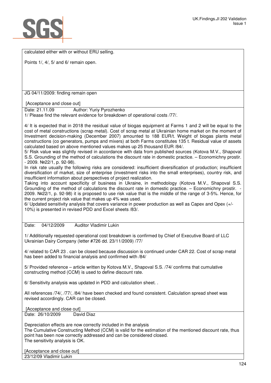

calculated either with or without ERU selling.

Points 1/, 4/, 5/ and 6/ remain open.

JG 04/11/2009: finding remain open

[Acceptance and close out]

Date: 21.11.09 Author: Yuriy Pyrozhenko

1/ Please find the relevant evidence for breakdown of operational costs /77/.

4/ It is expected that in 2018 the residual value of biogas equipment at Farms 1 and 2 will be equal to the cost of metal constructions (scrap metal). Cost of scrap metal at Ukrainian home market on the moment of Investment decision-making (December 2007) amounted to 188 EUR/t. Weight of biogas plants metal constructions (co generators, pumps and mixers) at both Farms constitutes 135 t. Residual value of assets calculated based on above mentioned values makes up 25 thousand EUR /84/.

5/ Risk value was slightly revised in accordance with data from published sources (Kotova M.V., Shapoval S.S. Grounding of the method of calculations the discount rate in domestic practice. – Economichny prostir. - 2009. №22/1, p. 92-98).

In risk rate usually the following risks are considered: insufficient diversification of production; insufficient diversification of market, size of enterprise (investment risks into the small enterprises), country risk, and insufficient information about perspectives of project realization.

Taking into account specificity of business in Ukraine, in methodology (Kotova M.V., Shapoval S.S. Grounding of the method of calculations the discount rate in domestic practice. – Economichny prostir. 2009. №22/1, p. 92-98) it is proposed to use risk value that is the middle of the range of 3-5%. Hence, for the current project risk value that makes up 4% was used.

6/ Updated sensitivity analysis that covers variance in power production as well as Capex and Opex (+/- 10%) is presented in revised PDD and Excel sheets /83/.

Date: 04/12/2009 Auditor Vladimir Lukin

1/ Additionally requested operational cost breakdown is confirmed by Chief of Executive Board of LLC Ukrainian Dairy Company (letter #726 dd. 23/11/2009) /77/

4/ related to CAR 23 . can be closed because discussion is continued under CAR 22. Cost of scrap metal has been added to financial analysis and confirmed with /84/

5/ Provided reference – article written by Kotova M.V., Shapoval S.S. /74/ confirms that cumulative constructing method (CCM) is used to define discount rate.

6/ Sensitivity analysis was updated in PDD and calculation sheet. .

All references /74/, /77/, /84/ have been checked and found consistent. Calculation spread sheet was revised accordingly. CAR can be closed.

[Acceptance and close out]

Date: 26/10/2009 David Diaz

Depreciation effects are now correctly included in the analysis The Cumulative Constructing Method (CCM) is valid for the estimation of the mentioned discount rate, thus point has been now correctly addressed and can be considered closed. The sensitivity analysis is OK.

[Acceptance and close out] 23/12/09 Vladimir Lukin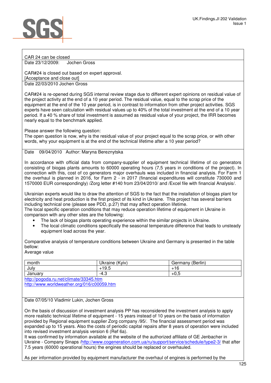## CAR 24 can be closed Date 23/12/2009: Jochen Gross

CAR#24 is closed out based on expert approval. [Acceptance and close out]

Date 22/03/2010 Jochen Gross

CAR#24 is re-opened during SGS internal review stage due to different expert opinions on residual value of the project activity at the end of a 10 year period. The residual value, equal to the scrap price of the equipment at the end of the 10 year period, is in contrast to information from other project activities. SGS experts have seen calculation with residual values up to 40% of the total investment at the end of a 10 year period. If a 40 % share of total investment is assumed as residual value of your project, the IRR becomes nearly equal to the benchmark applied.

Please answer the following question:

The open question is now, why is the residual value of your project equal to the scrap price, or with other words, why your equipment is at the end of the technical lifetime after a 10 year period?

# Date 09/04/2010 Author: Maryna Bereznytska

In accordance with official data from company-supplier of equipment technical lifetime of co generators consisting of biogas plants amounts to 60000 operating hours (7,5 years in conditions of the project). In connection with this, cost of co generators major overhauls was included in financial analysis. For Farm 1 the overhaul is planned in 2016, for Farm 2 - in 2017 (financial expenditures will constitute 730000 and 1570000 EUR correspondingly) /Zorg letter #140 from 23/04/2010/ and /Excel file with financial Analysis/.

Ukrainian experts would like to draw the attention of SGS to the fact that the installation of biogas plant for electricity and heat production is the first project of its kind in Ukraine. This project has several barriers including technical one (please see PDD, p.27) that may affect operation lifetime.

The local specific operation conditions that may reduce operation lifetime of equipment in Ukraine in comparison with any other sites are the following:

- The lack of biogas plants operating experience within the similar projects in Ukraine.
- The local climatic conditions specifically the seasonal temperature difference that leads to unsteady equipment load across the year.

Comparative analysis of temperature conditions between Ukraine and Germany is presented in the table bellow:

# Average value

| month   | Ukraine<br>(Kyiv) | .<br>(Berlin)<br>Germany |
|---------|-------------------|--------------------------|
| July    | 19.5              | . .<br>٠ιc               |
| January | c<br>ن.4-         | $+0.5$                   |

http://pogoda.ru.net/climate/33345.htm http://www.worldweather.org/016/c00059.htm

# Date 07/05/10 Vladimir Lukin, Jochen Gross

On the basis of discussion of investment analysis PP has reconsidered the investment analysis to apply more realistic technical lifetime of equipment - 15 years instead of 10 years on the basis of information provided by Regional equipment supplier Zorg company /95/. The financial assessment period was expanded up to 15 years. Also the costs of periodic capital repairs after 8 years of operation were included into revised investment analysis version 6 (Ref 6a).

It was confirmed by information available at the website of the authorized affiliate of GE Jenbacher in Ukraine - Company Sinaps /http://www.cogeneration.com.ua/ru/support/service/schedule/type2-3/ that after 7.5 years (60000 operational hours) the engines should be replaced or overhauled.

As per information provided by equipment manufacturer the overhaul of engines is performed by the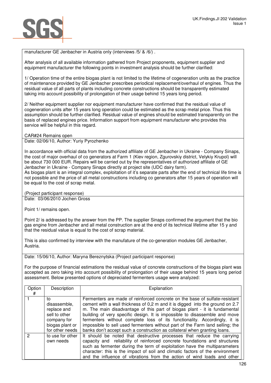

manufacturer GE Jenbacher in Austria only (interviews /5/ & /6/) .

After analysis of all available information gathered from Project proponents, equipment supplier and equipment manufacturer the following points in investment analysis should be further clarified:

1/ Operation time of the entire biogas plant is not limited to the lifetime of cogeneration units as the practice of maintenance provided by GE Jenbacher prescribes periodical replacement/overhaul of engines. Thus the residual value of all parts of plants including concrete constructions should be transparently estimated taking into account possibility of prolongation of their usage behind 15 years long period.

2/ Neither equipment supplier nor equipment manufacturer have confirmed that the residual value of cogeneration units after 15 years long operation could be estimated as the scrap metal price. Thus this assumption should be further clarified. Residual value of engines should be estimated transparently on the basis of replaced engines price. Information support from equipment manufacturer who provides this service will be helpful in this regard.

CAR#24 Remains open

Date: 02/06/10, Author: Yuriy Pyrozhenko

In accordance with official data from the authorized affiliate of GE Jenbacher in Ukraine - Company Sinaps, the cost of major overhaul of co generators at Farm 1 (Kiev region, Zgurovskiy district, Velykiy Krupol) will be about 730 000 EUR. Repairs will be carried out by the representatives of authorized affiliate of GE Jenbacher in Ukraine - Company Sinaps directly at project site (UDC dairy farm).

As biogas plant is an integral complex, exploitation of it's separate parts after the end of technical life time is not possible and the price of all metal constructions including co generators after 15 years of operation will be equal to the cost of scrap metal.

(Project participant response)

Date: 03/06/2010 Jochen Gross

Point 1/ remains open.

Point 2/ is addressed by the answer from the PP. The supplier Sinaps confirmed the argument that the bio gas engine from Jenbacher and all metal construction are at the end of its technical lifetime after 15 y and that the residual value is equal to the cost of scrap material.

This is also confirmed by interview with the manufature of the co-generation modules GE Jenbacher, Austria.

Date: 15/06/10, Author: Maryna Bereznytska (Project participant response)

For the purpose of financial estimations the residual value of concrete constructions of the biogas plant was accepted as zero taking into account possibility of prolongation of their usage behind 15 years long period assessment. Below presented options of depreciated fermenters usage were analyzed:

| Option<br># | Description                                                                                             | Explanation                                                                                                                                                                                                                                                                                                                                                                                                                                                                                                                                                        |
|-------------|---------------------------------------------------------------------------------------------------------|--------------------------------------------------------------------------------------------------------------------------------------------------------------------------------------------------------------------------------------------------------------------------------------------------------------------------------------------------------------------------------------------------------------------------------------------------------------------------------------------------------------------------------------------------------------------|
|             | to<br>disassemble,<br>replace and<br>sell to other<br>company for<br>biogas plant or<br>for other needs | Fermenters are made of reinforced concrete on the base of sulfate-resistant<br>cement with a wall thickness of 0,2 m and it is digged into the ground on 2.7<br>m. The main disadvantage of this part of biogas plant - it is fundamental<br>building of very specific design. It is impossible to disassemble and move<br>fermenters without complete loss of its functionality. Accordingly, it is<br>impossible to sell used fermenters without part of the Farm land selling; the<br>banks don't accept such a construction as collateral when granting loans. |
| 2           | to use for other<br>own needs                                                                           | It should be noted that destructive processes that reduce the carrying<br>capacity and reliability of reinforced concrete foundations and structures<br>such as fermenter during the term of exploitation have the multiparameters<br>character: this is the impact of soil and climatic factors of the environment<br>and the influence of vibrations from the action of wind loads and other                                                                                                                                                                     |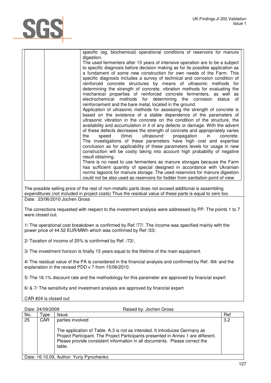

| specific (eg, biochemical) operational conditions of reservoirs for manure      |
|---------------------------------------------------------------------------------|
| digestion.                                                                      |
| The used fermenters after 15 years of intensive operation are to be a subject   |
| to specific diagnosis before decision making as for its possible application as |
| a fundament of some new construction for own needs of the Farm. This            |
| specific diagnosis includes a survey of technical and corrosion condition of    |
| reinforced concrete structures by means of ultrasonic methods for               |
| determining the strength of concrete, vibration methods for evaluating the      |
| mechanical properties of reinforced concrete fermenters, as well as             |
| electrochemical methods for determining the corrosion status of                 |
| reinforcement and the bare metal, located in the ground.                        |
| Application of ultrasonic methods for assessing the strength of concrete is     |
| based on the existence of a stable dependence of the parameters of              |
|                                                                                 |
| ultrasonic vibration in the concrete on the condition of the structure, the     |
| availability and accumulation in it of any defects or damage. With the advent   |
| of these defects decreases the strength of concrete and appropriately varies    |
| (time) ultrasound propagation in<br>the<br>speed<br>concrete.                   |
| The investigations of these parameters have high cost and expertise             |
| conclusion as for applicability of these parameters levels for usage in new     |
| construction will be costly taking into account high probability of negative    |
| result obtaining.                                                               |
| There is no need to use fermenters as manure storages because the Farm          |
| has sufficient quantity of special designed in accordance with Ukrainian        |
| norms lagoons for manure storage. The used reservoirs for manure digestion      |
| could not be also used as reservoirs for fodder from sanitation point of view.  |

The possible selling price of the rest of non-metallic parts does not exceed additional is assembling expenditures (not included in project costs) Thus the residual value of these parts is equal to zero too. Date: 23/06/2010 Jochen Gross

The corrections requested with respect to the investment analysis were addressed by PP. The points 1 to 7 were closed out.

1/ The operational cost breakdown is confirmed by Ref /77/. The income was specified mainly with the power price of 44.52 EUR/MWh which was confirmed by Ref /33/.

2/ Taxation of income of 25% is confirmed by Ref. /72/,

3/ The investment horizon is finally 15 years equal to the lifetime of the main equipment.

4/ The residual value of the PA is considered in the financial analysis and confirmed by Ref. /84/ and the explanation in the revised PDD v 7 from 15/06/2010.

5/ The 16.1% discount rate and the methodology for this parameter are approved by financial expert

6/ & 7/ The sensitivity and investment analysis are approved by financial expert

CAR #24 is closed out

| Date: 24/09/2009 |                                          | Raised by: Jochen Gross                                                                                                                                                                                                                                |     |
|------------------|------------------------------------------|--------------------------------------------------------------------------------------------------------------------------------------------------------------------------------------------------------------------------------------------------------|-----|
| No.              | <b>vpe</b>                               | <b>Issue</b>                                                                                                                                                                                                                                           | Ref |
| 25               | <b>CAR</b>                               | parties involved                                                                                                                                                                                                                                       | 3.2 |
|                  |                                          | The application of Table A.3 is not as intended. It introduces Germany as<br>Project Participant. The Project Participants presented in Annex 1 are different.<br>Please provide consistent information in all documents. Please correct the<br>table. |     |
|                  | Date: 16.10.09, Author: Yuriy Pyrozhenko |                                                                                                                                                                                                                                                        |     |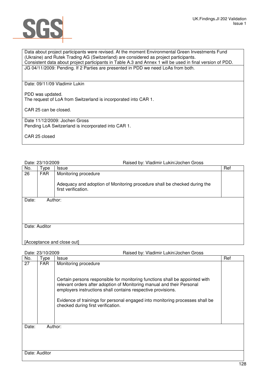

Data about project participants were revised. At the moment Environmental Green Investments Fund (Ukraine) and Rutek Trading AG (Switzerland) are considered as project participants. Consistent data about project participants in Table A.3 and Annex 1 will be used in final version of PDD. JG 04/11/2009: Pending. If 2 Parties are presented in PDD we need LoAs from both.

Date: 09/11/09 Vladimir Lukin

PDD was updated. The request of LoA from Switzerland is incorporated into CAR 1.

CAR 25 can be closed.

Date 11/12/2009: Jochen Gross Pending LoA Switzerland is incorporated into CAR 1.

CAR 25 closed

Date: 23/10/2009 Raised by: Vladimir Lukin/Jochen Gross

| No.   | Type          | <b>Issue</b>                                                                                     | Ref |  |  |
|-------|---------------|--------------------------------------------------------------------------------------------------|-----|--|--|
| 26    | FAR           | Monitoring procedure                                                                             |     |  |  |
|       |               | Adequacy and adoption of Monitoring procedure shall be checked during the<br>first verification. |     |  |  |
| Date: | Author:       |                                                                                                  |     |  |  |
|       |               |                                                                                                  |     |  |  |
|       |               |                                                                                                  |     |  |  |
|       |               |                                                                                                  |     |  |  |
|       | Date: Auditor |                                                                                                  |     |  |  |
|       |               |                                                                                                  |     |  |  |
|       |               |                                                                                                  |     |  |  |
|       |               |                                                                                                  |     |  |  |

[Acceptance and close out]

| Date: 23/10/2009 |               | Raised by: Vladimir Lukin/Jochen Gross                                                                                                                                                                                 |     |  |
|------------------|---------------|------------------------------------------------------------------------------------------------------------------------------------------------------------------------------------------------------------------------|-----|--|
| No.              | Type          | <b>Issue</b>                                                                                                                                                                                                           | Ref |  |
| 27               | <b>FAR</b>    | Monitoring procedure                                                                                                                                                                                                   |     |  |
|                  |               | Certain persons responsible for monitoring functions shall be appointed with<br>relevant orders after adoption of Monitoring manual and their Personal<br>employers instructions shall contains respective provisions. |     |  |
|                  |               | Evidence of trainings for personal engaged into monitoring processes shall be<br>checked during first verification.                                                                                                    |     |  |
| Date:            | Author:       |                                                                                                                                                                                                                        |     |  |
|                  |               |                                                                                                                                                                                                                        |     |  |
|                  | Date: Auditor |                                                                                                                                                                                                                        |     |  |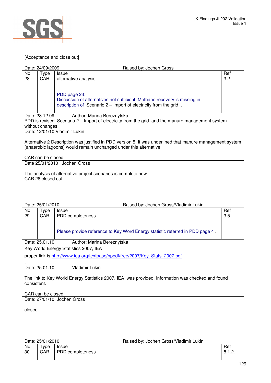

# [Acceptance and close out]

| Date: 24/09/2009<br>Raised by: Jochen Gross                                                                                                                                     |                  |                                                                                                                                                               |     |
|---------------------------------------------------------------------------------------------------------------------------------------------------------------------------------|------------------|---------------------------------------------------------------------------------------------------------------------------------------------------------------|-----|
| No.                                                                                                                                                                             | Type             | <b>Issue</b>                                                                                                                                                  | Ref |
| 28                                                                                                                                                                              | CAR.             | alternative analysis                                                                                                                                          | 3.2 |
|                                                                                                                                                                                 |                  | PDD page 23:<br>Discussion of alternatives not sufficient. Methane recovery is missing in<br>description of Scenario 2 - Import of electricity from the grid. |     |
|                                                                                                                                                                                 | Date: 28.12.09   | Author: Marina Bereznytska                                                                                                                                    |     |
| PDD is revised. Scenario 2 – Import of electricity from the grid and the manure management system                                                                               |                  |                                                                                                                                                               |     |
|                                                                                                                                                                                 | without changes. |                                                                                                                                                               |     |
|                                                                                                                                                                                 |                  | Date: 12/01/10 Vladimir Lukin                                                                                                                                 |     |
| Alternative 2 Description was justified in PDD version 5. It was underlined that manure management system<br>(anaerobic lagoons) would remain unchanged under this alternative. |                  |                                                                                                                                                               |     |
| CAR can be closed                                                                                                                                                               |                  |                                                                                                                                                               |     |
| Date 25/01/2010 Jochen Gross                                                                                                                                                    |                  |                                                                                                                                                               |     |
| The analysis of alternative project scenarios is complete now.<br>CAR 28 closed out                                                                                             |                  |                                                                                                                                                               |     |

| Date: 25/01/2010<br>Raised by: Jochen Gross/Vladimir Lukin                                                       |                                              |                                                                               |     |  |  |
|------------------------------------------------------------------------------------------------------------------|----------------------------------------------|-------------------------------------------------------------------------------|-----|--|--|
| No.                                                                                                              | Type                                         | <b>Issue</b>                                                                  | Ref |  |  |
| 29                                                                                                               | CAR.                                         | PDD completeness                                                              | 3.5 |  |  |
|                                                                                                                  |                                              | Please provide reference to Key Word Energy statistic referred in PDD page 4. |     |  |  |
|                                                                                                                  | Date: 25.01.10<br>Author: Marina Bereznytska |                                                                               |     |  |  |
|                                                                                                                  |                                              | Key World Energy Statistics 2007, IEA                                         |     |  |  |
| proper link is http://www.iea.org/textbase/nppdf/free/2007/Key Stats 2007.pdf                                    |                                              |                                                                               |     |  |  |
|                                                                                                                  | Date: 25.01.10                               | <b>Vladimir Lukin</b>                                                         |     |  |  |
| The link to Key World Energy Statistics 2007, IEA was provided. Information was checked and found<br>consistent. |                                              |                                                                               |     |  |  |
| CAR can be closed                                                                                                |                                              |                                                                               |     |  |  |
| Date: 27/01/10 Jochen Gross                                                                                      |                                              |                                                                               |     |  |  |
| closed                                                                                                           |                                              |                                                                               |     |  |  |

Date: 25/01/2010 Raised by: Jochen Gross/Vladimir Lukin

| No. | -<br>vpe | <b>Issue</b>                         | Ref                  |
|-----|----------|--------------------------------------|----------------------|
| 30  | CAR      | <b>PND</b><br>completeness \<br>' ∪ט | O<br>-<br>-<br>0.1.4 |
|     |          |                                      |                      |